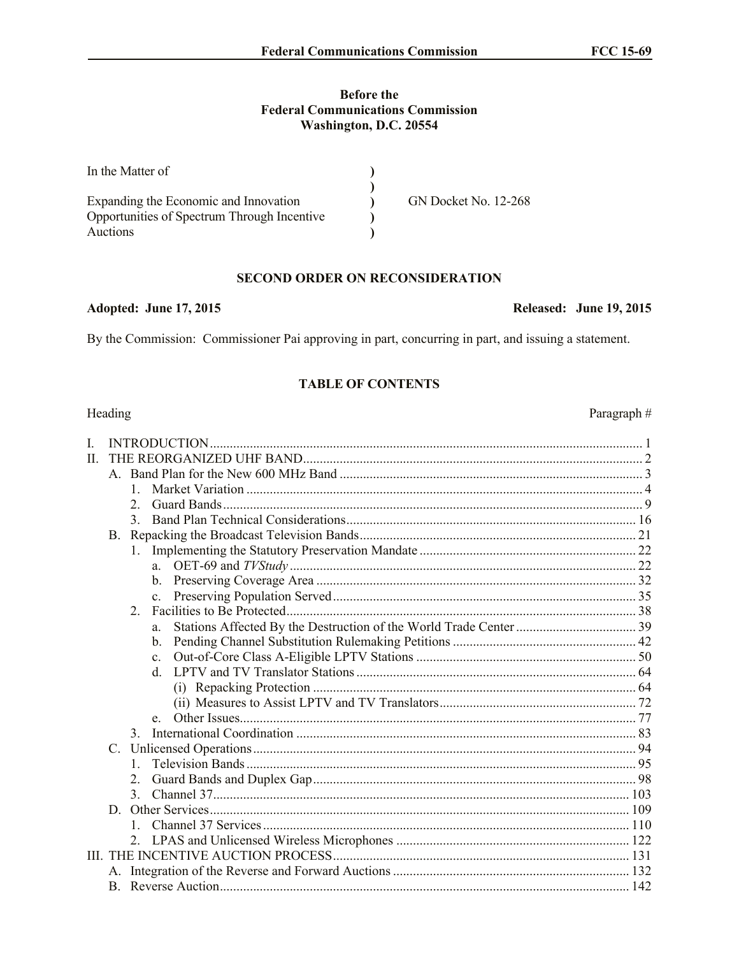## **Before the Federal Communications Commission** Washington, D.C. 20554

| In the Matter of                            |                             |
|---------------------------------------------|-----------------------------|
|                                             |                             |
| Expanding the Economic and Innovation       | <b>GN Docket No. 12-268</b> |
| Opportunities of Spectrum Through Incentive |                             |
| Auctions                                    |                             |

## **SECOND ORDER ON RECONSIDERATION**

### Adopted: June 17, 2015

By the Commission: Commissioner Pai approving in part, concurring in part, and issuing a statement.

## **TABLE OF CONTENTS**

# Heading

| L     |  |                |                |  |  |
|-------|--|----------------|----------------|--|--|
| $\Pi$ |  |                |                |  |  |
|       |  |                |                |  |  |
|       |  |                |                |  |  |
|       |  | $\overline{2}$ |                |  |  |
|       |  | $\mathcal{E}$  |                |  |  |
|       |  |                |                |  |  |
|       |  | 1.             |                |  |  |
|       |  |                |                |  |  |
|       |  |                |                |  |  |
|       |  |                | $c_{-}$        |  |  |
|       |  | $\overline{2}$ |                |  |  |
|       |  |                | a.             |  |  |
|       |  |                | $\mathbf{b}$ . |  |  |
|       |  |                | $c_{-}$        |  |  |
|       |  |                | <sub>d</sub>   |  |  |
|       |  |                |                |  |  |
|       |  |                |                |  |  |
|       |  |                | e              |  |  |
|       |  | $\mathcal{E}$  |                |  |  |
|       |  |                |                |  |  |
|       |  | $\mathbf{1}$   |                |  |  |
|       |  | $2_{-}$        |                |  |  |
|       |  |                |                |  |  |
|       |  |                |                |  |  |
|       |  |                |                |  |  |
|       |  |                |                |  |  |
|       |  |                |                |  |  |
|       |  |                |                |  |  |
|       |  |                |                |  |  |

## **Released: June 19, 2015**

Paragraph#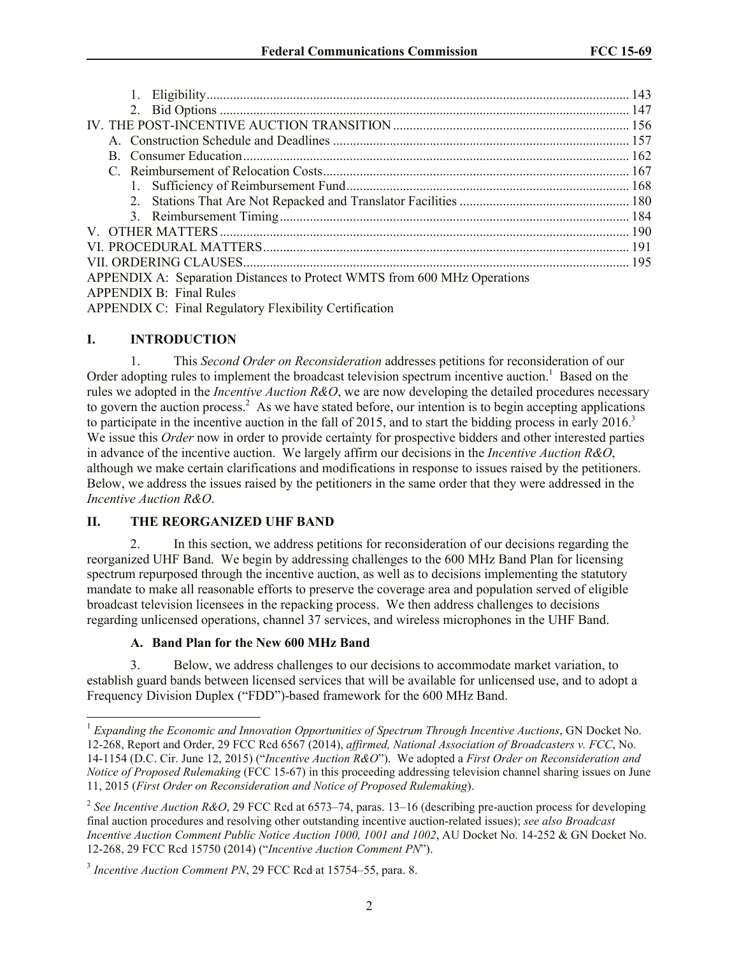| 1.                                                                       |  |
|--------------------------------------------------------------------------|--|
|                                                                          |  |
|                                                                          |  |
|                                                                          |  |
|                                                                          |  |
|                                                                          |  |
|                                                                          |  |
|                                                                          |  |
|                                                                          |  |
|                                                                          |  |
|                                                                          |  |
|                                                                          |  |
| APPENDIX A: Separation Distances to Protect WMTS from 600 MHz Operations |  |
| <b>APPENDIX B: Final Rules</b>                                           |  |
| <b>APPENDIX C: Final Regulatory Flexibility Certification</b>            |  |

## **I. INTRODUCTION**

 $\overline{\phantom{a}}$ 

1. This *Second Order on Reconsideration* addresses petitions for reconsideration of our Order adopting rules to implement the broadcast television spectrum incentive auction.<sup>1</sup> Based on the rules we adopted in the *Incentive Auction R&O*, we are now developing the detailed procedures necessary to govern the auction process.<sup>2</sup> As we have stated before, our intention is to begin accepting applications to participate in the incentive auction in the fall of 2015, and to start the bidding process in early 2016.<sup>3</sup> We issue this *Order* now in order to provide certainty for prospective bidders and other interested parties in advance of the incentive auction. We largely affirm our decisions in the *Incentive Auction R&O*, although we make certain clarifications and modifications in response to issues raised by the petitioners. Below, we address the issues raised by the petitioners in the same order that they were addressed in the *Incentive Auction R&O*.

## **II. THE REORGANIZED UHF BAND**

2. In this section, we address petitions for reconsideration of our decisions regarding the reorganized UHF Band. We begin by addressing challenges to the 600 MHz Band Plan for licensing spectrum repurposed through the incentive auction, as well as to decisions implementing the statutory mandate to make all reasonable efforts to preserve the coverage area and population served of eligible broadcast television licensees in the repacking process. We then address challenges to decisions regarding unlicensed operations, channel 37 services, and wireless microphones in the UHF Band.

## **A. Band Plan for the New 600 MHz Band**

3. Below, we address challenges to our decisions to accommodate market variation, to establish guard bands between licensed services that will be available for unlicensed use, and to adopt a Frequency Division Duplex ("FDD")-based framework for the 600 MHz Band.

<sup>&</sup>lt;sup>1</sup> Expanding the Economic and Innovation Opportunities of Spectrum Through Incentive Auctions, GN Docket No. 12-268, Report and Order, 29 FCC Rcd 6567 (2014), *affirmed, National Association of Broadcasters v. FCC*, No. 14-1154 (D.C. Cir. June 12, 2015) ("*Incentive Auction R&O*"). We adopted a *First Order on Reconsideration and Notice of Proposed Rulemaking* (FCC 15-67) in this proceeding addressing television channel sharing issues on June 11, 2015 (*First Order on Reconsideration and Notice of Proposed Rulemaking*).

<sup>&</sup>lt;sup>2</sup> See Incentive Auction R&O, 29 FCC Rcd at 6573–74, paras. 13–16 (describing pre-auction process for developing final auction procedures and resolving other outstanding incentive auction-related issues); *see also Broadcast Incentive Auction Comment Public Notice Auction 1000, 1001 and 1002*, AU Docket No. 14-252 & GN Docket No. 12-268, 29 FCC Rcd 15750 (2014) ("*Incentive Auction Comment PN*").

<sup>3</sup> *Incentive Auction Comment PN*, 29 FCC Rcd at 15754–55, para. 8.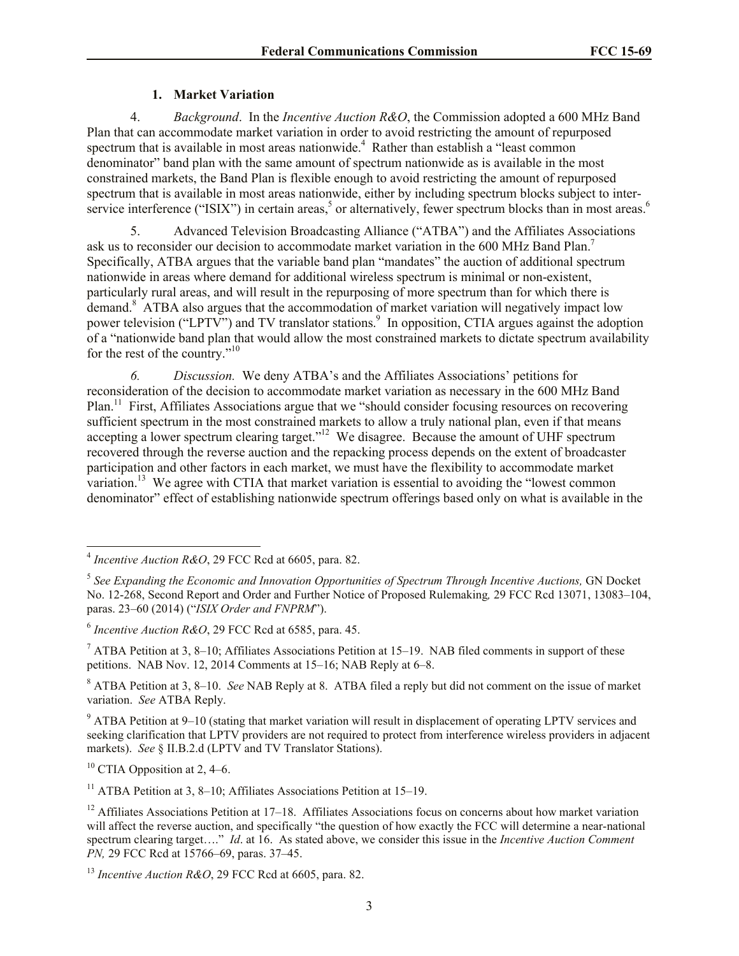## **1. Market Variation**

4. *Background*. In the *Incentive Auction R&O*, the Commission adopted a 600 MHz Band Plan that can accommodate market variation in order to avoid restricting the amount of repurposed spectrum that is available in most areas nationwide.<sup>4</sup> Rather than establish a "least common denominator" band plan with the same amount of spectrum nationwide as is available in the most constrained markets, the Band Plan is flexible enough to avoid restricting the amount of repurposed spectrum that is available in most areas nationwide, either by including spectrum blocks subject to interservice interference ("ISIX") in certain areas,<sup>5</sup> or alternatively, fewer spectrum blocks than in most areas.<sup>6</sup>

5. Advanced Television Broadcasting Alliance ("ATBA") and the Affiliates Associations ask us to reconsider our decision to accommodate market variation in the 600 MHz Band Plan.<sup>7</sup> Specifically, ATBA argues that the variable band plan "mandates" the auction of additional spectrum nationwide in areas where demand for additional wireless spectrum is minimal or non-existent, particularly rural areas, and will result in the repurposing of more spectrum than for which there is demand.<sup>8</sup> ATBA also argues that the accommodation of market variation will negatively impact low power television ("LPTV") and TV translator stations.<sup>9</sup> In opposition, CTIA argues against the adoption of a "nationwide band plan that would allow the most constrained markets to dictate spectrum availability for the rest of the country."<sup>10</sup>

*6. Discussion.* We deny ATBA's and the Affiliates Associations' petitions for reconsideration of the decision to accommodate market variation as necessary in the 600 MHz Band Plan.<sup>11</sup> First, Affiliates Associations argue that we "should consider focusing resources on recovering sufficient spectrum in the most constrained markets to allow a truly national plan, even if that means accepting a lower spectrum clearing target."<sup>12</sup> We disagree. Because the amount of UHF spectrum recovered through the reverse auction and the repacking process depends on the extent of broadcaster participation and other factors in each market, we must have the flexibility to accommodate market variation.<sup>13</sup> We agree with CTIA that market variation is essential to avoiding the "lowest common" denominator" effect of establishing nationwide spectrum offerings based only on what is available in the

<sup>7</sup> ATBA Petition at 3, 8–10; Affiliates Associations Petition at 15–19. NAB filed comments in support of these petitions. NAB Nov. 12, 2014 Comments at 15–16; NAB Reply at 6–8.

<sup>8</sup> ATBA Petition at 3, 8–10. *See* NAB Reply at 8. ATBA filed a reply but did not comment on the issue of market variation. *See* ATBA Reply.

<sup>9</sup> ATBA Petition at 9–10 (stating that market variation will result in displacement of operating LPTV services and seeking clarification that LPTV providers are not required to protect from interference wireless providers in adjacent markets). *See* § II.B.2.d (LPTV and TV Translator Stations).

<sup>10</sup> CTIA Opposition at 2, 4–6.

<sup>11</sup> ATBA Petition at 3, 8–10; Affiliates Associations Petition at 15–19.

 4 *Incentive Auction R&O*, 29 FCC Rcd at 6605, para. 82.

<sup>&</sup>lt;sup>5</sup> See Expanding the Economic and Innovation Opportunities of Spectrum Through Incentive Auctions, GN Docket No. 12-268, Second Report and Order and Further Notice of Proposed Rulemaking*,* 29 FCC Rcd 13071, 13083–104, paras. 23–60 (2014) ("*ISIX Order and FNPRM*").

<sup>6</sup> *Incentive Auction R&O*, 29 FCC Rcd at 6585, para. 45.

 $12$  Affiliates Associations Petition at 17–18. Affiliates Associations focus on concerns about how market variation will affect the reverse auction, and specifically "the question of how exactly the FCC will determine a near-national spectrum clearing target…." *Id*. at 16. As stated above, we consider this issue in the *Incentive Auction Comment PN*, 29 FCC Rcd at 15766–69, paras. 37–45.

<sup>13</sup> *Incentive Auction R&O*, 29 FCC Rcd at 6605, para. 82.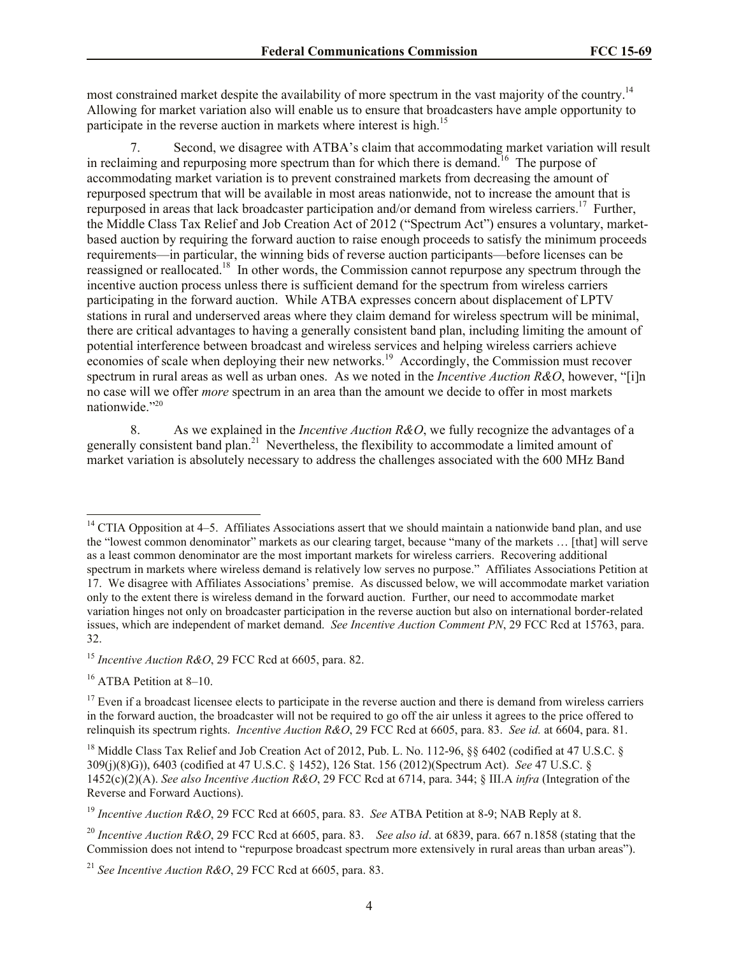most constrained market despite the availability of more spectrum in the vast majority of the country.<sup>14</sup> Allowing for market variation also will enable us to ensure that broadcasters have ample opportunity to participate in the reverse auction in markets where interest is high.<sup>15</sup>

7. Second, we disagree with ATBA's claim that accommodating market variation will result in reclaiming and repurposing more spectrum than for which there is demand.<sup>16</sup> The purpose of accommodating market variation is to prevent constrained markets from decreasing the amount of repurposed spectrum that will be available in most areas nationwide, not to increase the amount that is repurposed in areas that lack broadcaster participation and/or demand from wireless carriers.<sup>17</sup> Further, the Middle Class Tax Relief and Job Creation Act of 2012 ("Spectrum Act") ensures a voluntary, marketbased auction by requiring the forward auction to raise enough proceeds to satisfy the minimum proceeds requirements—in particular, the winning bids of reverse auction participants—before licenses can be reassigned or reallocated.<sup>18</sup> In other words, the Commission cannot repurpose any spectrum through the incentive auction process unless there is sufficient demand for the spectrum from wireless carriers participating in the forward auction. While ATBA expresses concern about displacement of LPTV stations in rural and underserved areas where they claim demand for wireless spectrum will be minimal, there are critical advantages to having a generally consistent band plan, including limiting the amount of potential interference between broadcast and wireless services and helping wireless carriers achieve economies of scale when deploying their new networks.<sup>19</sup> Accordingly, the Commission must recover spectrum in rural areas as well as urban ones. As we noted in the *Incentive Auction R&O*, however, "[i]n no case will we offer *more* spectrum in an area than the amount we decide to offer in most markets nationwide."<sup>20</sup>

8. As we explained in the *Incentive Auction R&O*, we fully recognize the advantages of a generally consistent band plan.<sup>21</sup> Nevertheless, the flexibility to accommodate a limited amount of market variation is absolutely necessary to address the challenges associated with the 600 MHz Band

 $\overline{\phantom{a}}$ 

 $14$  CTIA Opposition at 4–5. Affiliates Associations assert that we should maintain a nationwide band plan, and use the "lowest common denominator" markets as our clearing target, because "many of the markets … [that] will serve as a least common denominator are the most important markets for wireless carriers. Recovering additional spectrum in markets where wireless demand is relatively low serves no purpose." Affiliates Associations Petition at 17. We disagree with Affiliates Associations' premise. As discussed below, we will accommodate market variation only to the extent there is wireless demand in the forward auction. Further, our need to accommodate market variation hinges not only on broadcaster participation in the reverse auction but also on international border-related issues, which are independent of market demand. *See Incentive Auction Comment PN*, 29 FCC Rcd at 15763, para. 32.

<sup>15</sup> *Incentive Auction R&O*, 29 FCC Rcd at 6605, para. 82.

 $16$  ATBA Petition at 8–10.

 $17$  Even if a broadcast licensee elects to participate in the reverse auction and there is demand from wireless carriers in the forward auction, the broadcaster will not be required to go off the air unless it agrees to the price offered to relinquish its spectrum rights. *Incentive Auction R&O*, 29 FCC Rcd at 6605, para. 83. *See id.* at 6604, para. 81.

<sup>&</sup>lt;sup>18</sup> Middle Class Tax Relief and Job Creation Act of 2012, Pub. L. No. 112-96, §§ 6402 (codified at 47 U.S.C. § 309(j)(8)G)), 6403 (codified at 47 U.S.C. § 1452), 126 Stat. 156 (2012)(Spectrum Act). *See* 47 U.S.C. § 1452(c)(2)(A). *See also Incentive Auction R&O*, 29 FCC Rcd at 6714, para. 344; § III.A *infra* (Integration of the Reverse and Forward Auctions).

<sup>19</sup> *Incentive Auction R&O*, 29 FCC Rcd at 6605, para. 83. *See* ATBA Petition at 8-9; NAB Reply at 8.

<sup>20</sup> *Incentive Auction R&O*, 29 FCC Rcd at 6605, para. 83. *See also id*. at 6839, para. 667 n.1858 (stating that the Commission does not intend to "repurpose broadcast spectrum more extensively in rural areas than urban areas").

<sup>21</sup> *See Incentive Auction R&O*, 29 FCC Rcd at 6605, para. 83.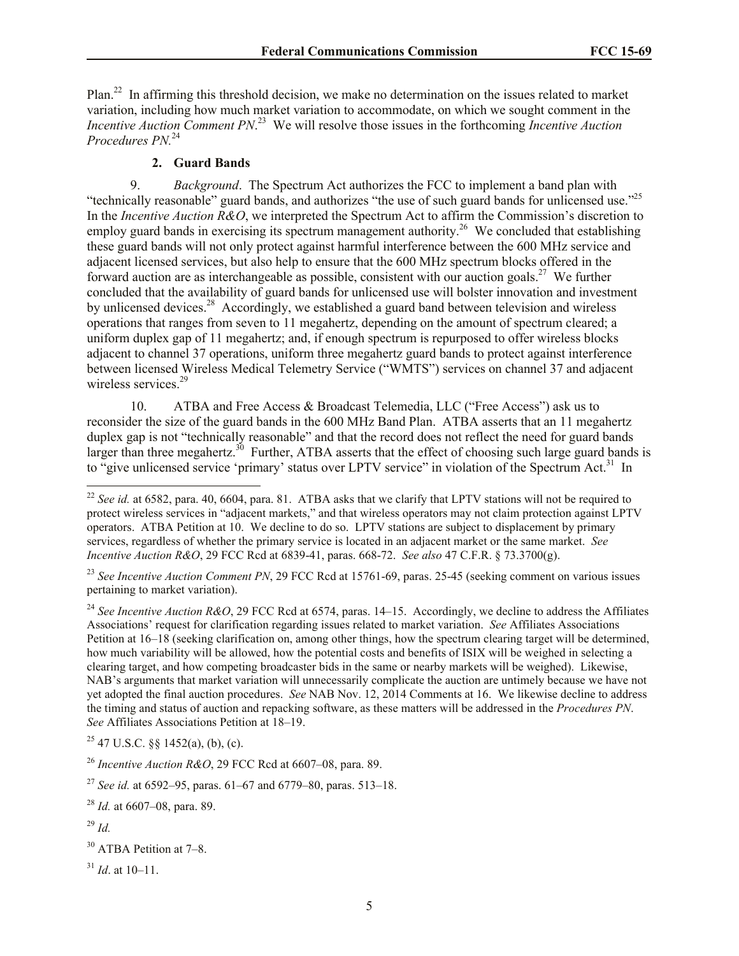Plan.<sup>22</sup> In affirming this threshold decision, we make no determination on the issues related to market variation, including how much market variation to accommodate, on which we sought comment in the *Incentive Auction Comment PN*. 23 We will resolve those issues in the forthcoming *Incentive Auction Procedures PN.*<sup>24</sup>

### **2. Guard Bands**

9. *Background*. The Spectrum Act authorizes the FCC to implement a band plan with "technically reasonable" guard bands, and authorizes "the use of such guard bands for unlicensed use."<sup>25</sup> In the *Incentive Auction R&O*, we interpreted the Spectrum Act to affirm the Commission's discretion to employ guard bands in exercising its spectrum management authority.<sup>26</sup> We concluded that establishing these guard bands will not only protect against harmful interference between the 600 MHz service and adjacent licensed services, but also help to ensure that the 600 MHz spectrum blocks offered in the forward auction are as interchangeable as possible, consistent with our auction goals.<sup>27</sup> We further concluded that the availability of guard bands for unlicensed use will bolster innovation and investment by unlicensed devices.<sup>28</sup> Accordingly, we established a guard band between television and wireless operations that ranges from seven to 11 megahertz, depending on the amount of spectrum cleared; a uniform duplex gap of 11 megahertz; and, if enough spectrum is repurposed to offer wireless blocks adjacent to channel 37 operations, uniform three megahertz guard bands to protect against interference between licensed Wireless Medical Telemetry Service ("WMTS") services on channel 37 and adjacent wireless services.<sup>29</sup>

10. ATBA and Free Access & Broadcast Telemedia, LLC ("Free Access") ask us to reconsider the size of the guard bands in the 600 MHz Band Plan. ATBA asserts that an 11 megahertz duplex gap is not "technically reasonable" and that the record does not reflect the need for guard bands larger than three megahertz.<sup>30</sup> Further, ATBA asserts that the effect of choosing such large guard bands is to "give unlicensed service 'primary' status over LPTV service" in violation of the Spectrum Act.<sup>31</sup> In

<sup>23</sup> See Incentive Auction Comment PN, 29 FCC Rcd at 15761-69, paras. 25-45 (seeking comment on various issues pertaining to market variation).

<sup>24</sup> See Incentive Auction R&O, 29 FCC Rcd at 6574, paras. 14–15. Accordingly, we decline to address the Affiliates Associations' request for clarification regarding issues related to market variation. *See* Affiliates Associations Petition at 16–18 (seeking clarification on, among other things, how the spectrum clearing target will be determined, how much variability will be allowed, how the potential costs and benefits of ISIX will be weighed in selecting a clearing target, and how competing broadcaster bids in the same or nearby markets will be weighed). Likewise, NAB's arguments that market variation will unnecessarily complicate the auction are untimely because we have not yet adopted the final auction procedures. *See* NAB Nov. 12, 2014 Comments at 16. We likewise decline to address the timing and status of auction and repacking software, as these matters will be addressed in the *Procedures PN*. *See* Affiliates Associations Petition at 18–19.

 $25$  47 U.S.C.  $\S$  1452(a), (b), (c).

 $\overline{a}$ 

 $22$  *See id.* at 6582, para. 40, 6604, para. 81. ATBA asks that we clarify that LPTV stations will not be required to protect wireless services in "adjacent markets," and that wireless operators may not claim protection against LPTV operators. ATBA Petition at 10. We decline to do so. LPTV stations are subject to displacement by primary services, regardless of whether the primary service is located in an adjacent market or the same market. *See Incentive Auction R&O*, 29 FCC Rcd at 6839-41, paras. 668-72. *See also* 47 C.F.R. § 73.3700(g).

<sup>26</sup> *Incentive Auction R&O*, 29 FCC Rcd at 6607–08, para. 89.

<sup>27</sup> *See id.* at 6592–95, paras. 61–67 and 6779–80, paras. 513–18.

<sup>28</sup> *Id.* at 6607–08, para. 89.

<sup>29</sup> *Id.*

<sup>30</sup> ATBA Petition at 7–8.

 $31$  *Id.* at 10–11.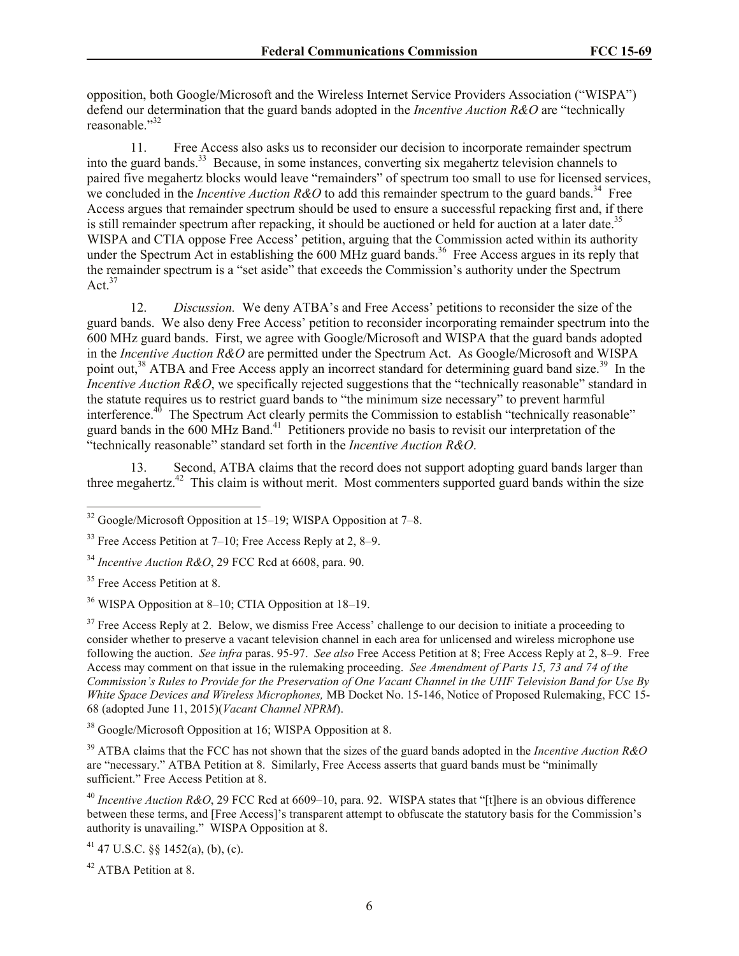opposition, both Google/Microsoft and the Wireless Internet Service Providers Association ("WISPA") defend our determination that the guard bands adopted in the *Incentive Auction R&O* are "technically reasonable."<sup>32</sup>

11. Free Access also asks us to reconsider our decision to incorporate remainder spectrum into the guard bands.<sup>33</sup> Because, in some instances, converting six megahertz television channels to paired five megahertz blocks would leave "remainders" of spectrum too small to use for licensed services, we concluded in the *Incentive Auction R&O* to add this remainder spectrum to the guard bands.<sup>34</sup> Free Access argues that remainder spectrum should be used to ensure a successful repacking first and, if there is still remainder spectrum after repacking, it should be auctioned or held for auction at a later date.<sup>35</sup> WISPA and CTIA oppose Free Access' petition, arguing that the Commission acted within its authority under the Spectrum Act in establishing the 600 MHz guard bands.<sup>36</sup> Free Access argues in its reply that the remainder spectrum is a "set aside" that exceeds the Commission's authority under the Spectrum Act. $37$ 

12. *Discussion.* We deny ATBA's and Free Access' petitions to reconsider the size of the guard bands. We also deny Free Access' petition to reconsider incorporating remainder spectrum into the 600 MHz guard bands. First, we agree with Google/Microsoft and WISPA that the guard bands adopted in the *Incentive Auction R&O* are permitted under the Spectrum Act. As Google/Microsoft and WISPA point out,<sup>38</sup> ATBA and Free Access apply an incorrect standard for determining guard band size.<sup>39</sup> In the *Incentive Auction R&O*, we specifically rejected suggestions that the "technically reasonable" standard in the statute requires us to restrict guard bands to "the minimum size necessary" to prevent harmful interference.<sup>40</sup> The Spectrum Act clearly permits the Commission to establish "technically reasonable" guard bands in the 600 MHz Band.<sup>41</sup> Petitioners provide no basis to revisit our interpretation of the "technically reasonable" standard set forth in the *Incentive Auction R&O*.

13. Second, ATBA claims that the record does not support adopting guard bands larger than three megahertz.<sup>42</sup> This claim is without merit. Most commenters supported guard bands within the size

 $\overline{\phantom{a}}$ 

<sup>38</sup> Google/Microsoft Opposition at 16; WISPA Opposition at 8.

<sup>39</sup> ATBA claims that the FCC has not shown that the sizes of the guard bands adopted in the *Incentive Auction R&O* are "necessary." ATBA Petition at 8. Similarly, Free Access asserts that guard bands must be "minimally sufficient." Free Access Petition at 8.

<sup>40</sup> *Incentive Auction R&O*, 29 FCC Rcd at 6609–10, para. 92. WISPA states that "[t]here is an obvious difference between these terms, and [Free Access]'s transparent attempt to obfuscate the statutory basis for the Commission's authority is unavailing." WISPA Opposition at 8.

 $41$  47 U.S.C. §§ 1452(a), (b), (c).

<sup>42</sup> ATBA Petition at 8.

 $32$  Google/Microsoft Opposition at 15–19; WISPA Opposition at 7–8.

 $33$  Free Access Petition at 7–10; Free Access Reply at 2, 8–9.

<sup>34</sup> *Incentive Auction R&O*, 29 FCC Rcd at 6608, para. 90.

<sup>&</sup>lt;sup>35</sup> Free Access Petition at 8.

<sup>36</sup> WISPA Opposition at 8–10; CTIA Opposition at 18–19.

 $37$  Free Access Reply at 2. Below, we dismiss Free Access' challenge to our decision to initiate a proceeding to consider whether to preserve a vacant television channel in each area for unlicensed and wireless microphone use following the auction. *See infra* paras. 95-97. *See also* Free Access Petition at 8; Free Access Reply at 2, 8–9. Free Access may comment on that issue in the rulemaking proceeding. *See Amendment of Parts 15, 73 and 74 of the Commission's Rules to Provide for the Preservation of One Vacant Channel in the UHF Television Band for Use By White Space Devices and Wireless Microphones,* MB Docket No. 15-146, Notice of Proposed Rulemaking, FCC 15- 68 (adopted June 11, 2015)(*Vacant Channel NPRM*).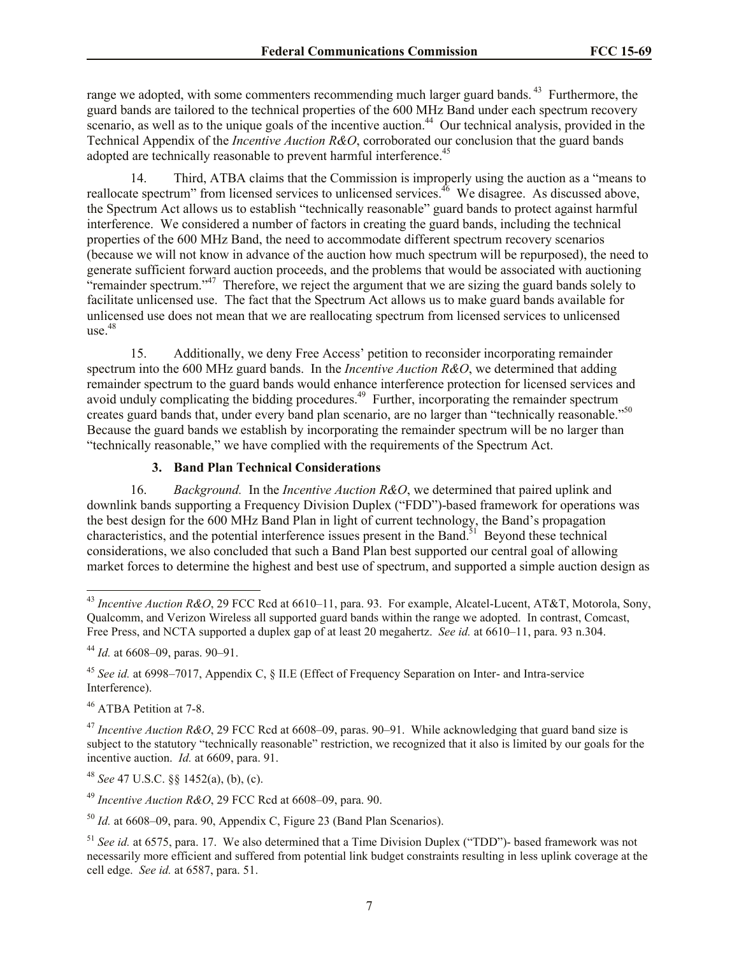range we adopted, with some commenters recommending much larger guard bands.<sup>43</sup> Furthermore, the guard bands are tailored to the technical properties of the 600 MHz Band under each spectrum recovery scenario, as well as to the unique goals of the incentive auction.<sup>44</sup> Our technical analysis, provided in the Technical Appendix of the *Incentive Auction R&O*, corroborated our conclusion that the guard bands adopted are technically reasonable to prevent harmful interference.<sup>45</sup>

14. Third, ATBA claims that the Commission is improperly using the auction as a "means to reallocate spectrum" from licensed services to unlicensed services.<sup>46</sup> We disagree. As discussed above, the Spectrum Act allows us to establish "technically reasonable" guard bands to protect against harmful interference. We considered a number of factors in creating the guard bands, including the technical properties of the 600 MHz Band, the need to accommodate different spectrum recovery scenarios (because we will not know in advance of the auction how much spectrum will be repurposed), the need to generate sufficient forward auction proceeds, and the problems that would be associated with auctioning "remainder spectrum."<sup>47</sup> Therefore, we reject the argument that we are sizing the guard bands solely to facilitate unlicensed use. The fact that the Spectrum Act allows us to make guard bands available for unlicensed use does not mean that we are reallocating spectrum from licensed services to unlicensed use. 48

15. Additionally, we deny Free Access' petition to reconsider incorporating remainder spectrum into the 600 MHz guard bands. In the *Incentive Auction R&O*, we determined that adding remainder spectrum to the guard bands would enhance interference protection for licensed services and avoid unduly complicating the bidding procedures.<sup>49</sup> Further, incorporating the remainder spectrum creates guard bands that, under every band plan scenario, are no larger than "technically reasonable."<sup>50</sup> Because the guard bands we establish by incorporating the remainder spectrum will be no larger than "technically reasonable," we have complied with the requirements of the Spectrum Act.

## **3. Band Plan Technical Considerations**

16. *Background.* In the *Incentive Auction R&O*, we determined that paired uplink and downlink bands supporting a Frequency Division Duplex ("FDD")-based framework for operations was the best design for the 600 MHz Band Plan in light of current technology, the Band's propagation characteristics, and the potential interference issues present in the Band.<sup>51</sup> Beyond these technical considerations, we also concluded that such a Band Plan best supported our central goal of allowing market forces to determine the highest and best use of spectrum, and supported a simple auction design as

<sup>46</sup> ATBA Petition at 7-8.

 $\overline{\phantom{a}}$ 

<sup>47</sup> Incentive Auction R&O, 29 FCC Rcd at 6608–09, paras. 90–91. While acknowledging that guard band size is subject to the statutory "technically reasonable" restriction, we recognized that it also is limited by our goals for the incentive auction. *Id.* at 6609, para. 91.

<sup>48</sup> *See* 47 U.S.C. §§ 1452(a), (b), (c).

<sup>49</sup> *Incentive Auction R&O*, 29 FCC Rcd at 6608–09, para. 90.

<sup>50</sup> *Id.* at 6608–09, para. 90, Appendix C, Figure 23 (Band Plan Scenarios).

<sup>43</sup> *Incentive Auction R&O*, 29 FCC Rcd at 6610–11, para. 93. For example, Alcatel-Lucent, AT&T, Motorola, Sony, Qualcomm, and Verizon Wireless all supported guard bands within the range we adopted. In contrast, Comcast, Free Press, and NCTA supported a duplex gap of at least 20 megahertz. *See id.* at 6610–11, para. 93 n.304.

<sup>44</sup> *Id.* at 6608–09, paras. 90–91.

<sup>45</sup> *See id.* at 6998–7017, Appendix C, § II.E (Effect of Frequency Separation on Inter- and Intra-service Interference).

<sup>&</sup>lt;sup>51</sup> *See id.* at 6575, para. 17. We also determined that a Time Division Duplex ("TDD")- based framework was not necessarily more efficient and suffered from potential link budget constraints resulting in less uplink coverage at the cell edge. *See id.* at 6587, para. 51.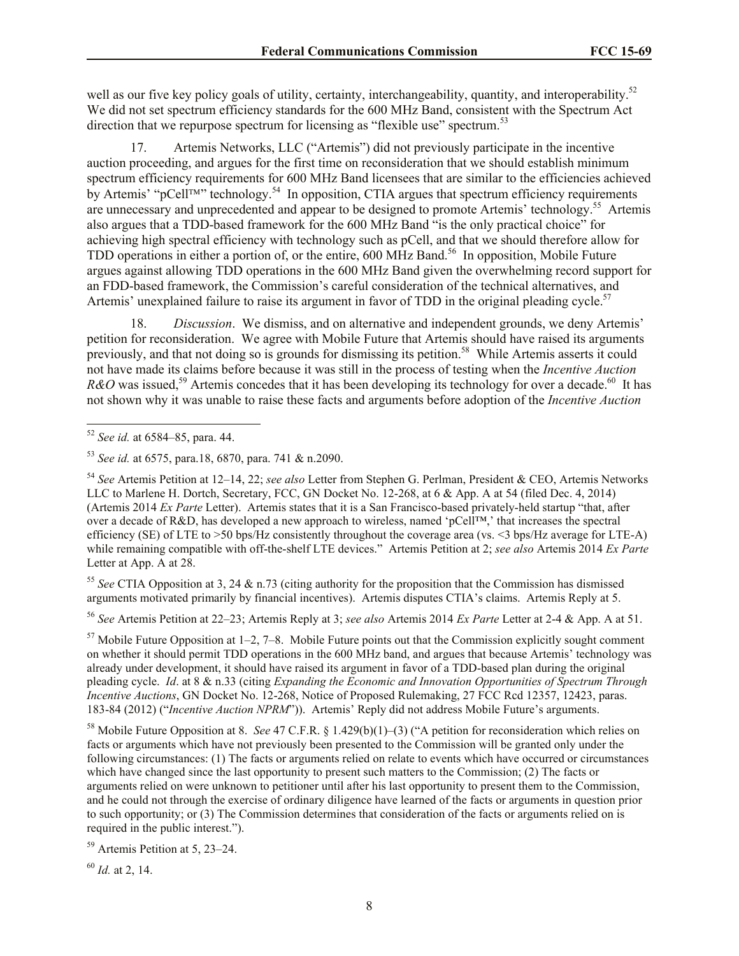well as our five key policy goals of utility, certainty, interchangeability, quantity, and interoperability.<sup>52</sup> We did not set spectrum efficiency standards for the 600 MHz Band, consistent with the Spectrum Act direction that we repurpose spectrum for licensing as "flexible use" spectrum.<sup>53</sup>

17. Artemis Networks, LLC ("Artemis") did not previously participate in the incentive auction proceeding, and argues for the first time on reconsideration that we should establish minimum spectrum efficiency requirements for 600 MHz Band licensees that are similar to the efficiencies achieved by Artemis' "pCell<sup>™"</sup> technology.<sup>54</sup> In opposition, CTIA argues that spectrum efficiency requirements are unnecessary and unprecedented and appear to be designed to promote Artemis' technology.<sup>55</sup> Artemis also argues that a TDD-based framework for the 600 MHz Band "is the only practical choice" for achieving high spectral efficiency with technology such as pCell, and that we should therefore allow for TDD operations in either a portion of, or the entire, 600 MHz Band.<sup>56</sup> In opposition, Mobile Future argues against allowing TDD operations in the 600 MHz Band given the overwhelming record support for an FDD-based framework, the Commission's careful consideration of the technical alternatives, and Artemis' unexplained failure to raise its argument in favor of TDD in the original pleading cycle.<sup>57</sup>

18. *Discussion*. We dismiss, and on alternative and independent grounds, we deny Artemis' petition for reconsideration. We agree with Mobile Future that Artemis should have raised its arguments previously, and that not doing so is grounds for dismissing its petition.<sup>58</sup> While Artemis asserts it could not have made its claims before because it was still in the process of testing when the *Incentive Auction*   $R\&O$  was issued,<sup>59</sup> Artemis concedes that it has been developing its technology for over a decade.<sup>60</sup> It has not shown why it was unable to raise these facts and arguments before adoption of the *Incentive Auction* 

 $\overline{\phantom{a}}$ 

<sup>55</sup> *See* CTIA Opposition at 3, 24 & n.73 (citing authority for the proposition that the Commission has dismissed arguments motivated primarily by financial incentives). Artemis disputes CTIA's claims. Artemis Reply at 5.

<sup>56</sup> *See* Artemis Petition at 22–23; Artemis Reply at 3; *see also* Artemis 2014 *Ex Parte* Letter at 2-4 & App. A at 51.

 $57$  Mobile Future Opposition at 1–2, 7–8. Mobile Future points out that the Commission explicitly sought comment on whether it should permit TDD operations in the 600 MHz band, and argues that because Artemis' technology was already under development, it should have raised its argument in favor of a TDD-based plan during the original pleading cycle. *Id*. at 8 & n.33 (citing *Expanding the Economic and Innovation Opportunities of Spectrum Through Incentive Auctions*, GN Docket No. 12-268, Notice of Proposed Rulemaking, 27 FCC Rcd 12357, 12423, paras. 183-84 (2012) ("*Incentive Auction NPRM*")). Artemis' Reply did not address Mobile Future's arguments.

<sup>58</sup> Mobile Future Opposition at 8. *See* 47 C.F.R. § 1.429(b)(1)–(3) ("A petition for reconsideration which relies on facts or arguments which have not previously been presented to the Commission will be granted only under the following circumstances: (1) The facts or arguments relied on relate to events which have occurred or circumstances which have changed since the last opportunity to present such matters to the Commission; (2) The facts or arguments relied on were unknown to petitioner until after his last opportunity to present them to the Commission, and he could not through the exercise of ordinary diligence have learned of the facts or arguments in question prior to such opportunity; or (3) The Commission determines that consideration of the facts or arguments relied on is required in the public interest.").

<sup>59</sup> Artemis Petition at 5, 23–24.

<sup>60</sup> *Id.* at 2, 14.

<sup>52</sup> *See id.* at 6584–85, para. 44.

<sup>53</sup> *See id.* at 6575, para.18, 6870, para. 741 & n.2090.

<sup>54</sup> *See* Artemis Petition at 12–14, 22; *see also* Letter from Stephen G. Perlman, President & CEO, Artemis Networks LLC to Marlene H. Dortch, Secretary, FCC, GN Docket No. 12-268, at 6 & App. A at 54 (filed Dec. 4, 2014) (Artemis 2014 *Ex Parte* Letter). Artemis states that it is a San Francisco-based privately-held startup "that, after over a decade of R&D, has developed a new approach to wireless, named 'pCell™,' that increases the spectral efficiency (SE) of LTE to >50 bps/Hz consistently throughout the coverage area (vs. <3 bps/Hz average for LTE-A) while remaining compatible with off-the-shelf LTE devices." Artemis Petition at 2; *see also* Artemis 2014 *Ex Parte*  Letter at App. A at 28.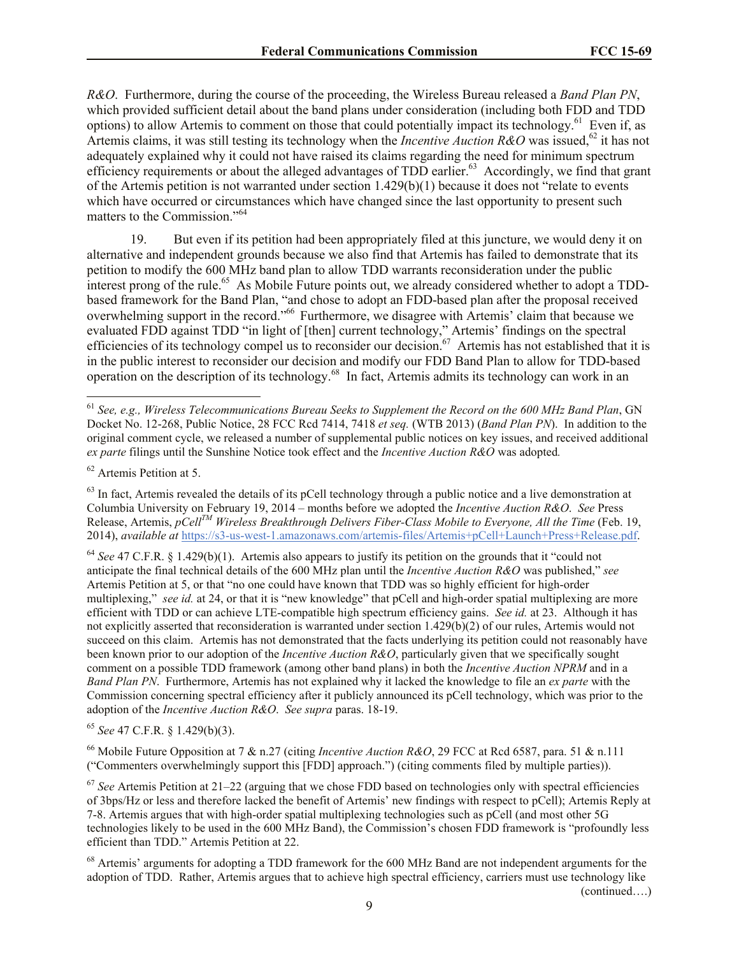*R&O*. Furthermore, during the course of the proceeding, the Wireless Bureau released a *Band Plan PN*, which provided sufficient detail about the band plans under consideration (including both FDD and TDD options) to allow Artemis to comment on those that could potentially impact its technology.<sup>61</sup> Even if, as Artemis claims, it was still testing its technology when the *Incentive Auction R&O* was issued,<sup>62</sup> it has not adequately explained why it could not have raised its claims regarding the need for minimum spectrum efficiency requirements or about the alleged advantages of TDD earlier.<sup>63</sup> Accordingly, we find that grant of the Artemis petition is not warranted under section 1.429(b)(1) because it does not "relate to events which have occurred or circumstances which have changed since the last opportunity to present such matters to the Commission."<sup>64</sup>

19. But even if its petition had been appropriately filed at this juncture, we would deny it on alternative and independent grounds because we also find that Artemis has failed to demonstrate that its petition to modify the 600 MHz band plan to allow TDD warrants reconsideration under the public interest prong of the rule.<sup>65</sup> As Mobile Future points out, we already considered whether to adopt a TDDbased framework for the Band Plan, "and chose to adopt an FDD-based plan after the proposal received overwhelming support in the record."<sup>66</sup> Furthermore, we disagree with Artemis' claim that because we evaluated FDD against TDD "in light of [then] current technology," Artemis' findings on the spectral efficiencies of its technology compel us to reconsider our decision.<sup>67</sup> Artemis has not established that it is in the public interest to reconsider our decision and modify our FDD Band Plan to allow for TDD-based operation on the description of its technology.<sup>68</sup> In fact, Artemis admits its technology can work in an

<sup>62</sup> Artemis Petition at 5.

 $\overline{\phantom{a}}$ 

<sup>64</sup> *See* 47 C.F.R. § 1.429(b)(1). Artemis also appears to justify its petition on the grounds that it "could not anticipate the final technical details of the 600 MHz plan until the *Incentive Auction R&O* was published," *see*  Artemis Petition at 5, or that "no one could have known that TDD was so highly efficient for high-order multiplexing," *see id.* at 24, or that it is "new knowledge" that pCell and high-order spatial multiplexing are more efficient with TDD or can achieve LTE-compatible high spectrum efficiency gains. *See id.* at 23. Although it has not explicitly asserted that reconsideration is warranted under section 1.429(b)(2) of our rules, Artemis would not succeed on this claim. Artemis has not demonstrated that the facts underlying its petition could not reasonably have been known prior to our adoption of the *Incentive Auction R&O*, particularly given that we specifically sought comment on a possible TDD framework (among other band plans) in both the *Incentive Auction NPRM* and in a *Band Plan PN*. Furthermore, Artemis has not explained why it lacked the knowledge to file an *ex parte* with the Commission concerning spectral efficiency after it publicly announced its pCell technology, which was prior to the adoption of the *Incentive Auction R&O*. *See supra* paras. 18-19.

<sup>65</sup> *See* 47 C.F.R. § 1.429(b)(3).

<sup>66</sup> Mobile Future Opposition at 7 & n.27 (citing *Incentive Auction R&O*, 29 FCC at Rcd 6587, para. 51 & n.111 ("Commenters overwhelmingly support this [FDD] approach.") (citing comments filed by multiple parties)).

<sup>67</sup> *See* Artemis Petition at 21–22 (arguing that we chose FDD based on technologies only with spectral efficiencies of 3bps/Hz or less and therefore lacked the benefit of Artemis' new findings with respect to pCell); Artemis Reply at 7-8. Artemis argues that with high-order spatial multiplexing technologies such as pCell (and most other 5G technologies likely to be used in the 600 MHz Band), the Commission's chosen FDD framework is "profoundly less efficient than TDD." Artemis Petition at 22.

<sup>68</sup> Artemis' arguments for adopting a TDD framework for the 600 MHz Band are not independent arguments for the adoption of TDD. Rather, Artemis argues that to achieve high spectral efficiency, carriers must use technology like

(continued….)

<sup>61</sup> *See, e.g., Wireless Telecommunications Bureau Seeks to Supplement the Record on the 600 MHz Band Plan*, GN Docket No. 12-268, Public Notice, 28 FCC Rcd 7414, 7418 *et seq.* (WTB 2013) (*Band Plan PN*). In addition to the original comment cycle, we released a number of supplemental public notices on key issues, and received additional *ex parte* filings until the Sunshine Notice took effect and the *Incentive Auction R&O* was adopted*.*

 $63$  In fact. Artemis revealed the details of its pCell technology through a public notice and a live demonstration at Columbia University on February 19, 2014 – months before we adopted the *Incentive Auction R&O*. *See* Press Release, Artemis, *pCellTM Wireless Breakthrough Delivers Fiber-Class Mobile to Everyone, All the Time* (Feb. 19, 2014), *available at* https://s3-us-west-1.amazonaws.com/artemis-files/Artemis+pCell+Launch+Press+Release.pdf.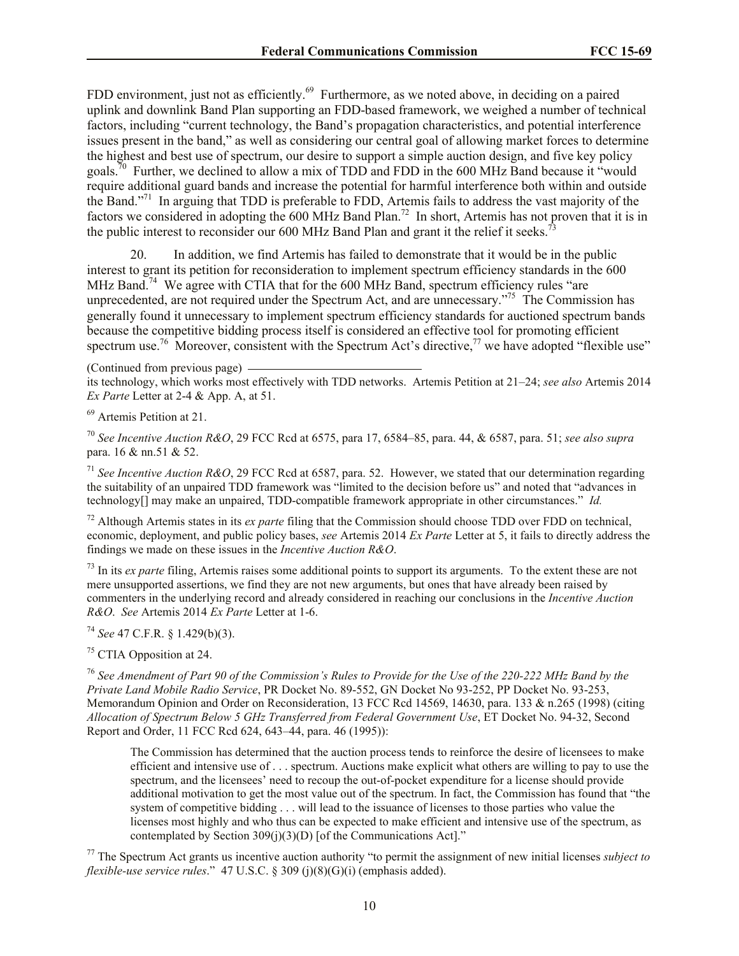FDD environment, just not as efficiently.<sup>69</sup> Furthermore, as we noted above, in deciding on a paired uplink and downlink Band Plan supporting an FDD-based framework, we weighed a number of technical factors, including "current technology, the Band's propagation characteristics, and potential interference issues present in the band," as well as considering our central goal of allowing market forces to determine the highest and best use of spectrum, our desire to support a simple auction design, and five key policy goals.<sup>70</sup> Further, we declined to allow a mix of TDD and FDD in the 600 MHz Band because it "would" require additional guard bands and increase the potential for harmful interference both within and outside the Band."<sup>71</sup> In arguing that TDD is preferable to FDD, Artemis fails to address the vast majority of the factors we considered in adopting the 600 MHz Band Plan.<sup>72</sup> In short, Artemis has not proven that it is in the public interest to reconsider our 600 MHz Band Plan and grant it the relief it seeks.<sup>7</sup>

20. In addition, we find Artemis has failed to demonstrate that it would be in the public interest to grant its petition for reconsideration to implement spectrum efficiency standards in the 600 MHz Band.<sup>74</sup> We agree with CTIA that for the 600 MHz Band, spectrum efficiency rules "are unprecedented, are not required under the Spectrum Act, and are unnecessary."<sup>75</sup> The Commission has generally found it unnecessary to implement spectrum efficiency standards for auctioned spectrum bands because the competitive bidding process itself is considered an effective tool for promoting efficient spectrum use.<sup>76</sup> Moreover, consistent with the Spectrum Act's directive,<sup>77</sup> we have adopted "flexible use"

(Continued from previous page)

its technology, which works most effectively with TDD networks. Artemis Petition at 21–24; *see also* Artemis 2014 *Ex Parte* Letter at 2-4 & App. A, at 51.

<sup>69</sup> Artemis Petition at 21.

<sup>70</sup> *See Incentive Auction R&O*, 29 FCC Rcd at 6575, para 17, 6584–85, para. 44, & 6587, para. 51; *see also supra*  para. 16 & nn.51 & 52.

<sup>71</sup> *See Incentive Auction R&O*, 29 FCC Rcd at 6587, para. 52. However, we stated that our determination regarding the suitability of an unpaired TDD framework was "limited to the decision before us" and noted that "advances in technology[] may make an unpaired, TDD-compatible framework appropriate in other circumstances." *Id.*

<sup>72</sup> Although Artemis states in its *ex parte* filing that the Commission should choose TDD over FDD on technical, economic, deployment, and public policy bases, *see* Artemis 2014 *Ex Parte* Letter at 5, it fails to directly address the findings we made on these issues in the *Incentive Auction R&O*.

<sup>73</sup> In its *ex parte* filing, Artemis raises some additional points to support its arguments. To the extent these are not mere unsupported assertions, we find they are not new arguments, but ones that have already been raised by commenters in the underlying record and already considered in reaching our conclusions in the *Incentive Auction R&O*. *See* Artemis 2014 *Ex Parte* Letter at 1-6.

<sup>74</sup> *See* 47 C.F.R. § 1.429(b)(3).

<sup>75</sup> CTIA Opposition at 24.

<sup>76</sup> *See Amendment of Part 90 of the Commission's Rules to Provide for the Use of the 220-222 MHz Band by the Private Land Mobile Radio Service*, PR Docket No. 89-552, GN Docket No 93-252, PP Docket No. 93-253, Memorandum Opinion and Order on Reconsideration, 13 FCC Rcd 14569, 14630, para. 133 & n.265 (1998) (citing *Allocation of Spectrum Below 5 GHz Transferred from Federal Government Use*, ET Docket No. 94-32, Second Report and Order, 11 FCC Rcd 624, 643–44, para. 46 (1995)):

The Commission has determined that the auction process tends to reinforce the desire of licensees to make efficient and intensive use of . . . spectrum. Auctions make explicit what others are willing to pay to use the spectrum, and the licensees' need to recoup the out-of-pocket expenditure for a license should provide additional motivation to get the most value out of the spectrum. In fact, the Commission has found that "the system of competitive bidding . . . will lead to the issuance of licenses to those parties who value the licenses most highly and who thus can be expected to make efficient and intensive use of the spectrum, as contemplated by Section 309(j)(3)(D) [of the Communications Act]."

<sup>77</sup> The Spectrum Act grants us incentive auction authority "to permit the assignment of new initial licenses *subject to flexible-use service rules*." 47 U.S.C. § 309 (j)(8)(G)(i) (emphasis added).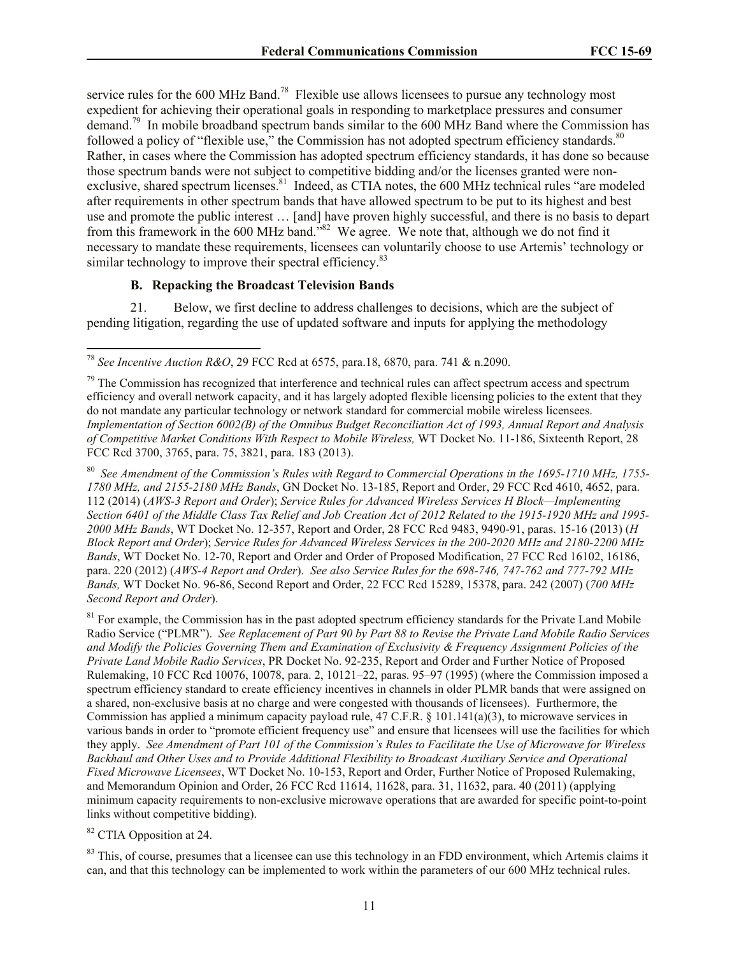service rules for the 600 MHz Band.<sup>78</sup> Flexible use allows licensees to pursue any technology most expedient for achieving their operational goals in responding to marketplace pressures and consumer demand.<sup>79</sup> In mobile broadband spectrum bands similar to the 600 MHz Band where the Commission has followed a policy of "flexible use," the Commission has not adopted spectrum efficiency standards.<sup>80</sup> Rather, in cases where the Commission has adopted spectrum efficiency standards, it has done so because those spectrum bands were not subject to competitive bidding and/or the licenses granted were nonexclusive, shared spectrum licenses.<sup>81</sup> Indeed, as CTIA notes, the 600 MHz technical rules "are modeled after requirements in other spectrum bands that have allowed spectrum to be put to its highest and best use and promote the public interest … [and] have proven highly successful, and there is no basis to depart from this framework in the 600 MHz band.<sup>382</sup> We agree. We note that, although we do not find it necessary to mandate these requirements, licensees can voluntarily choose to use Artemis' technology or similar technology to improve their spectral efficiency.<sup>83</sup>

# **B. Repacking the Broadcast Television Bands**

21. Below, we first decline to address challenges to decisions, which are the subject of pending litigation, regarding the use of updated software and inputs for applying the methodology

<sup>80</sup> *See Amendment of the Commission's Rules with Regard to Commercial Operations in the 1695-1710 MHz, 1755- 1780 MHz, and 2155-2180 MHz Bands*, GN Docket No. 13-185, Report and Order, 29 FCC Rcd 4610, 4652, para. 112 (2014) (*AWS-3 Report and Order*); *Service Rules for Advanced Wireless Services H Block—Implementing Section 6401 of the Middle Class Tax Relief and Job Creation Act of 2012 Related to the 1915-1920 MHz and 1995- 2000 MHz Bands*, WT Docket No. 12-357, Report and Order, 28 FCC Rcd 9483, 9490-91, paras. 15-16 (2013) (*H Block Report and Order*); *Service Rules for Advanced Wireless Services in the 200-2020 MHz and 2180-2200 MHz Bands*, WT Docket No. 12-70, Report and Order and Order of Proposed Modification, 27 FCC Rcd 16102, 16186, para. 220 (2012) (*AWS-4 Report and Order*). *See also Service Rules for the 698-746, 747-762 and 777-792 MHz Bands,* WT Docket No. 96-86, Second Report and Order, 22 FCC Rcd 15289, 15378, para. 242 (2007) (*700 MHz Second Report and Order*).

 $81$  For example, the Commission has in the past adopted spectrum efficiency standards for the Private Land Mobile Radio Service ("PLMR"). *See Replacement of Part 90 by Part 88 to Revise the Private Land Mobile Radio Services and Modify the Policies Governing Them and Examination of Exclusivity & Frequency Assignment Policies of the Private Land Mobile Radio Services*, PR Docket No. 92-235, Report and Order and Further Notice of Proposed Rulemaking, 10 FCC Rcd 10076, 10078, para. 2, 10121–22, paras. 95–97 (1995) (where the Commission imposed a spectrum efficiency standard to create efficiency incentives in channels in older PLMR bands that were assigned on a shared, non-exclusive basis at no charge and were congested with thousands of licensees). Furthermore, the Commission has applied a minimum capacity payload rule,  $47$  C.F.R. § 101.141(a)(3), to microwave services in various bands in order to "promote efficient frequency use" and ensure that licensees will use the facilities for which they apply. *See Amendment of Part 101 of the Commission's Rules to Facilitate the Use of Microwave for Wireless Backhaul and Other Uses and to Provide Additional Flexibility to Broadcast Auxiliary Service and Operational Fixed Microwave Licensees*, WT Docket No. 10-153, Report and Order, Further Notice of Proposed Rulemaking, and Memorandum Opinion and Order, 26 FCC Rcd 11614, 11628, para. 31, 11632, para. 40 (2011) (applying minimum capacity requirements to non-exclusive microwave operations that are awarded for specific point-to-point links without competitive bidding).

## <sup>82</sup> CTIA Opposition at 24.

 $\overline{a}$ 

<sup>83</sup> This, of course, presumes that a licensee can use this technology in an FDD environment, which Artemis claims it can, and that this technology can be implemented to work within the parameters of our 600 MHz technical rules.

<sup>78</sup> *See Incentive Auction R&O*, 29 FCC Rcd at 6575, para.18, 6870, para. 741 & n.2090.

<sup>&</sup>lt;sup>79</sup> The Commission has recognized that interference and technical rules can affect spectrum access and spectrum efficiency and overall network capacity, and it has largely adopted flexible licensing policies to the extent that they do not mandate any particular technology or network standard for commercial mobile wireless licensees. *Implementation of Section 6002(B) of the Omnibus Budget Reconciliation Act of 1993, Annual Report and Analysis of Competitive Market Conditions With Respect to Mobile Wireless,* WT Docket No. 11-186, Sixteenth Report, 28 FCC Rcd 3700, 3765, para. 75, 3821, para. 183 (2013).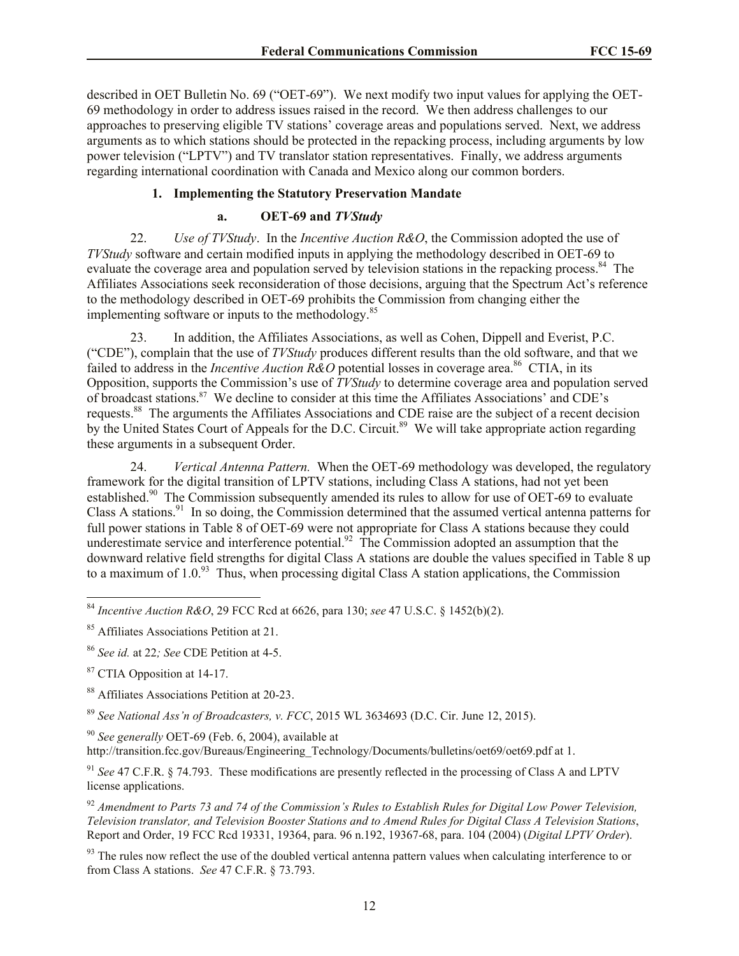described in OET Bulletin No. 69 ("OET-69"). We next modify two input values for applying the OET-69 methodology in order to address issues raised in the record. We then address challenges to our approaches to preserving eligible TV stations' coverage areas and populations served. Next, we address arguments as to which stations should be protected in the repacking process, including arguments by low power television ("LPTV") and TV translator station representatives. Finally, we address arguments regarding international coordination with Canada and Mexico along our common borders.

## **1. Implementing the Statutory Preservation Mandate**

## **a. OET-69 and** *TVStudy*

22. *Use of TVStudy*. In the *Incentive Auction R&O*, the Commission adopted the use of *TVStudy* software and certain modified inputs in applying the methodology described in OET-69 to evaluate the coverage area and population served by television stations in the repacking process.<sup>84</sup> The Affiliates Associations seek reconsideration of those decisions, arguing that the Spectrum Act's reference to the methodology described in OET-69 prohibits the Commission from changing either the implementing software or inputs to the methodology.<sup>85</sup>

23. In addition, the Affiliates Associations, as well as Cohen, Dippell and Everist, P.C. ("CDE"), complain that the use of *TVStudy* produces different results than the old software, and that we failed to address in the *Incentive Auction R&O* potential losses in coverage area.<sup>86</sup> CTIA, in its Opposition, supports the Commission's use of *TVStudy* to determine coverage area and population served of broadcast stations.<sup>87</sup> We decline to consider at this time the Affiliates Associations' and CDE's requests.<sup>88</sup> The arguments the Affiliates Associations and CDE raise are the subject of a recent decision by the United States Court of Appeals for the D.C. Circuit.<sup>89</sup> We will take appropriate action regarding these arguments in a subsequent Order.

24. *Vertical Antenna Pattern.* When the OET-69 methodology was developed, the regulatory framework for the digital transition of LPTV stations, including Class A stations, had not yet been established.<sup>90</sup> The Commission subsequently amended its rules to allow for use of OET-69 to evaluate Class A stations.<sup>91</sup> In so doing, the Commission determined that the assumed vertical antenna patterns for full power stations in Table 8 of OET-69 were not appropriate for Class A stations because they could underestimate service and interference potential.<sup>92</sup> The Commission adopted an assumption that the downward relative field strengths for digital Class A stations are double the values specified in Table 8 up to a maximum of 1.0. $^{93}$  Thus, when processing digital Class A station applications, the Commission

<sup>87</sup> CTIA Opposition at 14-17.

 $\overline{\phantom{a}}$ 

- <sup>88</sup> Affiliates Associations Petition at 20-23.
- <sup>89</sup> *See National Ass'n of Broadcasters, v. FCC*, 2015 WL 3634693 (D.C. Cir. June 12, 2015).

<sup>90</sup> *See generally* OET-69 (Feb. 6, 2004), available at http://transition.fcc.gov/Bureaus/Engineering\_Technology/Documents/bulletins/oet69/oet69.pdf at 1.

<sup>91</sup> *See* 47 C.F.R. § 74.793. These modifications are presently reflected in the processing of Class A and LPTV license applications.

<sup>92</sup> *Amendment to Parts 73 and 74 of the Commission's Rules to Establish Rules for Digital Low Power Television, Television translator, and Television Booster Stations and to Amend Rules for Digital Class A Television Stations*, Report and Order, 19 FCC Rcd 19331, 19364, para. 96 n.192, 19367-68, para. 104 (2004) (*Digital LPTV Order*).

 $93$  The rules now reflect the use of the doubled vertical antenna pattern values when calculating interference to or from Class A stations. *See* 47 C.F.R. § 73.793.

<sup>84</sup> *Incentive Auction R&O*, 29 FCC Rcd at 6626, para 130; *see* 47 U.S.C. § 1452(b)(2).

<sup>85</sup> Affiliates Associations Petition at 21.

<sup>86</sup> *See id.* at 22*; See* CDE Petition at 4-5.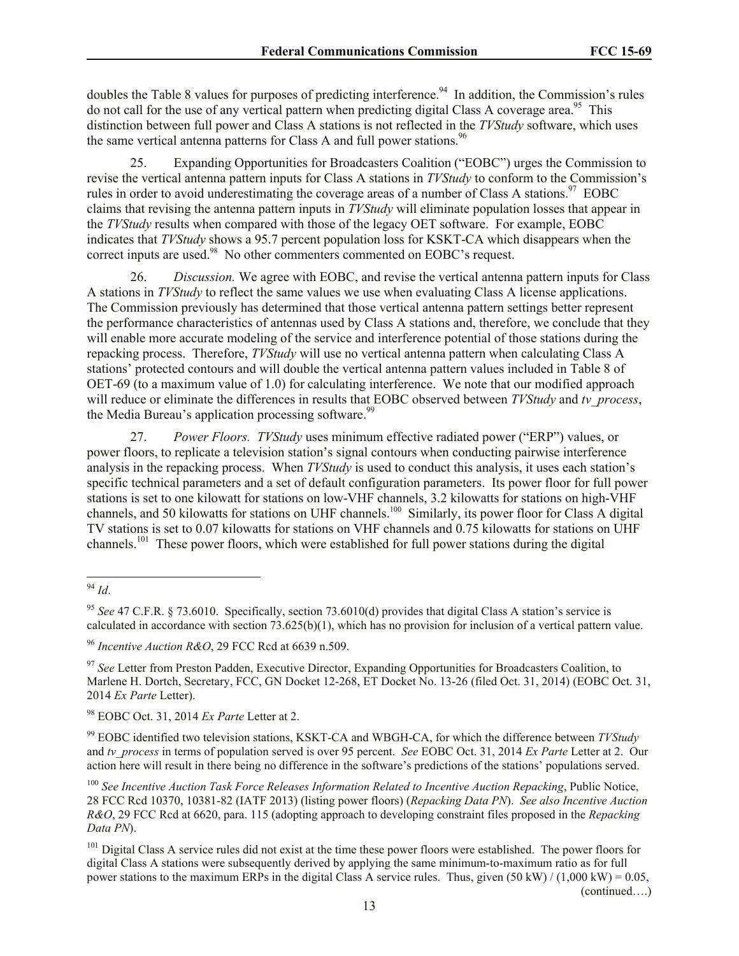doubles the Table 8 values for purposes of predicting interference.<sup>94</sup> In addition, the Commission's rules do not call for the use of any vertical pattern when predicting digital Class A coverage area.<sup>95</sup> This distinction between full power and Class A stations is not reflected in the *TVStudy* software, which uses the same vertical antenna patterns for Class A and full power stations.<sup>96</sup>

25. Expanding Opportunities for Broadcasters Coalition ("EOBC") urges the Commission to revise the vertical antenna pattern inputs for Class A stations in *TVStudy* to conform to the Commission's rules in order to avoid underestimating the coverage areas of a number of Class A stations.<sup>97</sup> EOBC claims that revising the antenna pattern inputs in *TVStudy* will eliminate population losses that appear in the *TVStudy* results when compared with those of the legacy OET software. For example, EOBC indicates that *TVStudy* shows a 95.7 percent population loss for KSKT-CA which disappears when the correct inputs are used.<sup>98</sup> No other commenters commented on EOBC's request.

26. *Discussion.* We agree with EOBC, and revise the vertical antenna pattern inputs for Class A stations in *TVStudy* to reflect the same values we use when evaluating Class A license applications. The Commission previously has determined that those vertical antenna pattern settings better represent the performance characteristics of antennas used by Class A stations and, therefore, we conclude that they will enable more accurate modeling of the service and interference potential of those stations during the repacking process. Therefore, *TVStudy* will use no vertical antenna pattern when calculating Class A stations' protected contours and will double the vertical antenna pattern values included in Table 8 of OET-69 (to a maximum value of 1.0) for calculating interference. We note that our modified approach will reduce or eliminate the differences in results that EOBC observed between *TVStudy* and *tv\_process*, the Media Bureau's application processing software.<sup>99</sup>

27. *Power Floors. TVStudy* uses minimum effective radiated power ("ERP") values, or power floors, to replicate a television station's signal contours when conducting pairwise interference analysis in the repacking process. When *TVStudy* is used to conduct this analysis, it uses each station's specific technical parameters and a set of default configuration parameters. Its power floor for full power stations is set to one kilowatt for stations on low-VHF channels, 3.2 kilowatts for stations on high-VHF channels, and 50 kilowatts for stations on UHF channels.<sup>100</sup> Similarly, its power floor for Class A digital TV stations is set to 0.07 kilowatts for stations on VHF channels and 0.75 kilowatts for stations on UHF channels.<sup>101</sup> These power floors, which were established for full power stations during the digital

 $\overline{a}$ 

<sup>98</sup> EOBC Oct. 31, 2014 *Ex Parte* Letter at 2.

<sup>99</sup> EOBC identified two television stations, KSKT-CA and WBGH-CA, for which the difference between *TVStudy* and *tv\_process* in terms of population served is over 95 percent. *See* EOBC Oct. 31, 2014 *Ex Parte* Letter at 2. Our action here will result in there being no difference in the software's predictions of the stations' populations served.

(continued….)

<sup>94</sup> *Id*.

<sup>95</sup> *See* 47 C.F.R. § 73.6010. Specifically, section 73.6010(d) provides that digital Class A station's service is calculated in accordance with section 73.625(b)(1), which has no provision for inclusion of a vertical pattern value.

<sup>96</sup> *Incentive Auction R&O*, 29 FCC Rcd at 6639 n.509.

<sup>&</sup>lt;sup>97</sup> See Letter from Preston Padden, Executive Director, Expanding Opportunities for Broadcasters Coalition, to Marlene H. Dortch, Secretary, FCC, GN Docket 12-268, ET Docket No. 13-26 (filed Oct. 31, 2014) (EOBC Oct. 31, 2014 *Ex Parte* Letter).

<sup>100</sup> *See Incentive Auction Task Force Releases Information Related to Incentive Auction Repacking*, Public Notice, 28 FCC Rcd 10370, 10381-82 (IATF 2013) (listing power floors) (*Repacking Data PN*). *See also Incentive Auction R&O*, 29 FCC Rcd at 6620, para. 115 (adopting approach to developing constraint files proposed in the *Repacking Data PN*).

<sup>&</sup>lt;sup>101</sup> Digital Class A service rules did not exist at the time these power floors were established. The power floors for digital Class A stations were subsequently derived by applying the same minimum-to-maximum ratio as for full power stations to the maximum ERPs in the digital Class A service rules. Thus, given  $(50 \text{ kW}) / (1,000 \text{ kW}) = 0.05$ ,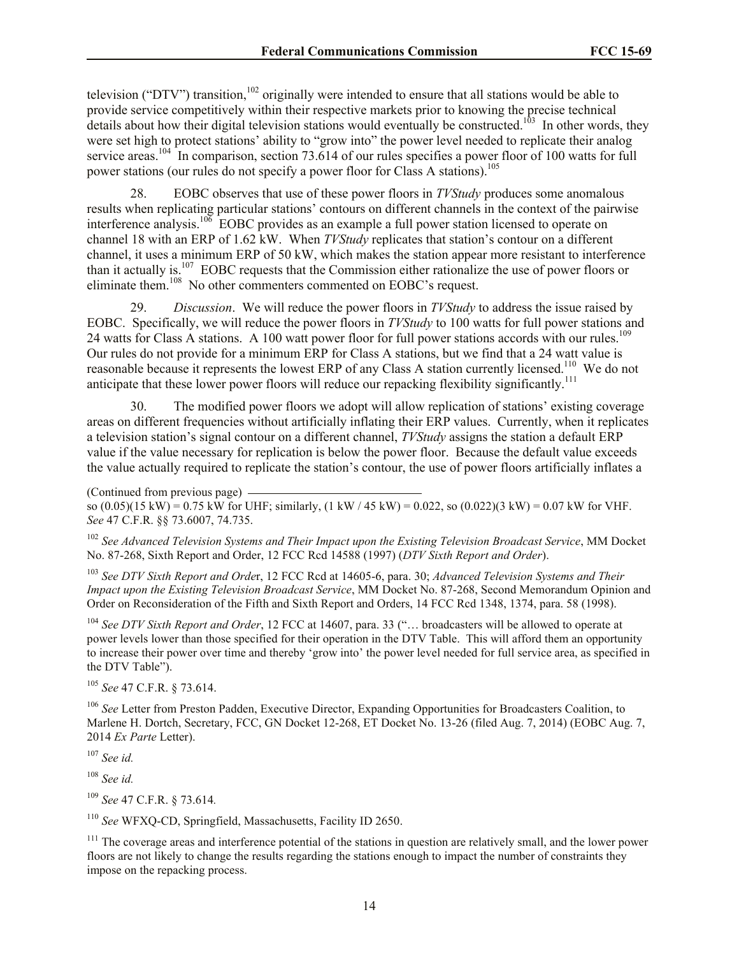television ("DTV") transition,<sup>102</sup> originally were intended to ensure that all stations would be able to provide service competitively within their respective markets prior to knowing the precise technical details about how their digital television stations would eventually be constructed.<sup>103</sup> In other words, they were set high to protect stations' ability to "grow into" the power level needed to replicate their analog service areas.<sup>104</sup> In comparison, section 73.614 of our rules specifies a power floor of 100 watts for full power stations (our rules do not specify a power floor for Class A stations).<sup>105</sup>

28. EOBC observes that use of these power floors in *TVStudy* produces some anomalous results when replicating particular stations' contours on different channels in the context of the pairwise interference analysis.<sup>106</sup> EOBC provides as an example a full power station licensed to operate on channel 18 with an ERP of 1.62 kW. When *TVStudy* replicates that station's contour on a different channel, it uses a minimum ERP of 50 kW, which makes the station appear more resistant to interference than it actually is.<sup>107</sup> EOBC requests that the Commission either rationalize the use of power floors or eliminate them.<sup>108</sup> No other commenters commented on EOBC's request.

29. *Discussion*. We will reduce the power floors in *TVStudy* to address the issue raised by EOBC. Specifically, we will reduce the power floors in *TVStudy* to 100 watts for full power stations and 24 watts for Class A stations. A 100 watt power floor for full power stations accords with our rules.<sup>109</sup> Our rules do not provide for a minimum ERP for Class A stations, but we find that a 24 watt value is reasonable because it represents the lowest ERP of any Class A station currently licensed.<sup>110</sup> We do not anticipate that these lower power floors will reduce our repacking flexibility significantly.<sup>111</sup>

30. The modified power floors we adopt will allow replication of stations' existing coverage areas on different frequencies without artificially inflating their ERP values. Currently, when it replicates a television station's signal contour on a different channel, *TVStudy* assigns the station a default ERP value if the value necessary for replication is below the power floor. Because the default value exceeds the value actually required to replicate the station's contour, the use of power floors artificially inflates a

<sup>102</sup> *See Advanced Television Systems and Their Impact upon the Existing Television Broadcast Service*, MM Docket No. 87-268, Sixth Report and Order, 12 FCC Rcd 14588 (1997) (*DTV Sixth Report and Order*).

<sup>103</sup> *See DTV Sixth Report and Orde*r, 12 FCC Rcd at 14605-6, para. 30; *Advanced Television Systems and Their Impact upon the Existing Television Broadcast Service*, MM Docket No. 87-268, Second Memorandum Opinion and Order on Reconsideration of the Fifth and Sixth Report and Orders, 14 FCC Rcd 1348, 1374, para. 58 (1998).

<sup>104</sup> *See DTV Sixth Report and Order*, 12 FCC at 14607, para. 33 ("… broadcasters will be allowed to operate at power levels lower than those specified for their operation in the DTV Table. This will afford them an opportunity to increase their power over time and thereby 'grow into' the power level needed for full service area, as specified in the DTV Table").

<sup>105</sup> *See* 47 C.F.R. § 73.614.

<sup>106</sup> *See* Letter from Preston Padden, Executive Director, Expanding Opportunities for Broadcasters Coalition, to Marlene H. Dortch, Secretary, FCC, GN Docket 12-268, ET Docket No. 13-26 (filed Aug. 7, 2014) (EOBC Aug. 7, 2014 *Ex Parte* Letter).

<sup>107</sup> *See id.*

<sup>108</sup> *See id.* 

<sup>109</sup> *See* 47 C.F.R. § 73.614*.* 

<sup>110</sup> *See* WFXQ-CD, Springfield, Massachusetts, Facility ID 2650.

 $111$  The coverage areas and interference potential of the stations in question are relatively small, and the lower power floors are not likely to change the results regarding the stations enough to impact the number of constraints they impose on the repacking process.

<sup>(</sup>Continued from previous page)  $\cos (0.05)(15 \text{ kW}) = 0.75 \text{ kW}$  for UHF; similarly, (1 kW / 45 kW) = 0.022, so (0.022)(3 kW) = 0.07 kW for VHF. *See* 47 C.F.R. §§ 73.6007, 74.735.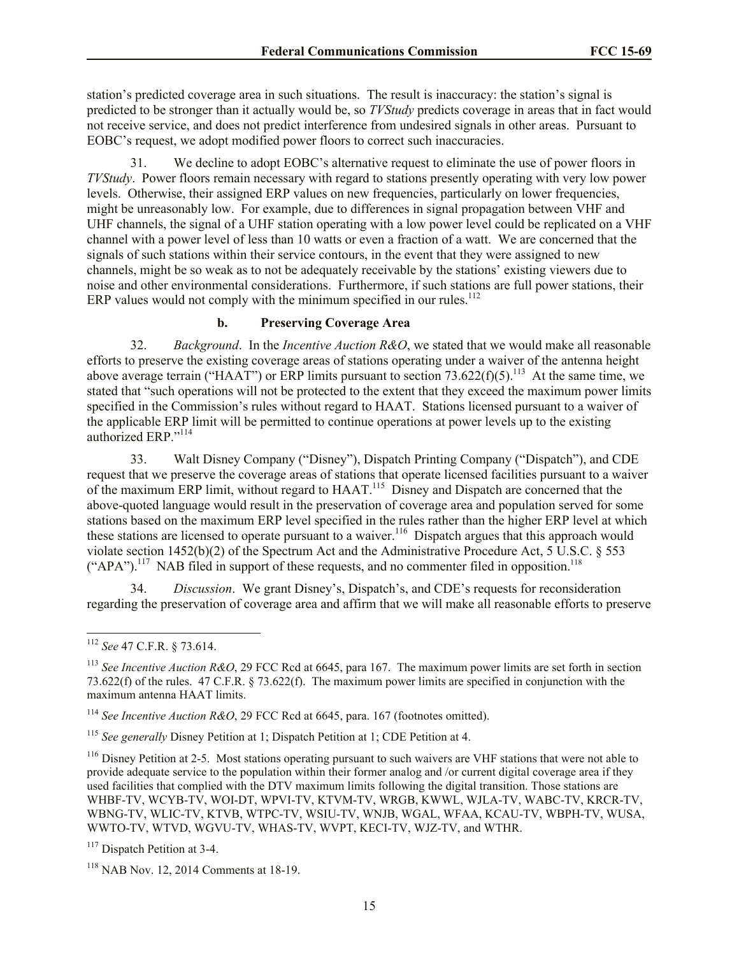station's predicted coverage area in such situations. The result is inaccuracy: the station's signal is predicted to be stronger than it actually would be, so *TVStudy* predicts coverage in areas that in fact would not receive service, and does not predict interference from undesired signals in other areas. Pursuant to EOBC's request, we adopt modified power floors to correct such inaccuracies.

31. We decline to adopt EOBC's alternative request to eliminate the use of power floors in *TVStudy*. Power floors remain necessary with regard to stations presently operating with very low power levels. Otherwise, their assigned ERP values on new frequencies, particularly on lower frequencies, might be unreasonably low. For example, due to differences in signal propagation between VHF and UHF channels, the signal of a UHF station operating with a low power level could be replicated on a VHF channel with a power level of less than 10 watts or even a fraction of a watt. We are concerned that the signals of such stations within their service contours, in the event that they were assigned to new channels, might be so weak as to not be adequately receivable by the stations' existing viewers due to noise and other environmental considerations. Furthermore, if such stations are full power stations, their ERP values would not comply with the minimum specified in our rules.<sup>112</sup>

## **b. Preserving Coverage Area**

32. *Background*. In the *Incentive Auction R&O*, we stated that we would make all reasonable efforts to preserve the existing coverage areas of stations operating under a waiver of the antenna height above average terrain ("HAAT") or ERP limits pursuant to section  $73.622(f)(5)$ .<sup>113</sup> At the same time, we stated that "such operations will not be protected to the extent that they exceed the maximum power limits specified in the Commission's rules without regard to HAAT. Stations licensed pursuant to a waiver of the applicable ERP limit will be permitted to continue operations at power levels up to the existing authorized ERP."<sup>114</sup>

33. Walt Disney Company ("Disney"), Dispatch Printing Company ("Dispatch"), and CDE request that we preserve the coverage areas of stations that operate licensed facilities pursuant to a waiver of the maximum ERP limit, without regard to HAAT.<sup>115</sup> Disney and Dispatch are concerned that the above-quoted language would result in the preservation of coverage area and population served for some stations based on the maximum ERP level specified in the rules rather than the higher ERP level at which these stations are licensed to operate pursuant to a waiver.<sup>116</sup> Dispatch argues that this approach would violate section 1452(b)(2) of the Spectrum Act and the Administrative Procedure Act, 5 U.S.C. § 553  $("APA")$ .<sup>117</sup> NAB filed in support of these requests, and no commenter filed in opposition.<sup>118</sup>

34. *Discussion*. We grant Disney's, Dispatch's, and CDE's requests for reconsideration regarding the preservation of coverage area and affirm that we will make all reasonable efforts to preserve

 $\overline{a}$ <sup>112</sup> *See* 47 C.F.R. § 73.614.

<sup>113</sup> *See Incentive Auction R&O*, 29 FCC Rcd at 6645, para 167. The maximum power limits are set forth in section 73.622(f) of the rules. 47 C.F.R. § 73.622(f). The maximum power limits are specified in conjunction with the maximum antenna HAAT limits.

<sup>114</sup> *See Incentive Auction R&O*, 29 FCC Rcd at 6645, para. 167 (footnotes omitted).

<sup>115</sup> *See generally* Disney Petition at 1; Dispatch Petition at 1; CDE Petition at 4.

<sup>&</sup>lt;sup>116</sup> Disney Petition at 2-5. Most stations operating pursuant to such waivers are VHF stations that were not able to provide adequate service to the population within their former analog and /or current digital coverage area if they used facilities that complied with the DTV maximum limits following the digital transition. Those stations are WHBF-TV, WCYB-TV, WOI-DT, WPVI-TV, KTVM-TV, WRGB, KWWL, WJLA-TV, WABC-TV, KRCR-TV, WBNG-TV, WLIC-TV, KTVB, WTPC-TV, WSIU-TV, WNJB, WGAL, WFAA, KCAU-TV, WBPH-TV, WUSA, WWTO-TV, WTVD, WGVU-TV, WHAS-TV, WVPT, KECI-TV, WJZ-TV, and WTHR.

<sup>&</sup>lt;sup>117</sup> Dispatch Petition at 3-4.

<sup>118</sup> NAB Nov. 12, 2014 Comments at 18-19.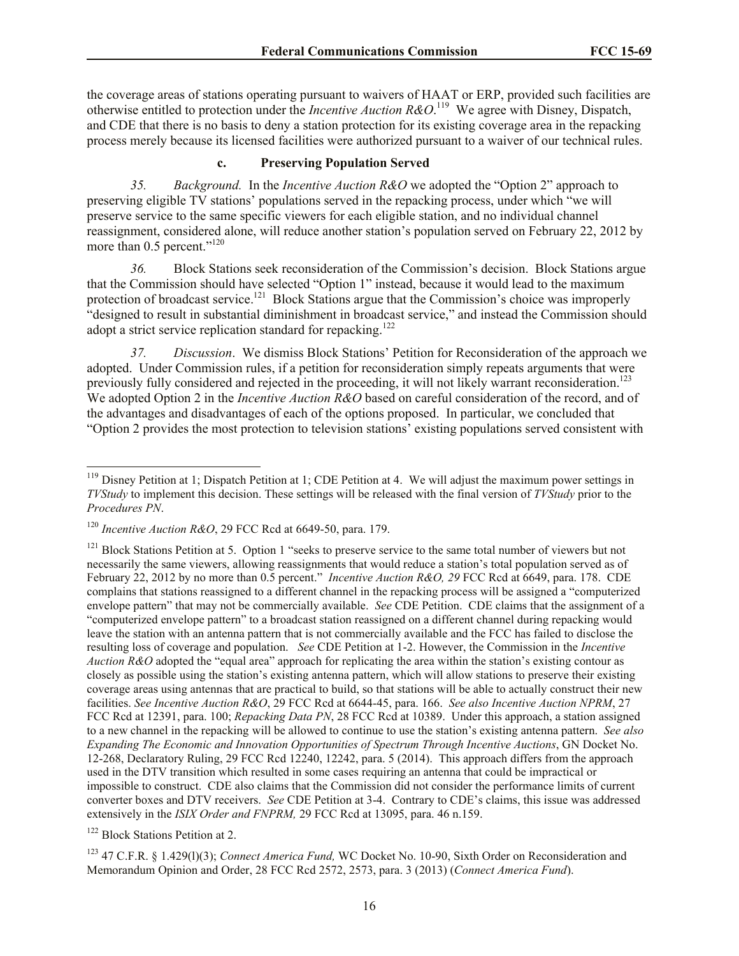the coverage areas of stations operating pursuant to waivers of HAAT or ERP, provided such facilities are otherwise entitled to protection under the *Incentive Auction R&O*.<sup>119</sup> We agree with Disney, Dispatch, and CDE that there is no basis to deny a station protection for its existing coverage area in the repacking process merely because its licensed facilities were authorized pursuant to a waiver of our technical rules.

### **c. Preserving Population Served**

*35. Background.* In the *Incentive Auction R&O* we adopted the "Option 2" approach to preserving eligible TV stations' populations served in the repacking process, under which "we will preserve service to the same specific viewers for each eligible station, and no individual channel reassignment, considered alone, will reduce another station's population served on February 22, 2012 by more than 0.5 percent."<sup>120</sup>

*36.* Block Stations seek reconsideration of the Commission's decision. Block Stations argue that the Commission should have selected "Option 1" instead, because it would lead to the maximum protection of broadcast service.<sup>121</sup> Block Stations argue that the Commission's choice was improperly "designed to result in substantial diminishment in broadcast service," and instead the Commission should adopt a strict service replication standard for repacking.<sup>122</sup>

*37. Discussion*. We dismiss Block Stations' Petition for Reconsideration of the approach we adopted. Under Commission rules, if a petition for reconsideration simply repeats arguments that were previously fully considered and rejected in the proceeding, it will not likely warrant reconsideration.<sup>123</sup> We adopted Option 2 in the *Incentive Auction R&O* based on careful consideration of the record, and of the advantages and disadvantages of each of the options proposed. In particular, we concluded that "Option 2 provides the most protection to television stations' existing populations served consistent with

 $\overline{\phantom{a}}$ 

 $119$  Disney Petition at 1; Dispatch Petition at 1; CDE Petition at 4. We will adjust the maximum power settings in *TVStudy* to implement this decision. These settings will be released with the final version of *TVStudy* prior to the *Procedures PN*.

<sup>120</sup> *Incentive Auction R&O*, 29 FCC Rcd at 6649-50, para. 179.

<sup>&</sup>lt;sup>121</sup> Block Stations Petition at 5. Option 1 "seeks to preserve service to the same total number of viewers but not necessarily the same viewers, allowing reassignments that would reduce a station's total population served as of February 22, 2012 by no more than 0.5 percent." *Incentive Auction R&O, 29* FCC Rcd at 6649, para. 178. CDE complains that stations reassigned to a different channel in the repacking process will be assigned a "computerized envelope pattern" that may not be commercially available. *See* CDE Petition. CDE claims that the assignment of a "computerized envelope pattern" to a broadcast station reassigned on a different channel during repacking would leave the station with an antenna pattern that is not commercially available and the FCC has failed to disclose the resulting loss of coverage and population. *See* CDE Petition at 1-2. However, the Commission in the *Incentive Auction R&O* adopted the "equal area" approach for replicating the area within the station's existing contour as closely as possible using the station's existing antenna pattern, which will allow stations to preserve their existing coverage areas using antennas that are practical to build, so that stations will be able to actually construct their new facilities. *See Incentive Auction R&O*, 29 FCC Rcd at 6644-45, para. 166. *See also Incentive Auction NPRM*, 27 FCC Rcd at 12391, para. 100; *Repacking Data PN*, 28 FCC Rcd at 10389. Under this approach, a station assigned to a new channel in the repacking will be allowed to continue to use the station's existing antenna pattern. *See also Expanding The Economic and Innovation Opportunities of Spectrum Through Incentive Auctions*, GN Docket No. 12-268, Declaratory Ruling, 29 FCC Rcd 12240, 12242, para. 5 (2014). This approach differs from the approach used in the DTV transition which resulted in some cases requiring an antenna that could be impractical or impossible to construct. CDE also claims that the Commission did not consider the performance limits of current converter boxes and DTV receivers. *See* CDE Petition at 3-4. Contrary to CDE's claims, this issue was addressed extensively in the *ISIX Order and FNPRM,* 29 FCC Rcd at 13095, para. 46 n.159.

<sup>122</sup> Block Stations Petition at 2.

<sup>123</sup> 47 C.F.R. § 1.429(l)(3); *Connect America Fund,* WC Docket No. 10-90, Sixth Order on Reconsideration and Memorandum Opinion and Order, 28 FCC Rcd 2572, 2573, para. 3 (2013) (*Connect America Fund*).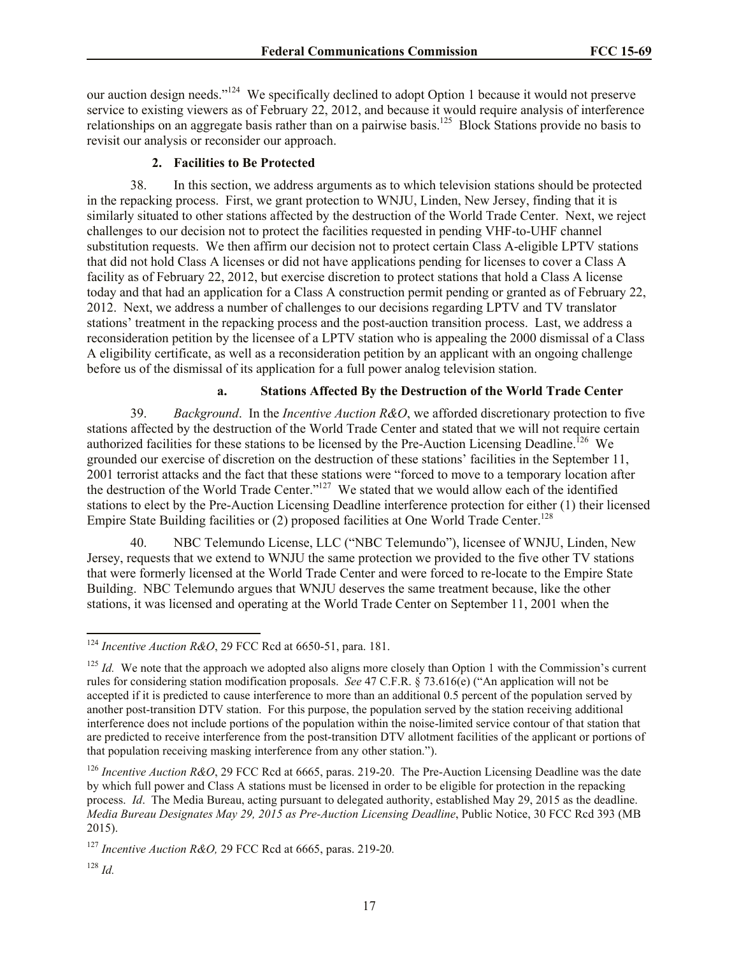our auction design needs."<sup>124</sup> We specifically declined to adopt Option 1 because it would not preserve service to existing viewers as of February 22, 2012, and because it would require analysis of interference relationships on an aggregate basis rather than on a pairwise basis.<sup>125</sup> Block Stations provide no basis to revisit our analysis or reconsider our approach.

### **2. Facilities to Be Protected**

38. In this section, we address arguments as to which television stations should be protected in the repacking process. First, we grant protection to WNJU, Linden, New Jersey, finding that it is similarly situated to other stations affected by the destruction of the World Trade Center. Next, we reject challenges to our decision not to protect the facilities requested in pending VHF-to-UHF channel substitution requests. We then affirm our decision not to protect certain Class A-eligible LPTV stations that did not hold Class A licenses or did not have applications pending for licenses to cover a Class A facility as of February 22, 2012, but exercise discretion to protect stations that hold a Class A license today and that had an application for a Class A construction permit pending or granted as of February 22, 2012. Next, we address a number of challenges to our decisions regarding LPTV and TV translator stations' treatment in the repacking process and the post-auction transition process. Last, we address a reconsideration petition by the licensee of a LPTV station who is appealing the 2000 dismissal of a Class A eligibility certificate, as well as a reconsideration petition by an applicant with an ongoing challenge before us of the dismissal of its application for a full power analog television station.

### **a. Stations Affected By the Destruction of the World Trade Center**

39. *Background*.In the *Incentive Auction R&O*, we afforded discretionary protection to five stations affected by the destruction of the World Trade Center and stated that we will not require certain authorized facilities for these stations to be licensed by the Pre-Auction Licensing Deadline.<sup>126</sup> We grounded our exercise of discretion on the destruction of these stations' facilities in the September 11, 2001 terrorist attacks and the fact that these stations were "forced to move to a temporary location after the destruction of the World Trade Center."<sup>127</sup> We stated that we would allow each of the identified stations to elect by the Pre-Auction Licensing Deadline interference protection for either (1) their licensed Empire State Building facilities or  $(2)$  proposed facilities at One World Trade Center.<sup>128</sup>

40. NBC Telemundo License, LLC ("NBC Telemundo"), licensee of WNJU, Linden, New Jersey, requests that we extend to WNJU the same protection we provided to the five other TV stations that were formerly licensed at the World Trade Center and were forced to re-locate to the Empire State Building. NBC Telemundo argues that WNJU deserves the same treatment because, like the other stations, it was licensed and operating at the World Trade Center on September 11, 2001 when the

 $\overline{\phantom{a}}$ 

<sup>124</sup> *Incentive Auction R&O*, 29 FCC Rcd at 6650-51, para. 181.

<sup>&</sup>lt;sup>125</sup> *Id.* We note that the approach we adopted also aligns more closely than Option 1 with the Commission's current rules for considering station modification proposals. *See* 47 C.F.R. § 73.616(e) ("An application will not be accepted if it is predicted to cause interference to more than an additional 0.5 percent of the population served by another post-transition DTV station. For this purpose, the population served by the station receiving additional interference does not include portions of the population within the noise-limited service contour of that station that are predicted to receive interference from the post-transition DTV allotment facilities of the applicant or portions of that population receiving masking interference from any other station.").

<sup>&</sup>lt;sup>126</sup> *Incentive Auction R&O*, 29 FCC Rcd at 6665, paras. 219-20. The Pre-Auction Licensing Deadline was the date by which full power and Class A stations must be licensed in order to be eligible for protection in the repacking process. *Id*. The Media Bureau, acting pursuant to delegated authority, established May 29, 2015 as the deadline. *Media Bureau Designates May 29, 2015 as Pre-Auction Licensing Deadline*, Public Notice, 30 FCC Rcd 393 (MB 2015).

<sup>127</sup> *Incentive Auction R&O,* 29 FCC Rcd at 6665, paras. 219-20*.*

<sup>128</sup> *Id.*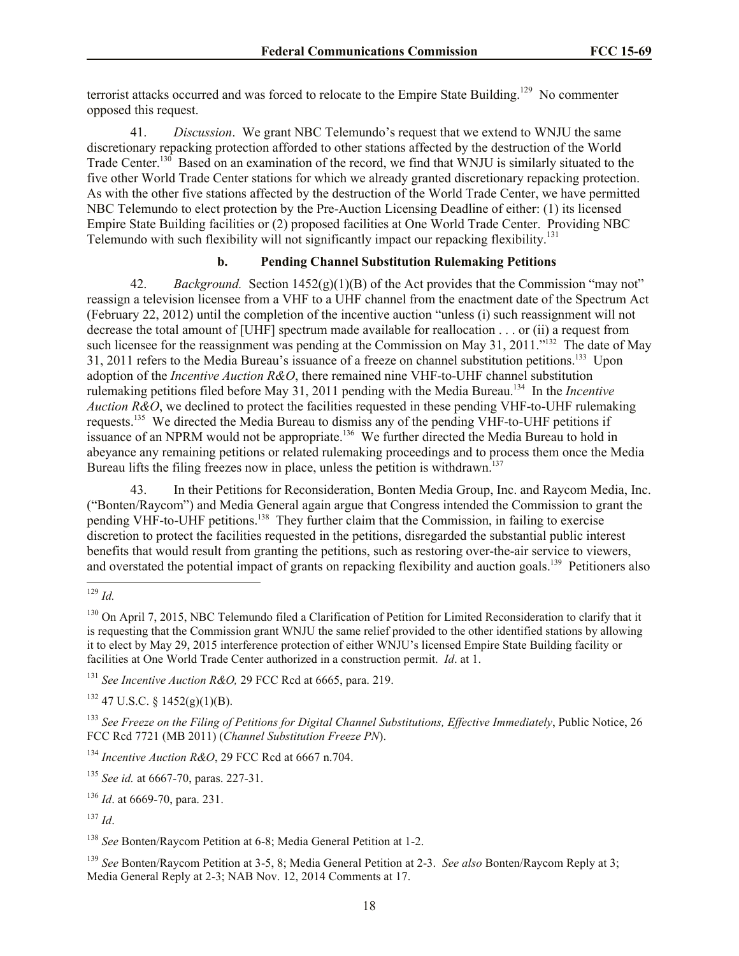terrorist attacks occurred and was forced to relocate to the Empire State Building.<sup>129</sup> No commenter opposed this request.

41. *Discussion*. We grant NBC Telemundo's request that we extend to WNJU the same discretionary repacking protection afforded to other stations affected by the destruction of the World Trade Center.<sup>130</sup> Based on an examination of the record, we find that WNJU is similarly situated to the five other World Trade Center stations for which we already granted discretionary repacking protection. As with the other five stations affected by the destruction of the World Trade Center, we have permitted NBC Telemundo to elect protection by the Pre-Auction Licensing Deadline of either: (1) its licensed Empire State Building facilities or (2) proposed facilities at One World Trade Center. Providing NBC Telemundo with such flexibility will not significantly impact our repacking flexibility.<sup>131</sup>

## **b. Pending Channel Substitution Rulemaking Petitions**

42. *Background.* Section 1452(g)(1)(B) of the Act provides that the Commission "may not" reassign a television licensee from a VHF to a UHF channel from the enactment date of the Spectrum Act (February 22, 2012) until the completion of the incentive auction "unless (i) such reassignment will not decrease the total amount of [UHF] spectrum made available for reallocation . . . or (ii) a request from such licensee for the reassignment was pending at the Commission on May 31, 2011."<sup>132</sup> The date of May 31, 2011 refers to the Media Bureau's issuance of a freeze on channel substitution petitions.<sup>133</sup> Upon adoption of the *Incentive Auction R&O*, there remained nine VHF-to-UHF channel substitution rulemaking petitions filed before May 31, 2011 pending with the Media Bureau.<sup>134</sup> In the *Incentive Auction R&O*, we declined to protect the facilities requested in these pending VHF-to-UHF rulemaking requests.<sup>135</sup> We directed the Media Bureau to dismiss any of the pending VHF-to-UHF petitions if issuance of an NPRM would not be appropriate.<sup>136</sup> We further directed the Media Bureau to hold in abeyance any remaining petitions or related rulemaking proceedings and to process them once the Media Bureau lifts the filing freezes now in place, unless the petition is withdrawn.<sup>137</sup>

43. In their Petitions for Reconsideration, Bonten Media Group, Inc. and Raycom Media, Inc. ("Bonten/Raycom") and Media General again argue that Congress intended the Commission to grant the pending VHF-to-UHF petitions.<sup>138</sup> They further claim that the Commission, in failing to exercise discretion to protect the facilities requested in the petitions, disregarded the substantial public interest benefits that would result from granting the petitions, such as restoring over-the-air service to viewers, and overstated the potential impact of grants on repacking flexibility and auction goals.<sup>139</sup> Petitioners also

<sup>131</sup> *See Incentive Auction R&O,* 29 FCC Rcd at 6665, para. 219.

 $132$  47 U.S.C. § 1452(g)(1)(B).

<sup>133</sup> *See Freeze on the Filing of Petitions for Digital Channel Substitutions, Effective Immediately*, Public Notice, 26 FCC Rcd 7721 (MB 2011) (*Channel Substitution Freeze PN*).

<sup>134</sup> *Incentive Auction R&O*, 29 FCC Rcd at 6667 n.704.

<sup>135</sup> *See id.* at 6667-70, paras. 227-31.

<sup>136</sup> *Id*. at 6669-70, para. 231.

<sup>137</sup> *Id*.

<sup>138</sup> *See* Bonten/Raycom Petition at 6-8; Media General Petition at 1-2.

<sup>139</sup> *See* Bonten/Raycom Petition at 3-5, 8; Media General Petition at 2-3. *See also* Bonten/Raycom Reply at 3; Media General Reply at 2-3; NAB Nov. 12, 2014 Comments at 17.

 $\overline{\phantom{a}}$ <sup>129</sup> *Id.*

<sup>&</sup>lt;sup>130</sup> On April 7, 2015, NBC Telemundo filed a Clarification of Petition for Limited Reconsideration to clarify that it is requesting that the Commission grant WNJU the same relief provided to the other identified stations by allowing it to elect by May 29, 2015 interference protection of either WNJU's licensed Empire State Building facility or facilities at One World Trade Center authorized in a construction permit. *Id*. at 1.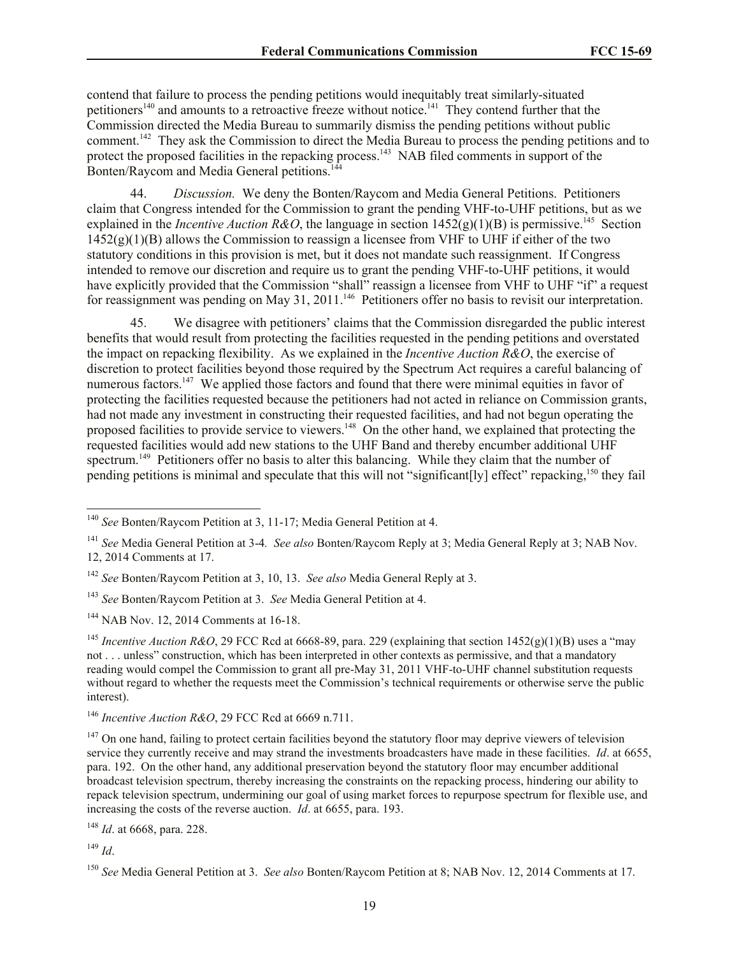contend that failure to process the pending petitions would inequitably treat similarly-situated petitioners<sup>140</sup> and amounts to a retroactive freeze without notice.<sup>141</sup> They contend further that the Commission directed the Media Bureau to summarily dismiss the pending petitions without public comment.<sup>142</sup> They ask the Commission to direct the Media Bureau to process the pending petitions and to protect the proposed facilities in the repacking process.<sup>143</sup> NAB filed comments in support of the Bonten/Raycom and Media General petitions.<sup>144</sup>

44. *Discussion.* We deny the Bonten/Raycom and Media General Petitions. Petitioners claim that Congress intended for the Commission to grant the pending VHF-to-UHF petitions, but as we explained in the *Incentive Auction R&O*, the language in section  $1452(g)(1)(B)$  is permissive.<sup>145</sup> Section  $1452(g)(1)(B)$  allows the Commission to reassign a licensee from VHF to UHF if either of the two statutory conditions in this provision is met, but it does not mandate such reassignment. If Congress intended to remove our discretion and require us to grant the pending VHF-to-UHF petitions, it would have explicitly provided that the Commission "shall" reassign a licensee from VHF to UHF "if" a request for reassignment was pending on May 31, 2011.<sup>146</sup> Petitioners offer no basis to revisit our interpretation.

45. We disagree with petitioners' claims that the Commission disregarded the public interest benefits that would result from protecting the facilities requested in the pending petitions and overstated the impact on repacking flexibility. As we explained in the *Incentive Auction R&O*, the exercise of discretion to protect facilities beyond those required by the Spectrum Act requires a careful balancing of numerous factors.<sup>147</sup> We applied those factors and found that there were minimal equities in favor of protecting the facilities requested because the petitioners had not acted in reliance on Commission grants, had not made any investment in constructing their requested facilities, and had not begun operating the proposed facilities to provide service to viewers.<sup>148</sup> On the other hand, we explained that protecting the requested facilities would add new stations to the UHF Band and thereby encumber additional UHF spectrum.<sup>149</sup> Petitioners offer no basis to alter this balancing. While they claim that the number of pending petitions is minimal and speculate that this will not "significant[ly] effect" repacking,<sup>150</sup> they fail

<sup>148</sup> *Id*. at 6668, para. 228.

<sup>149</sup> *Id*.

 $\overline{\phantom{a}}$ 

<sup>140</sup> *See* Bonten/Raycom Petition at 3, 11-17; Media General Petition at 4.

<sup>141</sup> *See* Media General Petition at 3-4*. See also* Bonten/Raycom Reply at 3; Media General Reply at 3; NAB Nov. 12, 2014 Comments at 17.

<sup>142</sup> *See* Bonten/Raycom Petition at 3, 10, 13. *See also* Media General Reply at 3.

<sup>143</sup> *See* Bonten/Raycom Petition at 3. *See* Media General Petition at 4.

<sup>&</sup>lt;sup>144</sup> NAB Nov. 12, 2014 Comments at 16-18.

<sup>&</sup>lt;sup>145</sup> *Incentive Auction R&O*, 29 FCC Rcd at 6668-89, para. 229 (explaining that section 1452(g)(1)(B) uses a "may not . . . unless" construction, which has been interpreted in other contexts as permissive, and that a mandatory reading would compel the Commission to grant all pre-May 31, 2011 VHF-to-UHF channel substitution requests without regard to whether the requests meet the Commission's technical requirements or otherwise serve the public interest).

<sup>146</sup> *Incentive Auction R&O*, 29 FCC Rcd at 6669 n.711.

 $147$  On one hand, failing to protect certain facilities beyond the statutory floor may deprive viewers of television service they currently receive and may strand the investments broadcasters have made in these facilities. *Id*. at 6655, para. 192. On the other hand, any additional preservation beyond the statutory floor may encumber additional broadcast television spectrum, thereby increasing the constraints on the repacking process, hindering our ability to repack television spectrum, undermining our goal of using market forces to repurpose spectrum for flexible use, and increasing the costs of the reverse auction. *Id*. at 6655, para. 193.

<sup>150</sup> *See* Media General Petition at 3. *See also* Bonten/Raycom Petition at 8; NAB Nov. 12, 2014 Comments at 17.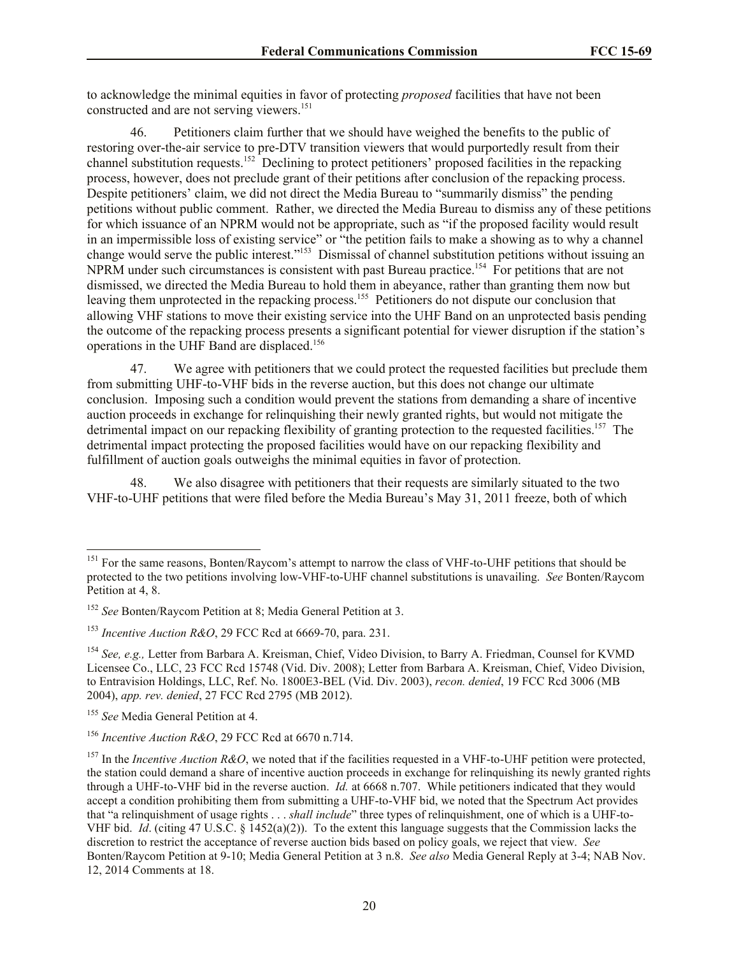to acknowledge the minimal equities in favor of protecting *proposed* facilities that have not been constructed and are not serving viewers.<sup>151</sup>

46. Petitioners claim further that we should have weighed the benefits to the public of restoring over-the-air service to pre-DTV transition viewers that would purportedly result from their channel substitution requests.<sup>152</sup> Declining to protect petitioners' proposed facilities in the repacking process, however, does not preclude grant of their petitions after conclusion of the repacking process. Despite petitioners' claim, we did not direct the Media Bureau to "summarily dismiss" the pending petitions without public comment. Rather, we directed the Media Bureau to dismiss any of these petitions for which issuance of an NPRM would not be appropriate, such as "if the proposed facility would result in an impermissible loss of existing service" or "the petition fails to make a showing as to why a channel change would serve the public interest."<sup>153</sup> Dismissal of channel substitution petitions without issuing an NPRM under such circumstances is consistent with past Bureau practice.<sup>154</sup> For petitions that are not dismissed, we directed the Media Bureau to hold them in abeyance, rather than granting them now but leaving them unprotected in the repacking process.<sup>155</sup> Petitioners do not dispute our conclusion that allowing VHF stations to move their existing service into the UHF Band on an unprotected basis pending the outcome of the repacking process presents a significant potential for viewer disruption if the station's operations in the UHF Band are displaced.<sup>156</sup>

47. We agree with petitioners that we could protect the requested facilities but preclude them from submitting UHF-to-VHF bids in the reverse auction, but this does not change our ultimate conclusion. Imposing such a condition would prevent the stations from demanding a share of incentive auction proceeds in exchange for relinquishing their newly granted rights, but would not mitigate the detrimental impact on our repacking flexibility of granting protection to the requested facilities.<sup>157</sup> The detrimental impact protecting the proposed facilities would have on our repacking flexibility and fulfillment of auction goals outweighs the minimal equities in favor of protection.

48. We also disagree with petitioners that their requests are similarly situated to the two VHF-to-UHF petitions that were filed before the Media Bureau's May 31, 2011 freeze, both of which

l

<sup>&</sup>lt;sup>151</sup> For the same reasons, Bonten/Raycom's attempt to narrow the class of VHF-to-UHF petitions that should be protected to the two petitions involving low-VHF-to-UHF channel substitutions is unavailing. *See* Bonten/Raycom Petition at 4, 8.

<sup>152</sup> *See* Bonten/Raycom Petition at 8; Media General Petition at 3.

<sup>153</sup> *Incentive Auction R&O*, 29 FCC Rcd at 6669-70, para. 231.

<sup>154</sup> *See, e.g.,* Letter from Barbara A. Kreisman, Chief, Video Division, to Barry A. Friedman, Counsel for KVMD Licensee Co., LLC, 23 FCC Rcd 15748 (Vid. Div. 2008); Letter from Barbara A. Kreisman, Chief, Video Division, to Entravision Holdings, LLC, Ref. No. 1800E3-BEL (Vid. Div. 2003), *recon. denied*, 19 FCC Rcd 3006 (MB 2004), *app. rev. denied*, 27 FCC Rcd 2795 (MB 2012).

<sup>&</sup>lt;sup>155</sup> See Media General Petition at 4.

<sup>156</sup> *Incentive Auction R&O*, 29 FCC Rcd at 6670 n.714.

<sup>157</sup> In the *Incentive Auction R&O*, we noted that if the facilities requested in a VHF-to-UHF petition were protected, the station could demand a share of incentive auction proceeds in exchange for relinquishing its newly granted rights through a UHF-to-VHF bid in the reverse auction. *Id.* at 6668 n.707. While petitioners indicated that they would accept a condition prohibiting them from submitting a UHF-to-VHF bid, we noted that the Spectrum Act provides that "a relinquishment of usage rights . . . *shall include*" three types of relinquishment, one of which is a UHF-to-VHF bid. *Id*. (citing 47 U.S.C. § 1452(a)(2)). To the extent this language suggests that the Commission lacks the discretion to restrict the acceptance of reverse auction bids based on policy goals, we reject that view. *See* Bonten/Raycom Petition at 9-10; Media General Petition at 3 n.8. *See also* Media General Reply at 3-4; NAB Nov. 12, 2014 Comments at 18.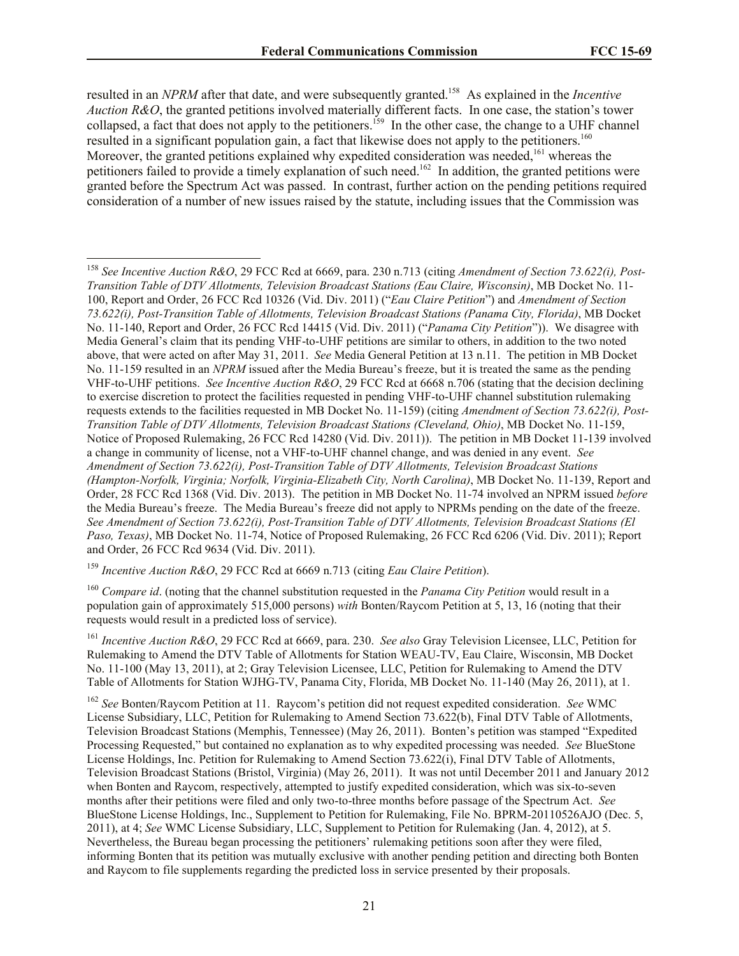resulted in an *NPRM* after that date, and were subsequently granted.<sup>158</sup> As explained in the *Incentive Auction R&O*, the granted petitions involved materially different facts. In one case, the station's tower collapsed, a fact that does not apply to the petitioners.<sup>159</sup> In the other case, the change to a UHF channel resulted in a significant population gain, a fact that likewise does not apply to the petitioners.<sup>160</sup> Moreover, the granted petitions explained why expedited consideration was needed,<sup>161</sup> whereas the petitioners failed to provide a timely explanation of such need.<sup>162</sup> In addition, the granted petitions were granted before the Spectrum Act was passed. In contrast, further action on the pending petitions required consideration of a number of new issues raised by the statute, including issues that the Commission was

<sup>158</sup> *See Incentive Auction R&O*, 29 FCC Rcd at 6669, para. 230 n.713 (citing *Amendment of Section 73.622(i), Post-Transition Table of DTV Allotments, Television Broadcast Stations (Eau Claire, Wisconsin)*, MB Docket No. 11- 100, Report and Order, 26 FCC Rcd 10326 (Vid. Div. 2011) ("*Eau Claire Petition*") and *Amendment of Section 73.622(i), Post-Transition Table of Allotments, Television Broadcast Stations (Panama City, Florida)*, MB Docket No. 11-140, Report and Order, 26 FCC Rcd 14415 (Vid. Div. 2011) ("*Panama City Petition*")). We disagree with Media General's claim that its pending VHF-to-UHF petitions are similar to others, in addition to the two noted above, that were acted on after May 31, 2011. *See* Media General Petition at 13 n.11. The petition in MB Docket No. 11-159 resulted in an *NPRM* issued after the Media Bureau's freeze, but it is treated the same as the pending VHF-to-UHF petitions. *See Incentive Auction R&O*, 29 FCC Rcd at 6668 n.706 (stating that the decision declining to exercise discretion to protect the facilities requested in pending VHF-to-UHF channel substitution rulemaking requests extends to the facilities requested in MB Docket No. 11-159) (citing *Amendment of Section 73.622(i), Post-Transition Table of DTV Allotments, Television Broadcast Stations (Cleveland, Ohio)*, MB Docket No. 11-159, Notice of Proposed Rulemaking, 26 FCC Rcd 14280 (Vid. Div. 2011)). The petition in MB Docket 11-139 involved a change in community of license, not a VHF-to-UHF channel change, and was denied in any event. *See Amendment of Section 73.622(i), Post-Transition Table of DTV Allotments, Television Broadcast Stations (Hampton-Norfolk, Virginia; Norfolk, Virginia-Elizabeth City, North Carolina)*, MB Docket No. 11-139, Report and Order, 28 FCC Rcd 1368 (Vid. Div. 2013). The petition in MB Docket No. 11-74 involved an NPRM issued *before* the Media Bureau's freeze. The Media Bureau's freeze did not apply to NPRMs pending on the date of the freeze. *See Amendment of Section 73.622(i), Post-Transition Table of DTV Allotments, Television Broadcast Stations (El Paso, Texas)*, MB Docket No. 11-74, Notice of Proposed Rulemaking, 26 FCC Rcd 6206 (Vid. Div. 2011); Report and Order, 26 FCC Rcd 9634 (Vid. Div. 2011).

<sup>159</sup> *Incentive Auction R&O*, 29 FCC Rcd at 6669 n.713 (citing *Eau Claire Petition*).

l

<sup>160</sup> *Compare id*. (noting that the channel substitution requested in the *Panama City Petition* would result in a population gain of approximately 515,000 persons) *with* Bonten/Raycom Petition at 5, 13, 16 (noting that their requests would result in a predicted loss of service).

<sup>161</sup> *Incentive Auction R&O*, 29 FCC Rcd at 6669, para. 230. *See also* Gray Television Licensee, LLC, Petition for Rulemaking to Amend the DTV Table of Allotments for Station WEAU-TV, Eau Claire, Wisconsin, MB Docket No. 11-100 (May 13, 2011), at 2; Gray Television Licensee, LLC, Petition for Rulemaking to Amend the DTV Table of Allotments for Station WJHG-TV, Panama City, Florida, MB Docket No. 11-140 (May 26, 2011), at 1.

<sup>162</sup> *See* Bonten/Raycom Petition at 11. Raycom's petition did not request expedited consideration. *See* WMC License Subsidiary, LLC, Petition for Rulemaking to Amend Section 73.622(b), Final DTV Table of Allotments, Television Broadcast Stations (Memphis, Tennessee) (May 26, 2011). Bonten's petition was stamped "Expedited Processing Requested," but contained no explanation as to why expedited processing was needed. *See* BlueStone License Holdings, Inc. Petition for Rulemaking to Amend Section 73.622(i), Final DTV Table of Allotments, Television Broadcast Stations (Bristol, Virginia) (May 26, 2011). It was not until December 2011 and January 2012 when Bonten and Raycom, respectively, attempted to justify expedited consideration, which was six-to-seven months after their petitions were filed and only two-to-three months before passage of the Spectrum Act. *See* BlueStone License Holdings, Inc., Supplement to Petition for Rulemaking, File No. BPRM-20110526AJO (Dec. 5, 2011), at 4; *See* WMC License Subsidiary, LLC, Supplement to Petition for Rulemaking (Jan. 4, 2012), at 5. Nevertheless, the Bureau began processing the petitioners' rulemaking petitions soon after they were filed, informing Bonten that its petition was mutually exclusive with another pending petition and directing both Bonten and Raycom to file supplements regarding the predicted loss in service presented by their proposals.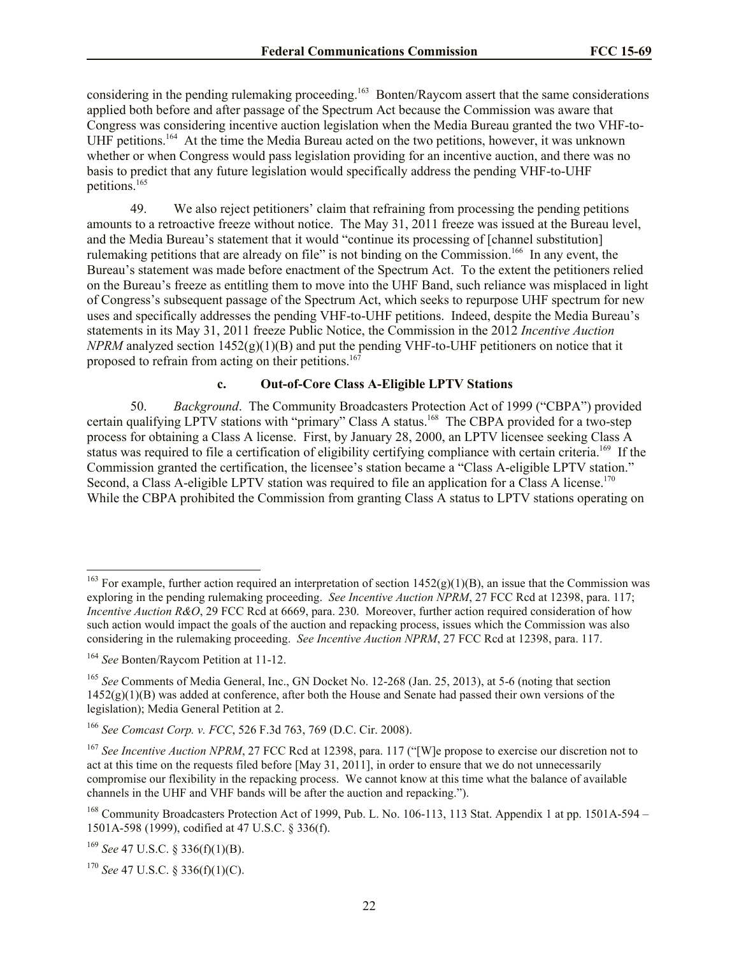considering in the pending rulemaking proceeding.<sup>163</sup> Bonten/Raycom assert that the same considerations applied both before and after passage of the Spectrum Act because the Commission was aware that Congress was considering incentive auction legislation when the Media Bureau granted the two VHF-to-UHF petitions.<sup>164</sup> At the time the Media Bureau acted on the two petitions, however, it was unknown whether or when Congress would pass legislation providing for an incentive auction, and there was no basis to predict that any future legislation would specifically address the pending VHF-to-UHF petitions.<sup>165</sup>

49. We also reject petitioners' claim that refraining from processing the pending petitions amounts to a retroactive freeze without notice. The May 31, 2011 freeze was issued at the Bureau level, and the Media Bureau's statement that it would "continue its processing of [channel substitution] rulemaking petitions that are already on file" is not binding on the Commission.<sup>166</sup> In any event, the Bureau's statement was made before enactment of the Spectrum Act. To the extent the petitioners relied on the Bureau's freeze as entitling them to move into the UHF Band, such reliance was misplaced in light of Congress's subsequent passage of the Spectrum Act, which seeks to repurpose UHF spectrum for new uses and specifically addresses the pending VHF-to-UHF petitions. Indeed, despite the Media Bureau's statements in its May 31, 2011 freeze Public Notice, the Commission in the 2012 *Incentive Auction NPRM* analyzed section 1452(g)(1)(B) and put the pending VHF-to-UHF petitioners on notice that it proposed to refrain from acting on their petitions.<sup>167</sup>

## **c. Out-of-Core Class A-Eligible LPTV Stations**

50. *Background*. The Community Broadcasters Protection Act of 1999 ("CBPA") provided certain qualifying LPTV stations with "primary" Class A status.<sup>168</sup> The CBPA provided for a two-step process for obtaining a Class A license. First, by January 28, 2000, an LPTV licensee seeking Class A status was required to file a certification of eligibility certifying compliance with certain criteria.<sup>169</sup> If the Commission granted the certification, the licensee's station became a "Class A-eligible LPTV station." Second, a Class A-eligible LPTV station was required to file an application for a Class A license.<sup>170</sup> While the CBPA prohibited the Commission from granting Class A status to LPTV stations operating on

l

<sup>&</sup>lt;sup>163</sup> For example, further action required an interpretation of section  $1452(g)(1)(B)$ , an issue that the Commission was exploring in the pending rulemaking proceeding. *See Incentive Auction NPRM*, 27 FCC Rcd at 12398, para. 117; *Incentive Auction R&O*, 29 FCC Rcd at 6669, para. 230. Moreover, further action required consideration of how such action would impact the goals of the auction and repacking process, issues which the Commission was also considering in the rulemaking proceeding. *See Incentive Auction NPRM*, 27 FCC Rcd at 12398, para. 117.

<sup>164</sup> *See* Bonten/Raycom Petition at 11-12.

<sup>165</sup> *See* Comments of Media General, Inc., GN Docket No. 12-268 (Jan. 25, 2013), at 5-6 (noting that section  $1452(g)(1)(B)$  was added at conference, after both the House and Senate had passed their own versions of the legislation); Media General Petition at 2.

<sup>166</sup> *See Comcast Corp. v. FCC*, 526 F.3d 763, 769 (D.C. Cir. 2008).

<sup>&</sup>lt;sup>167</sup> See Incentive Auction NPRM, 27 FCC Rcd at 12398, para. 117 ("[W]e propose to exercise our discretion not to act at this time on the requests filed before [May 31, 2011], in order to ensure that we do not unnecessarily compromise our flexibility in the repacking process. We cannot know at this time what the balance of available channels in the UHF and VHF bands will be after the auction and repacking.").

<sup>&</sup>lt;sup>168</sup> Community Broadcasters Protection Act of 1999, Pub. L. No. 106-113, 113 Stat. Appendix 1 at pp. 1501A-594 – 1501A-598 (1999), codified at 47 U.S.C. § 336(f).

<sup>169</sup> *See* 47 U.S.C. § 336(f)(1)(B).

<sup>170</sup> *See* 47 U.S.C. § 336(f)(1)(C).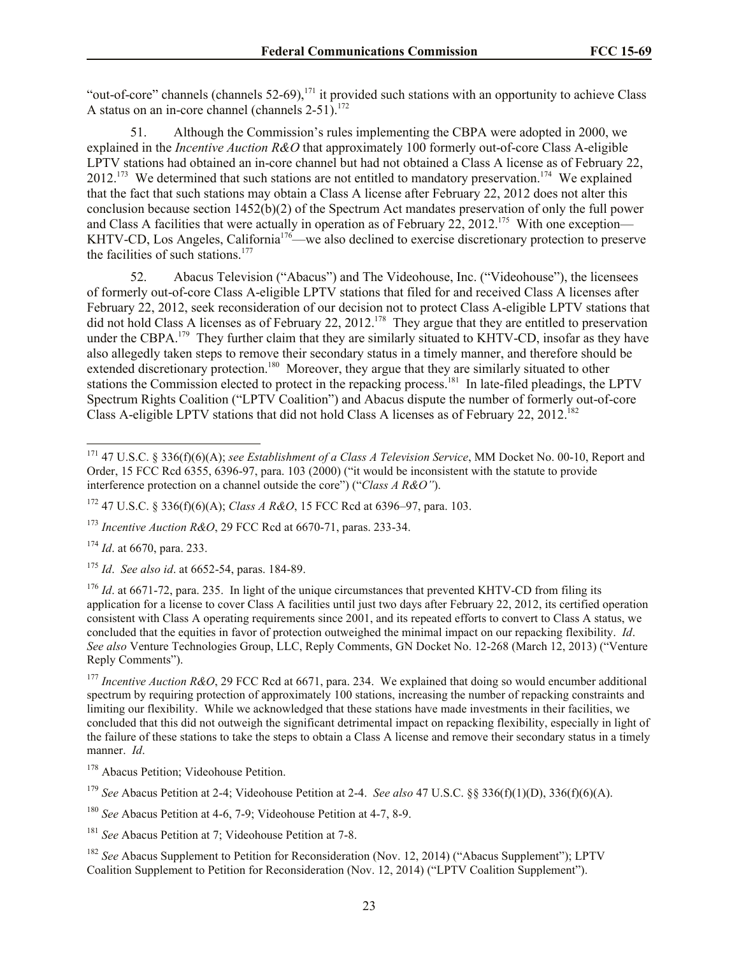"out-of-core" channels (channels  $52-69$ ),<sup>171</sup> it provided such stations with an opportunity to achieve Class A status on an in-core channel (channels  $2-51$ ).<sup>172</sup>

51. Although the Commission's rules implementing the CBPA were adopted in 2000, we explained in the *Incentive Auction R&O* that approximately 100 formerly out-of-core Class A-eligible LPTV stations had obtained an in-core channel but had not obtained a Class A license as of February 22,  $2012$ <sup>173</sup> We determined that such stations are not entitled to mandatory preservation.<sup>174</sup> We explained that the fact that such stations may obtain a Class A license after February 22, 2012 does not alter this conclusion because section 1452(b)(2) of the Spectrum Act mandates preservation of only the full power and Class A facilities that were actually in operation as of February 22, 2012.<sup>175</sup> With one exception— KHTV-CD, Los Angeles, California<sup>176</sup>—we also declined to exercise discretionary protection to preserve the facilities of such stations. $177$ 

52. Abacus Television ("Abacus") and The Videohouse, Inc. ("Videohouse"), the licensees of formerly out-of-core Class A-eligible LPTV stations that filed for and received Class A licenses after February 22, 2012, seek reconsideration of our decision not to protect Class A-eligible LPTV stations that did not hold Class A licenses as of February 22, 2012.<sup>178</sup> They argue that they are entitled to preservation under the CBPA.<sup>179</sup> They further claim that they are similarly situated to KHTV-CD, insofar as they have also allegedly taken steps to remove their secondary status in a timely manner, and therefore should be extended discretionary protection.<sup>180</sup> Moreover, they argue that they are similarly situated to other stations the Commission elected to protect in the repacking process.<sup>181</sup> In late-filed pleadings, the LPTV Spectrum Rights Coalition ("LPTV Coalition") and Abacus dispute the number of formerly out-of-core Class A-eligible LPTV stations that did not hold Class A licenses as of February 22, 2012.<sup>182</sup>

<sup>174</sup> *Id*. at 6670, para. 233.

 $\overline{\phantom{a}}$ 

<sup>177</sup> *Incentive Auction R&O*, 29 FCC Rcd at 6671, para. 234. We explained that doing so would encumber additional spectrum by requiring protection of approximately 100 stations, increasing the number of repacking constraints and limiting our flexibility. While we acknowledged that these stations have made investments in their facilities, we concluded that this did not outweigh the significant detrimental impact on repacking flexibility, especially in light of the failure of these stations to take the steps to obtain a Class A license and remove their secondary status in a timely manner. *Id*.

<sup>178</sup> Abacus Petition; Videohouse Petition.

<sup>179</sup> *See* Abacus Petition at 2-4; Videohouse Petition at 2-4. *See also* 47 U.S.C. §§ 336(f)(1)(D), 336(f)(6)(A).

<sup>180</sup> *See* Abacus Petition at 4-6, 7-9; Videohouse Petition at 4-7, 8-9.

<sup>181</sup> *See* Abacus Petition at 7; Videohouse Petition at 7-8.

<sup>182</sup> See Abacus Supplement to Petition for Reconsideration (Nov. 12, 2014) ("Abacus Supplement"); LPTV Coalition Supplement to Petition for Reconsideration (Nov. 12, 2014) ("LPTV Coalition Supplement").

<sup>171</sup> 47 U.S.C. § 336(f)(6)(A); *see Establishment of a Class A Television Service*, MM Docket No. 00-10, Report and Order, 15 FCC Rcd 6355, 6396-97, para. 103 (2000) ("it would be inconsistent with the statute to provide interference protection on a channel outside the core") ("*Class A R&O"*).

<sup>172</sup> 47 U.S.C. § 336(f)(6)(A); *Class A R&O*, 15 FCC Rcd at 6396–97, para. 103.

<sup>173</sup> *Incentive Auction R&O*, 29 FCC Rcd at 6670-71, paras. 233-34.

<sup>175</sup> *Id*. *See also id*. at 6652-54, paras. 184-89.

<sup>&</sup>lt;sup>176</sup> *Id.* at 6671-72, para. 235. In light of the unique circumstances that prevented KHTV-CD from filing its application for a license to cover Class A facilities until just two days after February 22, 2012, its certified operation consistent with Class A operating requirements since 2001, and its repeated efforts to convert to Class A status, we concluded that the equities in favor of protection outweighed the minimal impact on our repacking flexibility. *Id*. *See also* Venture Technologies Group, LLC, Reply Comments, GN Docket No. 12-268 (March 12, 2013) ("Venture Reply Comments").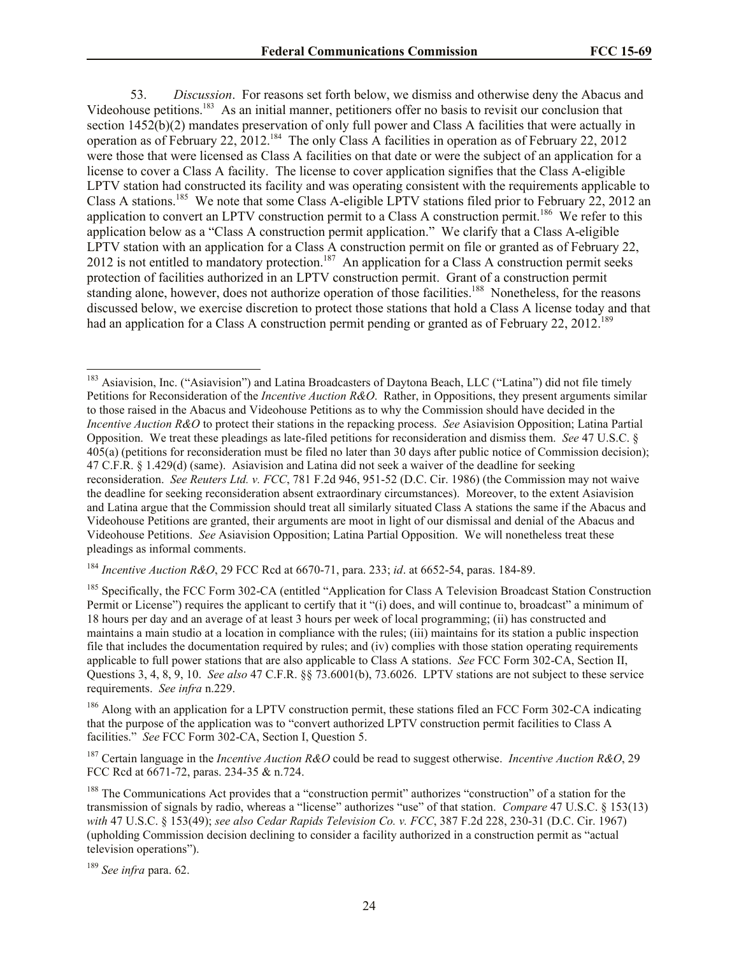53. *Discussion*. For reasons set forth below, we dismiss and otherwise deny the Abacus and Videohouse petitions.<sup>183</sup> As an initial manner, petitioners offer no basis to revisit our conclusion that section 1452(b)(2) mandates preservation of only full power and Class A facilities that were actually in operation as of February 22, 2012.<sup>184</sup> The only Class A facilities in operation as of February 22, 2012 were those that were licensed as Class A facilities on that date or were the subject of an application for a license to cover a Class A facility. The license to cover application signifies that the Class A-eligible LPTV station had constructed its facility and was operating consistent with the requirements applicable to Class A stations.<sup>185</sup> We note that some Class A-eligible LPTV stations filed prior to February 22, 2012 an application to convert an LPTV construction permit to a Class A construction permit.<sup>186</sup> We refer to this application below as a "Class A construction permit application." We clarify that a Class A-eligible LPTV station with an application for a Class A construction permit on file or granted as of February 22, 2012 is not entitled to mandatory protection.<sup>187</sup> An application for a Class A construction permit seeks protection of facilities authorized in an LPTV construction permit. Grant of a construction permit standing alone, however, does not authorize operation of those facilities.<sup>188</sup> Nonetheless, for the reasons discussed below, we exercise discretion to protect those stations that hold a Class A license today and that had an application for a Class A construction permit pending or granted as of February 22, 2012.<sup>189</sup>

<sup>186</sup> Along with an application for a LPTV construction permit, these stations filed an FCC Form 302-CA indicating that the purpose of the application was to "convert authorized LPTV construction permit facilities to Class A facilities." *See* FCC Form 302-CA, Section I, Question 5.

<sup>187</sup> Certain language in the *Incentive Auction R&O* could be read to suggest otherwise. *Incentive Auction R&O*, 29 FCC Rcd at 6671-72, paras. 234-35 & n.724.

 $\overline{\phantom{a}}$ 

<sup>&</sup>lt;sup>183</sup> Asiavision, Inc. ("Asiavision") and Latina Broadcasters of Daytona Beach, LLC ("Latina") did not file timely Petitions for Reconsideration of the *Incentive Auction R&O*. Rather, in Oppositions, they present arguments similar to those raised in the Abacus and Videohouse Petitions as to why the Commission should have decided in the *Incentive Auction R&O* to protect their stations in the repacking process. *See* Asiavision Opposition; Latina Partial Opposition. We treat these pleadings as late-filed petitions for reconsideration and dismiss them. *See* 47 U.S.C. § 405(a) (petitions for reconsideration must be filed no later than 30 days after public notice of Commission decision); 47 C.F.R. § 1.429(d) (same). Asiavision and Latina did not seek a waiver of the deadline for seeking reconsideration. *See Reuters Ltd. v. FCC*, 781 F.2d 946, 951-52 (D.C. Cir. 1986) (the Commission may not waive the deadline for seeking reconsideration absent extraordinary circumstances). Moreover, to the extent Asiavision and Latina argue that the Commission should treat all similarly situated Class A stations the same if the Abacus and Videohouse Petitions are granted, their arguments are moot in light of our dismissal and denial of the Abacus and Videohouse Petitions. *See* Asiavision Opposition; Latina Partial Opposition. We will nonetheless treat these pleadings as informal comments.

<sup>184</sup> *Incentive Auction R&O*, 29 FCC Rcd at 6670-71, para. 233; *id*. at 6652-54, paras. 184-89.

<sup>&</sup>lt;sup>185</sup> Specifically, the FCC Form 302-CA (entitled "Application for Class A Television Broadcast Station Construction Permit or License") requires the applicant to certify that it "(i) does, and will continue to, broadcast" a minimum of 18 hours per day and an average of at least 3 hours per week of local programming; (ii) has constructed and maintains a main studio at a location in compliance with the rules; (iii) maintains for its station a public inspection file that includes the documentation required by rules; and (iv) complies with those station operating requirements applicable to full power stations that are also applicable to Class A stations. *See* FCC Form 302-CA, Section II, Questions 3, 4, 8, 9, 10. *See also* 47 C.F.R. §§ 73.6001(b), 73.6026. LPTV stations are not subject to these service requirements. *See infra* n.229.

<sup>&</sup>lt;sup>188</sup> The Communications Act provides that a "construction permit" authorizes "construction" of a station for the transmission of signals by radio, whereas a "license" authorizes "use" of that station. *Compare* 47 U.S.C. § 153(13) *with* 47 U.S.C. § 153(49); *see also Cedar Rapids Television Co. v. FCC*, 387 F.2d 228, 230-31 (D.C. Cir. 1967) (upholding Commission decision declining to consider a facility authorized in a construction permit as "actual television operations").

<sup>189</sup> *See infra* para. 62.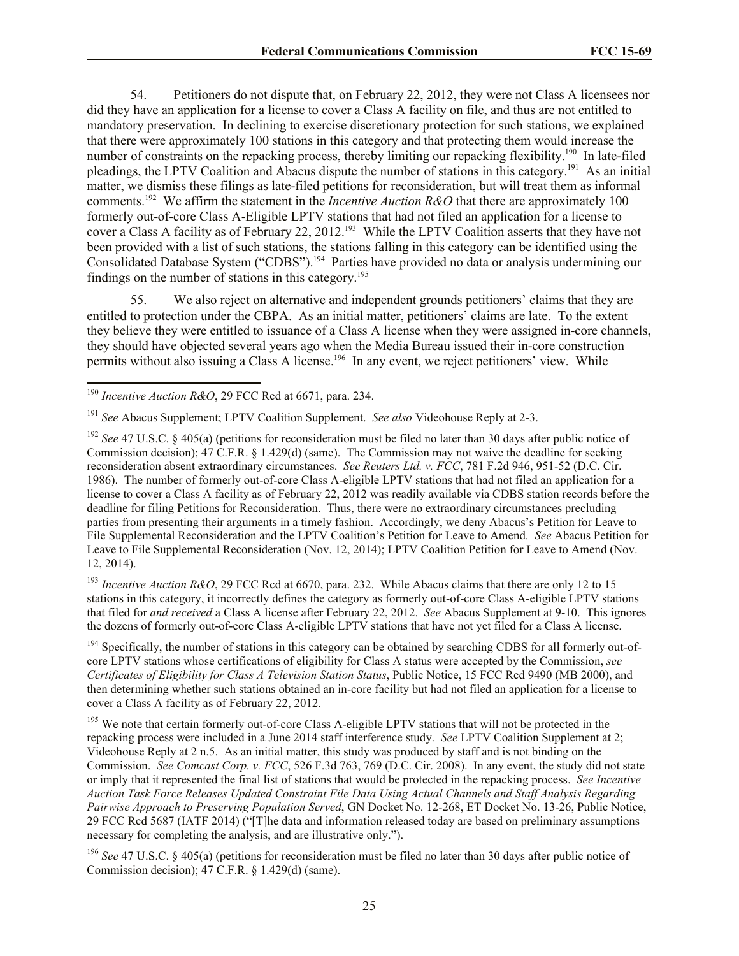54. Petitioners do not dispute that, on February 22, 2012, they were not Class A licensees nor did they have an application for a license to cover a Class A facility on file, and thus are not entitled to mandatory preservation. In declining to exercise discretionary protection for such stations, we explained that there were approximately 100 stations in this category and that protecting them would increase the number of constraints on the repacking process, thereby limiting our repacking flexibility.<sup>190</sup> In late-filed pleadings, the LPTV Coalition and Abacus dispute the number of stations in this category.<sup>191</sup> As an initial matter, we dismiss these filings as late-filed petitions for reconsideration, but will treat them as informal comments.<sup>192</sup> We affirm the statement in the *Incentive Auction R&O* that there are approximately 100 formerly out-of-core Class A-Eligible LPTV stations that had not filed an application for a license to cover a Class A facility as of February 22, 2012.<sup>193</sup> While the LPTV Coalition asserts that they have not been provided with a list of such stations, the stations falling in this category can be identified using the Consolidated Database System ("CDBS").<sup>194</sup> Parties have provided no data or analysis undermining our findings on the number of stations in this category.<sup>195</sup>

55. We also reject on alternative and independent grounds petitioners' claims that they are entitled to protection under the CBPA. As an initial matter, petitioners' claims are late. To the extent they believe they were entitled to issuance of a Class A license when they were assigned in-core channels, they should have objected several years ago when the Media Bureau issued their in-core construction permits without also issuing a Class A license.<sup>196</sup> In any event, we reject petitioners' view. While

l

<sup>193</sup> Incentive Auction R&O, 29 FCC Rcd at 6670, para. 232. While Abacus claims that there are only 12 to 15 stations in this category, it incorrectly defines the category as formerly out-of-core Class A-eligible LPTV stations that filed for *and received* a Class A license after February 22, 2012. *See* Abacus Supplement at 9-10. This ignores the dozens of formerly out-of-core Class A-eligible LPTV stations that have not yet filed for a Class A license.

<sup>194</sup> Specifically, the number of stations in this category can be obtained by searching CDBS for all formerly out-ofcore LPTV stations whose certifications of eligibility for Class A status were accepted by the Commission, *see Certificates of Eligibility for Class A Television Station Status*, Public Notice, 15 FCC Rcd 9490 (MB 2000), and then determining whether such stations obtained an in-core facility but had not filed an application for a license to cover a Class A facility as of February 22, 2012.

<sup>195</sup> We note that certain formerly out-of-core Class A-eligible LPTV stations that will not be protected in the repacking process were included in a June 2014 staff interference study. *See* LPTV Coalition Supplement at 2; Videohouse Reply at 2 n.5. As an initial matter, this study was produced by staff and is not binding on the Commission. *See Comcast Corp. v. FCC*, 526 F.3d 763, 769 (D.C. Cir. 2008). In any event, the study did not state or imply that it represented the final list of stations that would be protected in the repacking process. *See Incentive Auction Task Force Releases Updated Constraint File Data Using Actual Channels and Staff Analysis Regarding Pairwise Approach to Preserving Population Served*, GN Docket No. 12-268, ET Docket No. 13-26, Public Notice, 29 FCC Rcd 5687 (IATF 2014) ("[T]he data and information released today are based on preliminary assumptions necessary for completing the analysis, and are illustrative only.").

<sup>196</sup> *See* 47 U.S.C. § 405(a) (petitions for reconsideration must be filed no later than 30 days after public notice of Commission decision); 47 C.F.R. § 1.429(d) (same).

<sup>190</sup> *Incentive Auction R&O*, 29 FCC Rcd at 6671, para. 234.

<sup>191</sup> *See* Abacus Supplement; LPTV Coalition Supplement. *See also* Videohouse Reply at 2-3.

<sup>&</sup>lt;sup>192</sup> *See* 47 U.S.C. § 405(a) (petitions for reconsideration must be filed no later than 30 days after public notice of Commission decision); 47 C.F.R. § 1.429(d) (same). The Commission may not waive the deadline for seeking reconsideration absent extraordinary circumstances. *See Reuters Ltd. v. FCC*, 781 F.2d 946, 951-52 (D.C. Cir. 1986). The number of formerly out-of-core Class A-eligible LPTV stations that had not filed an application for a license to cover a Class A facility as of February 22, 2012 was readily available via CDBS station records before the deadline for filing Petitions for Reconsideration. Thus, there were no extraordinary circumstances precluding parties from presenting their arguments in a timely fashion. Accordingly, we deny Abacus's Petition for Leave to File Supplemental Reconsideration and the LPTV Coalition's Petition for Leave to Amend. *See* Abacus Petition for Leave to File Supplemental Reconsideration (Nov. 12, 2014); LPTV Coalition Petition for Leave to Amend (Nov. 12, 2014).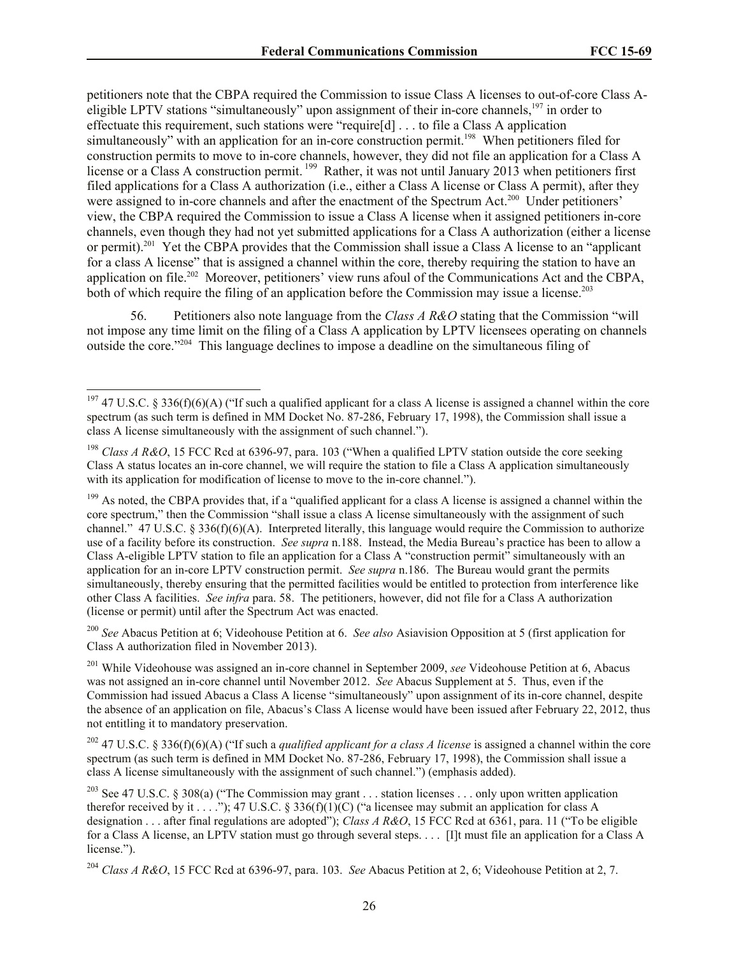petitioners note that the CBPA required the Commission to issue Class A licenses to out-of-core Class Aeligible LPTV stations "simultaneously" upon assignment of their in-core channels,<sup>197</sup> in order to effectuate this requirement, such stations were "require[d] . . . to file a Class A application simultaneously" with an application for an in-core construction permit.<sup>198</sup> When petitioners filed for construction permits to move to in-core channels, however, they did not file an application for a Class A license or a Class A construction permit.<sup>199</sup> Rather, it was not until January 2013 when petitioners first filed applications for a Class A authorization (i.e., either a Class A license or Class A permit), after they were assigned to in-core channels and after the enactment of the Spectrum Act.<sup>200</sup> Under petitioners' view, the CBPA required the Commission to issue a Class A license when it assigned petitioners in-core channels, even though they had not yet submitted applications for a Class A authorization (either a license or permit).<sup>201</sup> Yet the CBPA provides that the Commission shall issue a Class A license to an "applicant" for a class A license" that is assigned a channel within the core, thereby requiring the station to have an application on file.<sup>202</sup> Moreover, petitioners' view runs afoul of the Communications Act and the CBPA, both of which require the filing of an application before the Commission may issue a license.<sup>203</sup>

56. Petitioners also note language from the *Class A R&O* stating that the Commission "will not impose any time limit on the filing of a Class A application by LPTV licensees operating on channels outside the core."<sup>204</sup> This language declines to impose a deadline on the simultaneous filing of

 $\overline{\phantom{a}}$ 

<sup>200</sup> *See* Abacus Petition at 6; Videohouse Petition at 6. *See also* Asiavision Opposition at 5 (first application for Class A authorization filed in November 2013).

<sup>201</sup> While Videohouse was assigned an in-core channel in September 2009, *see* Videohouse Petition at 6, Abacus was not assigned an in-core channel until November 2012. *See* Abacus Supplement at 5. Thus, even if the Commission had issued Abacus a Class A license "simultaneously" upon assignment of its in-core channel, despite the absence of an application on file, Abacus's Class A license would have been issued after February 22, 2012, thus not entitling it to mandatory preservation.

<sup>202</sup> 47 U.S.C. § 336(f)(6)(A) ("If such a *qualified applicant for a class A license* is assigned a channel within the core spectrum (as such term is defined in MM Docket No. 87-286, February 17, 1998), the Commission shall issue a class A license simultaneously with the assignment of such channel.") (emphasis added).

<sup>203</sup> See 47 U.S.C. § 308(a) ("The Commission may grant . . . station licenses . . . only upon written application therefor received by it . . . ."); 47 U.S.C. § 336(f)(1)(C) ("a licensee may submit an application for class A designation . . . after final regulations are adopted"); *Class A R&O*, 15 FCC Rcd at 6361, para. 11 ("To be eligible for a Class A license, an LPTV station must go through several steps. . . . [I]t must file an application for a Class A license.").

<sup>204</sup> *Class A R&O*, 15 FCC Rcd at 6396-97, para. 103. *See* Abacus Petition at 2, 6; Videohouse Petition at 2, 7.

<sup>&</sup>lt;sup>197</sup> 47 U.S.C. § 336(f)(6)(A) ("If such a qualified applicant for a class A license is assigned a channel within the core spectrum (as such term is defined in MM Docket No. 87-286, February 17, 1998), the Commission shall issue a class A license simultaneously with the assignment of such channel.").

<sup>&</sup>lt;sup>198</sup> *Class A R&O*, 15 FCC Rcd at 6396-97, para. 103 ("When a qualified LPTV station outside the core seeking Class A status locates an in-core channel, we will require the station to file a Class A application simultaneously with its application for modification of license to move to the in-core channel.").

 $199$  As noted, the CBPA provides that, if a "qualified applicant for a class A license is assigned a channel within the core spectrum," then the Commission "shall issue a class A license simultaneously with the assignment of such channel."  $47 \text{ U.S.C.} \$   $336(f)(6)(A)$ . Interpreted literally, this language would require the Commission to authorize use of a facility before its construction. *See supra* n.188. Instead, the Media Bureau's practice has been to allow a Class A-eligible LPTV station to file an application for a Class A "construction permit" simultaneously with an application for an in-core LPTV construction permit. *See supra* n.186. The Bureau would grant the permits simultaneously, thereby ensuring that the permitted facilities would be entitled to protection from interference like other Class A facilities. *See infra* para. 58. The petitioners, however, did not file for a Class A authorization (license or permit) until after the Spectrum Act was enacted.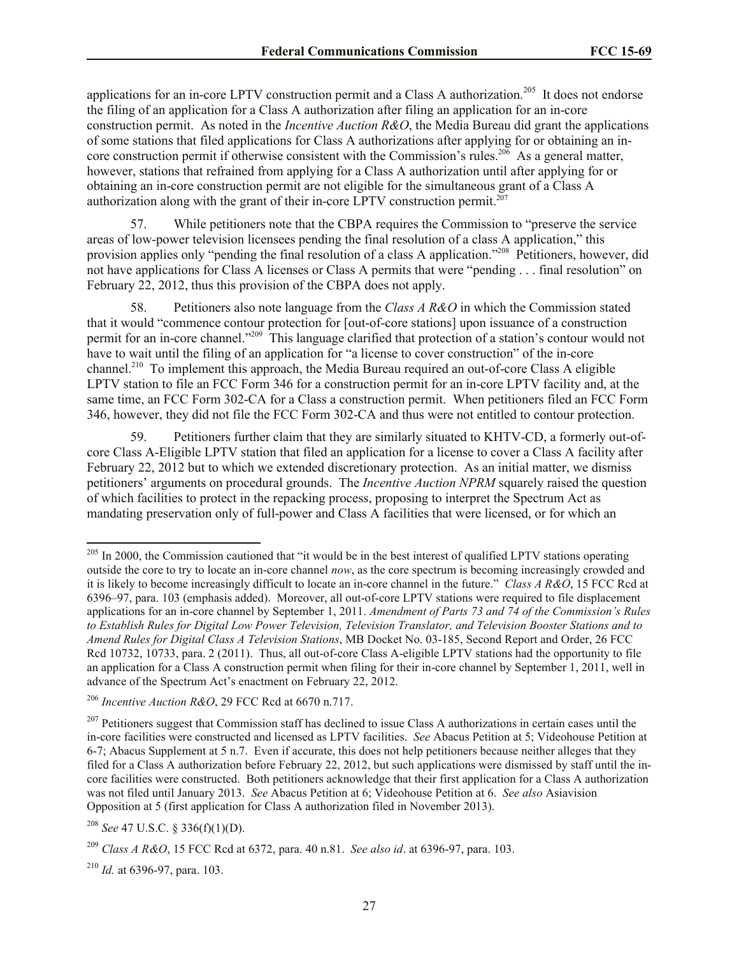applications for an in-core LPTV construction permit and a Class A authorization.<sup>205</sup> It does not endorse the filing of an application for a Class A authorization after filing an application for an in-core construction permit. As noted in the *Incentive Auction R&O*, the Media Bureau did grant the applications of some stations that filed applications for Class A authorizations after applying for or obtaining an incore construction permit if otherwise consistent with the Commission's rules.<sup>206</sup> As a general matter, however, stations that refrained from applying for a Class A authorization until after applying for or obtaining an in-core construction permit are not eligible for the simultaneous grant of a Class A authorization along with the grant of their in-core LPTV construction permit.<sup>207</sup>

57. While petitioners note that the CBPA requires the Commission to "preserve the service areas of low-power television licensees pending the final resolution of a class A application," this provision applies only "pending the final resolution of a class A application."<sup>208</sup> Petitioners, however, did not have applications for Class A licenses or Class A permits that were "pending . . . final resolution" on February 22, 2012, thus this provision of the CBPA does not apply.

58. Petitioners also note language from the *Class A R&O* in which the Commission stated that it would "commence contour protection for [out-of-core stations] upon issuance of a construction permit for an in-core channel."<sup>209</sup> This language clarified that protection of a station's contour would not have to wait until the filing of an application for "a license to cover construction" of the in-core channel.<sup>210</sup> To implement this approach, the Media Bureau required an out-of-core Class A eligible LPTV station to file an FCC Form 346 for a construction permit for an in-core LPTV facility and, at the same time, an FCC Form 302-CA for a Class a construction permit. When petitioners filed an FCC Form 346, however, they did not file the FCC Form 302-CA and thus were not entitled to contour protection.

59. Petitioners further claim that they are similarly situated to KHTV-CD, a formerly out-ofcore Class A-Eligible LPTV station that filed an application for a license to cover a Class A facility after February 22, 2012 but to which we extended discretionary protection. As an initial matter, we dismiss petitioners' arguments on procedural grounds. The *Incentive Auction NPRM* squarely raised the question of which facilities to protect in the repacking process, proposing to interpret the Spectrum Act as mandating preservation only of full-power and Class A facilities that were licensed, or for which an

 $\overline{\phantom{a}}$ 

 $205$  In 2000, the Commission cautioned that "it would be in the best interest of qualified LPTV stations operating outside the core to try to locate an in-core channel *now*, as the core spectrum is becoming increasingly crowded and it is likely to become increasingly difficult to locate an in-core channel in the future." *Class A R&O*, 15 FCC Rcd at 6396–97, para. 103 (emphasis added). Moreover, all out-of-core LPTV stations were required to file displacement applications for an in-core channel by September 1, 2011. *Amendment of Parts 73 and 74 of the Commission's Rules to Establish Rules for Digital Low Power Television, Television Translator, and Television Booster Stations and to Amend Rules for Digital Class A Television Stations*, MB Docket No. 03-185, Second Report and Order, 26 FCC Rcd 10732, 10733, para. 2 (2011). Thus, all out-of-core Class A-eligible LPTV stations had the opportunity to file an application for a Class A construction permit when filing for their in-core channel by September 1, 2011, well in advance of the Spectrum Act's enactment on February 22, 2012.

<sup>206</sup> *Incentive Auction R&O*, 29 FCC Rcd at 6670 n.717.

 $^{207}$  Petitioners suggest that Commission staff has declined to issue Class A authorizations in certain cases until the in-core facilities were constructed and licensed as LPTV facilities. *See* Abacus Petition at 5; Videohouse Petition at 6-7; Abacus Supplement at 5 n.7. Even if accurate, this does not help petitioners because neither alleges that they filed for a Class A authorization before February 22, 2012, but such applications were dismissed by staff until the incore facilities were constructed. Both petitioners acknowledge that their first application for a Class A authorization was not filed until January 2013. *See* Abacus Petition at 6; Videohouse Petition at 6. *See also* Asiavision Opposition at 5 (first application for Class A authorization filed in November 2013).

<sup>208</sup> *See* 47 U.S.C. § 336(f)(1)(D).

<sup>209</sup> *Class A R&O*, 15 FCC Rcd at 6372, para. 40 n.81. *See also id*. at 6396-97, para. 103.

<sup>210</sup> *Id.* at 6396-97, para. 103.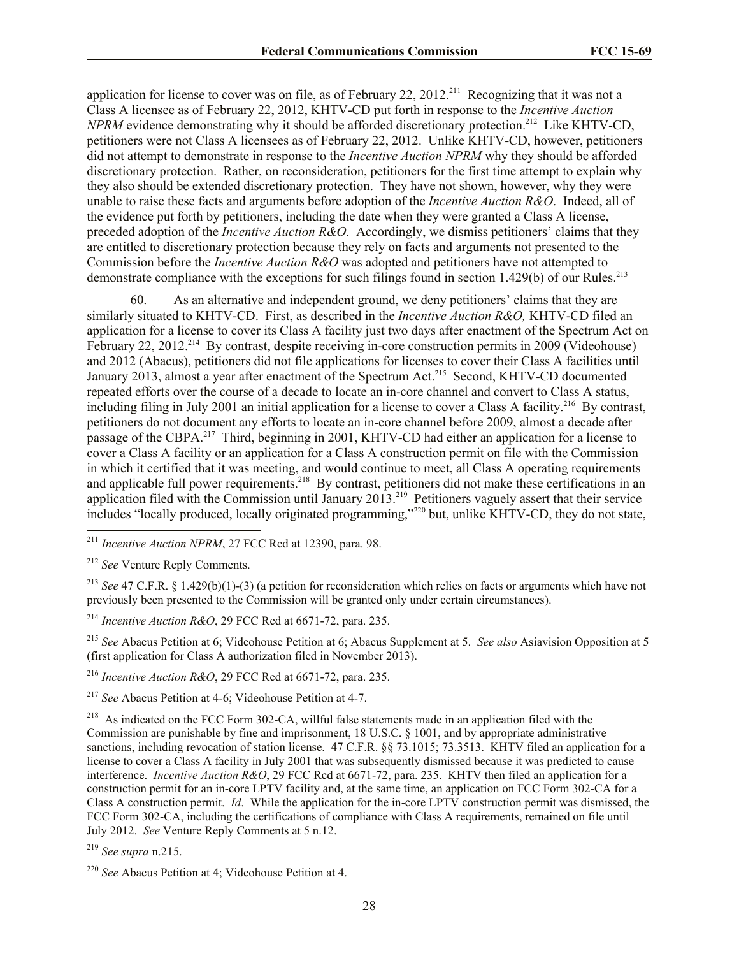application for license to cover was on file, as of February 22, 2012.<sup>211</sup> Recognizing that it was not a Class A licensee as of February 22, 2012, KHTV-CD put forth in response to the *Incentive Auction NPRM* evidence demonstrating why it should be afforded discretionary protection.<sup>212</sup> Like KHTV-CD, petitioners were not Class A licensees as of February 22, 2012. Unlike KHTV-CD, however, petitioners did not attempt to demonstrate in response to the *Incentive Auction NPRM* why they should be afforded discretionary protection. Rather, on reconsideration, petitioners for the first time attempt to explain why they also should be extended discretionary protection. They have not shown, however, why they were unable to raise these facts and arguments before adoption of the *Incentive Auction R&O*. Indeed, all of the evidence put forth by petitioners, including the date when they were granted a Class A license, preceded adoption of the *Incentive Auction R&O*. Accordingly, we dismiss petitioners' claims that they are entitled to discretionary protection because they rely on facts and arguments not presented to the Commission before the *Incentive Auction R&O* was adopted and petitioners have not attempted to demonstrate compliance with the exceptions for such filings found in section 1.429(b) of our Rules.<sup>213</sup>

60. As an alternative and independent ground, we deny petitioners' claims that they are similarly situated to KHTV-CD. First, as described in the *Incentive Auction R&O,* KHTV-CD filed an application for a license to cover its Class A facility just two days after enactment of the Spectrum Act on February 22, 2012.<sup>214</sup> By contrast, despite receiving in-core construction permits in 2009 (Videohouse) and 2012 (Abacus), petitioners did not file applications for licenses to cover their Class A facilities until January 2013, almost a year after enactment of the Spectrum Act.<sup>215</sup> Second, KHTV-CD documented repeated efforts over the course of a decade to locate an in-core channel and convert to Class A status, including filing in July 2001 an initial application for a license to cover a Class A facility.<sup>216</sup> By contrast, petitioners do not document any efforts to locate an in-core channel before 2009, almost a decade after passage of the CBPA.<sup>217</sup> Third, beginning in 2001, KHTV-CD had either an application for a license to cover a Class A facility or an application for a Class A construction permit on file with the Commission in which it certified that it was meeting, and would continue to meet, all Class A operating requirements and applicable full power requirements.<sup>218</sup> By contrast, petitioners did not make these certifications in an application filed with the Commission until January 2013.<sup>219</sup> Petitioners vaguely assert that their service includes "locally produced, locally originated programming,"<sup>220</sup> but, unlike KHTV-CD, they do not state,

l

<sup>213</sup> *See* 47 C.F.R. § 1.429(b)(1)-(3) (a petition for reconsideration which relies on facts or arguments which have not previously been presented to the Commission will be granted only under certain circumstances).

<sup>214</sup> *Incentive Auction R&O*, 29 FCC Rcd at 6671-72, para. 235.

<sup>215</sup> *See* Abacus Petition at 6; Videohouse Petition at 6; Abacus Supplement at 5. *See also* Asiavision Opposition at 5 (first application for Class A authorization filed in November 2013).

<sup>216</sup> *Incentive Auction R&O*, 29 FCC Rcd at 6671-72, para. 235.

<sup>217</sup> *See* Abacus Petition at 4-6; Videohouse Petition at 4-7.

<sup>218</sup> As indicated on the FCC Form 302-CA, willful false statements made in an application filed with the Commission are punishable by fine and imprisonment, 18 U.S.C. § 1001, and by appropriate administrative sanctions, including revocation of station license. 47 C.F.R. §§ 73.1015; 73.3513. KHTV filed an application for a license to cover a Class A facility in July 2001 that was subsequently dismissed because it was predicted to cause interference. *Incentive Auction R&O*, 29 FCC Rcd at 6671-72, para. 235. KHTV then filed an application for a construction permit for an in-core LPTV facility and, at the same time, an application on FCC Form 302-CA for a Class A construction permit. *Id*. While the application for the in-core LPTV construction permit was dismissed, the FCC Form 302-CA, including the certifications of compliance with Class A requirements, remained on file until July 2012. *See* Venture Reply Comments at 5 n.12.

<sup>219</sup> *See supra* n.215.

<sup>211</sup> *Incentive Auction NPRM*, 27 FCC Rcd at 12390, para. 98.

<sup>212</sup> *See* Venture Reply Comments.

<sup>220</sup> *See* Abacus Petition at 4; Videohouse Petition at 4.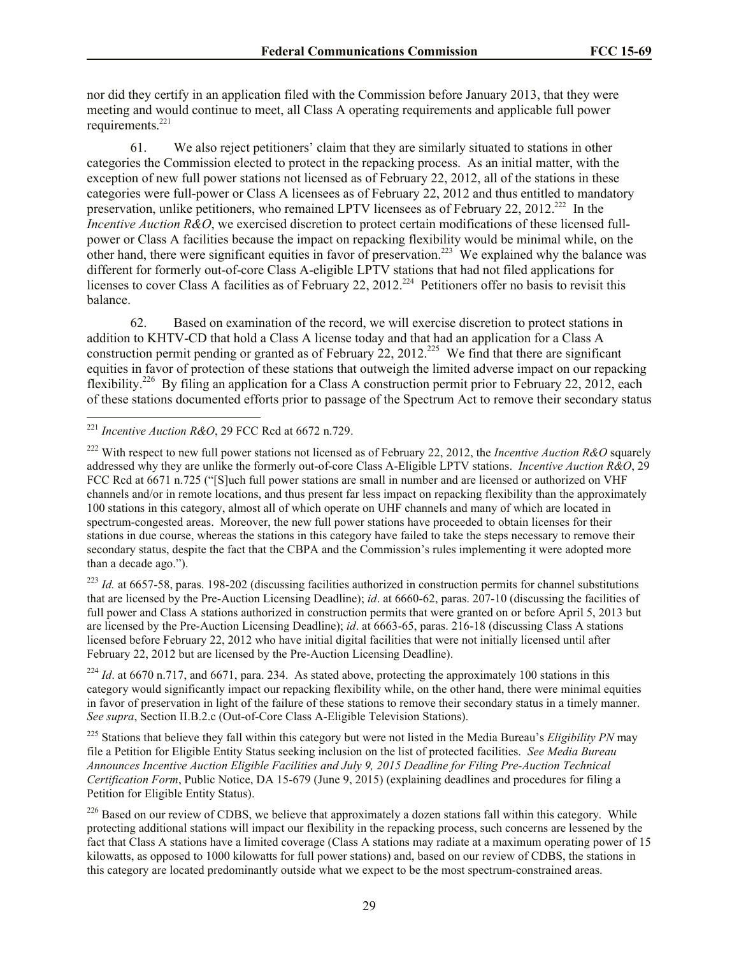nor did they certify in an application filed with the Commission before January 2013, that they were meeting and would continue to meet, all Class A operating requirements and applicable full power requirements. 221

61. We also reject petitioners' claim that they are similarly situated to stations in other categories the Commission elected to protect in the repacking process. As an initial matter, with the exception of new full power stations not licensed as of February 22, 2012, all of the stations in these categories were full-power or Class A licensees as of February 22, 2012 and thus entitled to mandatory preservation, unlike petitioners, who remained LPTV licensees as of February 22, 2012.<sup>222</sup> In the *Incentive Auction R&O*, we exercised discretion to protect certain modifications of these licensed fullpower or Class A facilities because the impact on repacking flexibility would be minimal while, on the other hand, there were significant equities in favor of preservation.<sup>223</sup> We explained why the balance was different for formerly out-of-core Class A-eligible LPTV stations that had not filed applications for licenses to cover Class A facilities as of February 22, 2012.<sup>224</sup> Petitioners offer no basis to revisit this balance.

62. Based on examination of the record, we will exercise discretion to protect stations in addition to KHTV-CD that hold a Class A license today and that had an application for a Class A construction permit pending or granted as of February 22, 2012.<sup>225</sup> We find that there are significant equities in favor of protection of these stations that outweigh the limited adverse impact on our repacking flexibility.<sup>226</sup> By filing an application for a Class A construction permit prior to February 22, 2012, each of these stations documented efforts prior to passage of the Spectrum Act to remove their secondary status

l

<sup>223</sup> *Id.* at 6657-58, paras. 198-202 (discussing facilities authorized in construction permits for channel substitutions that are licensed by the Pre-Auction Licensing Deadline); *id*. at 6660-62, paras. 207-10 (discussing the facilities of full power and Class A stations authorized in construction permits that were granted on or before April 5, 2013 but are licensed by the Pre-Auction Licensing Deadline); *id*. at 6663-65, paras. 216-18 (discussing Class A stations licensed before February 22, 2012 who have initial digital facilities that were not initially licensed until after February 22, 2012 but are licensed by the Pre-Auction Licensing Deadline).

<sup>224</sup> *Id.* at 6670 n.717, and 6671, para. 234. As stated above, protecting the approximately 100 stations in this category would significantly impact our repacking flexibility while, on the other hand, there were minimal equities in favor of preservation in light of the failure of these stations to remove their secondary status in a timely manner. *See supra*, Section II.B.2.c (Out-of-Core Class A-Eligible Television Stations).

<sup>225</sup> Stations that believe they fall within this category but were not listed in the Media Bureau's *Eligibility PN* may file a Petition for Eligible Entity Status seeking inclusion on the list of protected facilities. *See Media Bureau Announces Incentive Auction Eligible Facilities and July 9, 2015 Deadline for Filing Pre-Auction Technical Certification Form*, Public Notice, DA 15-679 (June 9, 2015) (explaining deadlines and procedures for filing a Petition for Eligible Entity Status).

<sup>226</sup> Based on our review of CDBS, we believe that approximately a dozen stations fall within this category. While protecting additional stations will impact our flexibility in the repacking process, such concerns are lessened by the fact that Class A stations have a limited coverage (Class A stations may radiate at a maximum operating power of 15 kilowatts, as opposed to 1000 kilowatts for full power stations) and, based on our review of CDBS, the stations in this category are located predominantly outside what we expect to be the most spectrum-constrained areas.

<sup>221</sup> *Incentive Auction R&O*, 29 FCC Rcd at 6672 n.729.

<sup>222</sup> With respect to new full power stations not licensed as of February 22, 2012, the *Incentive Auction R&O* squarely addressed why they are unlike the formerly out-of-core Class A-Eligible LPTV stations. *Incentive Auction R&O*, 29 FCC Rcd at 6671 n.725 ("[S]uch full power stations are small in number and are licensed or authorized on VHF channels and/or in remote locations, and thus present far less impact on repacking flexibility than the approximately 100 stations in this category, almost all of which operate on UHF channels and many of which are located in spectrum-congested areas. Moreover, the new full power stations have proceeded to obtain licenses for their stations in due course, whereas the stations in this category have failed to take the steps necessary to remove their secondary status, despite the fact that the CBPA and the Commission's rules implementing it were adopted more than a decade ago.").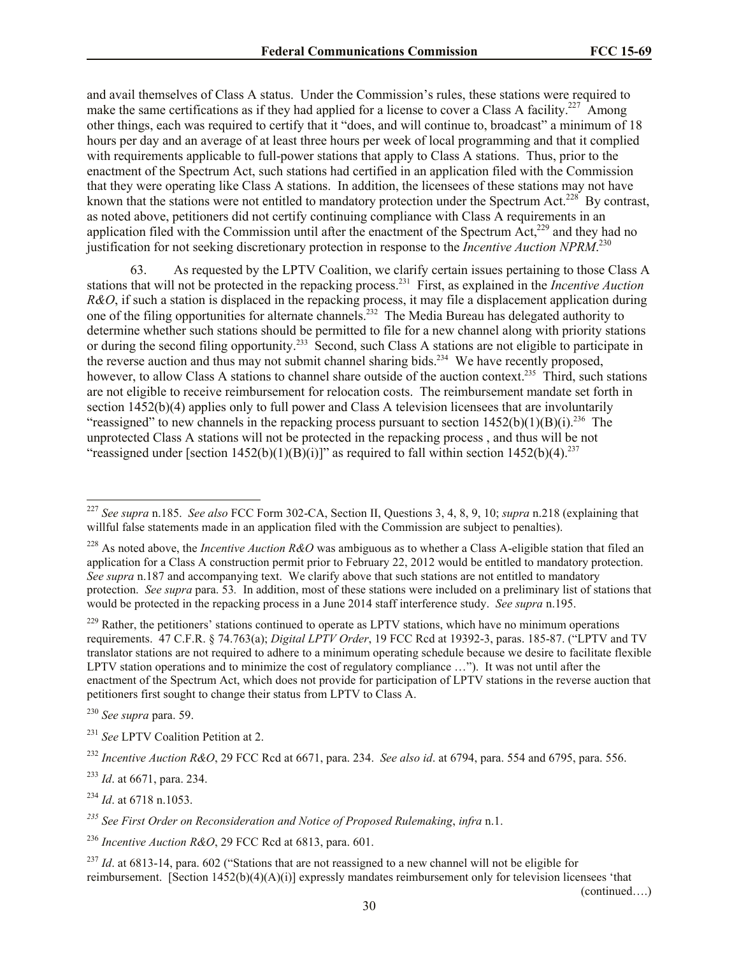and avail themselves of Class A status. Under the Commission's rules, these stations were required to make the same certifications as if they had applied for a license to cover a Class A facility.<sup>227</sup> Among other things, each was required to certify that it "does, and will continue to, broadcast" a minimum of 18 hours per day and an average of at least three hours per week of local programming and that it complied with requirements applicable to full-power stations that apply to Class A stations. Thus, prior to the enactment of the Spectrum Act, such stations had certified in an application filed with the Commission that they were operating like Class A stations. In addition, the licensees of these stations may not have known that the stations were not entitled to mandatory protection under the Spectrum Act.<sup>228</sup> By contrast, as noted above, petitioners did not certify continuing compliance with Class A requirements in an application filed with the Commission until after the enactment of the Spectrum  $Act<sub>229</sub><sup>229</sup>$  and they had no justification for not seeking discretionary protection in response to the *Incentive Auction NPRM*. 230

63. As requested by the LPTV Coalition, we clarify certain issues pertaining to those Class A stations that will not be protected in the repacking process. 231 First, as explained in the *Incentive Auction R&O*, if such a station is displaced in the repacking process, it may file a displacement application during one of the filing opportunities for alternate channels.<sup>232</sup> The Media Bureau has delegated authority to determine whether such stations should be permitted to file for a new channel along with priority stations or during the second filing opportunity.<sup>233</sup> Second, such Class A stations are not eligible to participate in the reverse auction and thus may not submit channel sharing bids.<sup>234</sup> We have recently proposed, however, to allow Class A stations to channel share outside of the auction context.<sup>235</sup> Third, such stations are not eligible to receive reimbursement for relocation costs. The reimbursement mandate set forth in section 1452(b)(4) applies only to full power and Class A television licensees that are involuntarily "reassigned" to new channels in the repacking process pursuant to section  $1452(b)(1)(B)(i).^{236}$  The unprotected Class A stations will not be protected in the repacking process , and thus will be not "reassigned under [section  $1452(b)(1)(B)(i)$ ]" as required to fall within section  $1452(b)(4)$ .<sup>237</sup>

<sup>229</sup> Rather, the petitioners' stations continued to operate as LPTV stations, which have no minimum operations requirements. 47 C.F.R. § 74.763(a); *Digital LPTV Order*, 19 FCC Rcd at 19392-3, paras. 185-87. ("LPTV and TV translator stations are not required to adhere to a minimum operating schedule because we desire to facilitate flexible LPTV station operations and to minimize the cost of regulatory compliance ..."). It was not until after the enactment of the Spectrum Act, which does not provide for participation of LPTV stations in the reverse auction that petitioners first sought to change their status from LPTV to Class A.

<sup>230</sup> *See supra* para. 59.

 $\overline{\phantom{a}}$ 

<sup>233</sup> *Id*. at 6671, para. 234.

(continued….)

<sup>227</sup> *See supra* n.185. *See also* FCC Form 302-CA, Section II, Questions 3, 4, 8, 9, 10; *supra* n.218 (explaining that willful false statements made in an application filed with the Commission are subject to penalties).

<sup>228</sup> As noted above, the *Incentive Auction R&O* was ambiguous as to whether a Class A-eligible station that filed an application for a Class A construction permit prior to February 22, 2012 would be entitled to mandatory protection. *See supra* n.187 and accompanying text. We clarify above that such stations are not entitled to mandatory protection. *See supra* para. 53*.* In addition, most of these stations were included on a preliminary list of stations that would be protected in the repacking process in a June 2014 staff interference study. *See supra* n.195.

<sup>&</sup>lt;sup>231</sup> See LPTV Coalition Petition at 2.

<sup>232</sup> *Incentive Auction R&O*, 29 FCC Rcd at 6671, para. 234. *See also id*. at 6794, para. 554 and 6795, para. 556.

<sup>234</sup> *Id*. at 6718 n.1053.

*<sup>235</sup> See First Order on Reconsideration and Notice of Proposed Rulemaking*, *infra* n.1.

<sup>236</sup> *Incentive Auction R&O*, 29 FCC Rcd at 6813, para. 601.

<sup>&</sup>lt;sup>237</sup> *Id.* at 6813-14, para. 602 ("Stations that are not reassigned to a new channel will not be eligible for reimbursement. [Section 1452(b)(4)(A)(i)] expressly mandates reimbursement only for television licensees 'that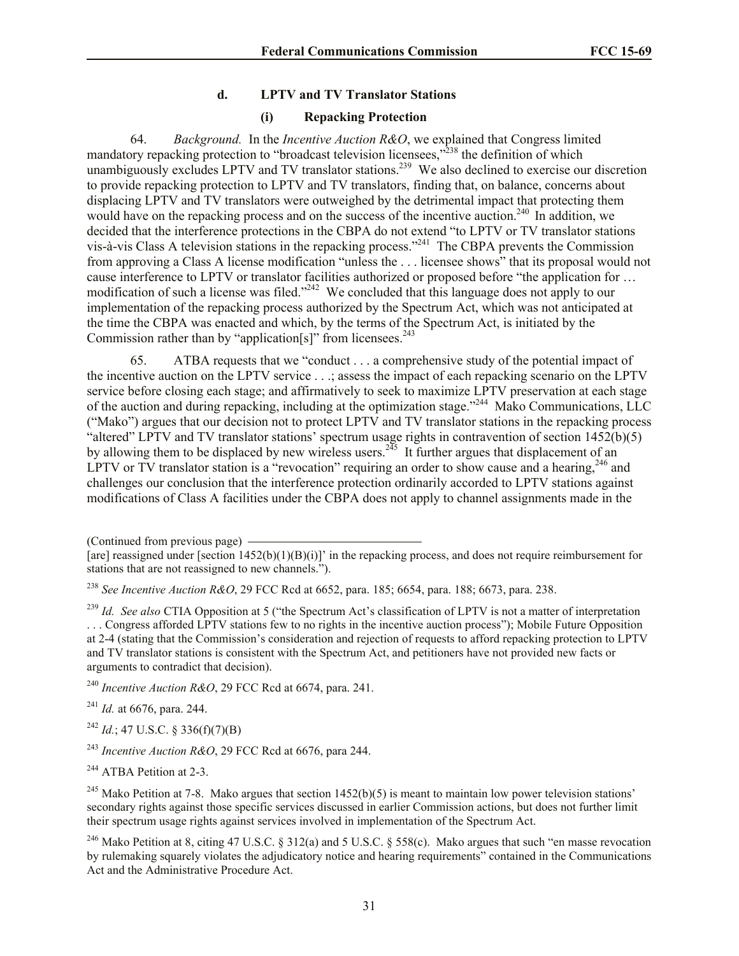#### **d. LPTV and TV Translator Stations**

#### **(i) Repacking Protection**

64. *Background.* In the *Incentive Auction R&O*, we explained that Congress limited mandatory repacking protection to "broadcast television licensees,"<sup>238</sup> the definition of which unambiguously excludes LPTV and TV translator stations.<sup>239</sup> We also declined to exercise our discretion to provide repacking protection to LPTV and TV translators, finding that, on balance, concerns about displacing LPTV and TV translators were outweighed by the detrimental impact that protecting them would have on the repacking process and on the success of the incentive auction.<sup>240</sup> In addition, we decided that the interference protections in the CBPA do not extend "to LPTV or TV translator stations vis-à-vis Class A television stations in the repacking process."<sup>241</sup> The CBPA prevents the Commission from approving a Class A license modification "unless the . . . licensee shows" that its proposal would not cause interference to LPTV or translator facilities authorized or proposed before "the application for … modification of such a license was filed."<sup>242</sup> We concluded that this language does not apply to our implementation of the repacking process authorized by the Spectrum Act, which was not anticipated at the time the CBPA was enacted and which, by the terms of the Spectrum Act, is initiated by the Commission rather than by "application[s]" from licensees.<sup>243</sup>

65. ATBA requests that we "conduct . . . a comprehensive study of the potential impact of the incentive auction on the LPTV service . . .; assess the impact of each repacking scenario on the LPTV service before closing each stage; and affirmatively to seek to maximize LPTV preservation at each stage of the auction and during repacking, including at the optimization stage."<sup>244</sup> Mako Communications, LLC ("Mako") argues that our decision not to protect LPTV and TV translator stations in the repacking process "altered" LPTV and TV translator stations' spectrum usage rights in contravention of section 1452(b)(5) by allowing them to be displaced by new wireless users.<sup>245</sup> It further argues that displacement of an LPTV or TV translator station is a "revocation" requiring an order to show cause and a hearing, <sup>246</sup> and challenges our conclusion that the interference protection ordinarily accorded to LPTV stations against modifications of Class A facilities under the CBPA does not apply to channel assignments made in the

(Continued from previous page)

<sup>238</sup> *See Incentive Auction R&O*, 29 FCC Rcd at 6652, para. 185; 6654, para. 188; 6673, para. 238.

<sup>239</sup> *Id. See also* CTIA Opposition at 5 ("the Spectrum Act's classification of LPTV is not a matter of interpretation . . . Congress afforded LPTV stations few to no rights in the incentive auction process"); Mobile Future Opposition at 2-4 (stating that the Commission's consideration and rejection of requests to afford repacking protection to LPTV and TV translator stations is consistent with the Spectrum Act, and petitioners have not provided new facts or arguments to contradict that decision).

<sup>240</sup> *Incentive Auction R&O*, 29 FCC Rcd at 6674, para. 241.

<sup>241</sup> *Id.* at 6676, para. 244.

<sup>242</sup> *Id.*; 47 U.S.C. § 336(f)(7)(B)

<sup>243</sup> *Incentive Auction R&O*, 29 FCC Rcd at 6676, para 244.

<sup>244</sup> ATBA Petition at 2-3.

<sup>245</sup> Mako Petition at 7-8. Mako argues that section 1452(b)(5) is meant to maintain low power television stations' secondary rights against those specific services discussed in earlier Commission actions, but does not further limit their spectrum usage rights against services involved in implementation of the Spectrum Act.

<sup>246</sup> Mako Petition at 8, citing 47 U.S.C. § 312(a) and 5 U.S.C. § 558(c). Mako argues that such "en masse revocation by rulemaking squarely violates the adjudicatory notice and hearing requirements" contained in the Communications Act and the Administrative Procedure Act.

<sup>[</sup>are] reassigned under [section  $1452(b)(1)(B)(i)$ ]' in the repacking process, and does not require reimbursement for stations that are not reassigned to new channels.").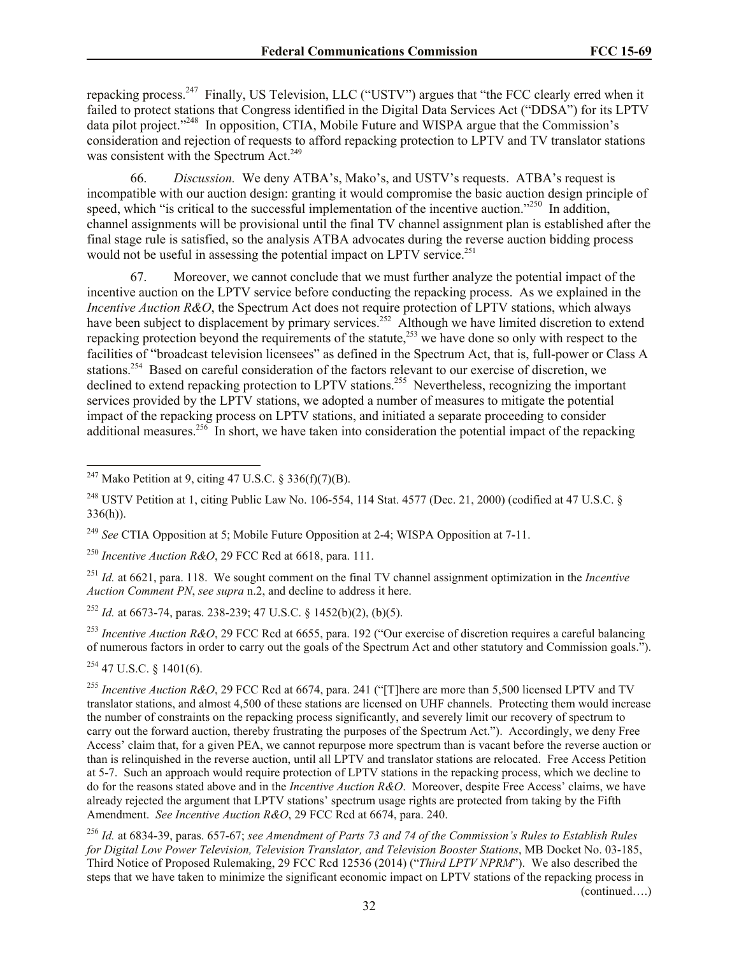repacking process.<sup>247</sup> Finally, US Television, LLC ("USTV") argues that "the FCC clearly erred when it failed to protect stations that Congress identified in the Digital Data Services Act ("DDSA") for its LPTV data pilot project."<sup>248</sup> In opposition, CTIA, Mobile Future and WISPA argue that the Commission's consideration and rejection of requests to afford repacking protection to LPTV and TV translator stations was consistent with the Spectrum Act. $249$ 

66. *Discussion.* We deny ATBA's, Mako's, and USTV's requests. ATBA's request is incompatible with our auction design: granting it would compromise the basic auction design principle of speed, which "is critical to the successful implementation of the incentive auction."<sup>250</sup> In addition, channel assignments will be provisional until the final TV channel assignment plan is established after the final stage rule is satisfied, so the analysis ATBA advocates during the reverse auction bidding process would not be useful in assessing the potential impact on LPTV service.<sup>251</sup>

67. Moreover, we cannot conclude that we must further analyze the potential impact of the incentive auction on the LPTV service before conducting the repacking process. As we explained in the *Incentive Auction R&O*, the Spectrum Act does not require protection of LPTV stations, which always have been subject to displacement by primary services.<sup>252</sup> Although we have limited discretion to extend repacking protection beyond the requirements of the statute,<sup>253</sup> we have done so only with respect to the facilities of "broadcast television licensees" as defined in the Spectrum Act, that is, full-power or Class A stations.<sup>254</sup> Based on careful consideration of the factors relevant to our exercise of discretion, we declined to extend repacking protection to LPTV stations.<sup>255</sup> Nevertheless, recognizing the important services provided by the LPTV stations, we adopted a number of measures to mitigate the potential impact of the repacking process on LPTV stations, and initiated a separate proceeding to consider additional measures.<sup>256</sup> In short, we have taken into consideration the potential impact of the repacking

<sup>250</sup> *Incentive Auction R&O*, 29 FCC Rcd at 6618, para. 111.

<sup>251</sup> *Id.* at 6621, para. 118. We sought comment on the final TV channel assignment optimization in the *Incentive Auction Comment PN*, *see supra* n.2, and decline to address it here.

<sup>252</sup> *Id.* at 6673-74, paras. 238-239; 47 U.S.C. § 1452(b)(2), (b)(5).

<sup>253</sup> *Incentive Auction R&O*, 29 FCC Rcd at 6655, para. 192 ("Our exercise of discretion requires a careful balancing of numerous factors in order to carry out the goals of the Spectrum Act and other statutory and Commission goals.").

 $254$  47 U.S.C. § 1401(6).

 $\overline{\phantom{a}}$ 

<sup>255</sup> Incentive Auction R&O, 29 FCC Rcd at 6674, para. 241 ("[T]here are more than 5,500 licensed LPTV and TV translator stations, and almost 4,500 of these stations are licensed on UHF channels. Protecting them would increase the number of constraints on the repacking process significantly, and severely limit our recovery of spectrum to carry out the forward auction, thereby frustrating the purposes of the Spectrum Act."). Accordingly, we deny Free Access' claim that, for a given PEA, we cannot repurpose more spectrum than is vacant before the reverse auction or than is relinquished in the reverse auction, until all LPTV and translator stations are relocated. Free Access Petition at 5-7. Such an approach would require protection of LPTV stations in the repacking process, which we decline to do for the reasons stated above and in the *Incentive Auction R&O*. Moreover, despite Free Access' claims, we have already rejected the argument that LPTV stations' spectrum usage rights are protected from taking by the Fifth Amendment. *See Incentive Auction R&O*, 29 FCC Rcd at 6674, para. 240.

<sup>256</sup> *Id.* at 6834-39, paras. 657-67; *see Amendment of Parts 73 and 74 of the Commission's Rules to Establish Rules for Digital Low Power Television, Television Translator, and Television Booster Stations*, MB Docket No. 03-185, Third Notice of Proposed Rulemaking, 29 FCC Rcd 12536 (2014) ("*Third LPTV NPRM*"). We also described the steps that we have taken to minimize the significant economic impact on LPTV stations of the repacking process in

(continued….)

<sup>&</sup>lt;sup>247</sup> Mako Petition at 9, citing 47 U.S.C. § 336(f)(7)(B).

<sup>&</sup>lt;sup>248</sup> USTV Petition at 1, citing Public Law No. 106-554, 114 Stat. 4577 (Dec. 21, 2000) (codified at 47 U.S.C. § 336(h)).

<sup>249</sup> *See* CTIA Opposition at 5; Mobile Future Opposition at 2-4; WISPA Opposition at 7-11.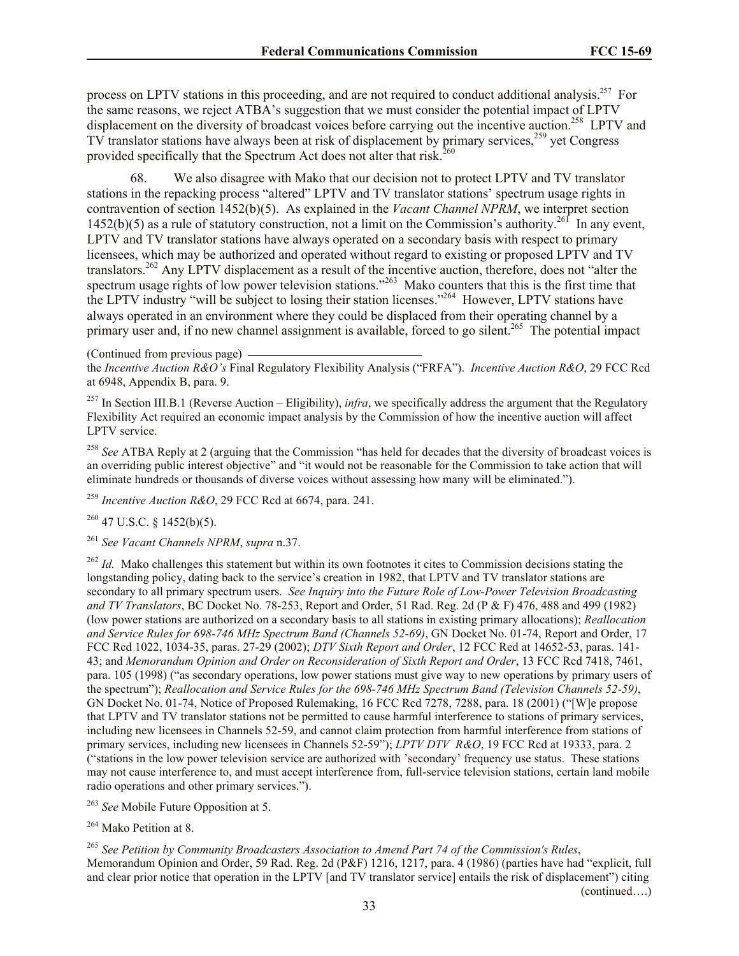process on LPTV stations in this proceeding, and are not required to conduct additional analysis.<sup>257</sup> For the same reasons, we reject ATBA's suggestion that we must consider the potential impact of LPTV displacement on the diversity of broadcast voices before carrying out the incentive auction.<sup>258</sup> LPTV and TV translator stations have always been at risk of displacement by primary services,<sup>259</sup> yet Congress provided specifically that the Spectrum Act does not alter that risk.<sup>260</sup>

68. We also disagree with Mako that our decision not to protect LPTV and TV translator stations in the repacking process "altered" LPTV and TV translator stations' spectrum usage rights in contravention of section 1452(b)(5). As explained in the *Vacant Channel NPRM*, we interpret section  $1452(b)(5)$  as a rule of statutory construction, not a limit on the Commission's authority.<sup>261</sup> In any event, LPTV and TV translator stations have always operated on a secondary basis with respect to primary licensees, which may be authorized and operated without regard to existing or proposed LPTV and TV translators.<sup>262</sup> Any LPTV displacement as a result of the incentive auction, therefore, does not "alter the spectrum usage rights of low power television stations."<sup>263</sup> Mako counters that this is the first time that the LPTV industry "will be subject to losing their station licenses."<sup>264</sup> However, LPTV stations have always operated in an environment where they could be displaced from their operating channel by a primary user and, if no new channel assignment is available, forced to go silent.<sup>265</sup> The potential impact

(Continued from previous page)

the *Incentive Auction R&O's* Final Regulatory Flexibility Analysis ("FRFA"). *Incentive Auction R&O*, 29 FCC Rcd at 6948, Appendix B, para. 9.

<sup>257</sup> In Section III.B.1 (Reverse Auction – Eligibility), *infra*, we specifically address the argument that the Regulatory Flexibility Act required an economic impact analysis by the Commission of how the incentive auction will affect LPTV service.

<sup>258</sup> *See* ATBA Reply at 2 (arguing that the Commission "has held for decades that the diversity of broadcast voices is an overriding public interest objective" and "it would not be reasonable for the Commission to take action that will eliminate hundreds or thousands of diverse voices without assessing how many will be eliminated.").

<sup>259</sup> *Incentive Auction R&O*, 29 FCC Rcd at 6674, para. 241.

 $260$  47 U.S.C. § 1452(b)(5).

<sup>261</sup> *See Vacant Channels NPRM*, *supra* n.37.

<sup>262</sup> *Id.* Mako challenges this statement but within its own footnotes it cites to Commission decisions stating the longstanding policy, dating back to the service's creation in 1982, that LPTV and TV translator stations are secondary to all primary spectrum users. *See Inquiry into the Future Role of Low-Power Television Broadcasting and TV Translators*, BC Docket No. 78-253, Report and Order, 51 Rad. Reg. 2d (P & F) 476, 488 and 499 (1982) (low power stations are authorized on a secondary basis to all stations in existing primary allocations); *Reallocation and Service Rules for 698-746 MHz Spectrum Band (Channels 52-69)*, GN Docket No. 01-74, Report and Order, 17 FCC Rcd 1022, 1034-35, paras. 27-29 (2002); *DTV Sixth Report and Order*, 12 FCC Red at 14652-53, paras. 141- 43; and *Memorandum Opinion and Order on Reconsideration of Sixth Report and Order*, 13 FCC Rcd 7418, 7461, para. 105 (1998) ("as secondary operations, low power stations must give way to new operations by primary users of the spectrum"); *Reallocation and Service Rules for the 698-746 MHz Spectrum Band (Television Channels 52-59)*, GN Docket No. 01-74, Notice of Proposed Rulemaking, 16 FCC Rcd 7278, 7288, para. 18 (2001) ("[W]e propose that LPTV and TV translator stations not be permitted to cause harmful interference to stations of primary services, including new licensees in Channels 52-59, and cannot claim protection from harmful interference from stations of primary services, including new licensees in Channels 52-59"); *LPTV DTV R&O*, 19 FCC Rcd at 19333, para. 2 ("stations in the low power television service are authorized with 'secondary' frequency use status. These stations may not cause interference to, and must accept interference from, full-service television stations, certain land mobile radio operations and other primary services.").

<sup>263</sup> *See* Mobile Future Opposition at 5.

<sup>264</sup> Mako Petition at 8.

<sup>265</sup> *See Petition by Community Broadcasters Association to Amend Part 74 of the Commission's Rules*, Memorandum Opinion and Order, 59 Rad. Reg. 2d (P&F) 1216, 1217, para. 4 (1986) (parties have had "explicit, full and clear prior notice that operation in the LPTV [and TV translator service] entails the risk of displacement") citing (continued….)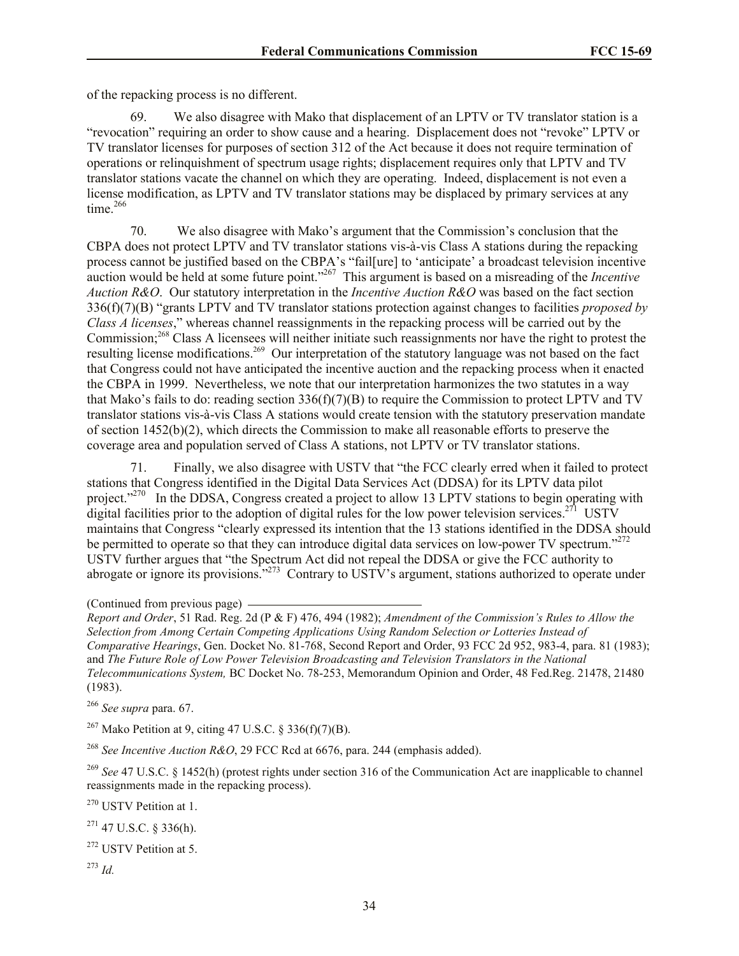of the repacking process is no different.

69. We also disagree with Mako that displacement of an LPTV or TV translator station is a "revocation" requiring an order to show cause and a hearing. Displacement does not "revoke" LPTV or TV translator licenses for purposes of section 312 of the Act because it does not require termination of operations or relinquishment of spectrum usage rights; displacement requires only that LPTV and TV translator stations vacate the channel on which they are operating. Indeed, displacement is not even a license modification, as LPTV and TV translator stations may be displaced by primary services at any time. $266$ 

70. We also disagree with Mako's argument that the Commission's conclusion that the CBPA does not protect LPTV and TV translator stations vis-à-vis Class A stations during the repacking process cannot be justified based on the CBPA's "fail[ure] to 'anticipate' a broadcast television incentive auction would be held at some future point."<sup>267</sup> This argument is based on a misreading of the *Incentive Auction R&O*. Our statutory interpretation in the *Incentive Auction R&O* was based on the fact section 336(f)(7)(B) "grants LPTV and TV translator stations protection against changes to facilities *proposed by Class A licenses*," whereas channel reassignments in the repacking process will be carried out by the Commission;<sup>268</sup> Class A licensees will neither initiate such reassignments nor have the right to protest the resulting license modifications.<sup>269</sup> Our interpretation of the statutory language was not based on the fact that Congress could not have anticipated the incentive auction and the repacking process when it enacted the CBPA in 1999. Nevertheless, we note that our interpretation harmonizes the two statutes in a way that Mako's fails to do: reading section  $336(f)(7)(B)$  to require the Commission to protect LPTV and TV translator stations vis-à-vis Class A stations would create tension with the statutory preservation mandate of section 1452(b)(2), which directs the Commission to make all reasonable efforts to preserve the coverage area and population served of Class A stations, not LPTV or TV translator stations.

71. Finally, we also disagree with USTV that "the FCC clearly erred when it failed to protect stations that Congress identified in the Digital Data Services Act (DDSA) for its LPTV data pilot project."<sup>270</sup> In the DDSA, Congress created a project to allow 13 LPTV stations to begin operating with digital facilities prior to the adoption of digital rules for the low power television services.<sup>271</sup> USTV maintains that Congress "clearly expressed its intention that the 13 stations identified in the DDSA should be permitted to operate so that they can introduce digital data services on low-power TV spectrum."<sup>272</sup> USTV further argues that "the Spectrum Act did not repeal the DDSA or give the FCC authority to abrogate or ignore its provisions."<sup>273</sup> Contrary to USTV's argument, stations authorized to operate under

<sup>266</sup> *See supra* para. 67.

<sup>267</sup> Mako Petition at 9, citing 47 U.S.C. § 336(f)(7)(B).

<sup>268</sup> *See Incentive Auction R&O*, 29 FCC Rcd at 6676, para. 244 (emphasis added).

<sup>269</sup> *See* 47 U.S.C. § 1452(h) (protest rights under section 316 of the Communication Act are inapplicable to channel reassignments made in the repacking process).

<sup>270</sup> USTV Petition at 1.

 $271$  47 U.S.C. § 336(h).

<sup>272</sup> USTV Petition at 5.

<sup>273</sup> *Id.*

<sup>(</sup>Continued from previous page)

*Report and Order*, 51 Rad. Reg. 2d (P & F) 476, 494 (1982); *Amendment of the Commission's Rules to Allow the Selection from Among Certain Competing Applications Using Random Selection or Lotteries Instead of Comparative Hearings*, Gen. Docket No. 81-768, Second Report and Order, 93 FCC 2d 952, 983-4, para. 81 (1983); and *The Future Role of Low Power Television Broadcasting and Television Translators in the National Telecommunications System,* BC Docket No. 78-253, Memorandum Opinion and Order, 48 Fed.Reg. 21478, 21480 (1983).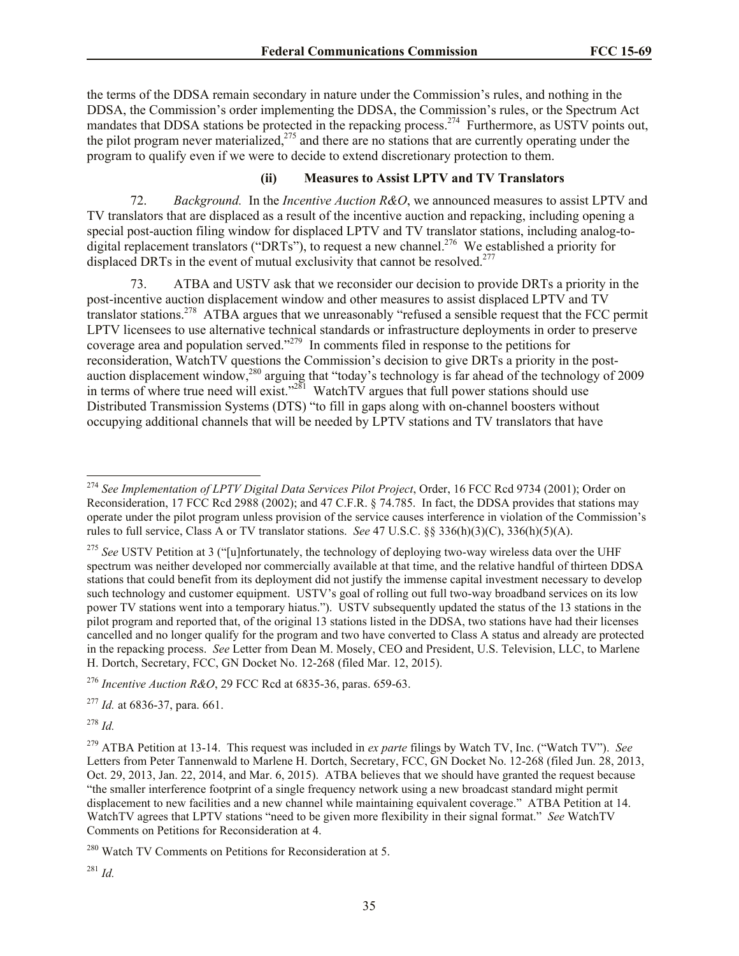the terms of the DDSA remain secondary in nature under the Commission's rules, and nothing in the DDSA, the Commission's order implementing the DDSA, the Commission's rules, or the Spectrum Act mandates that DDSA stations be protected in the repacking process.<sup>274</sup> Furthermore, as USTV points out, the pilot program never materialized, $^{275}$  and there are no stations that are currently operating under the program to qualify even if we were to decide to extend discretionary protection to them.

## **(ii) Measures to Assist LPTV and TV Translators**

72. *Background.* In the *Incentive Auction R&O*, we announced measures to assist LPTV and TV translators that are displaced as a result of the incentive auction and repacking, including opening a special post-auction filing window for displaced LPTV and TV translator stations, including analog-todigital replacement translators ("DRTs"), to request a new channel.<sup>276</sup> We established a priority for displaced DRTs in the event of mutual exclusivity that cannot be resolved.<sup>277</sup>

73. ATBA and USTV ask that we reconsider our decision to provide DRTs a priority in the post-incentive auction displacement window and other measures to assist displaced LPTV and TV translator stations.<sup>278</sup> ATBA argues that we unreasonably "refused a sensible request that the FCC permit LPTV licensees to use alternative technical standards or infrastructure deployments in order to preserve coverage area and population served."<sup>279</sup> In comments filed in response to the petitions for reconsideration, WatchTV questions the Commission's decision to give DRTs a priority in the postauction displacement window,<sup>280</sup> arguing that "today's technology is far ahead of the technology of 2009 in terms of where true need will exist."<sup>281</sup> WatchTV argues that full power stations should use Distributed Transmission Systems (DTS) "to fill in gaps along with on-channel boosters without occupying additional channels that will be needed by LPTV stations and TV translators that have

<sup>276</sup> *Incentive Auction R&O*, 29 FCC Rcd at 6835-36, paras. 659-63.

<sup>277</sup> *Id.* at 6836-37, para. 661.

<sup>278</sup> *Id.*

l

<sup>274</sup> *See Implementation of LPTV Digital Data Services Pilot Project*, Order, 16 FCC Rcd 9734 (2001); Order on Reconsideration, 17 FCC Rcd 2988 (2002); and 47 C.F.R. § 74.785. In fact, the DDSA provides that stations may operate under the pilot program unless provision of the service causes interference in violation of the Commission's rules to full service, Class A or TV translator stations. *See* 47 U.S.C. §§ 336(h)(3)(C), 336(h)(5)(A).

<sup>&</sup>lt;sup>275</sup> See USTV Petition at 3 ("[u]nfortunately, the technology of deploying two-way wireless data over the UHF spectrum was neither developed nor commercially available at that time, and the relative handful of thirteen DDSA stations that could benefit from its deployment did not justify the immense capital investment necessary to develop such technology and customer equipment. USTV's goal of rolling out full two-way broadband services on its low power TV stations went into a temporary hiatus."). USTV subsequently updated the status of the 13 stations in the pilot program and reported that, of the original 13 stations listed in the DDSA, two stations have had their licenses cancelled and no longer qualify for the program and two have converted to Class A status and already are protected in the repacking process. *See* Letter from Dean M. Mosely, CEO and President, U.S. Television, LLC, to Marlene H. Dortch, Secretary, FCC, GN Docket No. 12-268 (filed Mar. 12, 2015).

<sup>279</sup> ATBA Petition at 13-14. This request was included in *ex parte* filings by Watch TV, Inc. ("Watch TV"). *See* Letters from Peter Tannenwald to Marlene H. Dortch, Secretary, FCC, GN Docket No. 12-268 (filed Jun. 28, 2013, Oct. 29, 2013, Jan. 22, 2014, and Mar. 6, 2015). ATBA believes that we should have granted the request because "the smaller interference footprint of a single frequency network using a new broadcast standard might permit displacement to new facilities and a new channel while maintaining equivalent coverage." ATBA Petition at 14. WatchTV agrees that LPTV stations "need to be given more flexibility in their signal format." *See* WatchTV Comments on Petitions for Reconsideration at 4.

<sup>&</sup>lt;sup>280</sup> Watch TV Comments on Petitions for Reconsideration at 5.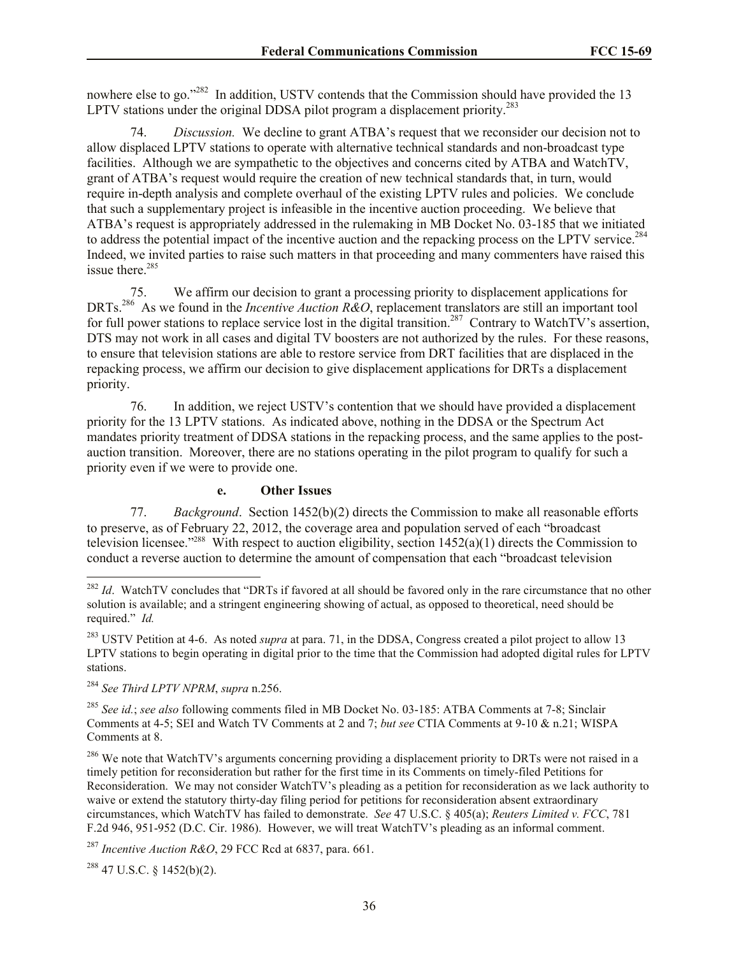nowhere else to go."<sup>282</sup> In addition, USTV contends that the Commission should have provided the 13 LPTV stations under the original DDSA pilot program a displacement priority.<sup>283</sup>

74. *Discussion.* We decline to grant ATBA's request that we reconsider our decision not to allow displaced LPTV stations to operate with alternative technical standards and non-broadcast type facilities. Although we are sympathetic to the objectives and concerns cited by ATBA and WatchTV, grant of ATBA's request would require the creation of new technical standards that, in turn, would require in-depth analysis and complete overhaul of the existing LPTV rules and policies. We conclude that such a supplementary project is infeasible in the incentive auction proceeding. We believe that ATBA's request is appropriately addressed in the rulemaking in MB Docket No. 03-185 that we initiated to address the potential impact of the incentive auction and the repacking process on the LPTV service.<sup>284</sup> Indeed, we invited parties to raise such matters in that proceeding and many commenters have raised this issue there.<sup>285</sup>

75. We affirm our decision to grant a processing priority to displacement applications for DRTs.<sup>286</sup> As we found in the *Incentive Auction R&O*, replacement translators are still an important tool for full power stations to replace service lost in the digital transition.<sup>287</sup> Contrary to WatchTV's assertion, DTS may not work in all cases and digital TV boosters are not authorized by the rules. For these reasons, to ensure that television stations are able to restore service from DRT facilities that are displaced in the repacking process, we affirm our decision to give displacement applications for DRTs a displacement priority.

76. In addition, we reject USTV's contention that we should have provided a displacement priority for the 13 LPTV stations. As indicated above, nothing in the DDSA or the Spectrum Act mandates priority treatment of DDSA stations in the repacking process, and the same applies to the postauction transition. Moreover, there are no stations operating in the pilot program to qualify for such a priority even if we were to provide one.

#### **e. Other Issues**

77. *Background*. Section 1452(b)(2) directs the Commission to make all reasonable efforts to preserve, as of February 22, 2012, the coverage area and population served of each "broadcast television licensee."<sup>288</sup> With respect to auction eligibility, section  $1452(a)(1)$  directs the Commission to conduct a reverse auction to determine the amount of compensation that each "broadcast television

<sup>283</sup> USTV Petition at 4-6. As noted *supra* at para. 71, in the DDSA, Congress created a pilot project to allow 13 LPTV stations to begin operating in digital prior to the time that the Commission had adopted digital rules for LPTV stations.

<sup>284</sup> *See Third LPTV NPRM*, *supra* n.256.

l

<sup>285</sup> *See id.*; *see also* following comments filed in MB Docket No. 03-185: ATBA Comments at 7-8; Sinclair Comments at 4-5; SEI and Watch TV Comments at 2 and 7; *but see* CTIA Comments at 9-10 & n.21; WISPA Comments at 8.

<sup>286</sup> We note that WatchTV's arguments concerning providing a displacement priority to DRTs were not raised in a timely petition for reconsideration but rather for the first time in its Comments on timely-filed Petitions for Reconsideration. We may not consider WatchTV's pleading as a petition for reconsideration as we lack authority to waive or extend the statutory thirty-day filing period for petitions for reconsideration absent extraordinary circumstances, which WatchTV has failed to demonstrate. *See* 47 U.S.C. § 405(a); *Reuters Limited v. FCC*, 781 F.2d 946, 951-952 (D.C. Cir. 1986). However, we will treat WatchTV's pleading as an informal comment.

<sup>287</sup> *Incentive Auction R&O*, 29 FCC Rcd at 6837, para. 661.

 $288$  47 U.S.C. § 1452(b)(2).

<sup>&</sup>lt;sup>282</sup> *Id*. WatchTV concludes that "DRTs if favored at all should be favored only in the rare circumstance that no other solution is available; and a stringent engineering showing of actual, as opposed to theoretical, need should be required." *Id.*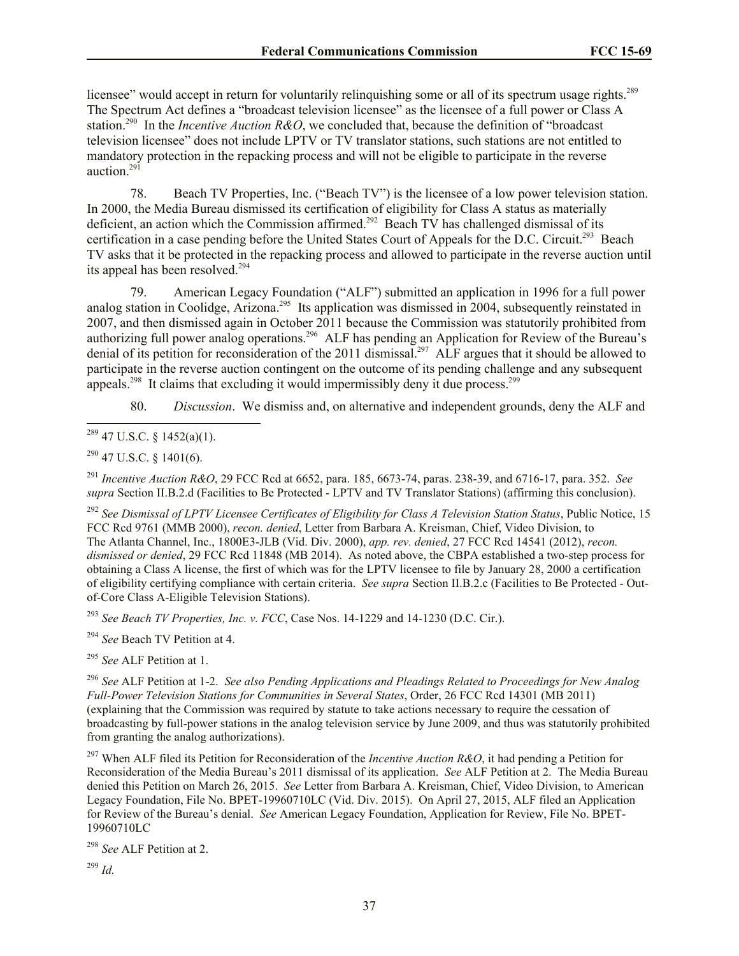licensee" would accept in return for voluntarily relinquishing some or all of its spectrum usage rights.<sup>289</sup> The Spectrum Act defines a "broadcast television licensee" as the licensee of a full power or Class A station.<sup>290</sup> In the *Incentive Auction R&O*, we concluded that, because the definition of "broadcast" television licensee" does not include LPTV or TV translator stations, such stations are not entitled to mandatory protection in the repacking process and will not be eligible to participate in the reverse auction.<sup>291</sup>

78. Beach TV Properties, Inc. ("Beach TV") is the licensee of a low power television station. In 2000, the Media Bureau dismissed its certification of eligibility for Class A status as materially deficient, an action which the Commission affirmed.<sup>292</sup> Beach TV has challenged dismissal of its certification in a case pending before the United States Court of Appeals for the D.C. Circuit.<sup>293</sup> Beach TV asks that it be protected in the repacking process and allowed to participate in the reverse auction until its appeal has been resolved.<sup>294</sup>

79. American Legacy Foundation ("ALF") submitted an application in 1996 for a full power analog station in Coolidge, Arizona.<sup>295</sup> Its application was dismissed in 2004, subsequently reinstated in 2007, and then dismissed again in October 2011 because the Commission was statutorily prohibited from authorizing full power analog operations.<sup>296</sup> ALF has pending an Application for Review of the Bureau's denial of its petition for reconsideration of the 2011 dismissal.<sup>297</sup> ALF argues that it should be allowed to participate in the reverse auction contingent on the outcome of its pending challenge and any subsequent appeals.<sup>298</sup> It claims that excluding it would impermissibly deny it due process.<sup>299</sup>

80. *Discussion*. We dismiss and, on alternative and independent grounds, deny the ALF and

l  $^{289}$  47 U.S.C. § 1452(a)(1).

 $290$  47 U.S.C. § 1401(6).

<sup>291</sup> *Incentive Auction R&O*, 29 FCC Rcd at 6652, para. 185, 6673-74, paras. 238-39, and 6716-17, para. 352. *See supra* Section II.B.2.d (Facilities to Be Protected - LPTV and TV Translator Stations) (affirming this conclusion).

<sup>292</sup> *See Dismissal of LPTV Licensee Certificates of Eligibility for Class A Television Station Status*, Public Notice, 15 FCC Rcd 9761 (MMB 2000), *recon. denied*, Letter from Barbara A. Kreisman, Chief, Video Division, to The Atlanta Channel, Inc., 1800E3-JLB (Vid. Div. 2000), *app. rev. denied*, 27 FCC Rcd 14541 (2012), *recon. dismissed or denied*, 29 FCC Rcd 11848 (MB 2014). As noted above, the CBPA established a two-step process for obtaining a Class A license, the first of which was for the LPTV licensee to file by January 28, 2000 a certification of eligibility certifying compliance with certain criteria. *See supra* Section II.B.2.c (Facilities to Be Protected - Outof-Core Class A-Eligible Television Stations).

<sup>293</sup> *See Beach TV Properties, Inc. v. FCC*, Case Nos. 14-1229 and 14-1230 (D.C. Cir.).

<sup>294</sup> *See* Beach TV Petition at 4.

<sup>295</sup> *See* ALF Petition at 1.

<sup>296</sup> *See* ALF Petition at 1-2. *See also Pending Applications and Pleadings Related to Proceedings for New Analog Full-Power Television Stations for Communities in Several States*, Order, 26 FCC Rcd 14301 (MB 2011) (explaining that the Commission was required by statute to take actions necessary to require the cessation of broadcasting by full-power stations in the analog television service by June 2009, and thus was statutorily prohibited from granting the analog authorizations).

<sup>297</sup> When ALF filed its Petition for Reconsideration of the *Incentive Auction R&O*, it had pending a Petition for Reconsideration of the Media Bureau's 2011 dismissal of its application. *See* ALF Petition at 2. The Media Bureau denied this Petition on March 26, 2015. *See* Letter from Barbara A. Kreisman, Chief, Video Division, to American Legacy Foundation, File No. BPET-19960710LC (Vid. Div. 2015). On April 27, 2015, ALF filed an Application for Review of the Bureau's denial. *See* American Legacy Foundation, Application for Review, File No. BPET-19960710LC

<sup>298</sup> *See* ALF Petition at 2.

<sup>299</sup> *Id.*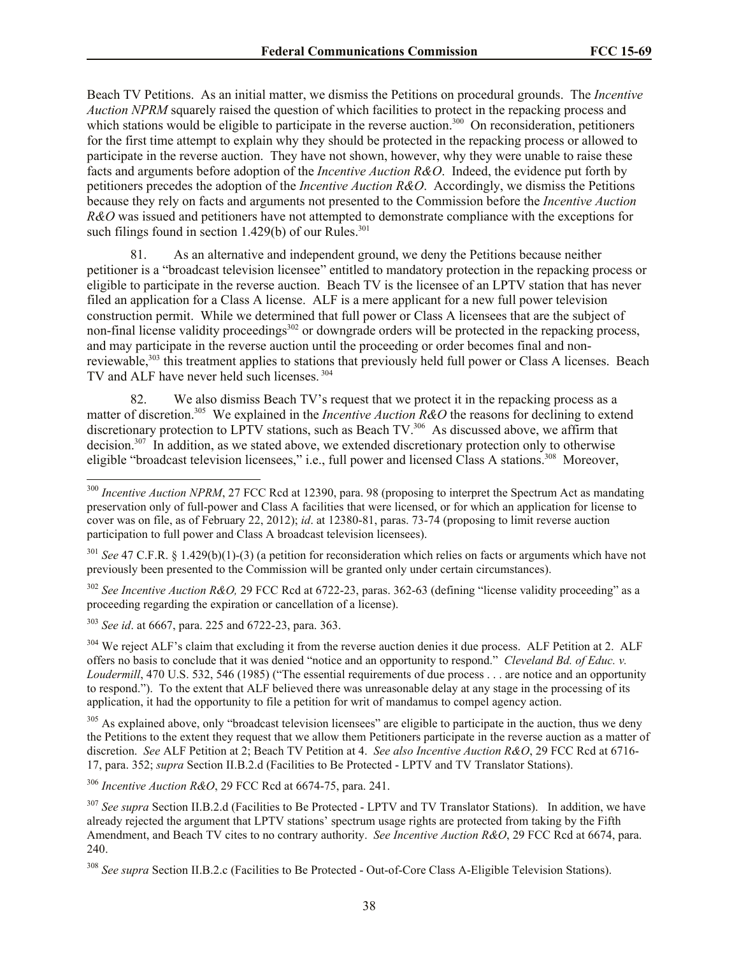Beach TV Petitions. As an initial matter, we dismiss the Petitions on procedural grounds. The *Incentive Auction NPRM* squarely raised the question of which facilities to protect in the repacking process and which stations would be eligible to participate in the reverse auction.<sup>300</sup> On reconsideration, petitioners for the first time attempt to explain why they should be protected in the repacking process or allowed to participate in the reverse auction. They have not shown, however, why they were unable to raise these facts and arguments before adoption of the *Incentive Auction R&O*. Indeed, the evidence put forth by petitioners precedes the adoption of the *Incentive Auction R&O*. Accordingly, we dismiss the Petitions because they rely on facts and arguments not presented to the Commission before the *Incentive Auction R&O* was issued and petitioners have not attempted to demonstrate compliance with the exceptions for such filings found in section  $1.429(b)$  of our Rules.<sup>301</sup>

81. As an alternative and independent ground, we deny the Petitions because neither petitioner is a "broadcast television licensee" entitled to mandatory protection in the repacking process or eligible to participate in the reverse auction. Beach TV is the licensee of an LPTV station that has never filed an application for a Class A license. ALF is a mere applicant for a new full power television construction permit. While we determined that full power or Class A licensees that are the subject of non-final license validity proceedings<sup>302</sup> or downgrade orders will be protected in the repacking process, and may participate in the reverse auction until the proceeding or order becomes final and nonreviewable,<sup>303</sup> this treatment applies to stations that previously held full power or Class A licenses. Beach TV and ALF have never held such licenses.<sup>304</sup>

82. We also dismiss Beach TV's request that we protect it in the repacking process as a matter of discretion.<sup>305</sup> We explained in the *Incentive Auction R&O* the reasons for declining to extend discretionary protection to LPTV stations, such as Beach TV.<sup>306</sup> As discussed above, we affirm that decision.<sup>307</sup> In addition, as we stated above, we extended discretionary protection only to otherwise eligible "broadcast television licensees," i.e., full power and licensed Class A stations.<sup>308</sup> Moreover,

<sup>302</sup> *See Incentive Auction R&O,* 29 FCC Rcd at 6722-23, paras. 362-63 (defining "license validity proceeding" as a proceeding regarding the expiration or cancellation of a license).

<sup>303</sup> *See id*. at 6667, para. 225 and 6722-23, para. 363.

l

<sup>304</sup> We reject ALF's claim that excluding it from the reverse auction denies it due process. ALF Petition at 2. ALF offers no basis to conclude that it was denied "notice and an opportunity to respond." *Cleveland Bd. of Educ. v. Loudermill*, 470 U.S. 532, 546 (1985) ("The essential requirements of due process . . . are notice and an opportunity to respond."). To the extent that ALF believed there was unreasonable delay at any stage in the processing of its application, it had the opportunity to file a petition for writ of mandamus to compel agency action.

<sup>305</sup> As explained above, only "broadcast television licensees" are eligible to participate in the auction, thus we deny the Petitions to the extent they request that we allow them Petitioners participate in the reverse auction as a matter of discretion. *See* ALF Petition at 2; Beach TV Petition at 4. *See also Incentive Auction R&O*, 29 FCC Rcd at 6716- 17, para. 352; *supra* Section II.B.2.d (Facilities to Be Protected - LPTV and TV Translator Stations).

<sup>306</sup> *Incentive Auction R&O*, 29 FCC Rcd at 6674-75, para. 241.

<sup>&</sup>lt;sup>300</sup> *Incentive Auction NPRM*, 27 FCC Rcd at 12390, para. 98 (proposing to interpret the Spectrum Act as mandating preservation only of full-power and Class A facilities that were licensed, or for which an application for license to cover was on file, as of February 22, 2012); *id*. at 12380-81, paras. 73-74 (proposing to limit reverse auction participation to full power and Class A broadcast television licensees).

<sup>301</sup> *See* 47 C.F.R. § 1.429(b)(1)-(3) (a petition for reconsideration which relies on facts or arguments which have not previously been presented to the Commission will be granted only under certain circumstances).

<sup>307</sup> *See supra* Section II.B.2.d (Facilities to Be Protected - LPTV and TV Translator Stations). In addition, we have already rejected the argument that LPTV stations' spectrum usage rights are protected from taking by the Fifth Amendment, and Beach TV cites to no contrary authority. *See Incentive Auction R&O*, 29 FCC Rcd at 6674, para. 240.

<sup>308</sup> *See supra* Section II.B.2.c (Facilities to Be Protected - Out-of-Core Class A-Eligible Television Stations).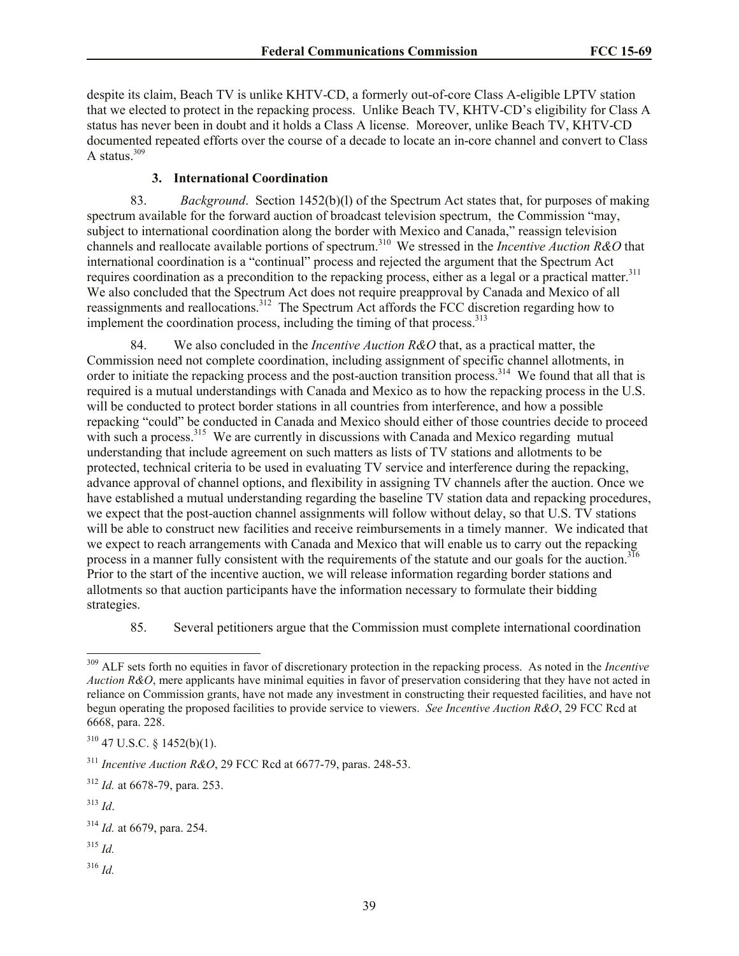despite its claim, Beach TV is unlike KHTV-CD, a formerly out-of-core Class A-eligible LPTV station that we elected to protect in the repacking process. Unlike Beach TV, KHTV-CD's eligibility for Class A status has never been in doubt and it holds a Class A license. Moreover, unlike Beach TV, KHTV-CD documented repeated efforts over the course of a decade to locate an in-core channel and convert to Class A status. $309$ 

### **3. International Coordination**

83. *Background*. Section 1452(b)(l) of the Spectrum Act states that, for purposes of making spectrum available for the forward auction of broadcast television spectrum, the Commission "may, subject to international coordination along the border with Mexico and Canada," reassign television channels and reallocate available portions of spectrum.<sup>310</sup> We stressed in the *Incentive Auction R&O* that international coordination is a "continual" process and rejected the argument that the Spectrum Act requires coordination as a precondition to the repacking process, either as a legal or a practical matter.<sup>311</sup> We also concluded that the Spectrum Act does not require preapproval by Canada and Mexico of all reassignments and reallocations.<sup>312</sup> The Spectrum Act affords the FCC discretion regarding how to implement the coordination process, including the timing of that process.<sup>313</sup>

84. We also concluded in the *Incentive Auction R&O* that, as a practical matter, the Commission need not complete coordination, including assignment of specific channel allotments, in order to initiate the repacking process and the post-auction transition process.<sup>314</sup> We found that all that is required is a mutual understandings with Canada and Mexico as to how the repacking process in the U.S. will be conducted to protect border stations in all countries from interference, and how a possible repacking "could" be conducted in Canada and Mexico should either of those countries decide to proceed with such a process.<sup>315</sup> We are currently in discussions with Canada and Mexico regarding mutual understanding that include agreement on such matters as lists of TV stations and allotments to be protected, technical criteria to be used in evaluating TV service and interference during the repacking, advance approval of channel options, and flexibility in assigning TV channels after the auction. Once we have established a mutual understanding regarding the baseline TV station data and repacking procedures, we expect that the post-auction channel assignments will follow without delay, so that U.S. TV stations will be able to construct new facilities and receive reimbursements in a timely manner. We indicated that we expect to reach arrangements with Canada and Mexico that will enable us to carry out the repacking process in a manner fully consistent with the requirements of the statute and our goals for the auction.<sup>316</sup> Prior to the start of the incentive auction, we will release information regarding border stations and allotments so that auction participants have the information necessary to formulate their bidding strategies.

85. Several petitioners argue that the Commission must complete international coordination

l

- <sup>315</sup> *Id.*
- <sup>316</sup> *Id.*

<sup>&</sup>lt;sup>309</sup> ALF sets forth no equities in favor of discretionary protection in the repacking process. As noted in the *Incentive Auction R&O*, mere applicants have minimal equities in favor of preservation considering that they have not acted in reliance on Commission grants, have not made any investment in constructing their requested facilities, and have not begun operating the proposed facilities to provide service to viewers. *See Incentive Auction R&O*, 29 FCC Rcd at 6668, para. 228.

 $310$  47 U.S.C. § 1452(b)(1).

<sup>311</sup> *Incentive Auction R&O*, 29 FCC Rcd at 6677-79, paras. 248-53.

<sup>312</sup> *Id.* at 6678-79, para. 253.

<sup>313</sup> *Id*.

<sup>314</sup> *Id.* at 6679, para. 254.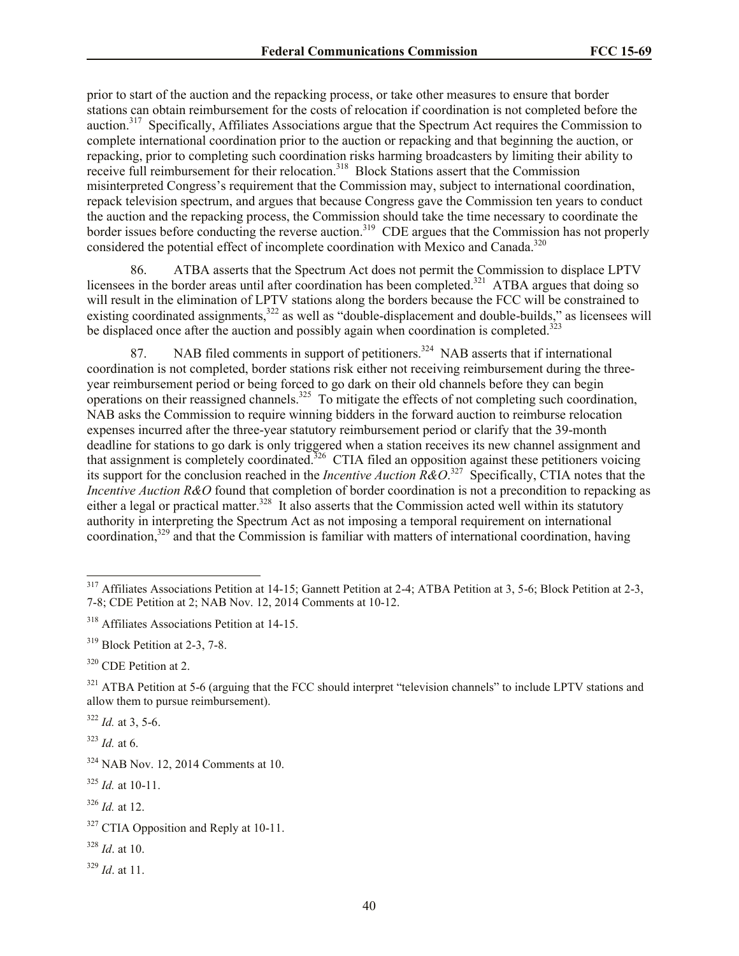prior to start of the auction and the repacking process, or take other measures to ensure that border stations can obtain reimbursement for the costs of relocation if coordination is not completed before the auction.<sup>317</sup> Specifically, Affiliates Associations argue that the Spectrum Act requires the Commission to complete international coordination prior to the auction or repacking and that beginning the auction, or repacking, prior to completing such coordination risks harming broadcasters by limiting their ability to receive full reimbursement for their relocation.<sup>318</sup> Block Stations assert that the Commission misinterpreted Congress's requirement that the Commission may, subject to international coordination, repack television spectrum, and argues that because Congress gave the Commission ten years to conduct the auction and the repacking process, the Commission should take the time necessary to coordinate the border issues before conducting the reverse auction.<sup>319</sup> CDE argues that the Commission has not properly considered the potential effect of incomplete coordination with Mexico and Canada.<sup>320</sup>

86. ATBA asserts that the Spectrum Act does not permit the Commission to displace LPTV licensees in the border areas until after coordination has been completed.<sup>321</sup> ATBA argues that doing so will result in the elimination of LPTV stations along the borders because the FCC will be constrained to existing coordinated assignments,<sup>322</sup> as well as "double-displacement and double-builds," as licensees will be displaced once after the auction and possibly again when coordination is completed.<sup>323</sup>

87. NAB filed comments in support of petitioners.<sup>324</sup> NAB asserts that if international coordination is not completed, border stations risk either not receiving reimbursement during the threeyear reimbursement period or being forced to go dark on their old channels before they can begin operations on their reassigned channels.<sup>325</sup> To mitigate the effects of not completing such coordination, NAB asks the Commission to require winning bidders in the forward auction to reimburse relocation expenses incurred after the three-year statutory reimbursement period or clarify that the 39-month deadline for stations to go dark is only triggered when a station receives its new channel assignment and that assignment is completely coordinated.<sup>326</sup> CTIA filed an opposition against these petitioners voicing its support for the conclusion reached in the *Incentive Auction R&O*. 327 Specifically, CTIA notes that the *Incentive Auction R&O* found that completion of border coordination is not a precondition to repacking as either a legal or practical matter.<sup>328</sup> It also asserts that the Commission acted well within its statutory authority in interpreting the Spectrum Act as not imposing a temporal requirement on international coordination,<sup>329</sup> and that the Commission is familiar with matters of international coordination, having

 $322$  *Id.* at 3, 5-6.

 $323$  *Id.* at 6.

l

 $317$  Affiliates Associations Petition at 14-15; Gannett Petition at 2-4; ATBA Petition at 3, 5-6; Block Petition at 2-3, 7-8; CDE Petition at 2; NAB Nov. 12, 2014 Comments at 10-12.

<sup>318</sup> Affiliates Associations Petition at 14-15.

<sup>319</sup> Block Petition at 2-3, 7-8.

<sup>&</sup>lt;sup>320</sup> CDE Petition at 2.

<sup>&</sup>lt;sup>321</sup> ATBA Petition at 5-6 (arguing that the FCC should interpret "television channels" to include LPTV stations and allow them to pursue reimbursement).

 $324$  NAB Nov. 12, 2014 Comments at 10.

 $325$  *Id.* at 10-11.

<sup>326</sup> *Id.* at 12.

<sup>&</sup>lt;sup>327</sup> CTIA Opposition and Reply at 10-11.

<sup>328</sup> *Id*. at 10.

<sup>329</sup> *Id*. at 11.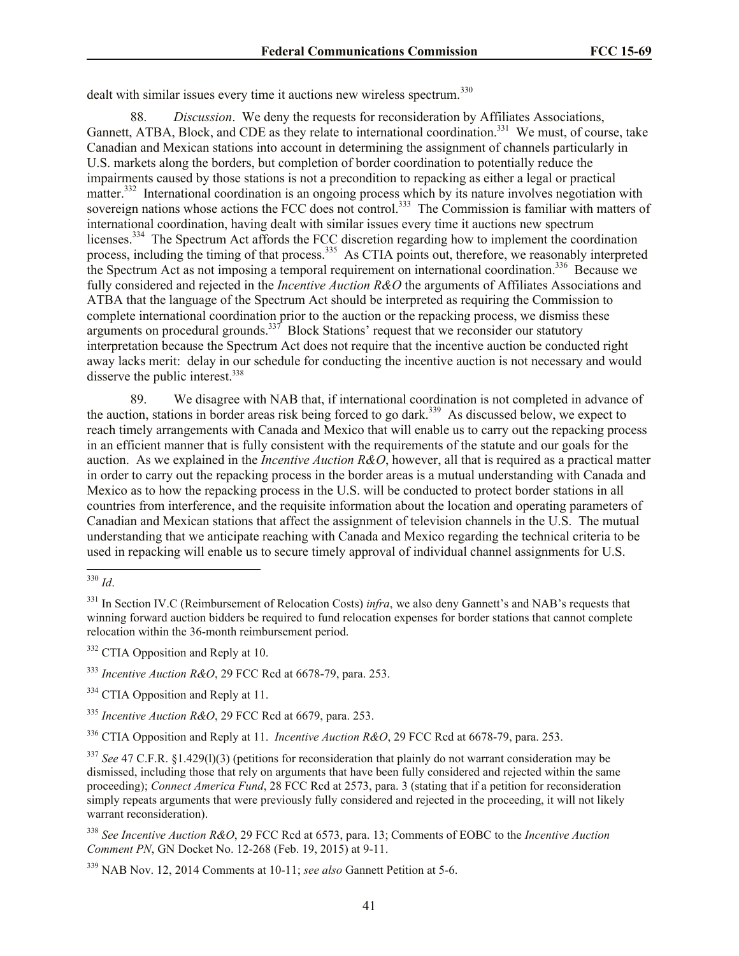dealt with similar issues every time it auctions new wireless spectrum.<sup>330</sup>

88. *Discussion*. We deny the requests for reconsideration by Affiliates Associations, Gannett, ATBA, Block, and CDE as they relate to international coordination.<sup>331</sup> We must, of course, take Canadian and Mexican stations into account in determining the assignment of channels particularly in U.S. markets along the borders, but completion of border coordination to potentially reduce the impairments caused by those stations is not a precondition to repacking as either a legal or practical matter.<sup>332</sup> International coordination is an ongoing process which by its nature involves negotiation with sovereign nations whose actions the FCC does not control.<sup>333</sup> The Commission is familiar with matters of international coordination, having dealt with similar issues every time it auctions new spectrum licenses.<sup>334</sup> The Spectrum Act affords the FCC discretion regarding how to implement the coordination process, including the timing of that process.<sup>335</sup> As CTIA points out, therefore, we reasonably interpreted the Spectrum Act as not imposing a temporal requirement on international coordination.<sup>336</sup> Because we fully considered and rejected in the *Incentive Auction R&O* the arguments of Affiliates Associations and ATBA that the language of the Spectrum Act should be interpreted as requiring the Commission to complete international coordination prior to the auction or the repacking process, we dismiss these arguments on procedural grounds.<sup>337</sup> Block Stations' request that we reconsider our statutory interpretation because the Spectrum Act does not require that the incentive auction be conducted right away lacks merit: delay in our schedule for conducting the incentive auction is not necessary and would disserve the public interest. $338$ 

89. We disagree with NAB that, if international coordination is not completed in advance of the auction, stations in border areas risk being forced to go dark.<sup>339</sup> As discussed below, we expect to reach timely arrangements with Canada and Mexico that will enable us to carry out the repacking process in an efficient manner that is fully consistent with the requirements of the statute and our goals for the auction. As we explained in the *Incentive Auction R&O*, however, all that is required as a practical matter in order to carry out the repacking process in the border areas is a mutual understanding with Canada and Mexico as to how the repacking process in the U.S. will be conducted to protect border stations in all countries from interference, and the requisite information about the location and operating parameters of Canadian and Mexican stations that affect the assignment of television channels in the U.S. The mutual understanding that we anticipate reaching with Canada and Mexico regarding the technical criteria to be used in repacking will enable us to secure timely approval of individual channel assignments for U.S.

<sup>332</sup> CTIA Opposition and Reply at 10.

<sup>333</sup> *Incentive Auction R&O*, 29 FCC Rcd at 6678-79, para. 253.

<sup>334</sup> CTIA Opposition and Reply at 11.

<sup>335</sup> *Incentive Auction R&O*, 29 FCC Rcd at 6679, para. 253.

<sup>336</sup> CTIA Opposition and Reply at 11. *Incentive Auction R&O*, 29 FCC Rcd at 6678-79, para. 253.

<sup>337</sup> *See* 47 C.F.R. §1.429(1)(3) (petitions for reconsideration that plainly do not warrant consideration may be dismissed, including those that rely on arguments that have been fully considered and rejected within the same proceeding); *Connect America Fund*, 28 FCC Rcd at 2573, para. 3 (stating that if a petition for reconsideration simply repeats arguments that were previously fully considered and rejected in the proceeding, it will not likely warrant reconsideration).

<sup>338</sup> *See Incentive Auction R&O*, 29 FCC Rcd at 6573, para. 13; Comments of EOBC to the *Incentive Auction Comment PN*, GN Docket No. 12-268 (Feb. 19, 2015) at 9-11.

<sup>339</sup> NAB Nov. 12, 2014 Comments at 10-11; *see also* Gannett Petition at 5-6.

l <sup>330</sup> *Id*.

<sup>&</sup>lt;sup>331</sup> In Section IV.C (Reimbursement of Relocation Costs) *infra*, we also deny Gannett's and NAB's requests that winning forward auction bidders be required to fund relocation expenses for border stations that cannot complete relocation within the 36-month reimbursement period.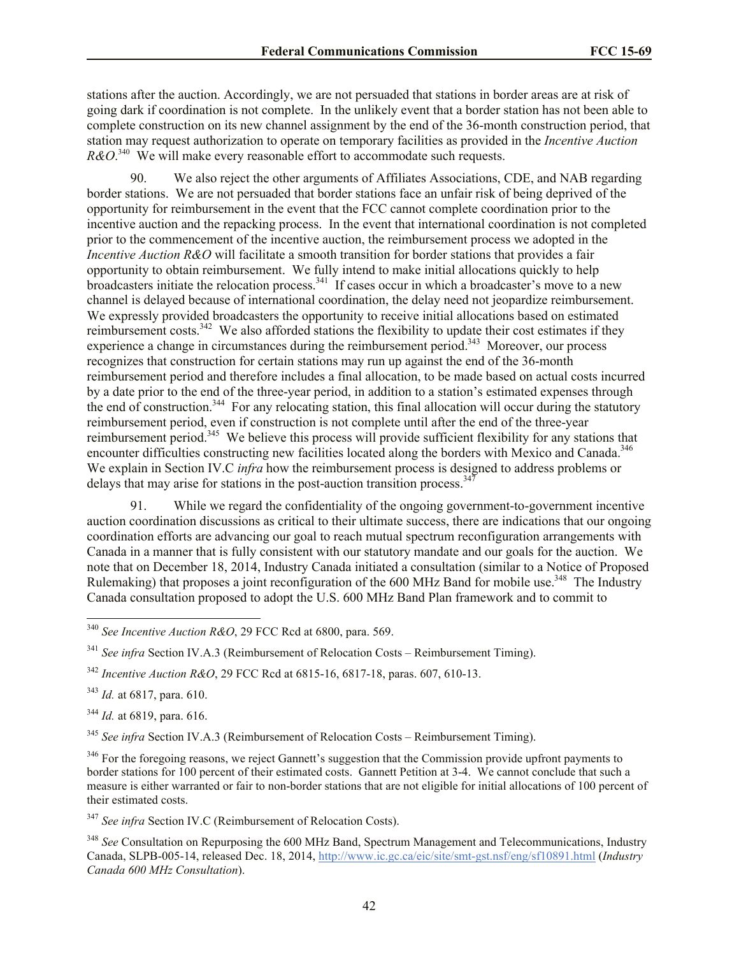stations after the auction. Accordingly, we are not persuaded that stations in border areas are at risk of going dark if coordination is not complete. In the unlikely event that a border station has not been able to complete construction on its new channel assignment by the end of the 36-month construction period, that station may request authorization to operate on temporary facilities as provided in the *Incentive Auction*   $R\&O^{340}$  We will make every reasonable effort to accommodate such requests.

90. We also reject the other arguments of Affiliates Associations, CDE, and NAB regarding border stations. We are not persuaded that border stations face an unfair risk of being deprived of the opportunity for reimbursement in the event that the FCC cannot complete coordination prior to the incentive auction and the repacking process. In the event that international coordination is not completed prior to the commencement of the incentive auction, the reimbursement process we adopted in the *Incentive Auction R&O* will facilitate a smooth transition for border stations that provides a fair opportunity to obtain reimbursement. We fully intend to make initial allocations quickly to help broadcasters initiate the relocation process.<sup>341</sup> If cases occur in which a broadcaster's move to a new channel is delayed because of international coordination, the delay need not jeopardize reimbursement. We expressly provided broadcasters the opportunity to receive initial allocations based on estimated reimbursement costs.<sup>342</sup> We also afforded stations the flexibility to update their cost estimates if they experience a change in circumstances during the reimbursement period.<sup>343</sup> Moreover, our process recognizes that construction for certain stations may run up against the end of the 36-month reimbursement period and therefore includes a final allocation, to be made based on actual costs incurred by a date prior to the end of the three-year period, in addition to a station's estimated expenses through the end of construction.<sup>344</sup> For any relocating station, this final allocation will occur during the statutory reimbursement period, even if construction is not complete until after the end of the three-year reimbursement period.<sup>345</sup> We believe this process will provide sufficient flexibility for any stations that encounter difficulties constructing new facilities located along the borders with Mexico and Canada.<sup>346</sup> We explain in Section IV.C *infra* how the reimbursement process is designed to address problems or delays that may arise for stations in the post-auction transition process.<sup>347</sup>

91. While we regard the confidentiality of the ongoing government-to-government incentive auction coordination discussions as critical to their ultimate success, there are indications that our ongoing coordination efforts are advancing our goal to reach mutual spectrum reconfiguration arrangements with Canada in a manner that is fully consistent with our statutory mandate and our goals for the auction. We note that on December 18, 2014, Industry Canada initiated a consultation (similar to a Notice of Proposed Rulemaking) that proposes a joint reconfiguration of the 600 MHz Band for mobile use.<sup>348</sup> The Industry Canada consultation proposed to adopt the U.S. 600 MHz Band Plan framework and to commit to

<sup>341</sup> *See infra* Section IV.A.3 (Reimbursement of Relocation Costs – Reimbursement Timing).

<sup>342</sup> *Incentive Auction R&O*, 29 FCC Rcd at 6815-16, 6817-18, paras. 607, 610-13.

<sup>343</sup> *Id.* at 6817, para. 610.

l

<sup>344</sup> *Id.* at 6819, para. 616.

<sup>345</sup> *See infra* Section IV.A.3 (Reimbursement of Relocation Costs – Reimbursement Timing).

<sup>346</sup> For the foregoing reasons, we reject Gannett's suggestion that the Commission provide upfront payments to border stations for 100 percent of their estimated costs. Gannett Petition at 3-4. We cannot conclude that such a measure is either warranted or fair to non-border stations that are not eligible for initial allocations of 100 percent of their estimated costs.

<sup>347</sup> *See infra* Section IV.C (Reimbursement of Relocation Costs).

<sup>348</sup> See Consultation on Repurposing the 600 MHz Band, Spectrum Management and Telecommunications, Industry Canada, SLPB-005-14, released Dec. 18, 2014, http://www.ic.gc.ca/eic/site/smt-gst.nsf/eng/sf10891.html (*Industry Canada 600 MHz Consultation*).

<sup>340</sup> *See Incentive Auction R&O*, 29 FCC Rcd at 6800, para. 569.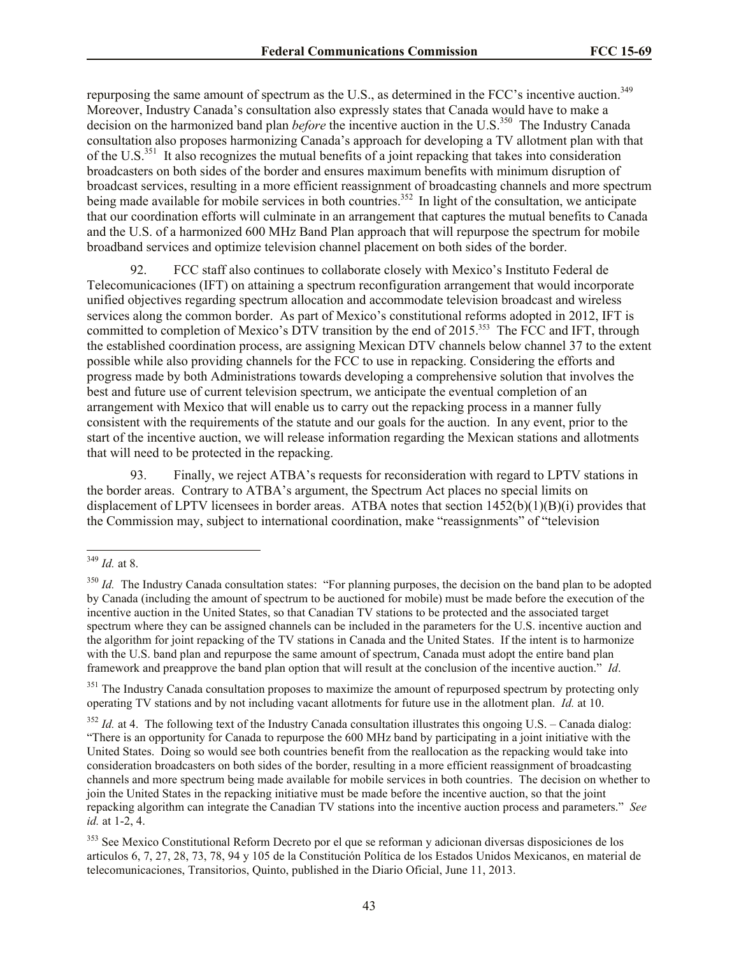repurposing the same amount of spectrum as the U.S., as determined in the FCC's incentive auction.<sup>349</sup> Moreover, Industry Canada's consultation also expressly states that Canada would have to make a decision on the harmonized band plan *before* the incentive auction in the U.S.<sup>350</sup> The Industry Canada consultation also proposes harmonizing Canada's approach for developing a TV allotment plan with that of the U.S.<sup>351</sup> It also recognizes the mutual benefits of a joint repacking that takes into consideration broadcasters on both sides of the border and ensures maximum benefits with minimum disruption of broadcast services, resulting in a more efficient reassignment of broadcasting channels and more spectrum being made available for mobile services in both countries.<sup>352</sup> In light of the consultation, we anticipate that our coordination efforts will culminate in an arrangement that captures the mutual benefits to Canada and the U.S. of a harmonized 600 MHz Band Plan approach that will repurpose the spectrum for mobile broadband services and optimize television channel placement on both sides of the border.

92. FCC staff also continues to collaborate closely with Mexico's Instituto Federal de Telecomunicaciones (IFT) on attaining a spectrum reconfiguration arrangement that would incorporate unified objectives regarding spectrum allocation and accommodate television broadcast and wireless services along the common border. As part of Mexico's constitutional reforms adopted in 2012, IFT is committed to completion of Mexico's DTV transition by the end of 2015.<sup>353</sup> The FCC and IFT, through the established coordination process, are assigning Mexican DTV channels below channel 37 to the extent possible while also providing channels for the FCC to use in repacking. Considering the efforts and progress made by both Administrations towards developing a comprehensive solution that involves the best and future use of current television spectrum, we anticipate the eventual completion of an arrangement with Mexico that will enable us to carry out the repacking process in a manner fully consistent with the requirements of the statute and our goals for the auction. In any event, prior to the start of the incentive auction, we will release information regarding the Mexican stations and allotments that will need to be protected in the repacking.

93. Finally, we reject ATBA's requests for reconsideration with regard to LPTV stations in the border areas. Contrary to ATBA's argument, the Spectrum Act places no special limits on displacement of LPTV licensees in border areas. ATBA notes that section 1452(b)(1)(B)(i) provides that the Commission may, subject to international coordination, make "reassignments" of "television

l

<sup>351</sup> The Industry Canada consultation proposes to maximize the amount of repurposed spectrum by protecting only operating TV stations and by not including vacant allotments for future use in the allotment plan. *Id.* at 10.

<sup>349</sup> *Id.* at 8.

<sup>&</sup>lt;sup>350</sup> *Id.* The Industry Canada consultation states: "For planning purposes, the decision on the band plan to be adopted by Canada (including the amount of spectrum to be auctioned for mobile) must be made before the execution of the incentive auction in the United States, so that Canadian TV stations to be protected and the associated target spectrum where they can be assigned channels can be included in the parameters for the U.S. incentive auction and the algorithm for joint repacking of the TV stations in Canada and the United States. If the intent is to harmonize with the U.S. band plan and repurpose the same amount of spectrum, Canada must adopt the entire band plan framework and preapprove the band plan option that will result at the conclusion of the incentive auction." *Id*.

 $352$  *Id.* at 4. The following text of the Industry Canada consultation illustrates this ongoing U.S. – Canada dialog: "There is an opportunity for Canada to repurpose the 600 MHz band by participating in a joint initiative with the United States. Doing so would see both countries benefit from the reallocation as the repacking would take into consideration broadcasters on both sides of the border, resulting in a more efficient reassignment of broadcasting channels and more spectrum being made available for mobile services in both countries. The decision on whether to join the United States in the repacking initiative must be made before the incentive auction, so that the joint repacking algorithm can integrate the Canadian TV stations into the incentive auction process and parameters." *See id.* at 1-2, 4.

<sup>&</sup>lt;sup>353</sup> See Mexico Constitutional Reform Decreto por el que se reforman y adicionan diversas disposiciones de los articulos 6, 7, 27, 28, 73, 78, 94 y 105 de la Constitución Política de los Estados Unidos Mexicanos, en material de telecomunicaciones, Transitorios, Quinto, published in the Diario Oficial, June 11, 2013.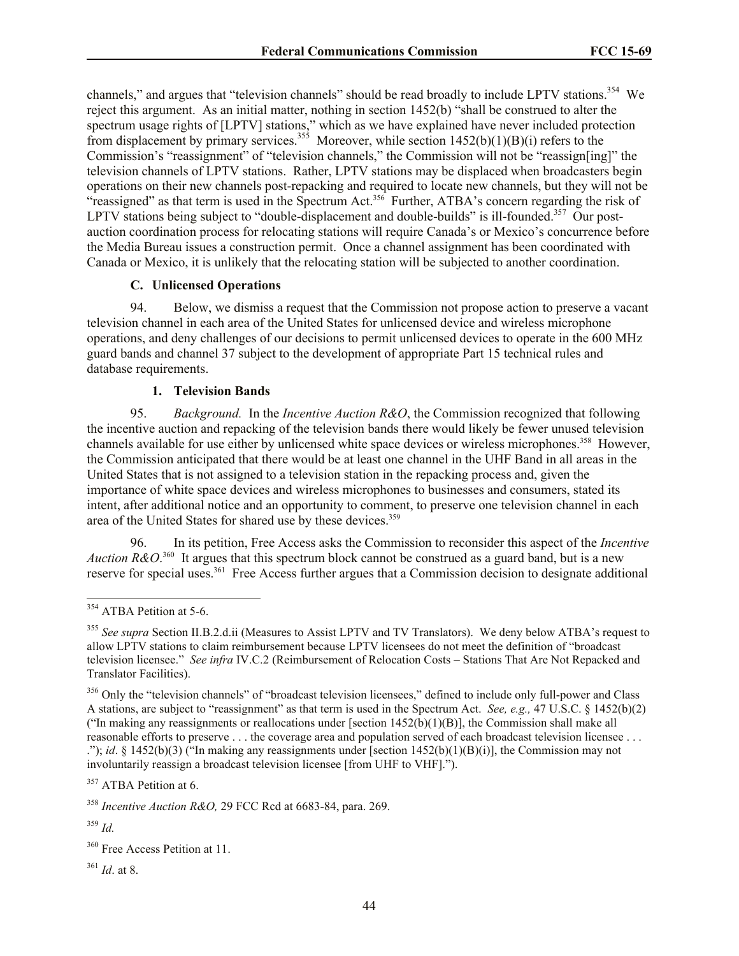channels," and argues that "television channels" should be read broadly to include LPTV stations.<sup>354</sup> We reject this argument. As an initial matter, nothing in section 1452(b) "shall be construed to alter the spectrum usage rights of [LPTV] stations," which as we have explained have never included protection from displacement by primary services.<sup>355</sup> Moreover, while section  $1452(b)(1)(B)(i)$  refers to the Commission's "reassignment" of "television channels," the Commission will not be "reassign[ing]" the television channels of LPTV stations. Rather, LPTV stations may be displaced when broadcasters begin operations on their new channels post-repacking and required to locate new channels, but they will not be "reassigned" as that term is used in the Spectrum Act.<sup>356</sup> Further, ATBA's concern regarding the risk of LPTV stations being subject to "double-displacement and double-builds" is ill-founded.<sup>357</sup> Our postauction coordination process for relocating stations will require Canada's or Mexico's concurrence before the Media Bureau issues a construction permit. Once a channel assignment has been coordinated with Canada or Mexico, it is unlikely that the relocating station will be subjected to another coordination.

## **C. Unlicensed Operations**

94. Below, we dismiss a request that the Commission not propose action to preserve a vacant television channel in each area of the United States for unlicensed device and wireless microphone operations, and deny challenges of our decisions to permit unlicensed devices to operate in the 600 MHz guard bands and channel 37 subject to the development of appropriate Part 15 technical rules and database requirements.

### **1. Television Bands**

95. *Background.* In the *Incentive Auction R&O*, the Commission recognized that following the incentive auction and repacking of the television bands there would likely be fewer unused television channels available for use either by unlicensed white space devices or wireless microphones.<sup>358</sup> However, the Commission anticipated that there would be at least one channel in the UHF Band in all areas in the United States that is not assigned to a television station in the repacking process and, given the importance of white space devices and wireless microphones to businesses and consumers, stated its intent, after additional notice and an opportunity to comment, to preserve one television channel in each area of the United States for shared use by these devices.<sup>359</sup>

96. In its petition, Free Access asks the Commission to reconsider this aspect of the *Incentive*  Auction R&O.<sup>360</sup> It argues that this spectrum block cannot be construed as a guard band, but is a new reserve for special uses.<sup>361</sup> Free Access further argues that a Commission decision to designate additional

l

<sup>&</sup>lt;sup>354</sup> ATBA Petition at 5-6.

<sup>355</sup> *See supra* Section II.B.2.d.ii (Measures to Assist LPTV and TV Translators). We deny below ATBA's request to allow LPTV stations to claim reimbursement because LPTV licensees do not meet the definition of "broadcast television licensee." *See infra* IV.C.2 (Reimbursement of Relocation Costs – Stations That Are Not Repacked and Translator Facilities).

<sup>&</sup>lt;sup>356</sup> Only the "television channels" of "broadcast television licensees," defined to include only full-power and Class A stations, are subject to "reassignment" as that term is used in the Spectrum Act. *See, e.g.,* 47 U.S.C. § 1452(b)(2) ("In making any reassignments or reallocations under [section  $1452(b)(1)(B)$ ], the Commission shall make all reasonable efforts to preserve . . . the coverage area and population served of each broadcast television licensee . . . ."); *id*. § 1452(b)(3) ("In making any reassignments under [section 1452(b)(1)(B)(i)], the Commission may not involuntarily reassign a broadcast television licensee [from UHF to VHF].").

<sup>&</sup>lt;sup>357</sup> ATBA Petition at 6.

<sup>358</sup> *Incentive Auction R&O,* 29 FCC Rcd at 6683-84, para. 269.

<sup>359</sup> *Id.*

<sup>&</sup>lt;sup>360</sup> Free Access Petition at 11.

<sup>361</sup> *Id*. at 8.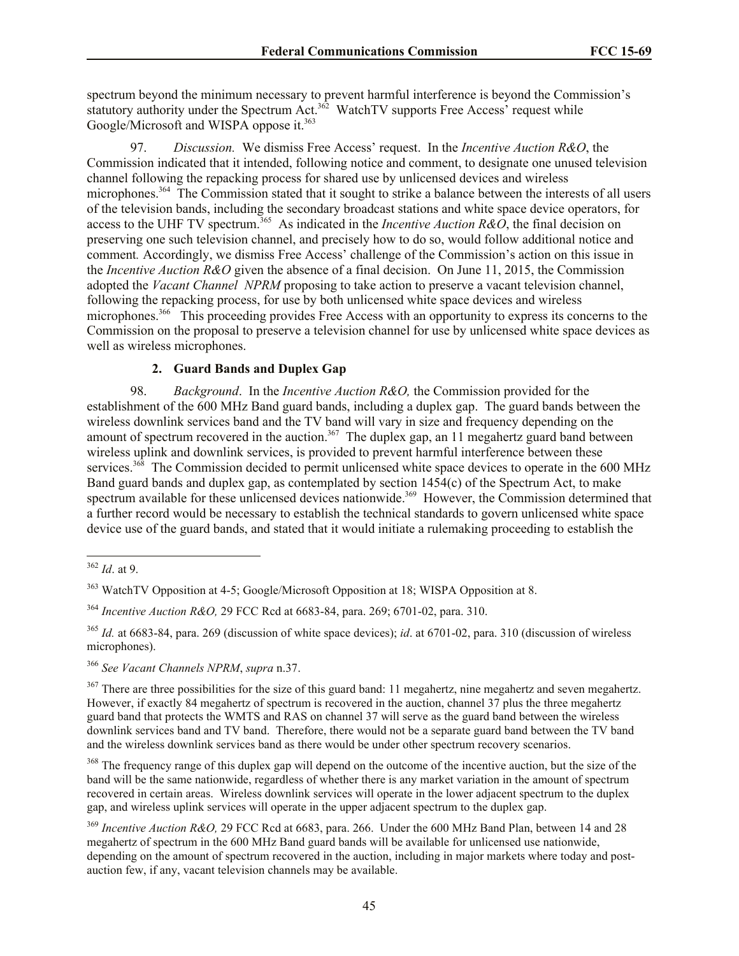spectrum beyond the minimum necessary to prevent harmful interference is beyond the Commission's statutory authority under the Spectrum Act.<sup>362</sup> WatchTV supports Free Access' request while Google/Microsoft and WISPA oppose it.<sup>363</sup>

97. *Discussion.* We dismiss Free Access' request. In the *Incentive Auction R&O*, the Commission indicated that it intended, following notice and comment, to designate one unused television channel following the repacking process for shared use by unlicensed devices and wireless microphones.<sup>364</sup> The Commission stated that it sought to strike a balance between the interests of all users of the television bands, including the secondary broadcast stations and white space device operators, for access to the UHF TV spectrum.<sup>365</sup> As indicated in the *Incentive Auction R&O*, the final decision on preserving one such television channel, and precisely how to do so, would follow additional notice and comment*.* Accordingly, we dismiss Free Access' challenge of the Commission's action on this issue in the *Incentive Auction R&O* given the absence of a final decision. On June 11, 2015, the Commission adopted the *Vacant Channel NPRM* proposing to take action to preserve a vacant television channel, following the repacking process, for use by both unlicensed white space devices and wireless microphones.<sup>366</sup> This proceeding provides Free Access with an opportunity to express its concerns to the Commission on the proposal to preserve a television channel for use by unlicensed white space devices as well as wireless microphones.

## **2. Guard Bands and Duplex Gap**

98. *Background*. In the *Incentive Auction R&O,* the Commission provided for the establishment of the 600 MHz Band guard bands, including a duplex gap. The guard bands between the wireless downlink services band and the TV band will vary in size and frequency depending on the amount of spectrum recovered in the auction.<sup>367</sup> The duplex gap, an 11 megahertz guard band between wireless uplink and downlink services, is provided to prevent harmful interference between these services.<sup>368</sup> The Commission decided to permit unlicensed white space devices to operate in the 600 MHz Band guard bands and duplex gap, as contemplated by section 1454(c) of the Spectrum Act, to make spectrum available for these unlicensed devices nationwide.<sup>369</sup> However, the Commission determined that a further record would be necessary to establish the technical standards to govern unlicensed white space device use of the guard bands, and stated that it would initiate a rulemaking proceeding to establish the

<sup>366</sup> *See Vacant Channels NPRM*, *supra* n.37.

 $367$  There are three possibilities for the size of this guard band: 11 megahertz, nine megahertz and seven megahertz. However, if exactly 84 megahertz of spectrum is recovered in the auction, channel 37 plus the three megahertz guard band that protects the WMTS and RAS on channel 37 will serve as the guard band between the wireless downlink services band and TV band. Therefore, there would not be a separate guard band between the TV band and the wireless downlink services band as there would be under other spectrum recovery scenarios.

<sup>368</sup> The frequency range of this duplex gap will depend on the outcome of the incentive auction, but the size of the band will be the same nationwide, regardless of whether there is any market variation in the amount of spectrum recovered in certain areas. Wireless downlink services will operate in the lower adjacent spectrum to the duplex gap, and wireless uplink services will operate in the upper adjacent spectrum to the duplex gap.

l <sup>362</sup> *Id*. at 9.

<sup>&</sup>lt;sup>363</sup> WatchTV Opposition at 4-5; Google/Microsoft Opposition at 18; WISPA Opposition at 8.

<sup>364</sup> *Incentive Auction R&O,* 29 FCC Rcd at 6683-84, para. 269; 6701-02, para. 310.

<sup>365</sup> *Id.* at 6683-84, para. 269 (discussion of white space devices); *id*. at 6701-02, para. 310 (discussion of wireless microphones).

<sup>369</sup> *Incentive Auction R&O,* 29 FCC Rcd at 6683, para. 266. Under the 600 MHz Band Plan, between 14 and 28 megahertz of spectrum in the 600 MHz Band guard bands will be available for unlicensed use nationwide, depending on the amount of spectrum recovered in the auction, including in major markets where today and postauction few, if any, vacant television channels may be available.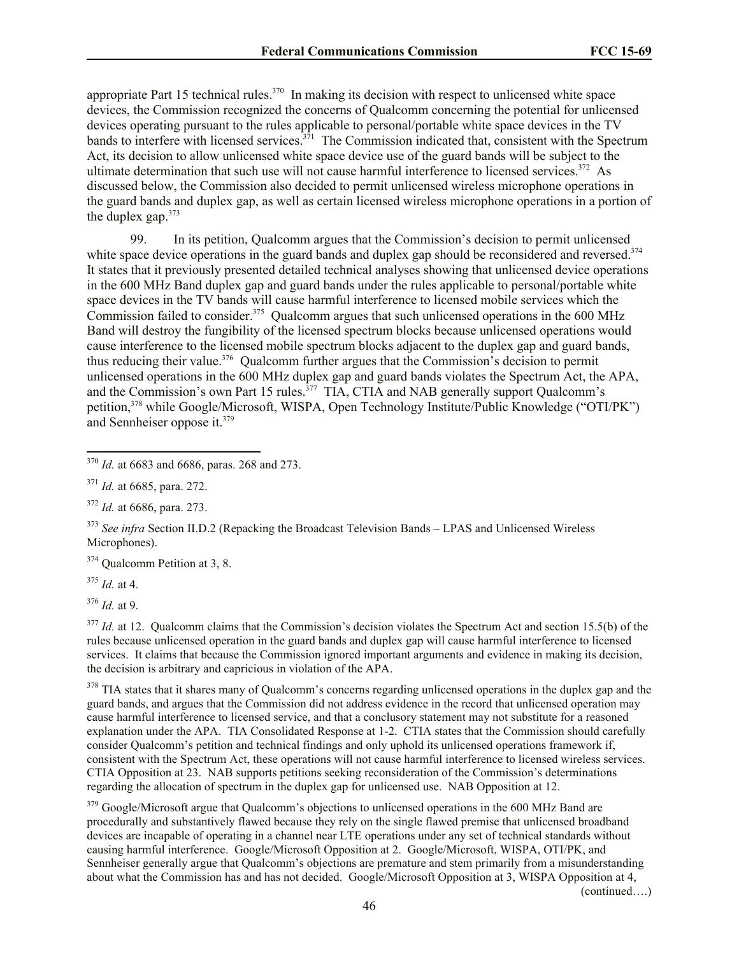appropriate Part 15 technical rules.<sup>370</sup> In making its decision with respect to unlicensed white space devices, the Commission recognized the concerns of Qualcomm concerning the potential for unlicensed devices operating pursuant to the rules applicable to personal/portable white space devices in the TV bands to interfere with licensed services.<sup>371</sup> The Commission indicated that, consistent with the Spectrum Act, its decision to allow unlicensed white space device use of the guard bands will be subject to the ultimate determination that such use will not cause harmful interference to licensed services.<sup>372</sup> As discussed below, the Commission also decided to permit unlicensed wireless microphone operations in the guard bands and duplex gap, as well as certain licensed wireless microphone operations in a portion of the duplex gap.<sup>373</sup>

99. In its petition, Qualcomm argues that the Commission's decision to permit unlicensed white space device operations in the guard bands and duplex gap should be reconsidered and reversed.<sup>374</sup> It states that it previously presented detailed technical analyses showing that unlicensed device operations in the 600 MHz Band duplex gap and guard bands under the rules applicable to personal/portable white space devices in the TV bands will cause harmful interference to licensed mobile services which the Commission failed to consider.<sup>375</sup> Qualcomm argues that such unlicensed operations in the 600 MHz Band will destroy the fungibility of the licensed spectrum blocks because unlicensed operations would cause interference to the licensed mobile spectrum blocks adjacent to the duplex gap and guard bands, thus reducing their value.<sup>376</sup> Qualcomm further argues that the Commission's decision to permit unlicensed operations in the 600 MHz duplex gap and guard bands violates the Spectrum Act, the APA, and the Commission's own Part 15 rules.<sup>377</sup> TIA, CTIA and NAB generally support Qualcomm's petition,<sup>378</sup> while Google/Microsoft, WISPA, Open Technology Institute/Public Knowledge ("OTI/PK") and Sennheiser oppose it.<sup>379</sup>

<sup>374</sup> Qualcomm Petition at 3, 8.

<sup>375</sup> *Id.* at 4.

l

<sup>376</sup> *Id.* at 9.

<sup>377</sup> *Id.* at 12. Qualcomm claims that the Commission's decision violates the Spectrum Act and section 15.5(b) of the rules because unlicensed operation in the guard bands and duplex gap will cause harmful interference to licensed services. It claims that because the Commission ignored important arguments and evidence in making its decision, the decision is arbitrary and capricious in violation of the APA.

<sup>378</sup> TIA states that it shares many of Qualcomm's concerns regarding unlicensed operations in the duplex gap and the guard bands, and argues that the Commission did not address evidence in the record that unlicensed operation may cause harmful interference to licensed service, and that a conclusory statement may not substitute for a reasoned explanation under the APA. TIA Consolidated Response at 1-2. CTIA states that the Commission should carefully consider Qualcomm's petition and technical findings and only uphold its unlicensed operations framework if, consistent with the Spectrum Act, these operations will not cause harmful interference to licensed wireless services. CTIA Opposition at 23. NAB supports petitions seeking reconsideration of the Commission's determinations regarding the allocation of spectrum in the duplex gap for unlicensed use. NAB Opposition at 12.

<sup>379</sup> Google/Microsoft argue that Qualcomm's objections to unlicensed operations in the 600 MHz Band are procedurally and substantively flawed because they rely on the single flawed premise that unlicensed broadband devices are incapable of operating in a channel near LTE operations under any set of technical standards without causing harmful interference. Google/Microsoft Opposition at 2. Google/Microsoft, WISPA, OTI/PK, and Sennheiser generally argue that Qualcomm's objections are premature and stem primarily from a misunderstanding about what the Commission has and has not decided. Google/Microsoft Opposition at 3, WISPA Opposition at 4,

(continued….)

<sup>370</sup> *Id.* at 6683 and 6686, paras. 268 and 273.

<sup>371</sup> *Id.* at 6685, para. 272.

<sup>372</sup> *Id.* at 6686, para. 273.

<sup>&</sup>lt;sup>373</sup> *See infra* Section II.D.2 (Repacking the Broadcast Television Bands – LPAS and Unlicensed Wireless Microphones).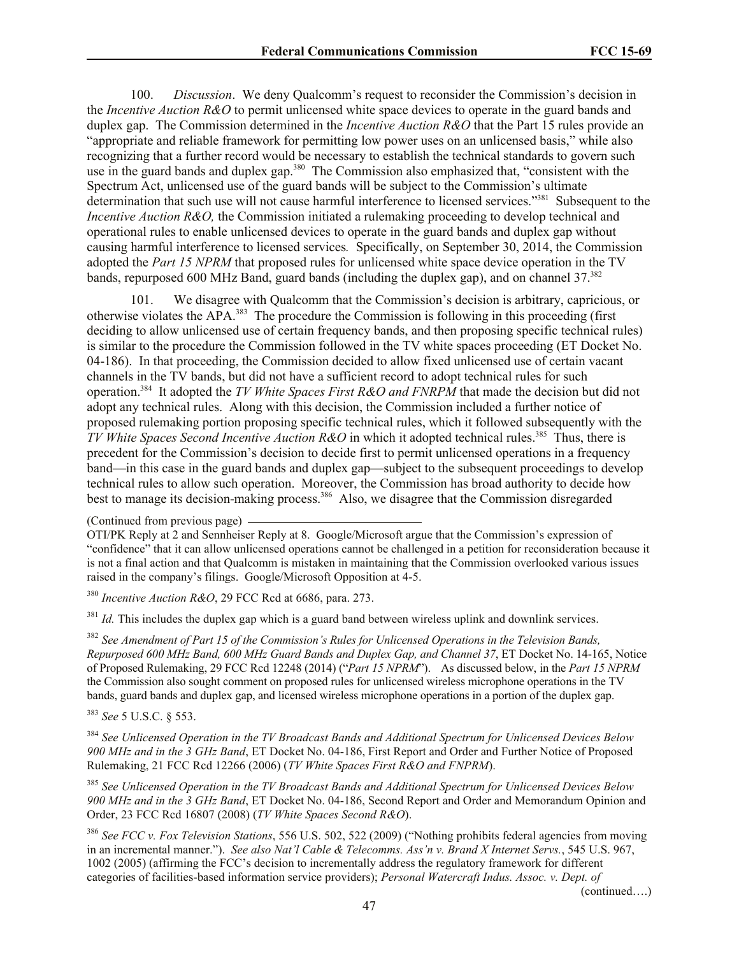100. *Discussion*. We deny Qualcomm's request to reconsider the Commission's decision in the *Incentive Auction R&O* to permit unlicensed white space devices to operate in the guard bands and duplex gap. The Commission determined in the *Incentive Auction R&O* that the Part 15 rules provide an "appropriate and reliable framework for permitting low power uses on an unlicensed basis," while also recognizing that a further record would be necessary to establish the technical standards to govern such use in the guard bands and duplex gap.<sup>380</sup> The Commission also emphasized that, "consistent with the Spectrum Act, unlicensed use of the guard bands will be subject to the Commission's ultimate determination that such use will not cause harmful interference to licensed services."<sup>381</sup> Subsequent to the *Incentive Auction R&O*, the Commission initiated a rulemaking proceeding to develop technical and operational rules to enable unlicensed devices to operate in the guard bands and duplex gap without causing harmful interference to licensed services*.* Specifically, on September 30, 2014, the Commission adopted the *Part 15 NPRM* that proposed rules for unlicensed white space device operation in the TV bands, repurposed 600 MHz Band, guard bands (including the duplex gap), and on channel 37.<sup>382</sup>

101. We disagree with Qualcomm that the Commission's decision is arbitrary, capricious, or otherwise violates the APA.<sup>383</sup> The procedure the Commission is following in this proceeding (first deciding to allow unlicensed use of certain frequency bands, and then proposing specific technical rules) is similar to the procedure the Commission followed in the TV white spaces proceeding (ET Docket No. 04-186). In that proceeding, the Commission decided to allow fixed unlicensed use of certain vacant channels in the TV bands, but did not have a sufficient record to adopt technical rules for such operation.<sup>384</sup> It adopted the *TV White Spaces First R&O and FNRPM* that made the decision but did not adopt any technical rules. Along with this decision, the Commission included a further notice of proposed rulemaking portion proposing specific technical rules, which it followed subsequently with the *TV White Spaces Second Incentive Auction R&O* in which it adopted technical rules.<sup>385</sup> Thus, there is precedent for the Commission's decision to decide first to permit unlicensed operations in a frequency band—in this case in the guard bands and duplex gap—subject to the subsequent proceedings to develop technical rules to allow such operation. Moreover, the Commission has broad authority to decide how best to manage its decision-making process.<sup>386</sup> Also, we disagree that the Commission disregarded

<sup>381</sup> *Id.* This includes the duplex gap which is a guard band between wireless uplink and downlink services.

<sup>382</sup> *See Amendment of Part 15 of the Commission's Rules for Unlicensed Operations in the Television Bands, Repurposed 600 MHz Band, 600 MHz Guard Bands and Duplex Gap, and Channel 37*, ET Docket No. 14-165, Notice of Proposed Rulemaking, 29 FCC Rcd 12248 (2014) ("*Part 15 NPRM*"). As discussed below, in the *Part 15 NPRM* the Commission also sought comment on proposed rules for unlicensed wireless microphone operations in the TV bands, guard bands and duplex gap, and licensed wireless microphone operations in a portion of the duplex gap.

<sup>383</sup> *See* 5 U.S.C. § 553.

<sup>384</sup> *See Unlicensed Operation in the TV Broadcast Bands and Additional Spectrum for Unlicensed Devices Below 900 MHz and in the 3 GHz Band*, ET Docket No. 04-186, First Report and Order and Further Notice of Proposed Rulemaking, 21 FCC Rcd 12266 (2006) (*TV White Spaces First R&O and FNPRM*).

<sup>385</sup> *See Unlicensed Operation in the TV Broadcast Bands and Additional Spectrum for Unlicensed Devices Below 900 MHz and in the 3 GHz Band*, ET Docket No. 04-186, Second Report and Order and Memorandum Opinion and Order, 23 FCC Rcd 16807 (2008) (*TV White Spaces Second R&O*).

<sup>386</sup> *See FCC v. Fox Television Stations*, 556 U.S. 502, 522 (2009) ("Nothing prohibits federal agencies from moving in an incremental manner."). *See also Nat'l Cable & Telecomms. Ass'n v. Brand X Internet Servs.*, 545 U.S. 967, 1002 (2005) (affirming the FCC's decision to incrementally address the regulatory framework for different categories of facilities-based information service providers); *Personal Watercraft Indus. Assoc. v. Dept. of* 

(continued….)

<sup>(</sup>Continued from previous page)

OTI/PK Reply at 2 and Sennheiser Reply at 8. Google/Microsoft argue that the Commission's expression of "confidence" that it can allow unlicensed operations cannot be challenged in a petition for reconsideration because it is not a final action and that Qualcomm is mistaken in maintaining that the Commission overlooked various issues raised in the company's filings. Google/Microsoft Opposition at 4-5.

<sup>380</sup> *Incentive Auction R&O*, 29 FCC Rcd at 6686, para. 273.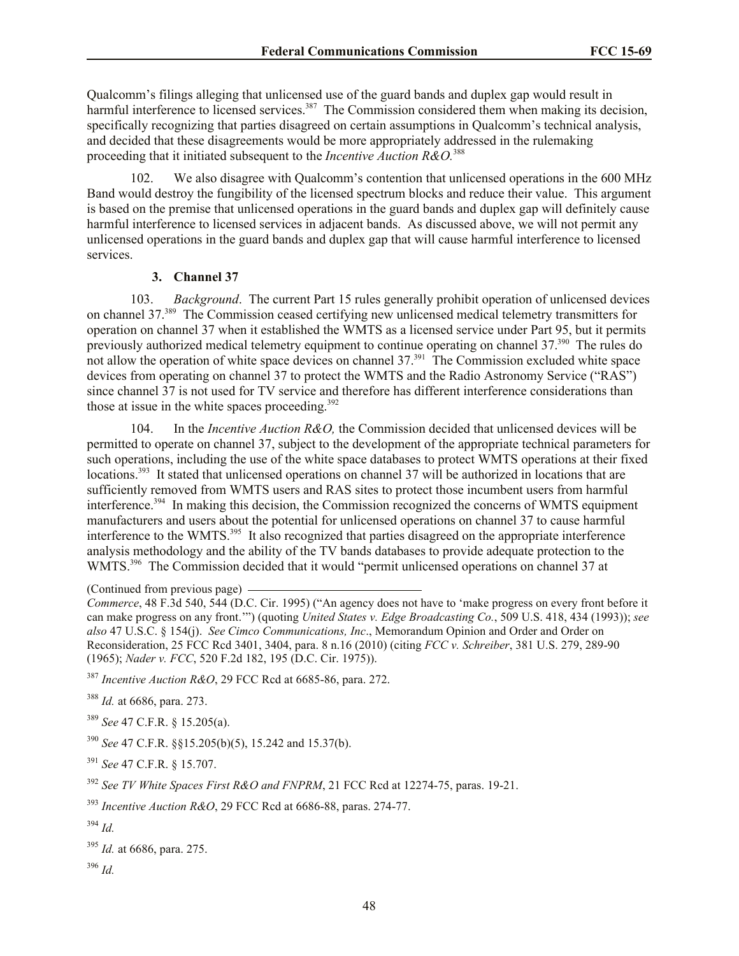Qualcomm's filings alleging that unlicensed use of the guard bands and duplex gap would result in harmful interference to licensed services.<sup>387</sup> The Commission considered them when making its decision, specifically recognizing that parties disagreed on certain assumptions in Qualcomm's technical analysis, and decided that these disagreements would be more appropriately addressed in the rulemaking proceeding that it initiated subsequent to the *Incentive Auction R&O.*<sup>388</sup>

102. We also disagree with Qualcomm's contention that unlicensed operations in the 600 MHz Band would destroy the fungibility of the licensed spectrum blocks and reduce their value. This argument is based on the premise that unlicensed operations in the guard bands and duplex gap will definitely cause harmful interference to licensed services in adjacent bands. As discussed above, we will not permit any unlicensed operations in the guard bands and duplex gap that will cause harmful interference to licensed services.

### **3. Channel 37**

103. *Background*. The current Part 15 rules generally prohibit operation of unlicensed devices on channel 37.<sup>389</sup> The Commission ceased certifying new unlicensed medical telemetry transmitters for operation on channel 37 when it established the WMTS as a licensed service under Part 95, but it permits previously authorized medical telemetry equipment to continue operating on channel 37.<sup>390</sup> The rules do not allow the operation of white space devices on channel 37.<sup>391</sup> The Commission excluded white space devices from operating on channel 37 to protect the WMTS and the Radio Astronomy Service ("RAS") since channel 37 is not used for TV service and therefore has different interference considerations than those at issue in the white spaces proceeding. $392$ 

104. In the *Incentive Auction R&O,* the Commission decided that unlicensed devices will be permitted to operate on channel 37, subject to the development of the appropriate technical parameters for such operations, including the use of the white space databases to protect WMTS operations at their fixed locations.<sup>393</sup> It stated that unlicensed operations on channel 37 will be authorized in locations that are sufficiently removed from WMTS users and RAS sites to protect those incumbent users from harmful interference.<sup>394</sup> In making this decision, the Commission recognized the concerns of WMTS equipment manufacturers and users about the potential for unlicensed operations on channel 37 to cause harmful interference to the WMTS.<sup>395</sup> It also recognized that parties disagreed on the appropriate interference analysis methodology and the ability of the TV bands databases to provide adequate protection to the WMTS.<sup>396</sup> The Commission decided that it would "permit unlicensed operations on channel 37 at

(Continued from previous page)

<sup>387</sup> *Incentive Auction R&O*, 29 FCC Rcd at 6685-86, para. 272.

<sup>388</sup> *Id.* at 6686, para. 273.

<sup>389</sup> *See* 47 C.F.R. § 15.205(a).

<sup>390</sup> *See* 47 C.F.R. §§15.205(b)(5), 15.242 and 15.37(b).

<sup>391</sup> *See* 47 C.F.R. § 15.707.

<sup>392</sup> *See TV White Spaces First R&O and FNPRM*, 21 FCC Rcd at 12274-75, paras. 19-21.

<sup>393</sup> *Incentive Auction R&O*, 29 FCC Rcd at 6686-88, paras. 274-77.

<sup>396</sup> *Id.*

*Commerce*, 48 F.3d 540, 544 (D.C. Cir. 1995) ("An agency does not have to 'make progress on every front before it can make progress on any front.'") (quoting *United States v. Edge Broadcasting Co.*, 509 U.S. 418, 434 (1993)); *see also* 47 U.S.C. § 154(j). *See Cimco Communications, Inc*., Memorandum Opinion and Order and Order on Reconsideration, 25 FCC Rcd 3401, 3404, para. 8 n.16 (2010) (citing *FCC v. Schreiber*, 381 U.S. 279, 289-90 (1965); *Nader v. FCC*, 520 F.2d 182, 195 (D.C. Cir. 1975)).

<sup>394</sup> *Id.*

<sup>395</sup> *Id.* at 6686, para. 275.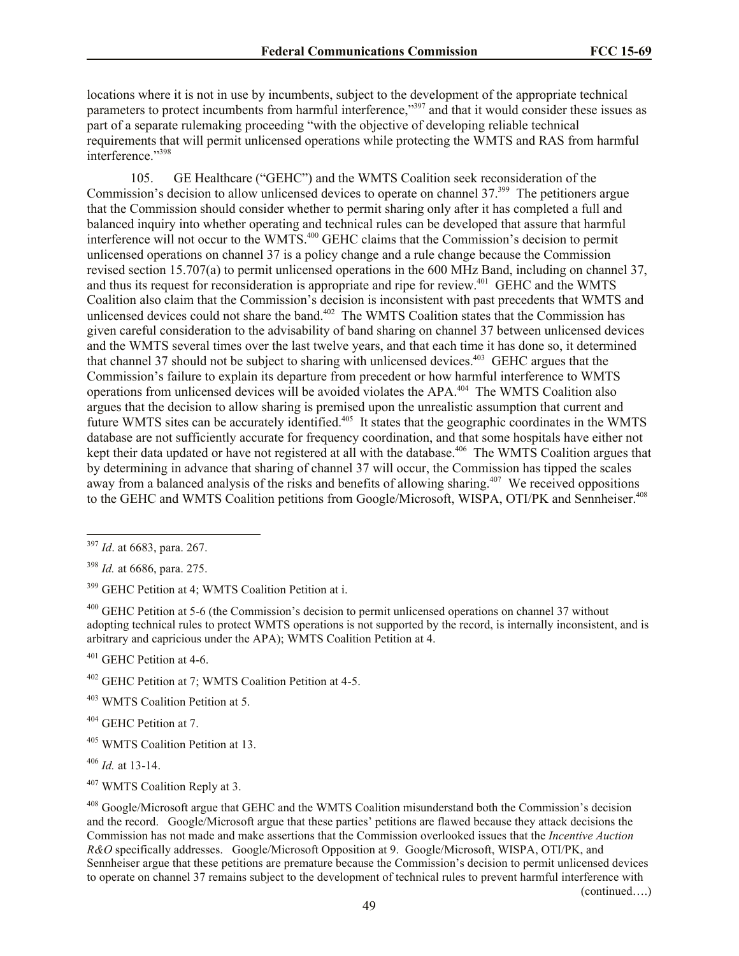locations where it is not in use by incumbents, subject to the development of the appropriate technical parameters to protect incumbents from harmful interference,"397 and that it would consider these issues as part of a separate rulemaking proceeding "with the objective of developing reliable technical requirements that will permit unlicensed operations while protecting the WMTS and RAS from harmful interference."<sup>398</sup>

105. GE Healthcare ("GEHC") and the WMTS Coalition seek reconsideration of the Commission's decision to allow unlicensed devices to operate on channel 37.<sup>399</sup> The petitioners argue that the Commission should consider whether to permit sharing only after it has completed a full and balanced inquiry into whether operating and technical rules can be developed that assure that harmful interference will not occur to the WMTS.<sup>400</sup> GEHC claims that the Commission's decision to permit unlicensed operations on channel 37 is a policy change and a rule change because the Commission revised section 15.707(a) to permit unlicensed operations in the 600 MHz Band, including on channel 37, and thus its request for reconsideration is appropriate and ripe for review.<sup>401</sup> GEHC and the WMTS Coalition also claim that the Commission's decision is inconsistent with past precedents that WMTS and unlicensed devices could not share the band.<sup>402</sup> The WMTS Coalition states that the Commission has given careful consideration to the advisability of band sharing on channel 37 between unlicensed devices and the WMTS several times over the last twelve years, and that each time it has done so, it determined that channel 37 should not be subject to sharing with unlicensed devices.<sup>403</sup> GEHC argues that the Commission's failure to explain its departure from precedent or how harmful interference to WMTS operations from unlicensed devices will be avoided violates the APA.<sup>404</sup> The WMTS Coalition also argues that the decision to allow sharing is premised upon the unrealistic assumption that current and future WMTS sites can be accurately identified.<sup>405</sup> It states that the geographic coordinates in the WMTS database are not sufficiently accurate for frequency coordination, and that some hospitals have either not kept their data updated or have not registered at all with the database.<sup>406</sup> The WMTS Coalition argues that by determining in advance that sharing of channel 37 will occur, the Commission has tipped the scales away from a balanced analysis of the risks and benefits of allowing sharing.<sup>407</sup> We received oppositions to the GEHC and WMTS Coalition petitions from Google/Microsoft, WISPA, OTI/PK and Sennheiser.<sup>408</sup>

l

<sup>401</sup> GEHC Petition at 4-6.

<sup>403</sup> WMTS Coalition Petition at 5.

<sup>404</sup> GEHC Petition at 7.

(continued….)

<sup>397</sup> *Id*. at 6683, para. 267.

<sup>398</sup> *Id.* at 6686, para. 275.

<sup>&</sup>lt;sup>399</sup> GEHC Petition at 4; WMTS Coalition Petition at i.

<sup>&</sup>lt;sup>400</sup> GEHC Petition at 5-6 (the Commission's decision to permit unlicensed operations on channel 37 without adopting technical rules to protect WMTS operations is not supported by the record, is internally inconsistent, and is arbitrary and capricious under the APA); WMTS Coalition Petition at 4.

<sup>402</sup> GEHC Petition at 7; WMTS Coalition Petition at 4-5.

<sup>405</sup> WMTS Coalition Petition at 13.

<sup>406</sup> *Id.* at 13-14.

<sup>407</sup> WMTS Coalition Reply at 3.

<sup>408</sup> Google/Microsoft argue that GEHC and the WMTS Coalition misunderstand both the Commission's decision and the record. Google/Microsoft argue that these parties' petitions are flawed because they attack decisions the Commission has not made and make assertions that the Commission overlooked issues that the *Incentive Auction R&O* specifically addresses. Google/Microsoft Opposition at 9. Google/Microsoft, WISPA, OTI/PK, and Sennheiser argue that these petitions are premature because the Commission's decision to permit unlicensed devices to operate on channel 37 remains subject to the development of technical rules to prevent harmful interference with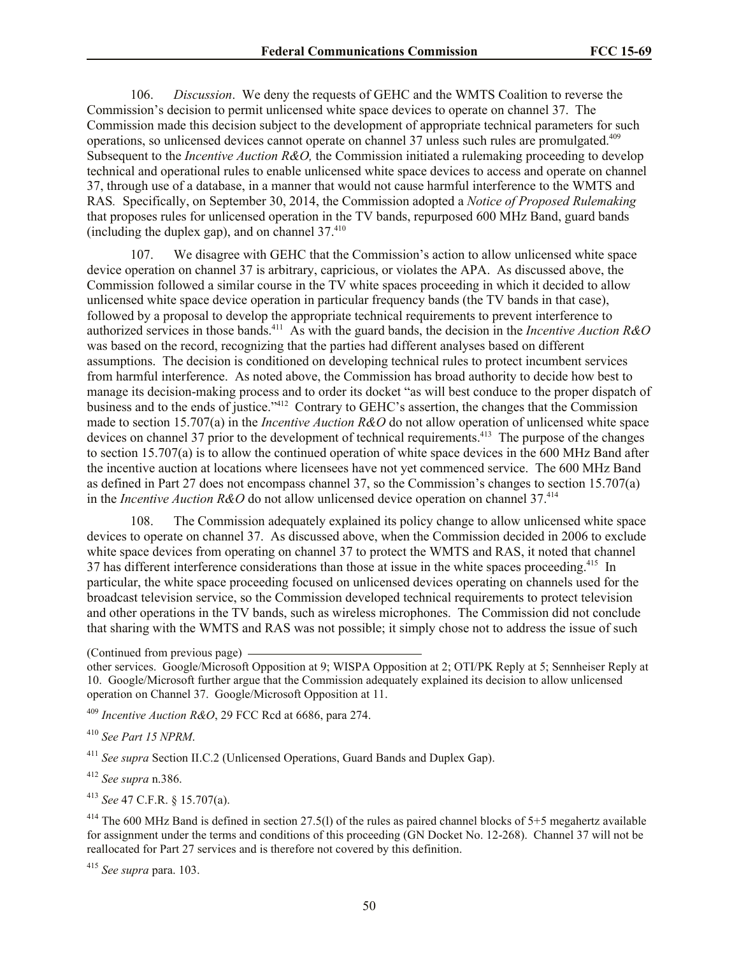106. *Discussion*. We deny the requests of GEHC and the WMTS Coalition to reverse the Commission's decision to permit unlicensed white space devices to operate on channel 37. The Commission made this decision subject to the development of appropriate technical parameters for such operations, so unlicensed devices cannot operate on channel 37 unless such rules are promulgated.<sup>409</sup> Subsequent to the *Incentive Auction R&O,* the Commission initiated a rulemaking proceeding to develop technical and operational rules to enable unlicensed white space devices to access and operate on channel 37, through use of a database, in a manner that would not cause harmful interference to the WMTS and RAS*.* Specifically, on September 30, 2014, the Commission adopted a *Notice of Proposed Rulemaking* that proposes rules for unlicensed operation in the TV bands, repurposed 600 MHz Band, guard bands (including the duplex gap), and on channel  $37<sup>410</sup>$ 

107. We disagree with GEHC that the Commission's action to allow unlicensed white space device operation on channel 37 is arbitrary, capricious, or violates the APA. As discussed above, the Commission followed a similar course in the TV white spaces proceeding in which it decided to allow unlicensed white space device operation in particular frequency bands (the TV bands in that case), followed by a proposal to develop the appropriate technical requirements to prevent interference to authorized services in those bands.<sup>411</sup> As with the guard bands, the decision in the *Incentive Auction R&O* was based on the record, recognizing that the parties had different analyses based on different assumptions. The decision is conditioned on developing technical rules to protect incumbent services from harmful interference. As noted above, the Commission has broad authority to decide how best to manage its decision-making process and to order its docket "as will best conduce to the proper dispatch of business and to the ends of justice."<sup>412</sup> Contrary to GEHC's assertion, the changes that the Commission made to section 15.707(a) in the *Incentive Auction R&O* do not allow operation of unlicensed white space devices on channel 37 prior to the development of technical requirements.<sup>413</sup> The purpose of the changes to section 15.707(a) is to allow the continued operation of white space devices in the 600 MHz Band after the incentive auction at locations where licensees have not yet commenced service. The 600 MHz Band as defined in Part 27 does not encompass channel 37, so the Commission's changes to section 15.707(a) in the *Incentive Auction R&O* do not allow unlicensed device operation on channel 37.<sup>414</sup>

108. The Commission adequately explained its policy change to allow unlicensed white space devices to operate on channel 37. As discussed above, when the Commission decided in 2006 to exclude white space devices from operating on channel 37 to protect the WMTS and RAS, it noted that channel 37 has different interference considerations than those at issue in the white spaces proceeding.<sup>415</sup> In particular, the white space proceeding focused on unlicensed devices operating on channels used for the broadcast television service, so the Commission developed technical requirements to protect television and other operations in the TV bands, such as wireless microphones. The Commission did not conclude that sharing with the WMTS and RAS was not possible; it simply chose not to address the issue of such

(Continued from previous page)

other services. Google/Microsoft Opposition at 9; WISPA Opposition at 2; OTI/PK Reply at 5; Sennheiser Reply at 10. Google/Microsoft further argue that the Commission adequately explained its decision to allow unlicensed operation on Channel 37. Google/Microsoft Opposition at 11.

<sup>409</sup> *Incentive Auction R&O*, 29 FCC Rcd at 6686, para 274.

<sup>410</sup> *See Part 15 NPRM*.

<sup>411</sup> *See supra* Section II.C.2 (Unlicensed Operations, Guard Bands and Duplex Gap).

<sup>412</sup> *See supra* n.386.

<sup>413</sup> *See* 47 C.F.R. § 15.707(a).

<sup>414</sup> The 600 MHz Band is defined in section 27.5(1) of the rules as paired channel blocks of  $5+5$  megahertz available for assignment under the terms and conditions of this proceeding (GN Docket No. 12-268). Channel 37 will not be reallocated for Part 27 services and is therefore not covered by this definition.

<sup>415</sup> *See supra* para. 103.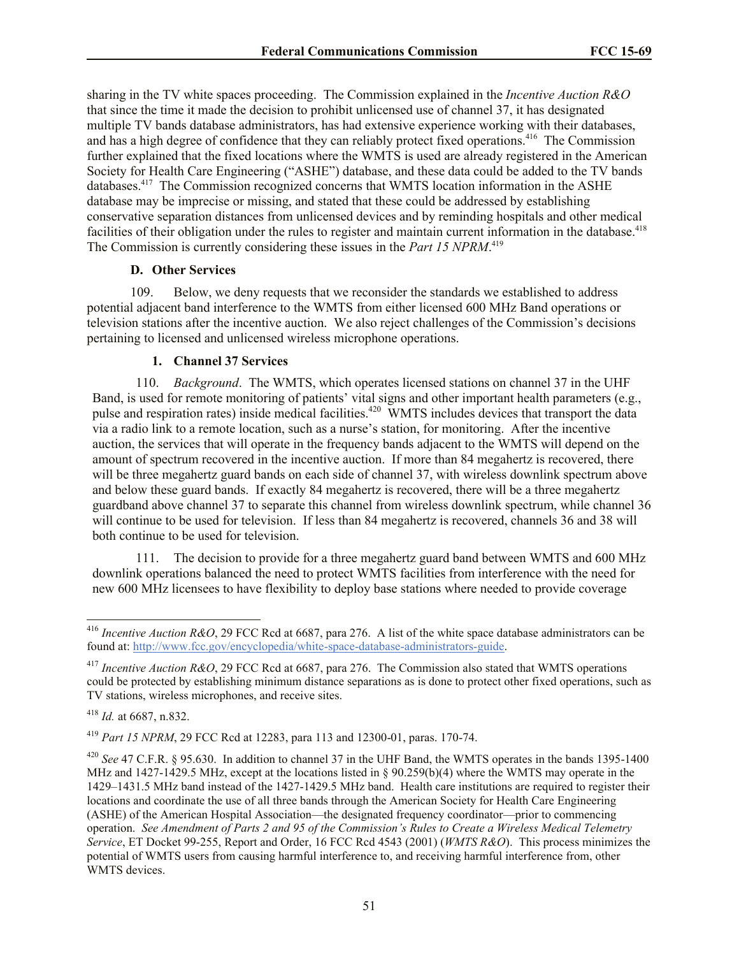sharing in the TV white spaces proceeding. The Commission explained in the *Incentive Auction R&O* that since the time it made the decision to prohibit unlicensed use of channel 37, it has designated multiple TV bands database administrators, has had extensive experience working with their databases, and has a high degree of confidence that they can reliably protect fixed operations.<sup>416</sup> The Commission further explained that the fixed locations where the WMTS is used are already registered in the American Society for Health Care Engineering ("ASHE") database, and these data could be added to the TV bands databases.<sup>417</sup> The Commission recognized concerns that WMTS location information in the ASHE database may be imprecise or missing, and stated that these could be addressed by establishing conservative separation distances from unlicensed devices and by reminding hospitals and other medical facilities of their obligation under the rules to register and maintain current information in the database.<sup>418</sup> The Commission is currently considering these issues in the *Part 15 NPRM*. 419

### **D. Other Services**

109. Below, we deny requests that we reconsider the standards we established to address potential adjacent band interference to the WMTS from either licensed 600 MHz Band operations or television stations after the incentive auction. We also reject challenges of the Commission's decisions pertaining to licensed and unlicensed wireless microphone operations.

### **1. Channel 37 Services**

110. *Background*. The WMTS, which operates licensed stations on channel 37 in the UHF Band, is used for remote monitoring of patients' vital signs and other important health parameters (e.g., pulse and respiration rates) inside medical facilities.<sup>420</sup> WMTS includes devices that transport the data via a radio link to a remote location, such as a nurse's station, for monitoring. After the incentive auction, the services that will operate in the frequency bands adjacent to the WMTS will depend on the amount of spectrum recovered in the incentive auction. If more than 84 megahertz is recovered, there will be three megahertz guard bands on each side of channel 37, with wireless downlink spectrum above and below these guard bands. If exactly 84 megahertz is recovered, there will be a three megahertz guardband above channel 37 to separate this channel from wireless downlink spectrum, while channel 36 will continue to be used for television. If less than 84 megahertz is recovered, channels 36 and 38 will both continue to be used for television.

111. The decision to provide for a three megahertz guard band between WMTS and 600 MHz downlink operations balanced the need to protect WMTS facilities from interference with the need for new 600 MHz licensees to have flexibility to deploy base stations where needed to provide coverage

l

<sup>416</sup> *Incentive Auction R&O*, 29 FCC Rcd at 6687, para 276. A list of the white space database administrators can be found at: http://www.fcc.gov/encyclopedia/white-space-database-administrators-guide.

<sup>417</sup> *Incentive Auction R&O*, 29 FCC Rcd at 6687, para 276. The Commission also stated that WMTS operations could be protected by establishing minimum distance separations as is done to protect other fixed operations, such as TV stations, wireless microphones, and receive sites.

<sup>418</sup> *Id.* at 6687, n.832.

<sup>419</sup> *Part 15 NPRM*, 29 FCC Rcd at 12283, para 113 and 12300-01, paras. 170-74.

<sup>420</sup> *See* 47 C.F.R. § 95.630. In addition to channel 37 in the UHF Band, the WMTS operates in the bands 1395-1400 MHz and 1427-1429.5 MHz, except at the locations listed in § 90.259(b)(4) where the WMTS may operate in the 1429–1431.5 MHz band instead of the 1427-1429.5 MHz band. Health care institutions are required to register their locations and coordinate the use of all three bands through the American Society for Health Care Engineering (ASHE) of the American Hospital Association—the designated frequency coordinator—prior to commencing operation. *See Amendment of Parts 2 and 95 of the Commission's Rules to Create a Wireless Medical Telemetry Service*, ET Docket 99-255, Report and Order, 16 FCC Rcd 4543 (2001) (*WMTS R&O*). This process minimizes the potential of WMTS users from causing harmful interference to, and receiving harmful interference from, other WMTS devices.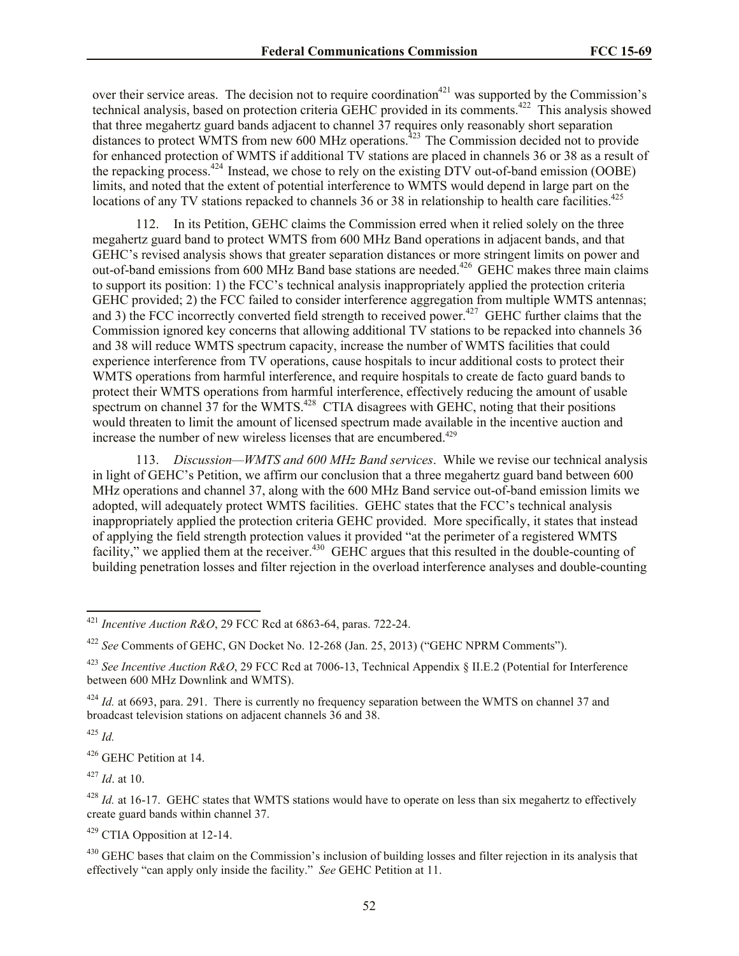over their service areas. The decision not to require coordination<sup>421</sup> was supported by the Commission's technical analysis, based on protection criteria GEHC provided in its comments.<sup>422</sup> This analysis showed that three megahertz guard bands adjacent to channel 37 requires only reasonably short separation distances to protect WMTS from new 600 MHz operations.<sup>423</sup> The Commission decided not to provide for enhanced protection of WMTS if additional TV stations are placed in channels 36 or 38 as a result of the repacking process.<sup>424</sup> Instead, we chose to rely on the existing DTV out-of-band emission (OOBE) limits, and noted that the extent of potential interference to WMTS would depend in large part on the locations of any TV stations repacked to channels 36 or 38 in relationship to health care facilities.<sup>425</sup>

112. In its Petition, GEHC claims the Commission erred when it relied solely on the three megahertz guard band to protect WMTS from 600 MHz Band operations in adjacent bands, and that GEHC's revised analysis shows that greater separation distances or more stringent limits on power and out-of-band emissions from 600 MHz Band base stations are needed.<sup>426</sup> GEHC makes three main claims to support its position: 1) the FCC's technical analysis inappropriately applied the protection criteria GEHC provided; 2) the FCC failed to consider interference aggregation from multiple WMTS antennas; and 3) the FCC incorrectly converted field strength to received power.<sup>427</sup> GEHC further claims that the Commission ignored key concerns that allowing additional TV stations to be repacked into channels 36 and 38 will reduce WMTS spectrum capacity, increase the number of WMTS facilities that could experience interference from TV operations, cause hospitals to incur additional costs to protect their WMTS operations from harmful interference, and require hospitals to create de facto guard bands to protect their WMTS operations from harmful interference, effectively reducing the amount of usable spectrum on channel  $37$  for the WMTS.<sup>428</sup> CTIA disagrees with GEHC, noting that their positions would threaten to limit the amount of licensed spectrum made available in the incentive auction and increase the number of new wireless licenses that are encumbered.<sup>429</sup>

113. *Discussion—WMTS and 600 MHz Band services*. While we revise our technical analysis in light of GEHC's Petition, we affirm our conclusion that a three megahertz guard band between 600 MHz operations and channel 37, along with the 600 MHz Band service out-of-band emission limits we adopted, will adequately protect WMTS facilities. GEHC states that the FCC's technical analysis inappropriately applied the protection criteria GEHC provided. More specifically, it states that instead of applying the field strength protection values it provided "at the perimeter of a registered WMTS facility," we applied them at the receiver.<sup>430</sup> GEHC argues that this resulted in the double-counting of building penetration losses and filter rejection in the overload interference analyses and double-counting

<sup>425</sup> *Id.*

l

<sup>426</sup> GEHC Petition at 14.

<sup>427</sup> *Id*. at 10.

<sup>429</sup> CTIA Opposition at 12-14.

<sup>430</sup> GEHC bases that claim on the Commission's inclusion of building losses and filter rejection in its analysis that effectively "can apply only inside the facility." *See* GEHC Petition at 11.

<sup>421</sup> *Incentive Auction R&O*, 29 FCC Rcd at 6863-64, paras. 722-24.

<sup>422</sup> *See* Comments of GEHC, GN Docket No. 12-268 (Jan. 25, 2013) ("GEHC NPRM Comments").

<sup>423</sup> *See Incentive Auction R&O*, 29 FCC Rcd at 7006-13, Technical Appendix § II.E.2 (Potential for Interference between 600 MHz Downlink and WMTS).

<sup>&</sup>lt;sup>424</sup> *Id.* at 6693, para. 291. There is currently no frequency separation between the WMTS on channel 37 and broadcast television stations on adjacent channels 36 and 38.

<sup>&</sup>lt;sup>428</sup> *Id.* at 16-17. GEHC states that WMTS stations would have to operate on less than six megahertz to effectively create guard bands within channel 37.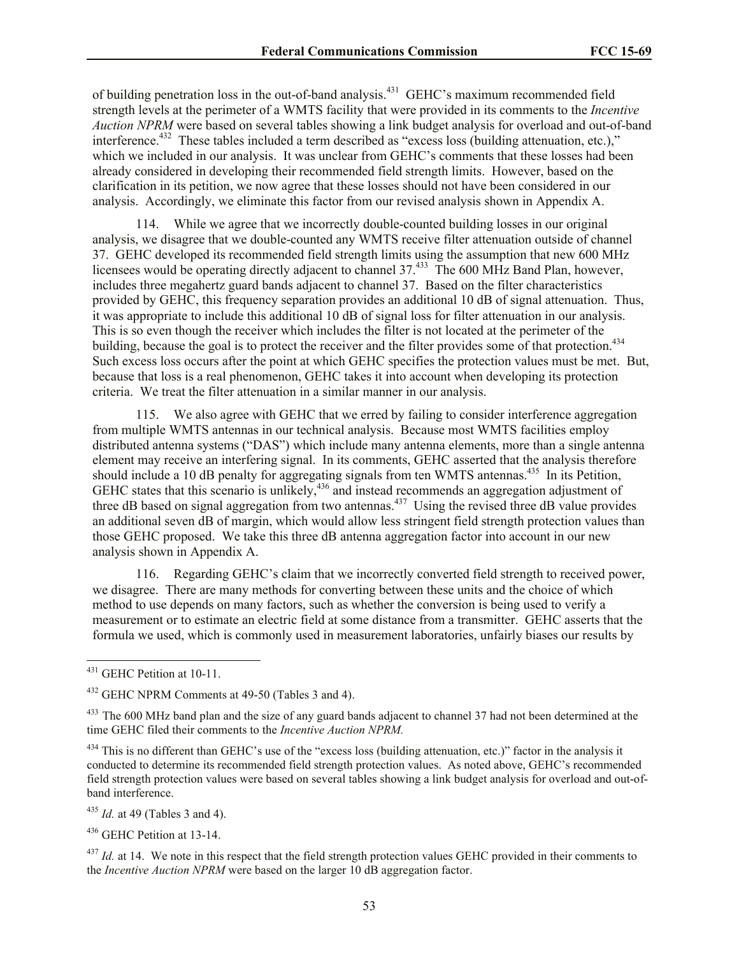of building penetration loss in the out-of-band analysis.<sup>431</sup> GEHC's maximum recommended field strength levels at the perimeter of a WMTS facility that were provided in its comments to the *Incentive Auction NPRM* were based on several tables showing a link budget analysis for overload and out-of-band interference.<sup>432</sup> These tables included a term described as "excess loss (building attenuation, etc.)," which we included in our analysis. It was unclear from GEHC's comments that these losses had been already considered in developing their recommended field strength limits. However, based on the clarification in its petition, we now agree that these losses should not have been considered in our analysis. Accordingly, we eliminate this factor from our revised analysis shown in Appendix A.

114. While we agree that we incorrectly double-counted building losses in our original analysis, we disagree that we double-counted any WMTS receive filter attenuation outside of channel 37. GEHC developed its recommended field strength limits using the assumption that new 600 MHz licensees would be operating directly adjacent to channel 37.<sup>433</sup> The 600 MHz Band Plan, however, includes three megahertz guard bands adjacent to channel 37. Based on the filter characteristics provided by GEHC, this frequency separation provides an additional 10 dB of signal attenuation. Thus, it was appropriate to include this additional 10 dB of signal loss for filter attenuation in our analysis. This is so even though the receiver which includes the filter is not located at the perimeter of the building, because the goal is to protect the receiver and the filter provides some of that protection.<sup>434</sup> Such excess loss occurs after the point at which GEHC specifies the protection values must be met. But, because that loss is a real phenomenon, GEHC takes it into account when developing its protection criteria. We treat the filter attenuation in a similar manner in our analysis.

115. We also agree with GEHC that we erred by failing to consider interference aggregation from multiple WMTS antennas in our technical analysis. Because most WMTS facilities employ distributed antenna systems ("DAS") which include many antenna elements, more than a single antenna element may receive an interfering signal. In its comments, GEHC asserted that the analysis therefore should include a 10 dB penalty for aggregating signals from ten WMTS antennas.<sup>435</sup> In its Petition, GEHC states that this scenario is unlikely,<sup>436</sup> and instead recommends an aggregation adjustment of three dB based on signal aggregation from two antennas.<sup>437</sup> Using the revised three dB value provides an additional seven dB of margin, which would allow less stringent field strength protection values than those GEHC proposed. We take this three dB antenna aggregation factor into account in our new analysis shown in Appendix A.

116. Regarding GEHC's claim that we incorrectly converted field strength to received power, we disagree. There are many methods for converting between these units and the choice of which method to use depends on many factors, such as whether the conversion is being used to verify a measurement or to estimate an electric field at some distance from a transmitter. GEHC asserts that the formula we used, which is commonly used in measurement laboratories, unfairly biases our results by

l

<sup>435</sup> *Id.* at 49 (Tables 3 and 4).

<sup>436</sup> GEHC Petition at 13-14.

<sup>437</sup> *Id.* at 14. We note in this respect that the field strength protection values GEHC provided in their comments to the *Incentive Auction NPRM* were based on the larger 10 dB aggregation factor.

 $431$  GEHC Petition at 10-11.

<sup>432</sup> GEHC NPRM Comments at 49-50 (Tables 3 and 4).

<sup>&</sup>lt;sup>433</sup> The 600 MHz band plan and the size of any guard bands adjacent to channel 37 had not been determined at the time GEHC filed their comments to the *Incentive Auction NPRM.*

<sup>&</sup>lt;sup>434</sup> This is no different than GEHC's use of the "excess loss (building attenuation, etc.)" factor in the analysis it conducted to determine its recommended field strength protection values. As noted above, GEHC's recommended field strength protection values were based on several tables showing a link budget analysis for overload and out-ofband interference.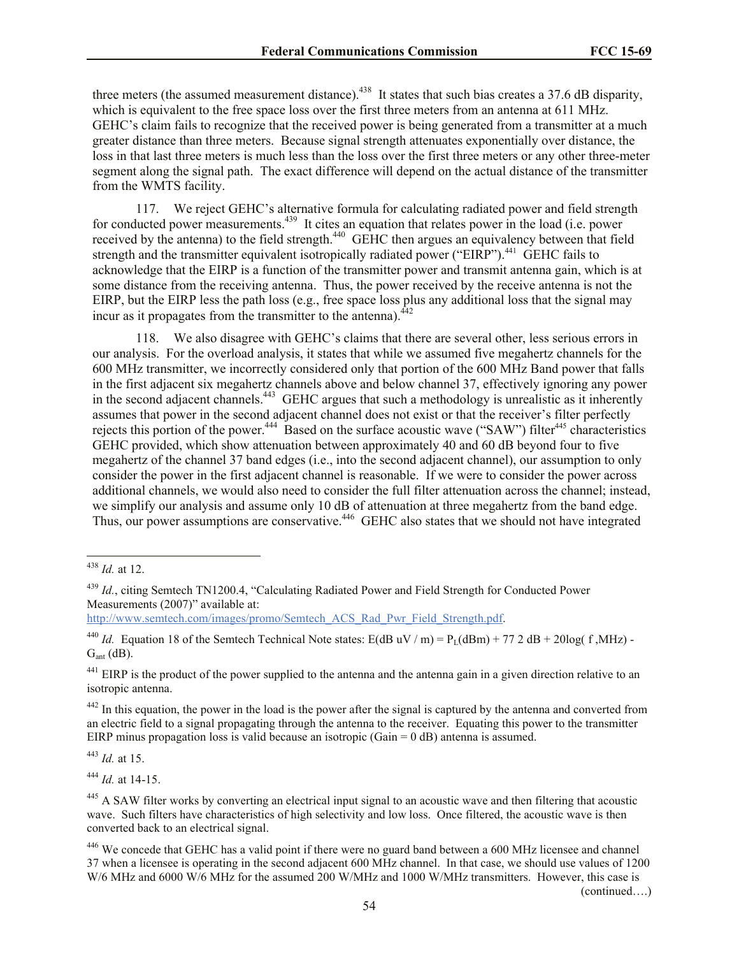three meters (the assumed measurement distance).<sup>438</sup> It states that such bias creates a 37.6 dB disparity, which is equivalent to the free space loss over the first three meters from an antenna at 611 MHz. GEHC's claim fails to recognize that the received power is being generated from a transmitter at a much greater distance than three meters. Because signal strength attenuates exponentially over distance, the loss in that last three meters is much less than the loss over the first three meters or any other three-meter segment along the signal path. The exact difference will depend on the actual distance of the transmitter from the WMTS facility.

117. We reject GEHC's alternative formula for calculating radiated power and field strength for conducted power measurements.<sup>439</sup> It cites an equation that relates power in the load (i.e. power received by the antenna) to the field strength.<sup>440</sup> GEHC then argues an equivalency between that field strength and the transmitter equivalent isotropically radiated power ("EIRP").<sup>441</sup> GEHC fails to acknowledge that the EIRP is a function of the transmitter power and transmit antenna gain, which is at some distance from the receiving antenna. Thus, the power received by the receive antenna is not the EIRP, but the EIRP less the path loss (e.g., free space loss plus any additional loss that the signal may incur as it propagates from the transmitter to the antenna). $^{442}$ 

118. We also disagree with GEHC's claims that there are several other, less serious errors in our analysis. For the overload analysis, it states that while we assumed five megahertz channels for the 600 MHz transmitter, we incorrectly considered only that portion of the 600 MHz Band power that falls in the first adjacent six megahertz channels above and below channel 37, effectively ignoring any power in the second adjacent channels.<sup>443</sup> GEHC argues that such a methodology is unrealistic as it inherently assumes that power in the second adjacent channel does not exist or that the receiver's filter perfectly rejects this portion of the power.<sup>444</sup> Based on the surface acoustic wave ("SAW") filter<sup>445</sup> characteristics GEHC provided, which show attenuation between approximately 40 and 60 dB beyond four to five megahertz of the channel 37 band edges (i.e., into the second adjacent channel), our assumption to only consider the power in the first adjacent channel is reasonable. If we were to consider the power across additional channels, we would also need to consider the full filter attenuation across the channel; instead, we simplify our analysis and assume only 10 dB of attenuation at three megahertz from the band edge. Thus, our power assumptions are conservative.<sup>446</sup> GEHC also states that we should not have integrated

http://www.semtech.com/images/promo/Semtech\_ACS\_Rad\_Pwr\_Field\_Strength.pdf.

 $442$  In this equation, the power in the load is the power after the signal is captured by the antenna and converted from an electric field to a signal propagating through the antenna to the receiver. Equating this power to the transmitter EIRP minus propagation loss is valid because an isotropic (Gain = 0 dB) antenna is assumed.

<sup>443</sup> *Id.* at 15.

<sup>444</sup> *Id.* at 14-15.

(continued….)

l <sup>438</sup> *Id.* at 12.

<sup>439</sup> *Id.*, citing Semtech TN1200.4, "Calculating Radiated Power and Field Strength for Conducted Power Measurements (2007)" available at:

<sup>&</sup>lt;sup>440</sup> *Id.* Equation 18 of the Semtech Technical Note states: E(dB uV / m) =  $P_1$ (dBm) + 77 2 dB + 20log( f, MHz) - $G<sub>ant</sub>$  (dB).

 $^{441}$  EIRP is the product of the power supplied to the antenna and the antenna gain in a given direction relative to an isotropic antenna.

<sup>&</sup>lt;sup>445</sup> A SAW filter works by converting an electrical input signal to an acoustic wave and then filtering that acoustic wave. Such filters have characteristics of high selectivity and low loss. Once filtered, the acoustic wave is then converted back to an electrical signal.

<sup>&</sup>lt;sup>446</sup> We concede that GEHC has a valid point if there were no guard band between a 600 MHz licensee and channel 37 when a licensee is operating in the second adjacent 600 MHz channel. In that case, we should use values of 1200 W/6 MHz and 6000 W/6 MHz for the assumed 200 W/MHz and 1000 W/MHz transmitters. However, this case is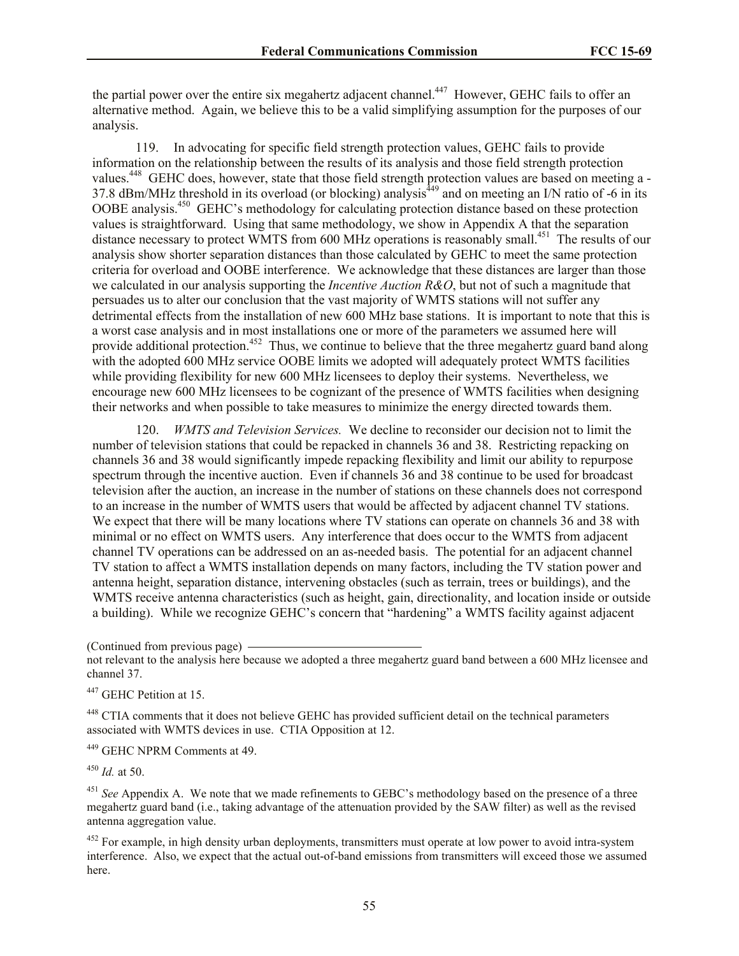the partial power over the entire six megahertz adjacent channel.<sup>447</sup> However, GEHC fails to offer an alternative method. Again, we believe this to be a valid simplifying assumption for the purposes of our analysis.

119. In advocating for specific field strength protection values, GEHC fails to provide information on the relationship between the results of its analysis and those field strength protection values.<sup>448</sup> GEHC does, however, state that those field strength protection values are based on meeting a -37.8 dBm/MHz threshold in its overload (or blocking) analysis<sup> $449$ </sup> and on meeting an I/N ratio of -6 in its OOBE analysis.<sup>450</sup> GEHC's methodology for calculating protection distance based on these protection values is straightforward. Using that same methodology, we show in Appendix A that the separation distance necessary to protect WMTS from 600 MHz operations is reasonably small.<sup>451</sup> The results of our analysis show shorter separation distances than those calculated by GEHC to meet the same protection criteria for overload and OOBE interference. We acknowledge that these distances are larger than those we calculated in our analysis supporting the *Incentive Auction R&O*, but not of such a magnitude that persuades us to alter our conclusion that the vast majority of WMTS stations will not suffer any detrimental effects from the installation of new 600 MHz base stations. It is important to note that this is a worst case analysis and in most installations one or more of the parameters we assumed here will provide additional protection.<sup>452</sup> Thus, we continue to believe that the three megahertz guard band along with the adopted 600 MHz service OOBE limits we adopted will adequately protect WMTS facilities while providing flexibility for new 600 MHz licensees to deploy their systems. Nevertheless, we encourage new 600 MHz licensees to be cognizant of the presence of WMTS facilities when designing their networks and when possible to take measures to minimize the energy directed towards them.

120. *WMTS and Television Services.* We decline to reconsider our decision not to limit the number of television stations that could be repacked in channels 36 and 38. Restricting repacking on channels 36 and 38 would significantly impede repacking flexibility and limit our ability to repurpose spectrum through the incentive auction. Even if channels 36 and 38 continue to be used for broadcast television after the auction, an increase in the number of stations on these channels does not correspond to an increase in the number of WMTS users that would be affected by adjacent channel TV stations. We expect that there will be many locations where TV stations can operate on channels 36 and 38 with minimal or no effect on WMTS users. Any interference that does occur to the WMTS from adjacent channel TV operations can be addressed on an as-needed basis. The potential for an adjacent channel TV station to affect a WMTS installation depends on many factors, including the TV station power and antenna height, separation distance, intervening obstacles (such as terrain, trees or buildings), and the WMTS receive antenna characteristics (such as height, gain, directionality, and location inside or outside a building). While we recognize GEHC's concern that "hardening" a WMTS facility against adjacent

(Continued from previous page)

not relevant to the analysis here because we adopted a three megahertz guard band between a 600 MHz licensee and channel 37.

<sup>447</sup> GEHC Petition at 15.

<sup>448</sup> CTIA comments that it does not believe GEHC has provided sufficient detail on the technical parameters associated with WMTS devices in use. CTIA Opposition at 12.

<sup>449</sup> GEHC NPRM Comments at 49.

<sup>450</sup> *Id.* at 50.

<sup>451</sup> See Appendix A. We note that we made refinements to GEBC's methodology based on the presence of a three megahertz guard band (i.e., taking advantage of the attenuation provided by the SAW filter) as well as the revised antenna aggregation value.

 $452$  For example, in high density urban deployments, transmitters must operate at low power to avoid intra-system interference. Also, we expect that the actual out-of-band emissions from transmitters will exceed those we assumed here.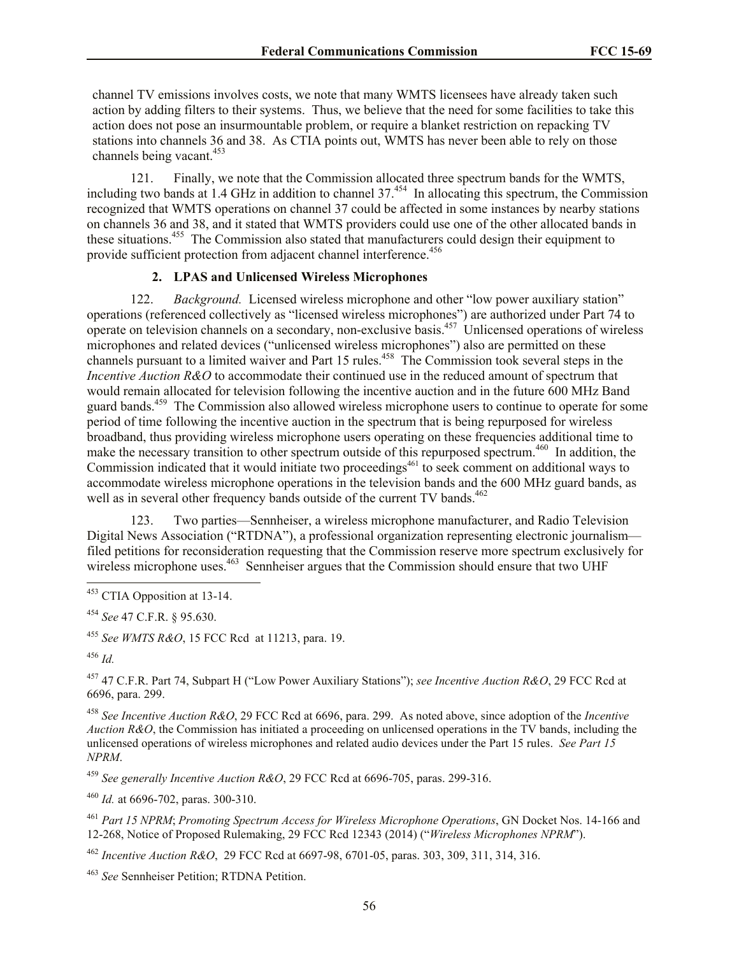channel TV emissions involves costs, we note that many WMTS licensees have already taken such action by adding filters to their systems. Thus, we believe that the need for some facilities to take this action does not pose an insurmountable problem, or require a blanket restriction on repacking TV stations into channels 36 and 38. As CTIA points out, WMTS has never been able to rely on those channels being vacant.<sup>453</sup>

121. Finally, we note that the Commission allocated three spectrum bands for the WMTS, including two bands at 1.4 GHz in addition to channel  $37<sup>454</sup>$  In allocating this spectrum, the Commission recognized that WMTS operations on channel 37 could be affected in some instances by nearby stations on channels 36 and 38, and it stated that WMTS providers could use one of the other allocated bands in these situations.<sup>455</sup> The Commission also stated that manufacturers could design their equipment to provide sufficient protection from adjacent channel interference.<sup>456</sup>

# **2. LPAS and Unlicensed Wireless Microphones**

122. *Background.* Licensed wireless microphone and other "low power auxiliary station" operations (referenced collectively as "licensed wireless microphones") are authorized under Part 74 to operate on television channels on a secondary, non-exclusive basis.<sup>457</sup> Unlicensed operations of wireless microphones and related devices ("unlicensed wireless microphones") also are permitted on these channels pursuant to a limited waiver and Part 15 rules.<sup>458</sup> The Commission took several steps in the *Incentive Auction R&O* to accommodate their continued use in the reduced amount of spectrum that would remain allocated for television following the incentive auction and in the future 600 MHz Band guard bands.<sup>459</sup> The Commission also allowed wireless microphone users to continue to operate for some period of time following the incentive auction in the spectrum that is being repurposed for wireless broadband, thus providing wireless microphone users operating on these frequencies additional time to make the necessary transition to other spectrum outside of this repurposed spectrum.<sup>460</sup> In addition, the Commission indicated that it would initiate two proceedings<sup>461</sup> to seek comment on additional ways to accommodate wireless microphone operations in the television bands and the 600 MHz guard bands, as well as in several other frequency bands outside of the current TV bands.<sup>462</sup>

123. Two parties—Sennheiser, a wireless microphone manufacturer, and Radio Television Digital News Association ("RTDNA"), a professional organization representing electronic journalism filed petitions for reconsideration requesting that the Commission reserve more spectrum exclusively for wireless microphone uses.<sup>463</sup> Sennheiser argues that the Commission should ensure that two UHF

<sup>454</sup> *See* 47 C.F.R. § 95.630.

<sup>455</sup> *See WMTS R&O*, 15 FCC Rcd at 11213, para. 19.

<sup>456</sup> *Id.*

l

<sup>457</sup> 47 C.F.R. Part 74, Subpart H ("Low Power Auxiliary Stations"); *see Incentive Auction R&O*, 29 FCC Rcd at 6696, para. 299.

<sup>458</sup> *See Incentive Auction R&O*, 29 FCC Rcd at 6696, para. 299. As noted above, since adoption of the *Incentive Auction R&O*, the Commission has initiated a proceeding on unlicensed operations in the TV bands, including the unlicensed operations of wireless microphones and related audio devices under the Part 15 rules. *See Part 15 NPRM*.

<sup>459</sup> *See generally Incentive Auction R&O*, 29 FCC Rcd at 6696-705, paras. 299-316.

<sup>460</sup> *Id.* at 6696-702, paras. 300-310.

<sup>461</sup> *Part 15 NPRM*; *Promoting Spectrum Access for Wireless Microphone Operations*, GN Docket Nos. 14-166 and 12-268, Notice of Proposed Rulemaking, 29 FCC Rcd 12343 (2014) ("*Wireless Microphones NPRM*").

<sup>462</sup> *Incentive Auction R&O*, 29 FCC Rcd at 6697-98, 6701-05, paras. 303, 309, 311, 314, 316.

<sup>463</sup> *See* Sennheiser Petition; RTDNA Petition.

<sup>&</sup>lt;sup>453</sup> CTIA Opposition at 13-14.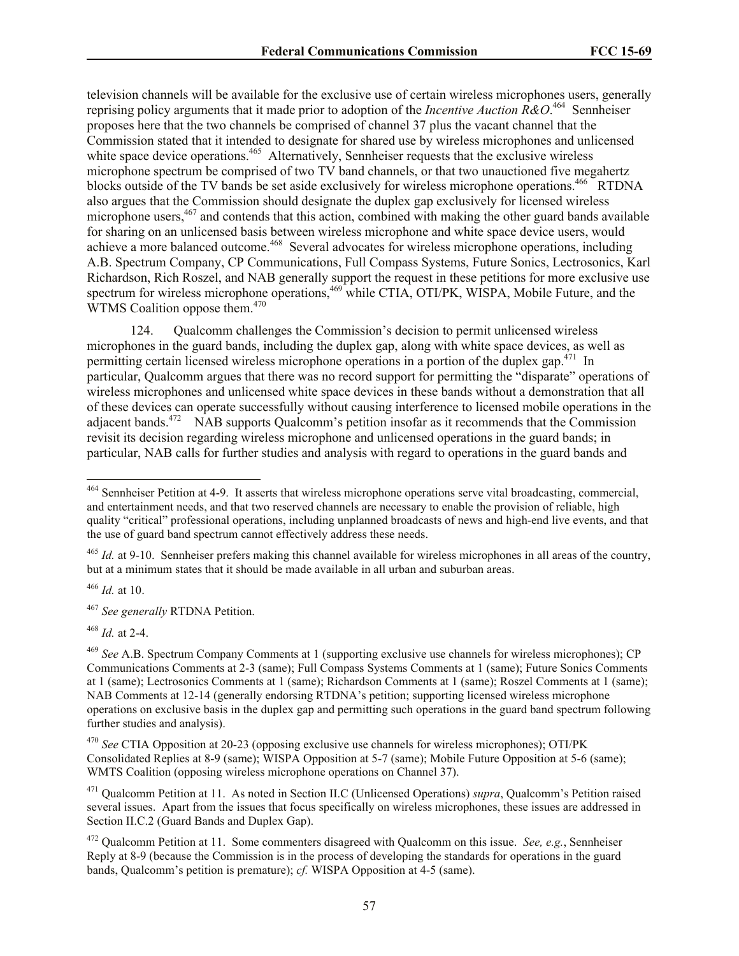television channels will be available for the exclusive use of certain wireless microphones users, generally reprising policy arguments that it made prior to adoption of the *Incentive Auction*  $\mathbb{R}\&O^{464}$  Sennheiser proposes here that the two channels be comprised of channel 37 plus the vacant channel that the Commission stated that it intended to designate for shared use by wireless microphones and unlicensed white space device operations.<sup>465</sup> Alternatively, Sennheiser requests that the exclusive wireless microphone spectrum be comprised of two TV band channels, or that two unauctioned five megahertz blocks outside of the TV bands be set aside exclusively for wireless microphone operations.<sup>466</sup> RTDNA also argues that the Commission should designate the duplex gap exclusively for licensed wireless microphone users,<sup>467</sup> and contends that this action, combined with making the other guard bands available for sharing on an unlicensed basis between wireless microphone and white space device users, would achieve a more balanced outcome.<sup>468</sup> Several advocates for wireless microphone operations, including A.B. Spectrum Company, CP Communications, Full Compass Systems, Future Sonics, Lectrosonics, Karl Richardson, Rich Roszel, and NAB generally support the request in these petitions for more exclusive use spectrum for wireless microphone operations,  $469$  while CTIA, OTI/PK, WISPA, Mobile Future, and the  $\rm WTMS$  Coalition oppose them.<sup>470</sup>

124. Qualcomm challenges the Commission's decision to permit unlicensed wireless microphones in the guard bands, including the duplex gap, along with white space devices, as well as permitting certain licensed wireless microphone operations in a portion of the duplex gap.<sup>471</sup> In particular, Qualcomm argues that there was no record support for permitting the "disparate" operations of wireless microphones and unlicensed white space devices in these bands without a demonstration that all of these devices can operate successfully without causing interference to licensed mobile operations in the adjacent bands.<sup>472</sup> NAB supports Qualcomm's petition insofar as it recommends that the Commission revisit its decision regarding wireless microphone and unlicensed operations in the guard bands; in particular, NAB calls for further studies and analysis with regard to operations in the guard bands and

<sup>466</sup> *Id.* at 10.

l

<sup>467</sup> *See generally* RTDNA Petition.

<sup>468</sup> *Id.* at 2-4.

<sup>&</sup>lt;sup>464</sup> Sennheiser Petition at 4-9. It asserts that wireless microphone operations serve vital broadcasting, commercial, and entertainment needs, and that two reserved channels are necessary to enable the provision of reliable, high quality "critical" professional operations, including unplanned broadcasts of news and high-end live events, and that the use of guard band spectrum cannot effectively address these needs.

<sup>&</sup>lt;sup>465</sup> *Id.* at 9-10. Sennheiser prefers making this channel available for wireless microphones in all areas of the country, but at a minimum states that it should be made available in all urban and suburban areas.

<sup>469</sup> *See* A.B. Spectrum Company Comments at 1 (supporting exclusive use channels for wireless microphones); CP Communications Comments at 2-3 (same); Full Compass Systems Comments at 1 (same); Future Sonics Comments at 1 (same); Lectrosonics Comments at 1 (same); Richardson Comments at 1 (same); Roszel Comments at 1 (same); NAB Comments at 12-14 (generally endorsing RTDNA's petition; supporting licensed wireless microphone operations on exclusive basis in the duplex gap and permitting such operations in the guard band spectrum following further studies and analysis).

<sup>470</sup> *See* CTIA Opposition at 20-23 (opposing exclusive use channels for wireless microphones); OTI/PK Consolidated Replies at 8-9 (same); WISPA Opposition at 5-7 (same); Mobile Future Opposition at 5-6 (same); WMTS Coalition (opposing wireless microphone operations on Channel 37).

<sup>471</sup> Qualcomm Petition at 11. As noted in Section II.C (Unlicensed Operations) *supra*, Qualcomm's Petition raised several issues. Apart from the issues that focus specifically on wireless microphones, these issues are addressed in Section II.C.2 (Guard Bands and Duplex Gap).

<sup>472</sup> Qualcomm Petition at 11. Some commenters disagreed with Qualcomm on this issue. *See, e.g.*, Sennheiser Reply at 8-9 (because the Commission is in the process of developing the standards for operations in the guard bands, Qualcomm's petition is premature); *cf.* WISPA Opposition at 4-5 (same).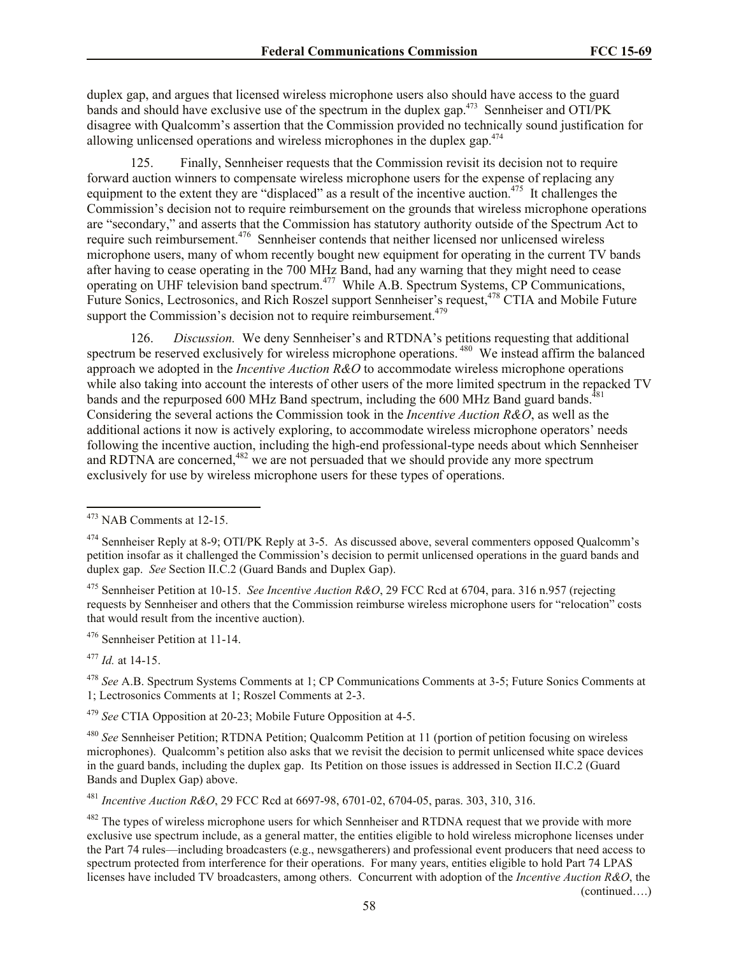duplex gap, and argues that licensed wireless microphone users also should have access to the guard bands and should have exclusive use of the spectrum in the duplex gap.<sup>473</sup> Sennheiser and OTI/PK disagree with Qualcomm's assertion that the Commission provided no technically sound justification for allowing unlicensed operations and wireless microphones in the duplex gap.<sup>474</sup>

125.Finally, Sennheiser requests that the Commission revisit its decision not to require forward auction winners to compensate wireless microphone users for the expense of replacing any equipment to the extent they are "displaced" as a result of the incentive auction.<sup>475</sup> It challenges the Commission's decision not to require reimbursement on the grounds that wireless microphone operations are "secondary," and asserts that the Commission has statutory authority outside of the Spectrum Act to require such reimbursement.<sup>476</sup> Sennheiser contends that neither licensed nor unlicensed wireless microphone users, many of whom recently bought new equipment for operating in the current TV bands after having to cease operating in the 700 MHz Band, had any warning that they might need to cease operating on UHF television band spectrum.<sup>477</sup> While A.B. Spectrum Systems, CP Communications, Future Sonics, Lectrosonics, and Rich Roszel support Sennheiser's request,<sup>478</sup> CTIA and Mobile Future support the Commission's decision not to require reimbursement.<sup>479</sup>

126. *Discussion.* We deny Sennheiser's and RTDNA's petitions requesting that additional spectrum be reserved exclusively for wireless microphone operations.<sup>480</sup> We instead affirm the balanced approach we adopted in the *Incentive Auction R&O* to accommodate wireless microphone operations while also taking into account the interests of other users of the more limited spectrum in the repacked TV bands and the repurposed 600 MHz Band spectrum, including the 600 MHz Band guard bands.<sup>48</sup> Considering the several actions the Commission took in the *Incentive Auction R&O*, as well as the additional actions it now is actively exploring, to accommodate wireless microphone operators' needs following the incentive auction, including the high-end professional-type needs about which Sennheiser and RDTNA are concerned,  $482$  we are not persuaded that we should provide any more spectrum exclusively for use by wireless microphone users for these types of operations.

<sup>476</sup> Sennheiser Petition at 11-14.

<sup>477</sup> *Id.* at 14-15.

l

<sup>479</sup> *See* CTIA Opposition at 20-23; Mobile Future Opposition at 4-5.

<sup>480</sup> *See* Sennheiser Petition; RTDNA Petition; Qualcomm Petition at 11 (portion of petition focusing on wireless microphones). Qualcomm's petition also asks that we revisit the decision to permit unlicensed white space devices in the guard bands, including the duplex gap. Its Petition on those issues is addressed in Section II.C.2 (Guard Bands and Duplex Gap) above.

<sup>481</sup> *Incentive Auction R&O*, 29 FCC Rcd at 6697-98, 6701-02, 6704-05, paras. 303, 310, 316.

<sup>482</sup> The types of wireless microphone users for which Sennheiser and RTDNA request that we provide with more exclusive use spectrum include, as a general matter, the entities eligible to hold wireless microphone licenses under the Part 74 rules—including broadcasters (e.g., newsgatherers) and professional event producers that need access to spectrum protected from interference for their operations. For many years, entities eligible to hold Part 74 LPAS licenses have included TV broadcasters, among others. Concurrent with adoption of the *Incentive Auction R&O*, the (continued….)

<sup>473</sup> NAB Comments at 12-15.

<sup>474</sup> Sennheiser Reply at 8-9; OTI/PK Reply at 3-5. As discussed above, several commenters opposed Qualcomm's petition insofar as it challenged the Commission's decision to permit unlicensed operations in the guard bands and duplex gap. *See* Section II.C.2 (Guard Bands and Duplex Gap).

<sup>475</sup> Sennheiser Petition at 10-15. *See Incentive Auction R&O*, 29 FCC Rcd at 6704, para. 316 n.957 (rejecting requests by Sennheiser and others that the Commission reimburse wireless microphone users for "relocation" costs that would result from the incentive auction).

<sup>478</sup> *See* A.B. Spectrum Systems Comments at 1; CP Communications Comments at 3-5; Future Sonics Comments at 1; Lectrosonics Comments at 1; Roszel Comments at 2-3.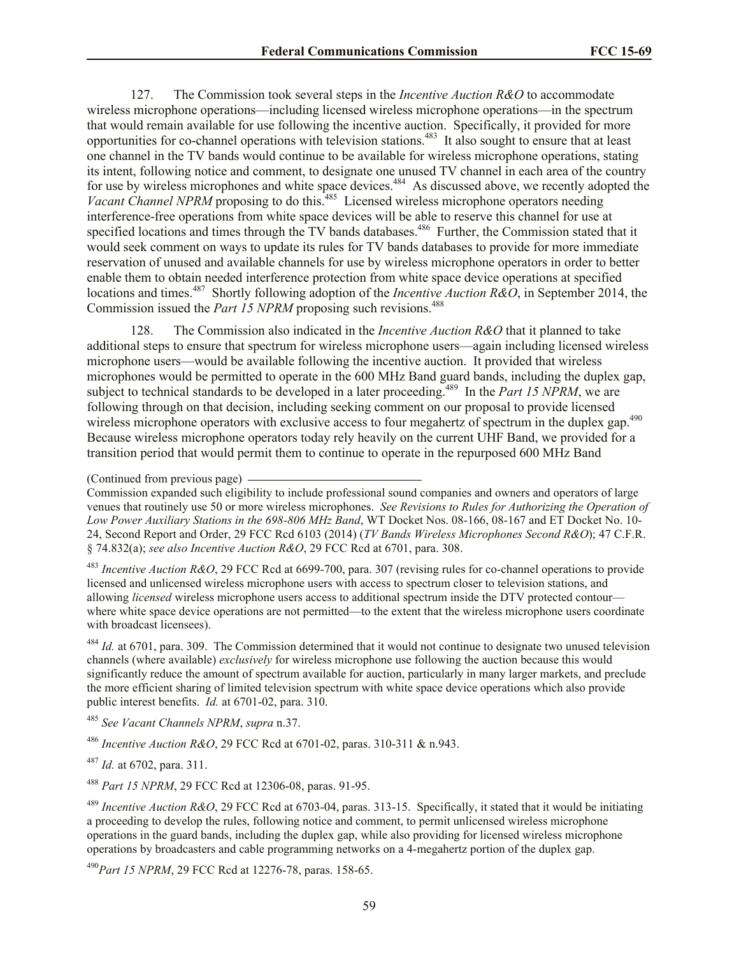127. The Commission took several steps in the *Incentive Auction R&O* to accommodate wireless microphone operations—including licensed wireless microphone operations—in the spectrum that would remain available for use following the incentive auction. Specifically, it provided for more opportunities for co-channel operations with television stations.<sup>483</sup> It also sought to ensure that at least one channel in the TV bands would continue to be available for wireless microphone operations, stating its intent, following notice and comment, to designate one unused TV channel in each area of the country for use by wireless microphones and white space devices.<sup>484</sup> As discussed above, we recently adopted the Vacant Channel NPRM proposing to do this.<sup>485</sup> Licensed wireless microphone operators needing interference-free operations from white space devices will be able to reserve this channel for use at specified locations and times through the TV bands databases.<sup>486</sup> Further, the Commission stated that it would seek comment on ways to update its rules for TV bands databases to provide for more immediate reservation of unused and available channels for use by wireless microphone operators in order to better enable them to obtain needed interference protection from white space device operations at specified locations and times.<sup>487</sup> Shortly following adoption of the *Incentive Auction R&O*, in September 2014, the Commission issued the *Part 15 NPRM* proposing such revisions.<sup>488</sup>

128. The Commission also indicated in the *Incentive Auction R&O* that it planned to take additional steps to ensure that spectrum for wireless microphone users—again including licensed wireless microphone users—would be available following the incentive auction. It provided that wireless microphones would be permitted to operate in the 600 MHz Band guard bands, including the duplex gap, subject to technical standards to be developed in a later proceeding.<sup>489</sup> In the *Part 15 NPRM*, we are following through on that decision, including seeking comment on our proposal to provide licensed wireless microphone operators with exclusive access to four megahertz of spectrum in the duplex gap.<sup>490</sup> Because wireless microphone operators today rely heavily on the current UHF Band, we provided for a transition period that would permit them to continue to operate in the repurposed 600 MHz Band

Commission expanded such eligibility to include professional sound companies and owners and operators of large venues that routinely use 50 or more wireless microphones. *See Revisions to Rules for Authorizing the Operation of Low Power Auxiliary Stations in the 698-806 MHz Band*, WT Docket Nos. 08-166, 08-167 and ET Docket No. 10- 24, Second Report and Order, 29 FCC Rcd 6103 (2014) (*TV Bands Wireless Microphones Second R&O*); 47 C.F.R. § 74.832(a); *see also Incentive Auction R&O*, 29 FCC Rcd at 6701, para. 308.

<sup>483</sup> *Incentive Auction R&O*, 29 FCC Rcd at 6699-700, para. 307 (revising rules for co-channel operations to provide licensed and unlicensed wireless microphone users with access to spectrum closer to television stations, and allowing *licensed* wireless microphone users access to additional spectrum inside the DTV protected contour where white space device operations are not permitted—to the extent that the wireless microphone users coordinate with broadcast licensees).

<sup>484</sup> *Id.* at 6701, para. 309. The Commission determined that it would not continue to designate two unused television channels (where available) *exclusively* for wireless microphone use following the auction because this would significantly reduce the amount of spectrum available for auction, particularly in many larger markets, and preclude the more efficient sharing of limited television spectrum with white space device operations which also provide public interest benefits. *Id.* at 6701-02, para. 310.

<sup>485</sup> *See Vacant Channels NPRM*, *supra* n.37.

<sup>486</sup> *Incentive Auction R&O*, 29 FCC Rcd at 6701-02, paras. 310-311 & n.943.

<sup>487</sup> *Id.* at 6702, para. 311.

<sup>488</sup> *Part 15 NPRM*, 29 FCC Rcd at 12306-08, paras. 91-95.

<sup>489</sup> *Incentive Auction R&O*, 29 FCC Rcd at 6703-04, paras. 313-15. Specifically, it stated that it would be initiating a proceeding to develop the rules, following notice and comment, to permit unlicensed wireless microphone operations in the guard bands, including the duplex gap, while also providing for licensed wireless microphone operations by broadcasters and cable programming networks on a 4-megahertz portion of the duplex gap.

<sup>490</sup>*Part 15 NPRM*, 29 FCC Rcd at 12276-78, paras. 158-65.

<sup>(</sup>Continued from previous page)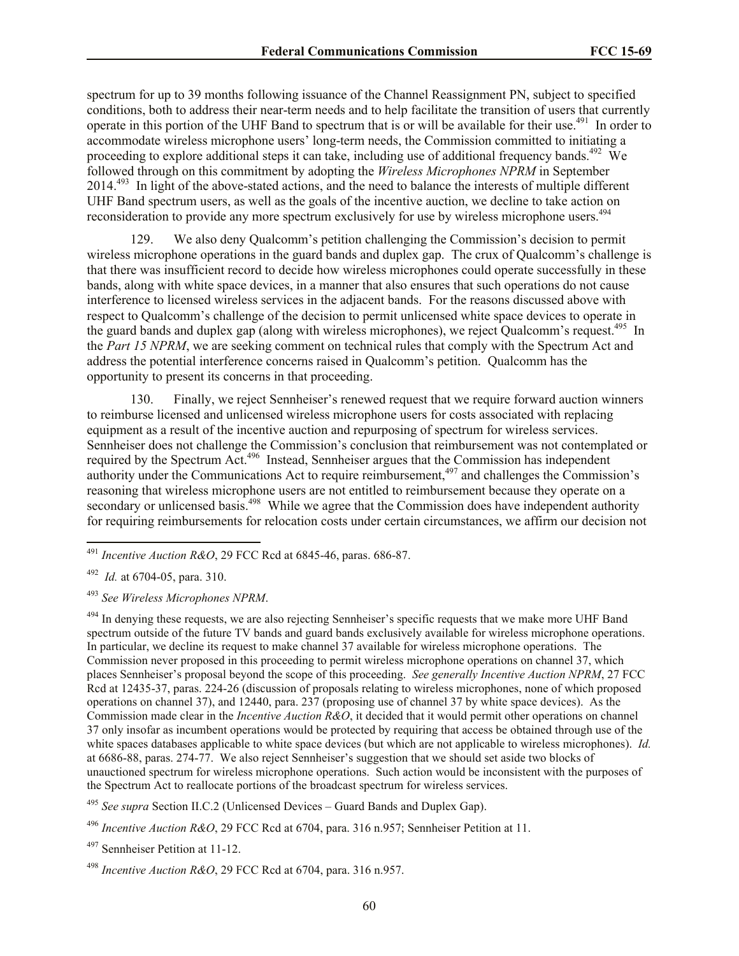spectrum for up to 39 months following issuance of the Channel Reassignment PN, subject to specified conditions, both to address their near-term needs and to help facilitate the transition of users that currently operate in this portion of the UHF Band to spectrum that is or will be available for their use.<sup>491</sup> In order to accommodate wireless microphone users' long-term needs, the Commission committed to initiating a proceeding to explore additional steps it can take, including use of additional frequency bands.<sup>492</sup> We followed through on this commitment by adopting the *Wireless Microphones NPRM* in September 2014.<sup>493</sup> In light of the above-stated actions, and the need to balance the interests of multiple different UHF Band spectrum users, as well as the goals of the incentive auction, we decline to take action on reconsideration to provide any more spectrum exclusively for use by wireless microphone users.<sup>494</sup>

129. We also deny Qualcomm's petition challenging the Commission's decision to permit wireless microphone operations in the guard bands and duplex gap. The crux of Qualcomm's challenge is that there was insufficient record to decide how wireless microphones could operate successfully in these bands, along with white space devices, in a manner that also ensures that such operations do not cause interference to licensed wireless services in the adjacent bands. For the reasons discussed above with respect to Qualcomm's challenge of the decision to permit unlicensed white space devices to operate in the guard bands and duplex gap (along with wireless microphones), we reject Qualcomm's request.<sup>495</sup> In the *Part 15 NPRM*, we are seeking comment on technical rules that comply with the Spectrum Act and address the potential interference concerns raised in Qualcomm's petition. Qualcomm has the opportunity to present its concerns in that proceeding.

130. Finally, we reject Sennheiser's renewed request that we require forward auction winners to reimburse licensed and unlicensed wireless microphone users for costs associated with replacing equipment as a result of the incentive auction and repurposing of spectrum for wireless services. Sennheiser does not challenge the Commission's conclusion that reimbursement was not contemplated or required by the Spectrum Act.<sup>496</sup> Instead, Sennheiser argues that the Commission has independent authority under the Communications Act to require reimbursement,<sup>497</sup> and challenges the Commission's reasoning that wireless microphone users are not entitled to reimbursement because they operate on a secondary or unlicensed basis.<sup>498</sup> While we agree that the Commission does have independent authority for requiring reimbursements for relocation costs under certain circumstances, we affirm our decision not

l

<sup>494</sup> In denying these requests, we are also rejecting Sennheiser's specific requests that we make more UHF Band spectrum outside of the future TV bands and guard bands exclusively available for wireless microphone operations. In particular, we decline its request to make channel 37 available for wireless microphone operations. The Commission never proposed in this proceeding to permit wireless microphone operations on channel 37, which places Sennheiser's proposal beyond the scope of this proceeding. *See generally Incentive Auction NPRM*, 27 FCC Rcd at 12435-37, paras. 224-26 (discussion of proposals relating to wireless microphones, none of which proposed operations on channel 37), and 12440, para. 237 (proposing use of channel 37 by white space devices). As the Commission made clear in the *Incentive Auction R&O*, it decided that it would permit other operations on channel 37 only insofar as incumbent operations would be protected by requiring that access be obtained through use of the white spaces databases applicable to white space devices (but which are not applicable to wireless microphones). *Id.* at 6686-88, paras. 274-77. We also reject Sennheiser's suggestion that we should set aside two blocks of unauctioned spectrum for wireless microphone operations. Such action would be inconsistent with the purposes of the Spectrum Act to reallocate portions of the broadcast spectrum for wireless services.

<sup>495</sup> *See supra* Section II.C.2 (Unlicensed Devices – Guard Bands and Duplex Gap).

<sup>496</sup> *Incentive Auction R&O*, 29 FCC Rcd at 6704, para. 316 n.957; Sennheiser Petition at 11.

 $497$  Sennheiser Petition at 11-12.

<sup>498</sup> *Incentive Auction R&O*, 29 FCC Rcd at 6704, para. 316 n.957.

<sup>491</sup> *Incentive Auction R&O*, 29 FCC Rcd at 6845-46, paras. 686-87.

<sup>492</sup> *Id.* at 6704-05, para. 310.

<sup>493</sup> *See Wireless Microphones NPRM*.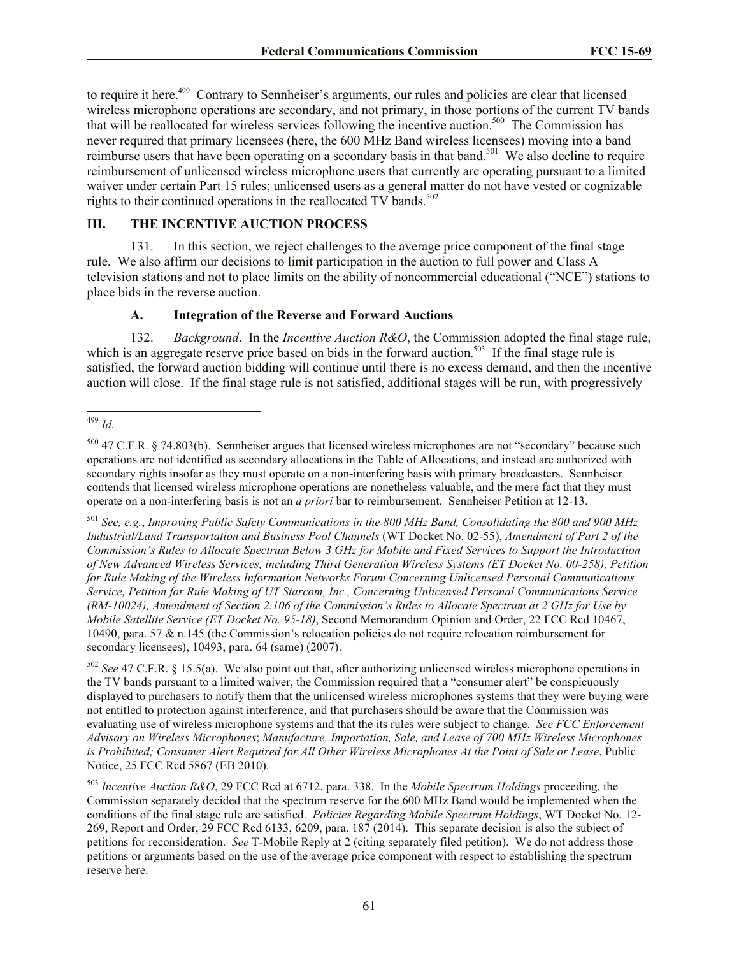to require it here.<sup>499</sup> Contrary to Sennheiser's arguments, our rules and policies are clear that licensed wireless microphone operations are secondary, and not primary, in those portions of the current TV bands that will be reallocated for wireless services following the incentive auction.<sup>500</sup> The Commission has never required that primary licensees (here, the 600 MHz Band wireless licensees) moving into a band reimburse users that have been operating on a secondary basis in that band.<sup>501</sup> We also decline to require reimbursement of unlicensed wireless microphone users that currently are operating pursuant to a limited waiver under certain Part 15 rules; unlicensed users as a general matter do not have vested or cognizable rights to their continued operations in the reallocated  $TV$  bands.<sup>502</sup>

# **III. THE INCENTIVE AUCTION PROCESS**

131. In this section, we reject challenges to the average price component of the final stage rule. We also affirm our decisions to limit participation in the auction to full power and Class A television stations and not to place limits on the ability of noncommercial educational ("NCE") stations to place bids in the reverse auction.

## **A. Integration of the Reverse and Forward Auctions**

132. *Background*. In the *Incentive Auction R&O*, the Commission adopted the final stage rule, which is an aggregate reserve price based on bids in the forward auction.<sup>503</sup> If the final stage rule is satisfied, the forward auction bidding will continue until there is no excess demand, and then the incentive auction will close. If the final stage rule is not satisfied, additional stages will be run, with progressively

<sup>501</sup> *See, e.g.*, *Improving Public Safety Communications in the 800 MHz Band, Consolidating the 800 and 900 MHz Industrial/Land Transportation and Business Pool Channels* (WT Docket No. 02-55), *Amendment of Part 2 of the Commission's Rules to Allocate Spectrum Below 3 GHz for Mobile and Fixed Services to Support the Introduction of New Advanced Wireless Services, including Third Generation Wireless Systems (ET Docket No. 00-258), Petition for Rule Making of the Wireless Information Networks Forum Concerning Unlicensed Personal Communications Service, Petition for Rule Making of UT Starcom, Inc., Concerning Unlicensed Personal Communications Service (RM-10024), Amendment of Section 2.106 of the Commission's Rules to Allocate Spectrum at 2 GHz for Use by Mobile Satellite Service (ET Docket No. 95-18)*, Second Memorandum Opinion and Order, 22 FCC Rcd 10467, 10490, para. 57 & n.145 (the Commission's relocation policies do not require relocation reimbursement for secondary licensees), 10493, para. 64 (same) (2007).

<sup>502</sup> *See* 47 C.F.R. § 15.5(a). We also point out that, after authorizing unlicensed wireless microphone operations in the TV bands pursuant to a limited waiver, the Commission required that a "consumer alert" be conspicuously displayed to purchasers to notify them that the unlicensed wireless microphones systems that they were buying were not entitled to protection against interference, and that purchasers should be aware that the Commission was evaluating use of wireless microphone systems and that the its rules were subject to change. *See FCC Enforcement Advisory on Wireless Microphones*; *Manufacture, Importation, Sale, and Lease of 700 MHz Wireless Microphones is Prohibited; Consumer Alert Required for All Other Wireless Microphones At the Point of Sale or Lease*, Public Notice, 25 FCC Rcd 5867 (EB 2010).

l <sup>499</sup> *Id.*

<sup>500</sup> 47 C.F.R. § 74.803(b). Sennheiser argues that licensed wireless microphones are not "secondary" because such operations are not identified as secondary allocations in the Table of Allocations, and instead are authorized with secondary rights insofar as they must operate on a non-interfering basis with primary broadcasters. Sennheiser contends that licensed wireless microphone operations are nonetheless valuable, and the mere fact that they must operate on a non-interfering basis is not an *a priori* bar to reimbursement. Sennheiser Petition at 12-13.

<sup>503</sup> *Incentive Auction R&O*, 29 FCC Rcd at 6712, para. 338. In the *Mobile Spectrum Holdings* proceeding, the Commission separately decided that the spectrum reserve for the 600 MHz Band would be implemented when the conditions of the final stage rule are satisfied. *Policies Regarding Mobile Spectrum Holdings*, WT Docket No. 12- 269, Report and Order, 29 FCC Rcd 6133, 6209, para. 187 (2014). This separate decision is also the subject of petitions for reconsideration. *See* T-Mobile Reply at 2 (citing separately filed petition). We do not address those petitions or arguments based on the use of the average price component with respect to establishing the spectrum reserve here.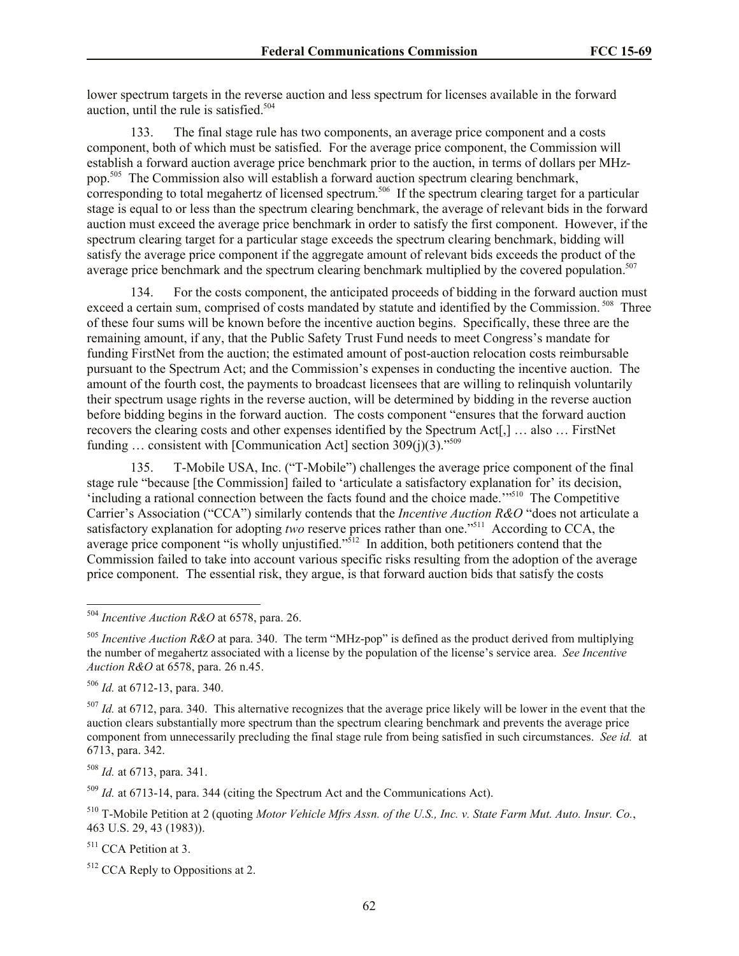lower spectrum targets in the reverse auction and less spectrum for licenses available in the forward auction, until the rule is satisfied. $504$ 

133. The final stage rule has two components, an average price component and a costs component, both of which must be satisfied. For the average price component, the Commission will establish a forward auction average price benchmark prior to the auction, in terms of dollars per MHzpop.<sup>505</sup> The Commission also will establish a forward auction spectrum clearing benchmark, corresponding to total megahertz of licensed spectrum. 506 If the spectrum clearing target for a particular stage is equal to or less than the spectrum clearing benchmark, the average of relevant bids in the forward auction must exceed the average price benchmark in order to satisfy the first component. However, if the spectrum clearing target for a particular stage exceeds the spectrum clearing benchmark, bidding will satisfy the average price component if the aggregate amount of relevant bids exceeds the product of the average price benchmark and the spectrum clearing benchmark multiplied by the covered population.<sup>507</sup>

134. For the costs component, the anticipated proceeds of bidding in the forward auction must exceed a certain sum, comprised of costs mandated by statute and identified by the Commission.<sup>508</sup> Three of these four sums will be known before the incentive auction begins. Specifically, these three are the remaining amount, if any, that the Public Safety Trust Fund needs to meet Congress's mandate for funding FirstNet from the auction; the estimated amount of post-auction relocation costs reimbursable pursuant to the Spectrum Act; and the Commission's expenses in conducting the incentive auction. The amount of the fourth cost, the payments to broadcast licensees that are willing to relinquish voluntarily their spectrum usage rights in the reverse auction, will be determined by bidding in the reverse auction before bidding begins in the forward auction. The costs component "ensures that the forward auction recovers the clearing costs and other expenses identified by the Spectrum Act<sup>[</sup>,] ... also ... FirstNet funding  $\ldots$  consistent with [Communication Act] section 309(j)(3)."<sup>509</sup>

135. T-Mobile USA, Inc. ("T-Mobile") challenges the average price component of the final stage rule "because [the Commission] failed to 'articulate a satisfactory explanation for' its decision, 'including a rational connection between the facts found and the choice made.'"<sup>510</sup> The Competitive Carrier's Association ("CCA") similarly contends that the *Incentive Auction R&O* "does not articulate a satisfactory explanation for adopting two reserve prices rather than one."<sup>511</sup> According to CCA, the average price component "is wholly unjustified."<sup>512</sup> In addition, both petitioners contend that the Commission failed to take into account various specific risks resulting from the adoption of the average price component. The essential risk, they argue, is that forward auction bids that satisfy the costs

l

<sup>508</sup> *Id.* at 6713, para. 341.

<sup>509</sup> *Id.* at 6713-14, para. 344 (citing the Spectrum Act and the Communications Act).

<sup>511</sup> CCA Petition at 3.

<sup>504</sup> *Incentive Auction R&O* at 6578, para. 26.

<sup>&</sup>lt;sup>505</sup> *Incentive Auction R&O* at para. 340. The term "MHz-pop" is defined as the product derived from multiplying the number of megahertz associated with a license by the population of the license's service area. *See Incentive Auction R&O* at 6578, para. 26 n.45.

<sup>506</sup> *Id.* at 6712-13, para. 340.

<sup>&</sup>lt;sup>507</sup> *Id.* at 6712, para. 340. This alternative recognizes that the average price likely will be lower in the event that the auction clears substantially more spectrum than the spectrum clearing benchmark and prevents the average price component from unnecessarily precluding the final stage rule from being satisfied in such circumstances. *See id.* at 6713, para. 342.

<sup>510</sup> T-Mobile Petition at 2 (quoting *Motor Vehicle Mfrs Assn. of the U.S., Inc. v. State Farm Mut. Auto. Insur. Co.*, 463 U.S. 29, 43 (1983)).

<sup>&</sup>lt;sup>512</sup> CCA Reply to Oppositions at 2.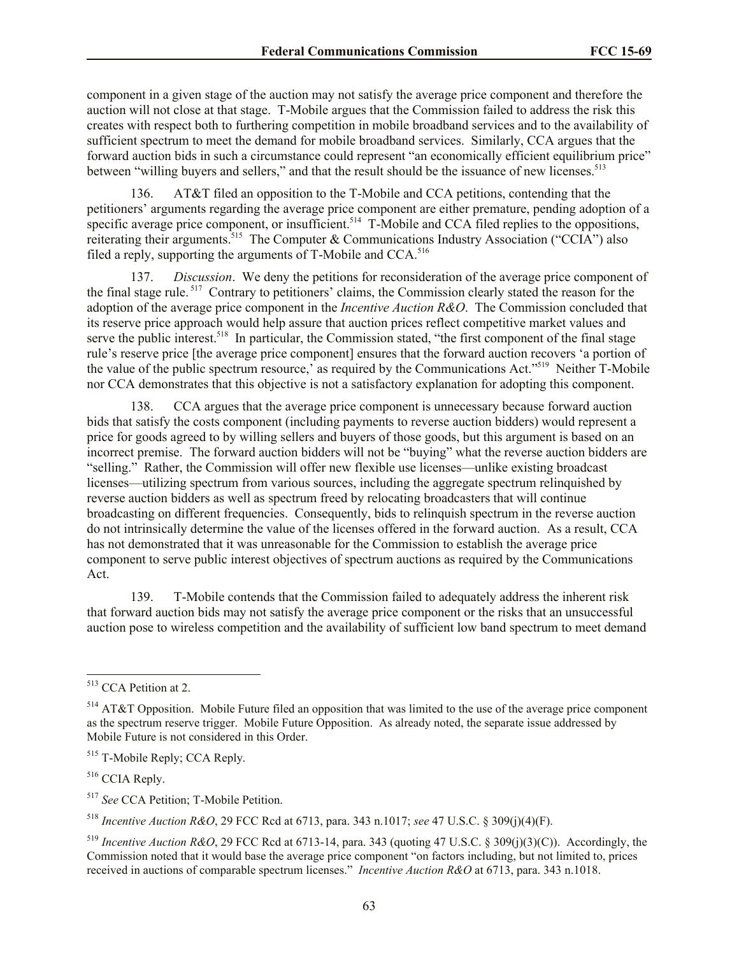component in a given stage of the auction may not satisfy the average price component and therefore the auction will not close at that stage. T-Mobile argues that the Commission failed to address the risk this creates with respect both to furthering competition in mobile broadband services and to the availability of sufficient spectrum to meet the demand for mobile broadband services. Similarly, CCA argues that the forward auction bids in such a circumstance could represent "an economically efficient equilibrium price" between "willing buyers and sellers," and that the result should be the issuance of new licenses.<sup>513</sup>

136. AT&T filed an opposition to the T-Mobile and CCA petitions, contending that the petitioners' arguments regarding the average price component are either premature, pending adoption of a specific average price component, or insufficient.<sup>514</sup> T-Mobile and CCA filed replies to the oppositions, reiterating their arguments.<sup>515</sup> The Computer & Communications Industry Association ("CCIA") also filed a reply, supporting the arguments of T-Mobile and CCA.<sup>516</sup>

Discussion. We deny the petitions for reconsideration of the average price component of the final stage rule.<sup>517</sup> Contrary to petitioners' claims, the Commission clearly stated the reason for the adoption of the average price component in the *Incentive Auction R&O*. The Commission concluded that its reserve price approach would help assure that auction prices reflect competitive market values and serve the public interest.<sup>518</sup> In particular, the Commission stated, "the first component of the final stage rule's reserve price [the average price component] ensures that the forward auction recovers 'a portion of the value of the public spectrum resource,' as required by the Communications Act."<sup>519</sup> Neither T-Mobile nor CCA demonstrates that this objective is not a satisfactory explanation for adopting this component.

138. CCA argues that the average price component is unnecessary because forward auction bids that satisfy the costs component (including payments to reverse auction bidders) would represent a price for goods agreed to by willing sellers and buyers of those goods, but this argument is based on an incorrect premise. The forward auction bidders will not be "buying" what the reverse auction bidders are "selling." Rather, the Commission will offer new flexible use licenses—unlike existing broadcast licenses—utilizing spectrum from various sources, including the aggregate spectrum relinquished by reverse auction bidders as well as spectrum freed by relocating broadcasters that will continue broadcasting on different frequencies. Consequently, bids to relinquish spectrum in the reverse auction do not intrinsically determine the value of the licenses offered in the forward auction. As a result, CCA has not demonstrated that it was unreasonable for the Commission to establish the average price component to serve public interest objectives of spectrum auctions as required by the Communications Act.

139. T-Mobile contends that the Commission failed to adequately address the inherent risk that forward auction bids may not satisfy the average price component or the risks that an unsuccessful auction pose to wireless competition and the availability of sufficient low band spectrum to meet demand

l

<sup>518</sup> *Incentive Auction R&O*, 29 FCC Rcd at 6713, para. 343 n.1017; *see* 47 U.S.C. § 309(j)(4)(F).

<sup>513</sup> CCA Petition at 2.

<sup>514</sup> AT&T Opposition. Mobile Future filed an opposition that was limited to the use of the average price component as the spectrum reserve trigger. Mobile Future Opposition. As already noted, the separate issue addressed by Mobile Future is not considered in this Order.

<sup>515</sup> T-Mobile Reply; CCA Reply.

<sup>516</sup> CCIA Reply.

<sup>517</sup> *See* CCA Petition; T-Mobile Petition.

<sup>519</sup> *Incentive Auction R&O*, 29 FCC Rcd at 6713-14, para. 343 (quoting 47 U.S.C. § 309(j)(3)(C)). Accordingly, the Commission noted that it would base the average price component "on factors including, but not limited to, prices received in auctions of comparable spectrum licenses." *Incentive Auction R&O* at 6713, para. 343 n.1018.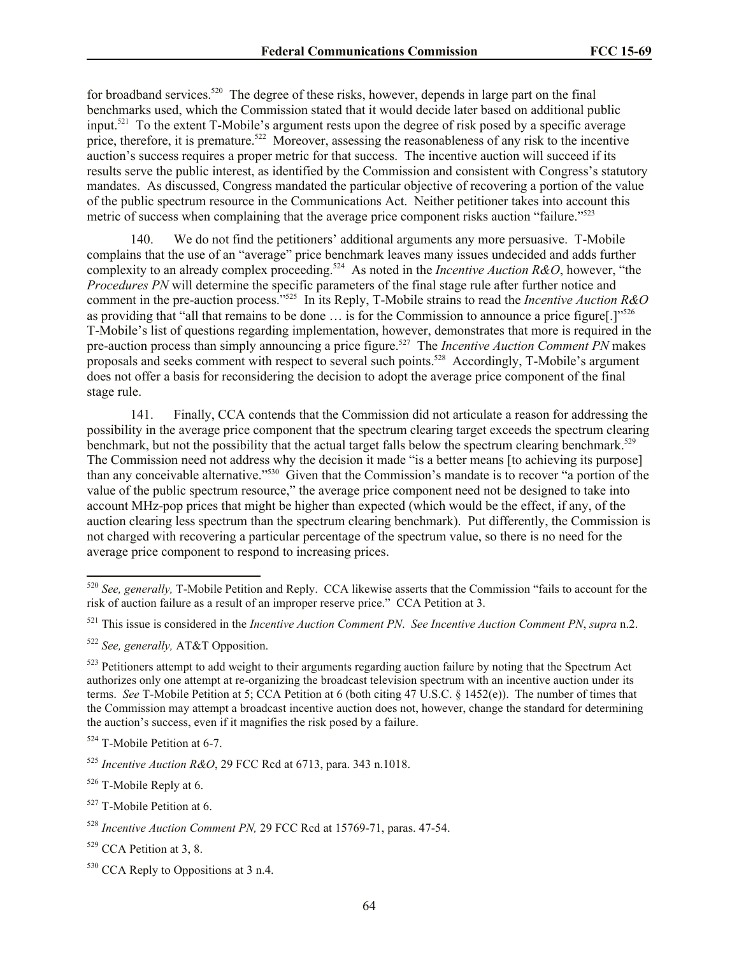for broadband services.<sup>520</sup> The degree of these risks, however, depends in large part on the final benchmarks used, which the Commission stated that it would decide later based on additional public input.<sup>521</sup> To the extent T-Mobile's argument rests upon the degree of risk posed by a specific average price, therefore, it is premature.<sup>522</sup> Moreover, assessing the reasonableness of any risk to the incentive auction's success requires a proper metric for that success. The incentive auction will succeed if its results serve the public interest, as identified by the Commission and consistent with Congress's statutory mandates. As discussed, Congress mandated the particular objective of recovering a portion of the value of the public spectrum resource in the Communications Act. Neither petitioner takes into account this metric of success when complaining that the average price component risks auction "failure."<sup>523</sup>

140. We do not find the petitioners' additional arguments any more persuasive. T-Mobile complains that the use of an "average" price benchmark leaves many issues undecided and adds further complexity to an already complex proceeding.<sup>524</sup> As noted in the *Incentive Auction R&O*, however, "the *Procedures PN* will determine the specific parameters of the final stage rule after further notice and comment in the pre-auction process."<sup>525</sup> In its Reply, T-Mobile strains to read the *Incentive Auction R&O*  as providing that "all that remains to be done  $\ldots$  is for the Commission to announce a price figure[.]"<sup>526</sup> T-Mobile's list of questions regarding implementation, however, demonstrates that more is required in the pre-auction process than simply announcing a price figure.<sup>527</sup> The *Incentive Auction Comment PN* makes proposals and seeks comment with respect to several such points.<sup>528</sup> Accordingly, T-Mobile's argument does not offer a basis for reconsidering the decision to adopt the average price component of the final stage rule.

141. Finally, CCA contends that the Commission did not articulate a reason for addressing the possibility in the average price component that the spectrum clearing target exceeds the spectrum clearing benchmark, but not the possibility that the actual target falls below the spectrum clearing benchmark.<sup>529</sup> The Commission need not address why the decision it made "is a better means [to achieving its purpose] than any conceivable alternative."<sup>530</sup> Given that the Commission's mandate is to recover "a portion of the value of the public spectrum resource," the average price component need not be designed to take into account MHz-pop prices that might be higher than expected (which would be the effect, if any, of the auction clearing less spectrum than the spectrum clearing benchmark). Put differently, the Commission is not charged with recovering a particular percentage of the spectrum value, so there is no need for the average price component to respond to increasing prices.

l

<sup>520</sup> *See, generally,* T-Mobile Petition and Reply. CCA likewise asserts that the Commission "fails to account for the risk of auction failure as a result of an improper reserve price." CCA Petition at 3.

<sup>521</sup> This issue is considered in the *Incentive Auction Comment PN*. *See Incentive Auction Comment PN*, *supra* n.2.

<sup>522</sup> *See, generally,* AT&T Opposition.

<sup>&</sup>lt;sup>523</sup> Petitioners attempt to add weight to their arguments regarding auction failure by noting that the Spectrum Act authorizes only one attempt at re-organizing the broadcast television spectrum with an incentive auction under its terms. *See* T-Mobile Petition at 5; CCA Petition at 6 (both citing 47 U.S.C. § 1452(e)). The number of times that the Commission may attempt a broadcast incentive auction does not, however, change the standard for determining the auction's success, even if it magnifies the risk posed by a failure.

<sup>524</sup> T-Mobile Petition at 6-7.

<sup>525</sup> *Incentive Auction R&O*, 29 FCC Rcd at 6713, para. 343 n.1018.

<sup>526</sup> T-Mobile Reply at 6.

<sup>527</sup> T-Mobile Petition at 6.

<sup>528</sup> *Incentive Auction Comment PN,* 29 FCC Rcd at 15769-71, paras. 47-54.

<sup>529</sup> CCA Petition at 3, 8.

<sup>&</sup>lt;sup>530</sup> CCA Reply to Oppositions at 3 n.4.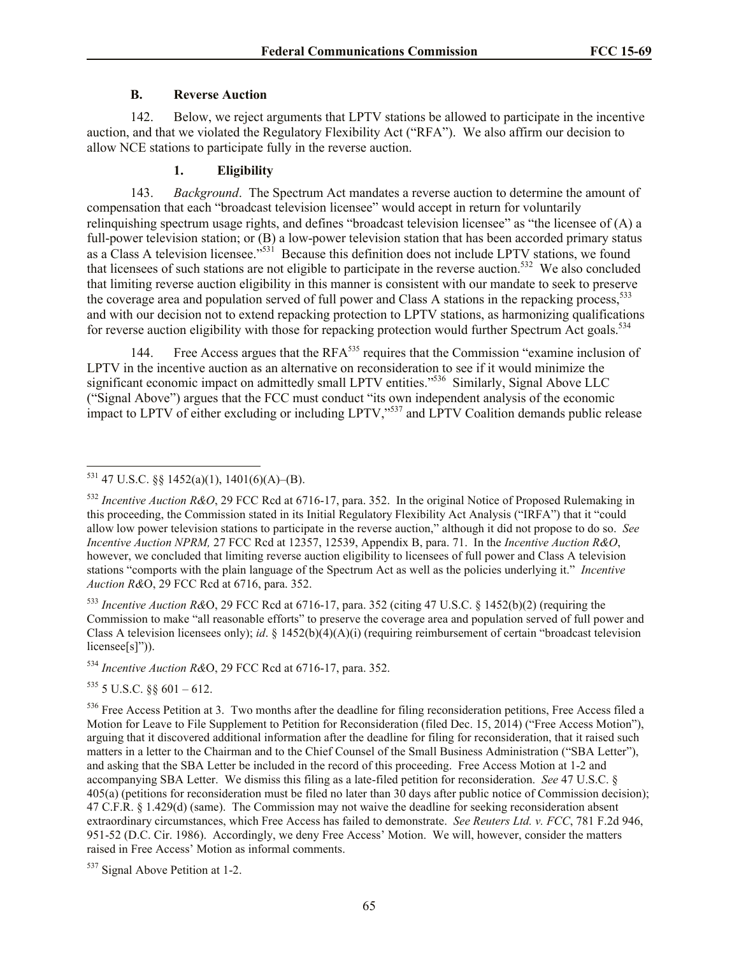## **B. Reverse Auction**

142. Below, we reject arguments that LPTV stations be allowed to participate in the incentive auction, and that we violated the Regulatory Flexibility Act ("RFA"). We also affirm our decision to allow NCE stations to participate fully in the reverse auction.

## **1. Eligibility**

143. *Background*. The Spectrum Act mandates a reverse auction to determine the amount of compensation that each "broadcast television licensee" would accept in return for voluntarily relinquishing spectrum usage rights, and defines "broadcast television licensee" as "the licensee of (A) a full-power television station; or (B) a low-power television station that has been accorded primary status as a Class A television licensee."<sup>531</sup> Because this definition does not include LPTV stations, we found that licensees of such stations are not eligible to participate in the reverse auction.<sup>532</sup> We also concluded that limiting reverse auction eligibility in this manner is consistent with our mandate to seek to preserve the coverage area and population served of full power and Class A stations in the repacking process,<sup>533</sup> and with our decision not to extend repacking protection to LPTV stations, as harmonizing qualifications for reverse auction eligibility with those for repacking protection would further Spectrum Act goals.<sup>534</sup>

144. Free Access argues that the RFA<sup>535</sup> requires that the Commission "examine inclusion of LPTV in the incentive auction as an alternative on reconsideration to see if it would minimize the significant economic impact on admittedly small LPTV entities."<sup>536</sup> Similarly, Signal Above LLC ("Signal Above") argues that the FCC must conduct "its own independent analysis of the economic impact to LPTV of either excluding or including LPTV,"<sup>537</sup> and LPTV Coalition demands public release

<sup>533</sup> *Incentive Auction R&*O, 29 FCC Rcd at 6716-17, para. 352 (citing 47 U.S.C. § 1452(b)(2) (requiring the Commission to make "all reasonable efforts" to preserve the coverage area and population served of full power and Class A television licensees only); *id*. § 1452(b)(4)(A)(i) (requiring reimbursement of certain "broadcast television licensee<sup>[s]"</sup>)).

<sup>534</sup> *Incentive Auction R&*O, 29 FCC Rcd at 6716-17, para. 352.

 $535$  5 U.S.C.  $88$  601 – 612.

l

 $^{531}$  47 U.S.C. §§ 1452(a)(1), 1401(6)(A)–(B).

<sup>532</sup> *Incentive Auction R&O*, 29 FCC Rcd at 6716-17, para. 352. In the original Notice of Proposed Rulemaking in this proceeding, the Commission stated in its Initial Regulatory Flexibility Act Analysis ("IRFA") that it "could allow low power television stations to participate in the reverse auction," although it did not propose to do so. *See Incentive Auction NPRM,* 27 FCC Rcd at 12357, 12539, Appendix B, para. 71. In the *Incentive Auction R&O*, however, we concluded that limiting reverse auction eligibility to licensees of full power and Class A television stations "comports with the plain language of the Spectrum Act as well as the policies underlying it." *Incentive Auction R&*O, 29 FCC Rcd at 6716, para. 352.

 $536$  Free Access Petition at 3. Two months after the deadline for filing reconsideration petitions, Free Access filed a Motion for Leave to File Supplement to Petition for Reconsideration (filed Dec. 15, 2014) ("Free Access Motion"), arguing that it discovered additional information after the deadline for filing for reconsideration, that it raised such matters in a letter to the Chairman and to the Chief Counsel of the Small Business Administration ("SBA Letter"), and asking that the SBA Letter be included in the record of this proceeding. Free Access Motion at 1-2 and accompanying SBA Letter. We dismiss this filing as a late-filed petition for reconsideration. *See* 47 U.S.C. § 405(a) (petitions for reconsideration must be filed no later than 30 days after public notice of Commission decision); 47 C.F.R. § 1.429(d) (same). The Commission may not waive the deadline for seeking reconsideration absent extraordinary circumstances, which Free Access has failed to demonstrate. *See Reuters Ltd. v. FCC*, 781 F.2d 946, 951-52 (D.C. Cir. 1986). Accordingly, we deny Free Access' Motion. We will, however, consider the matters raised in Free Access' Motion as informal comments.

<sup>537</sup> Signal Above Petition at 1-2.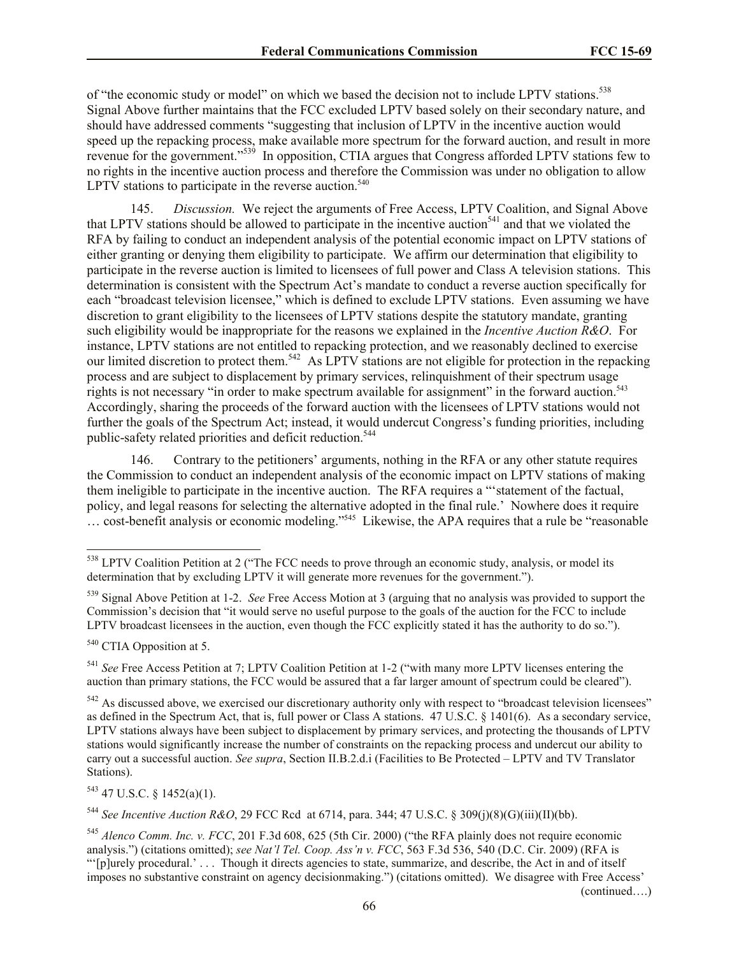of "the economic study or model" on which we based the decision not to include LPTV stations.<sup>538</sup> Signal Above further maintains that the FCC excluded LPTV based solely on their secondary nature, and should have addressed comments "suggesting that inclusion of LPTV in the incentive auction would speed up the repacking process, make available more spectrum for the forward auction, and result in more revenue for the government."<sup>539</sup> In opposition, CTIA argues that Congress afforded LPTV stations few to no rights in the incentive auction process and therefore the Commission was under no obligation to allow LPTV stations to participate in the reverse auction. $540$ 

145. *Discussion.* We reject the arguments of Free Access, LPTV Coalition, and Signal Above that LPTV stations should be allowed to participate in the incentive auction<sup>541</sup> and that we violated the RFA by failing to conduct an independent analysis of the potential economic impact on LPTV stations of either granting or denying them eligibility to participate. We affirm our determination that eligibility to participate in the reverse auction is limited to licensees of full power and Class A television stations. This determination is consistent with the Spectrum Act's mandate to conduct a reverse auction specifically for each "broadcast television licensee," which is defined to exclude LPTV stations. Even assuming we have discretion to grant eligibility to the licensees of LPTV stations despite the statutory mandate, granting such eligibility would be inappropriate for the reasons we explained in the *Incentive Auction R&O*. For instance, LPTV stations are not entitled to repacking protection, and we reasonably declined to exercise our limited discretion to protect them.<sup>542</sup> As LPTV stations are not eligible for protection in the repacking process and are subject to displacement by primary services, relinquishment of their spectrum usage rights is not necessary "in order to make spectrum available for assignment" in the forward auction.<sup>543</sup> Accordingly, sharing the proceeds of the forward auction with the licensees of LPTV stations would not further the goals of the Spectrum Act; instead, it would undercut Congress's funding priorities, including public-safety related priorities and deficit reduction.<sup>544</sup>

146. Contrary to the petitioners' arguments, nothing in the RFA or any other statute requires the Commission to conduct an independent analysis of the economic impact on LPTV stations of making them ineligible to participate in the incentive auction. The RFA requires a "'statement of the factual, policy, and legal reasons for selecting the alternative adopted in the final rule.' Nowhere does it require … cost-benefit analysis or economic modeling."<sup>545</sup> Likewise, the APA requires that a rule be "reasonable

<sup>540</sup> CTIA Opposition at 5.

l

<sup>541</sup> *See* Free Access Petition at 7; LPTV Coalition Petition at 1-2 ("with many more LPTV licenses entering the auction than primary stations, the FCC would be assured that a far larger amount of spectrum could be cleared").

<sup>542</sup> As discussed above, we exercised our discretionary authority only with respect to "broadcast television licensees" as defined in the Spectrum Act, that is, full power or Class A stations. 47 U.S.C. § 1401(6). As a secondary service, LPTV stations always have been subject to displacement by primary services, and protecting the thousands of LPTV stations would significantly increase the number of constraints on the repacking process and undercut our ability to carry out a successful auction. *See supra*, Section II.B.2.d.i (Facilities to Be Protected – LPTV and TV Translator Stations).

 $543$  47 U.S.C. § 1452(a)(1).

<sup>544</sup> *See Incentive Auction R&O*, 29 FCC Rcd at 6714, para. 344; 47 U.S.C. § 309(j)(8)(G)(iii)(II)(bb).

(continued….)

<sup>&</sup>lt;sup>538</sup> LPTV Coalition Petition at 2 ("The FCC needs to prove through an economic study, analysis, or model its determination that by excluding LPTV it will generate more revenues for the government.").

<sup>539</sup> Signal Above Petition at 1-2. *See* Free Access Motion at 3 (arguing that no analysis was provided to support the Commission's decision that "it would serve no useful purpose to the goals of the auction for the FCC to include LPTV broadcast licensees in the auction, even though the FCC explicitly stated it has the authority to do so.").

<sup>545</sup> *Alenco Comm. Inc. v. FCC*, 201 F.3d 608, 625 (5th Cir. 2000) ("the RFA plainly does not require economic analysis.") (citations omitted); *see Nat'l Tel. Coop. Ass'n v. FCC*, 563 F.3d 536, 540 (D.C. Cir. 2009) (RFA is "'[p]urely procedural.' . . . Though it directs agencies to state, summarize, and describe, the Act in and of itself imposes no substantive constraint on agency decisionmaking.") (citations omitted). We disagree with Free Access'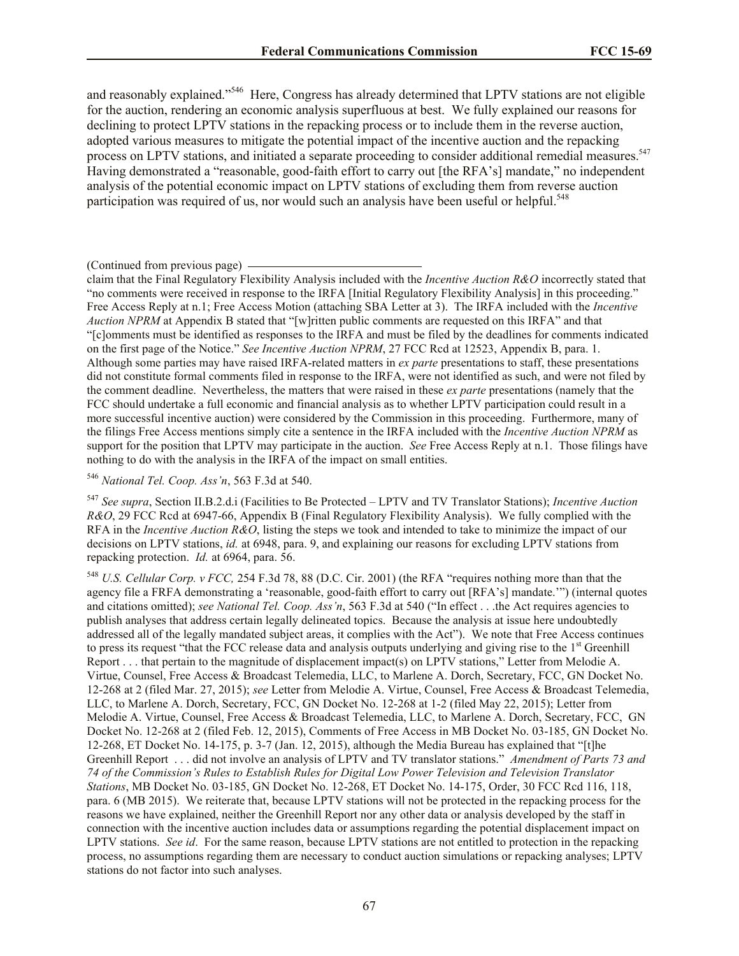and reasonably explained."<sup>546</sup> Here, Congress has already determined that LPTV stations are not eligible for the auction, rendering an economic analysis superfluous at best. We fully explained our reasons for declining to protect LPTV stations in the repacking process or to include them in the reverse auction, adopted various measures to mitigate the potential impact of the incentive auction and the repacking process on LPTV stations, and initiated a separate proceeding to consider additional remedial measures.<sup>547</sup> Having demonstrated a "reasonable, good-faith effort to carry out [the RFA's] mandate," no independent analysis of the potential economic impact on LPTV stations of excluding them from reverse auction participation was required of us, nor would such an analysis have been useful or helpful.<sup>548</sup>

#### (Continued from previous page)

claim that the Final Regulatory Flexibility Analysis included with the *Incentive Auction R&O* incorrectly stated that "no comments were received in response to the IRFA [Initial Regulatory Flexibility Analysis] in this proceeding." Free Access Reply at n.1; Free Access Motion (attaching SBA Letter at 3). The IRFA included with the *Incentive Auction NPRM* at Appendix B stated that "[w]ritten public comments are requested on this IRFA" and that "[c]omments must be identified as responses to the IRFA and must be filed by the deadlines for comments indicated on the first page of the Notice." *See Incentive Auction NPRM*, 27 FCC Rcd at 12523, Appendix B, para. 1. Although some parties may have raised IRFA-related matters in *ex parte* presentations to staff, these presentations did not constitute formal comments filed in response to the IRFA, were not identified as such, and were not filed by the comment deadline. Nevertheless, the matters that were raised in these *ex parte* presentations (namely that the FCC should undertake a full economic and financial analysis as to whether LPTV participation could result in a more successful incentive auction) were considered by the Commission in this proceeding. Furthermore, many of the filings Free Access mentions simply cite a sentence in the IRFA included with the *Incentive Auction NPRM* as support for the position that LPTV may participate in the auction. *See* Free Access Reply at n.1. Those filings have nothing to do with the analysis in the IRFA of the impact on small entities.

<sup>546</sup> *National Tel. Coop. Ass'n*, 563 F.3d at 540.

<sup>547</sup> *See supra*, Section II.B.2.d.i (Facilities to Be Protected – LPTV and TV Translator Stations); *Incentive Auction R&O*, 29 FCC Rcd at 6947-66, Appendix B (Final Regulatory Flexibility Analysis). We fully complied with the RFA in the *Incentive Auction R&O*, listing the steps we took and intended to take to minimize the impact of our decisions on LPTV stations, *id.* at 6948, para. 9, and explaining our reasons for excluding LPTV stations from repacking protection. *Id.* at 6964, para. 56.

<sup>548</sup> *U.S. Cellular Corp. v FCC,* 254 F.3d 78, 88 (D.C. Cir. 2001) (the RFA "requires nothing more than that the agency file a FRFA demonstrating a 'reasonable, good-faith effort to carry out [RFA's] mandate.'") (internal quotes and citations omitted); *see National Tel. Coop. Ass'n*, 563 F.3d at 540 ("In effect . . .the Act requires agencies to publish analyses that address certain legally delineated topics. Because the analysis at issue here undoubtedly addressed all of the legally mandated subject areas, it complies with the Act"). We note that Free Access continues to press its request "that the FCC release data and analysis outputs underlying and giving rise to the  $1<sup>st</sup>$  Greenhill Report . . . that pertain to the magnitude of displacement impact(s) on LPTV stations," Letter from Melodie A. Virtue, Counsel, Free Access & Broadcast Telemedia, LLC, to Marlene A. Dorch, Secretary, FCC, GN Docket No. 12-268 at 2 (filed Mar. 27, 2015); *see* Letter from Melodie A. Virtue, Counsel, Free Access & Broadcast Telemedia, LLC, to Marlene A. Dorch, Secretary, FCC, GN Docket No. 12-268 at 1-2 (filed May 22, 2015); Letter from Melodie A. Virtue, Counsel, Free Access & Broadcast Telemedia, LLC, to Marlene A. Dorch, Secretary, FCC, GN Docket No. 12-268 at 2 (filed Feb. 12, 2015), Comments of Free Access in MB Docket No. 03-185, GN Docket No. 12-268, ET Docket No. 14-175, p. 3-7 (Jan. 12, 2015), although the Media Bureau has explained that "[t]he Greenhill Report . . . did not involve an analysis of LPTV and TV translator stations." *Amendment of Parts 73 and 74 of the Commission's Rules to Establish Rules for Digital Low Power Television and Television Translator Stations*, MB Docket No. 03-185, GN Docket No. 12-268, ET Docket No. 14-175, Order, 30 FCC Rcd 116, 118, para. 6 (MB 2015). We reiterate that, because LPTV stations will not be protected in the repacking process for the reasons we have explained, neither the Greenhill Report nor any other data or analysis developed by the staff in connection with the incentive auction includes data or assumptions regarding the potential displacement impact on LPTV stations. *See id*. For the same reason, because LPTV stations are not entitled to protection in the repacking process, no assumptions regarding them are necessary to conduct auction simulations or repacking analyses; LPTV stations do not factor into such analyses.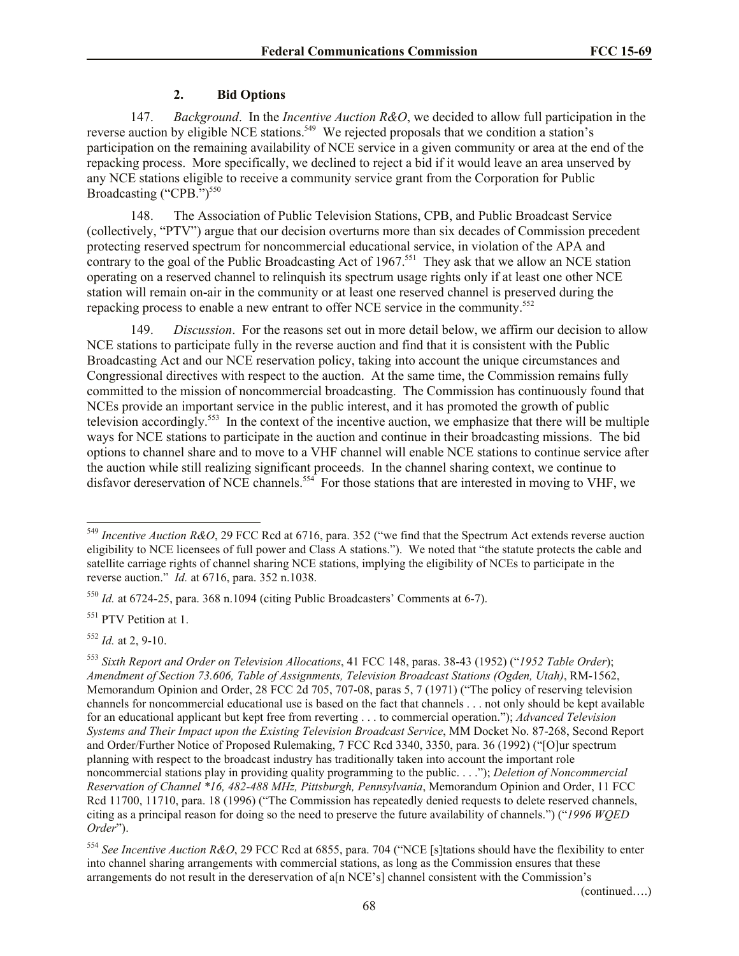## **2. Bid Options**

147. *Background*. In the *Incentive Auction R&O*, we decided to allow full participation in the reverse auction by eligible NCE stations.<sup>549</sup> We rejected proposals that we condition a station's participation on the remaining availability of NCE service in a given community or area at the end of the repacking process. More specifically, we declined to reject a bid if it would leave an area unserved by any NCE stations eligible to receive a community service grant from the Corporation for Public Broadcasting ("CPB.")<sup>550</sup>

148. The Association of Public Television Stations, CPB, and Public Broadcast Service (collectively, "PTV") argue that our decision overturns more than six decades of Commission precedent protecting reserved spectrum for noncommercial educational service, in violation of the APA and contrary to the goal of the Public Broadcasting Act of 1967.<sup>551</sup> They ask that we allow an NCE station operating on a reserved channel to relinquish its spectrum usage rights only if at least one other NCE station will remain on-air in the community or at least one reserved channel is preserved during the repacking process to enable a new entrant to offer NCE service in the community.<sup>552</sup>

149. *Discussion*. For the reasons set out in more detail below, we affirm our decision to allow NCE stations to participate fully in the reverse auction and find that it is consistent with the Public Broadcasting Act and our NCE reservation policy, taking into account the unique circumstances and Congressional directives with respect to the auction. At the same time, the Commission remains fully committed to the mission of noncommercial broadcasting. The Commission has continuously found that NCEs provide an important service in the public interest, and it has promoted the growth of public television accordingly.<sup>553</sup> In the context of the incentive auction, we emphasize that there will be multiple ways for NCE stations to participate in the auction and continue in their broadcasting missions. The bid options to channel share and to move to a VHF channel will enable NCE stations to continue service after the auction while still realizing significant proceeds. In the channel sharing context, we continue to disfavor dereservation of NCE channels.<sup>554</sup> For those stations that are interested in moving to VHF, we

<sup>551</sup> PTV Petition at 1.

<sup>552</sup> *Id.* at 2, 9-10.

l

(continued….)

<sup>549</sup> *Incentive Auction R&O*, 29 FCC Rcd at 6716, para. 352 ("we find that the Spectrum Act extends reverse auction eligibility to NCE licensees of full power and Class A stations."). We noted that "the statute protects the cable and satellite carriage rights of channel sharing NCE stations, implying the eligibility of NCEs to participate in the reverse auction." *Id.* at 6716, para. 352 n.1038.

<sup>550</sup> *Id.* at 6724-25, para. 368 n.1094 (citing Public Broadcasters' Comments at 6-7).

<sup>553</sup> *Sixth Report and Order on Television Allocations*, 41 FCC 148, paras. 38-43 (1952) ("*1952 Table Order*); *Amendment of Section 73.606, Table of Assignments, Television Broadcast Stations (Ogden, Utah)*, RM-1562, Memorandum Opinion and Order, 28 FCC 2d 705, 707-08, paras 5, 7 (1971) ("The policy of reserving television channels for noncommercial educational use is based on the fact that channels . . . not only should be kept available for an educational applicant but kept free from reverting . . . to commercial operation."); *Advanced Television Systems and Their Impact upon the Existing Television Broadcast Service*, MM Docket No. 87-268, Second Report and Order/Further Notice of Proposed Rulemaking, 7 FCC Rcd 3340, 3350, para. 36 (1992) ("[O]ur spectrum planning with respect to the broadcast industry has traditionally taken into account the important role noncommercial stations play in providing quality programming to the public. . . ."); *Deletion of Noncommercial Reservation of Channel \*16, 482-488 MHz, Pittsburgh, Pennsylvania*, Memorandum Opinion and Order, 11 FCC Rcd 11700, 11710, para. 18 (1996) ("The Commission has repeatedly denied requests to delete reserved channels, citing as a principal reason for doing so the need to preserve the future availability of channels.") ("*1996 WQED Order*").

<sup>554</sup> *See Incentive Auction R&O*, 29 FCC Rcd at 6855, para. 704 ("NCE [s]tations should have the flexibility to enter into channel sharing arrangements with commercial stations, as long as the Commission ensures that these arrangements do not result in the dereservation of a[n NCE's] channel consistent with the Commission's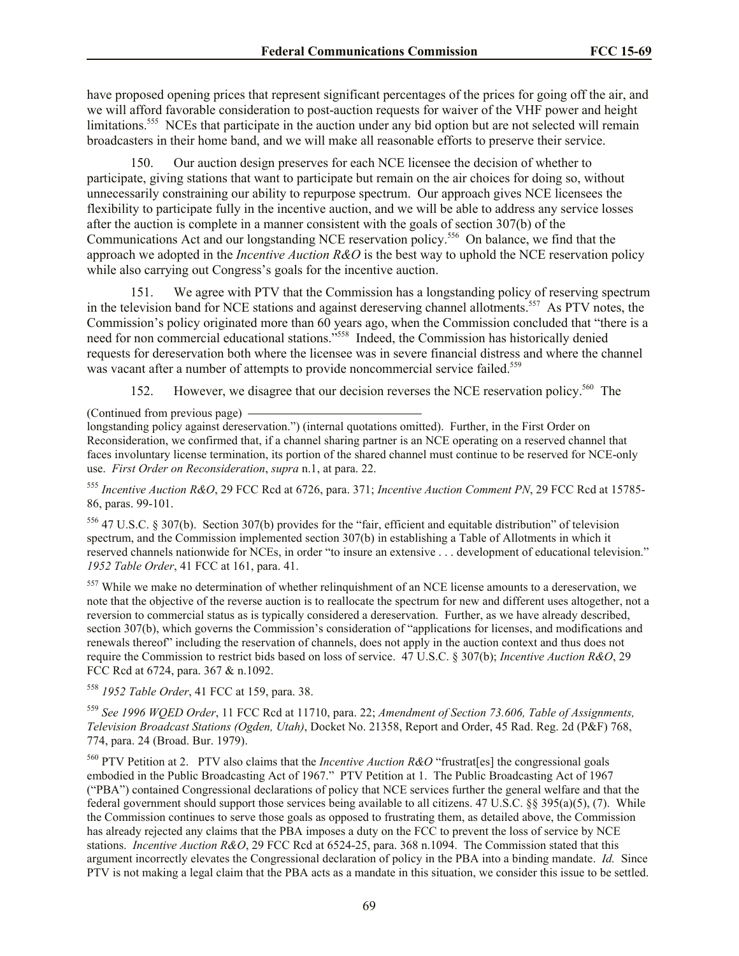have proposed opening prices that represent significant percentages of the prices for going off the air, and we will afford favorable consideration to post-auction requests for waiver of the VHF power and height limitations.<sup>555</sup> NCEs that participate in the auction under any bid option but are not selected will remain broadcasters in their home band, and we will make all reasonable efforts to preserve their service.

150. Our auction design preserves for each NCE licensee the decision of whether to participate, giving stations that want to participate but remain on the air choices for doing so, without unnecessarily constraining our ability to repurpose spectrum. Our approach gives NCE licensees the flexibility to participate fully in the incentive auction, and we will be able to address any service losses after the auction is complete in a manner consistent with the goals of section 307(b) of the Communications Act and our longstanding NCE reservation policy.<sup>556</sup> On balance, we find that the approach we adopted in the *Incentive Auction R&O* is the best way to uphold the NCE reservation policy while also carrying out Congress's goals for the incentive auction.

151. We agree with PTV that the Commission has a longstanding policy of reserving spectrum in the television band for NCE stations and against dereserving channel allotments.<sup>557</sup> As PTV notes, the Commission's policy originated more than 60 years ago, when the Commission concluded that "there is a need for non commercial educational stations."<sup>558</sup> Indeed, the Commission has historically denied requests for dereservation both where the licensee was in severe financial distress and where the channel was vacant after a number of attempts to provide noncommercial service failed.<sup>559</sup>

152. However, we disagree that our decision reverses the NCE reservation policy.<sup>560</sup> The

(Continued from previous page)

longstanding policy against dereservation.") (internal quotations omitted). Further, in the First Order on Reconsideration, we confirmed that, if a channel sharing partner is an NCE operating on a reserved channel that faces involuntary license termination, its portion of the shared channel must continue to be reserved for NCE-only use. *First Order on Reconsideration*, *supra* n.1, at para. 22.

<sup>555</sup> *Incentive Auction R&O*, 29 FCC Rcd at 6726, para. 371; *Incentive Auction Comment PN*, 29 FCC Rcd at 15785- 86, paras. 99-101.

<sup>556</sup> 47 U.S.C. § 307(b). Section 307(b) provides for the "fair, efficient and equitable distribution" of television spectrum, and the Commission implemented section 307(b) in establishing a Table of Allotments in which it reserved channels nationwide for NCEs, in order "to insure an extensive . . . development of educational television." *1952 Table Order*, 41 FCC at 161, para. 41.

<sup>557</sup> While we make no determination of whether relinquishment of an NCE license amounts to a dereservation, we note that the objective of the reverse auction is to reallocate the spectrum for new and different uses altogether, not a reversion to commercial status as is typically considered a dereservation. Further, as we have already described, section 307(b), which governs the Commission's consideration of "applications for licenses, and modifications and renewals thereof" including the reservation of channels, does not apply in the auction context and thus does not require the Commission to restrict bids based on loss of service. 47 U.S.C. § 307(b); *Incentive Auction R&O*, 29 FCC Rcd at 6724, para. 367 & n.1092.

<sup>558</sup> *1952 Table Order*, 41 FCC at 159, para. 38.

<sup>559</sup> *See 1996 WQED Order*, 11 FCC Rcd at 11710, para. 22; *Amendment of Section 73.606, Table of Assignments, Television Broadcast Stations (Ogden, Utah)*, Docket No. 21358, Report and Order, 45 Rad. Reg. 2d (P&F) 768, 774, para. 24 (Broad. Bur. 1979).

<sup>560</sup> PTV Petition at 2. PTV also claims that the *Incentive Auction R&O* "frustrat[es] the congressional goals embodied in the Public Broadcasting Act of 1967." PTV Petition at 1. The Public Broadcasting Act of 1967 ("PBA") contained Congressional declarations of policy that NCE services further the general welfare and that the federal government should support those services being available to all citizens. 47 U.S.C. §§ 395(a)(5), (7). While the Commission continues to serve those goals as opposed to frustrating them, as detailed above, the Commission has already rejected any claims that the PBA imposes a duty on the FCC to prevent the loss of service by NCE stations. *Incentive Auction R&O*, 29 FCC Rcd at 6524-25, para. 368 n.1094. The Commission stated that this argument incorrectly elevates the Congressional declaration of policy in the PBA into a binding mandate. *Id.* Since PTV is not making a legal claim that the PBA acts as a mandate in this situation, we consider this issue to be settled.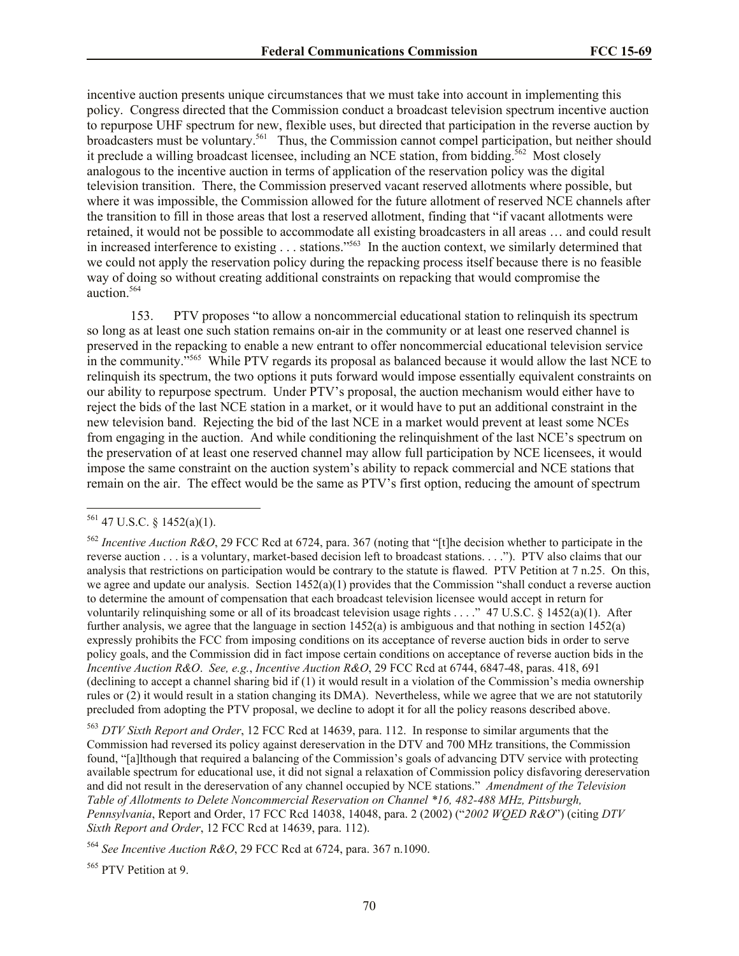incentive auction presents unique circumstances that we must take into account in implementing this policy. Congress directed that the Commission conduct a broadcast television spectrum incentive auction to repurpose UHF spectrum for new, flexible uses, but directed that participation in the reverse auction by broadcasters must be voluntary.<sup>561</sup> Thus, the Commission cannot compel participation, but neither should it preclude a willing broadcast licensee, including an NCE station, from bidding.<sup>562</sup> Most closely analogous to the incentive auction in terms of application of the reservation policy was the digital television transition. There, the Commission preserved vacant reserved allotments where possible, but where it was impossible, the Commission allowed for the future allotment of reserved NCE channels after the transition to fill in those areas that lost a reserved allotment, finding that "if vacant allotments were retained, it would not be possible to accommodate all existing broadcasters in all areas … and could result in increased interference to existing . . . stations."<sup>563</sup> In the auction context, we similarly determined that we could not apply the reservation policy during the repacking process itself because there is no feasible way of doing so without creating additional constraints on repacking that would compromise the auction.<sup>564</sup>

153. PTV proposes "to allow a noncommercial educational station to relinquish its spectrum so long as at least one such station remains on-air in the community or at least one reserved channel is preserved in the repacking to enable a new entrant to offer noncommercial educational television service in the community."<sup>565</sup> While PTV regards its proposal as balanced because it would allow the last NCE to relinquish its spectrum, the two options it puts forward would impose essentially equivalent constraints on our ability to repurpose spectrum. Under PTV's proposal, the auction mechanism would either have to reject the bids of the last NCE station in a market, or it would have to put an additional constraint in the new television band. Rejecting the bid of the last NCE in a market would prevent at least some NCEs from engaging in the auction. And while conditioning the relinquishment of the last NCE's spectrum on the preservation of at least one reserved channel may allow full participation by NCE licensees, it would impose the same constraint on the auction system's ability to repack commercial and NCE stations that remain on the air. The effect would be the same as PTV's first option, reducing the amount of spectrum

l

<sup>563</sup> *DTV Sixth Report and Order*, 12 FCC Rcd at 14639, para. 112. In response to similar arguments that the Commission had reversed its policy against dereservation in the DTV and 700 MHz transitions, the Commission found, "[a]lthough that required a balancing of the Commission's goals of advancing DTV service with protecting available spectrum for educational use, it did not signal a relaxation of Commission policy disfavoring dereservation and did not result in the dereservation of any channel occupied by NCE stations." *Amendment of the Television Table of Allotments to Delete Noncommercial Reservation on Channel \*16, 482-488 MHz, Pittsburgh, Pennsylvania*, Report and Order, 17 FCC Rcd 14038, 14048, para. 2 (2002) ("*2002 WQED R&O*") (citing *DTV Sixth Report and Order*, 12 FCC Rcd at 14639, para. 112).

<sup>564</sup> *See Incentive Auction R&O*, 29 FCC Rcd at 6724, para. 367 n.1090.

<sup>565</sup> PTV Petition at 9.

 $561$  47 U.S.C. § 1452(a)(1).

<sup>562</sup> *Incentive Auction R&O*, 29 FCC Rcd at 6724, para. 367 (noting that "[t]he decision whether to participate in the reverse auction . . . is a voluntary, market-based decision left to broadcast stations. . . ."). PTV also claims that our analysis that restrictions on participation would be contrary to the statute is flawed. PTV Petition at 7 n.25. On this, we agree and update our analysis. Section  $1452(a)(1)$  provides that the Commission "shall conduct a reverse auction" to determine the amount of compensation that each broadcast television licensee would accept in return for voluntarily relinquishing some or all of its broadcast television usage rights . . . ." 47 U.S.C. § 1452(a)(1). After further analysis, we agree that the language in section 1452(a) is ambiguous and that nothing in section 1452(a) expressly prohibits the FCC from imposing conditions on its acceptance of reverse auction bids in order to serve policy goals, and the Commission did in fact impose certain conditions on acceptance of reverse auction bids in the *Incentive Auction R&O*. *See, e.g.*, *Incentive Auction R&O*, 29 FCC Rcd at 6744, 6847-48, paras. 418, 691 (declining to accept a channel sharing bid if (1) it would result in a violation of the Commission's media ownership rules or (2) it would result in a station changing its DMA). Nevertheless, while we agree that we are not statutorily precluded from adopting the PTV proposal, we decline to adopt it for all the policy reasons described above.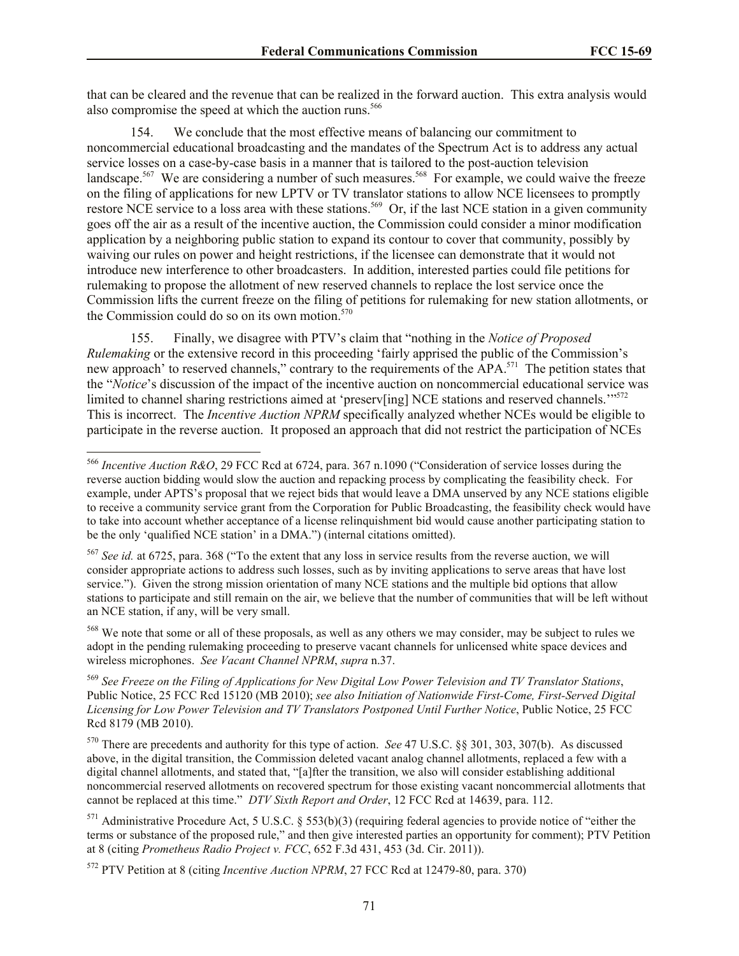that can be cleared and the revenue that can be realized in the forward auction. This extra analysis would also compromise the speed at which the auction runs.<sup>566</sup>

154. We conclude that the most effective means of balancing our commitment to noncommercial educational broadcasting and the mandates of the Spectrum Act is to address any actual service losses on a case-by-case basis in a manner that is tailored to the post-auction television landscape.<sup>567</sup> We are considering a number of such measures.<sup>568</sup> For example, we could waive the freeze on the filing of applications for new LPTV or TV translator stations to allow NCE licensees to promptly restore NCE service to a loss area with these stations.<sup>569</sup> Or, if the last NCE station in a given community goes off the air as a result of the incentive auction, the Commission could consider a minor modification application by a neighboring public station to expand its contour to cover that community, possibly by waiving our rules on power and height restrictions, if the licensee can demonstrate that it would not introduce new interference to other broadcasters. In addition, interested parties could file petitions for rulemaking to propose the allotment of new reserved channels to replace the lost service once the Commission lifts the current freeze on the filing of petitions for rulemaking for new station allotments, or the Commission could do so on its own motion.<sup>570</sup>

155. Finally, we disagree with PTV's claim that "nothing in the *Notice of Proposed Rulemaking* or the extensive record in this proceeding 'fairly apprised the public of the Commission's new approach' to reserved channels," contrary to the requirements of the APA.<sup>571</sup> The petition states that the "*Notice*'s discussion of the impact of the incentive auction on noncommercial educational service was limited to channel sharing restrictions aimed at 'preserv[ing] NCE stations and reserved channels."<sup>572</sup> This is incorrect. The *Incentive Auction NPRM* specifically analyzed whether NCEs would be eligible to participate in the reverse auction. It proposed an approach that did not restrict the participation of NCEs

l

<sup>568</sup> We note that some or all of these proposals, as well as any others we may consider, may be subject to rules we adopt in the pending rulemaking proceeding to preserve vacant channels for unlicensed white space devices and wireless microphones. *See Vacant Channel NPRM*, *supra* n.37.

<sup>569</sup> *See Freeze on the Filing of Applications for New Digital Low Power Television and TV Translator Stations*, Public Notice, 25 FCC Rcd 15120 (MB 2010); *see also Initiation of Nationwide First-Come, First-Served Digital Licensing for Low Power Television and TV Translators Postponed Until Further Notice*, Public Notice, 25 FCC Rcd 8179 (MB 2010).

<sup>570</sup> There are precedents and authority for this type of action. *See* 47 U.S.C. §§ 301, 303, 307(b). As discussed above, in the digital transition, the Commission deleted vacant analog channel allotments, replaced a few with a digital channel allotments, and stated that, "[a]fter the transition, we also will consider establishing additional noncommercial reserved allotments on recovered spectrum for those existing vacant noncommercial allotments that cannot be replaced at this time." *DTV Sixth Report and Order*, 12 FCC Rcd at 14639, para. 112.

<sup>571</sup> Administrative Procedure Act, 5 U.S.C. § 553(b)(3) (requiring federal agencies to provide notice of "either the terms or substance of the proposed rule," and then give interested parties an opportunity for comment); PTV Petition at 8 (citing *Prometheus Radio Project v. FCC*, 652 F.3d 431, 453 (3d. Cir. 2011)).

<sup>572</sup> PTV Petition at 8 (citing *Incentive Auction NPRM*, 27 FCC Rcd at 12479-80, para. 370)

<sup>566</sup> *Incentive Auction R&O*, 29 FCC Rcd at 6724, para. 367 n.1090 ("Consideration of service losses during the reverse auction bidding would slow the auction and repacking process by complicating the feasibility check. For example, under APTS's proposal that we reject bids that would leave a DMA unserved by any NCE stations eligible to receive a community service grant from the Corporation for Public Broadcasting, the feasibility check would have to take into account whether acceptance of a license relinquishment bid would cause another participating station to be the only 'qualified NCE station' in a DMA.") (internal citations omitted).

<sup>567</sup> *See id.* at 6725, para. 368 ("To the extent that any loss in service results from the reverse auction, we will consider appropriate actions to address such losses, such as by inviting applications to serve areas that have lost service."). Given the strong mission orientation of many NCE stations and the multiple bid options that allow stations to participate and still remain on the air, we believe that the number of communities that will be left without an NCE station, if any, will be very small.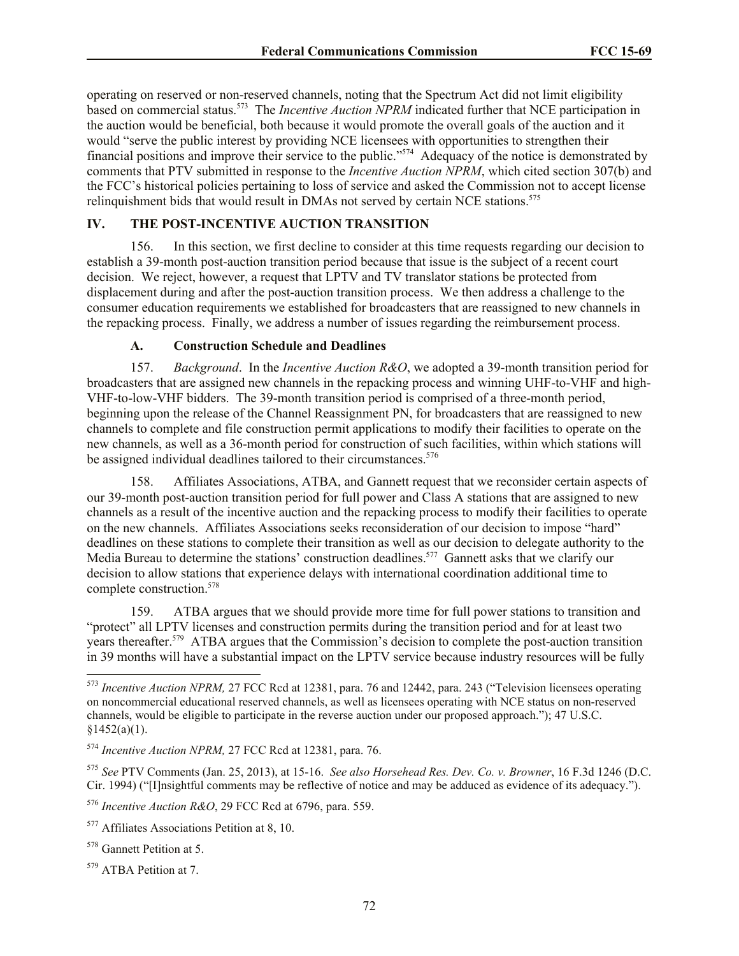operating on reserved or non-reserved channels, noting that the Spectrum Act did not limit eligibility based on commercial status.<sup>573</sup> The *Incentive Auction NPRM* indicated further that NCE participation in the auction would be beneficial, both because it would promote the overall goals of the auction and it would "serve the public interest by providing NCE licensees with opportunities to strengthen their financial positions and improve their service to the public."<sup>574</sup> Adequacy of the notice is demonstrated by comments that PTV submitted in response to the *Incentive Auction NPRM*, which cited section 307(b) and the FCC's historical policies pertaining to loss of service and asked the Commission not to accept license relinquishment bids that would result in DMAs not served by certain NCE stations.<sup>575</sup>

# **IV. THE POST-INCENTIVE AUCTION TRANSITION**

156. In this section, we first decline to consider at this time requests regarding our decision to establish a 39-month post-auction transition period because that issue is the subject of a recent court decision. We reject, however, a request that LPTV and TV translator stations be protected from displacement during and after the post-auction transition process. We then address a challenge to the consumer education requirements we established for broadcasters that are reassigned to new channels in the repacking process. Finally, we address a number of issues regarding the reimbursement process.

## **A. Construction Schedule and Deadlines**

157. *Background*. In the *Incentive Auction R&O*, we adopted a 39-month transition period for broadcasters that are assigned new channels in the repacking process and winning UHF-to-VHF and high-VHF-to-low-VHF bidders. The 39-month transition period is comprised of a three-month period, beginning upon the release of the Channel Reassignment PN, for broadcasters that are reassigned to new channels to complete and file construction permit applications to modify their facilities to operate on the new channels, as well as a 36-month period for construction of such facilities, within which stations will be assigned individual deadlines tailored to their circumstances.<sup>576</sup>

158. Affiliates Associations, ATBA, and Gannett request that we reconsider certain aspects of our 39-month post-auction transition period for full power and Class A stations that are assigned to new channels as a result of the incentive auction and the repacking process to modify their facilities to operate on the new channels. Affiliates Associations seeks reconsideration of our decision to impose "hard" deadlines on these stations to complete their transition as well as our decision to delegate authority to the Media Bureau to determine the stations' construction deadlines.<sup>577</sup> Gannett asks that we clarify our decision to allow stations that experience delays with international coordination additional time to complete construction.<sup>578</sup>

159. ATBA argues that we should provide more time for full power stations to transition and "protect" all LPTV licenses and construction permits during the transition period and for at least two years thereafter.<sup>579</sup> ATBA argues that the Commission's decision to complete the post-auction transition in 39 months will have a substantial impact on the LPTV service because industry resources will be fully

l

<sup>573</sup> *Incentive Auction NPRM,* 27 FCC Rcd at 12381, para. 76 and 12442, para. 243 ("Television licensees operating on noncommercial educational reserved channels, as well as licensees operating with NCE status on non-reserved channels, would be eligible to participate in the reverse auction under our proposed approach."); 47 U.S.C.  $§1452(a)(1).$ 

<sup>574</sup> *Incentive Auction NPRM,* 27 FCC Rcd at 12381, para. 76.

<sup>575</sup> *See* PTV Comments (Jan. 25, 2013), at 15-16. *See also Horsehead Res. Dev. Co. v. Browner*, 16 F.3d 1246 (D.C. Cir. 1994) ("[I]nsightful comments may be reflective of notice and may be adduced as evidence of its adequacy.").

<sup>576</sup> *Incentive Auction R&O*, 29 FCC Rcd at 6796, para. 559.

<sup>&</sup>lt;sup>577</sup> Affiliates Associations Petition at 8, 10.

<sup>&</sup>lt;sup>578</sup> Gannett Petition at 5.

<sup>579</sup> ATBA Petition at 7.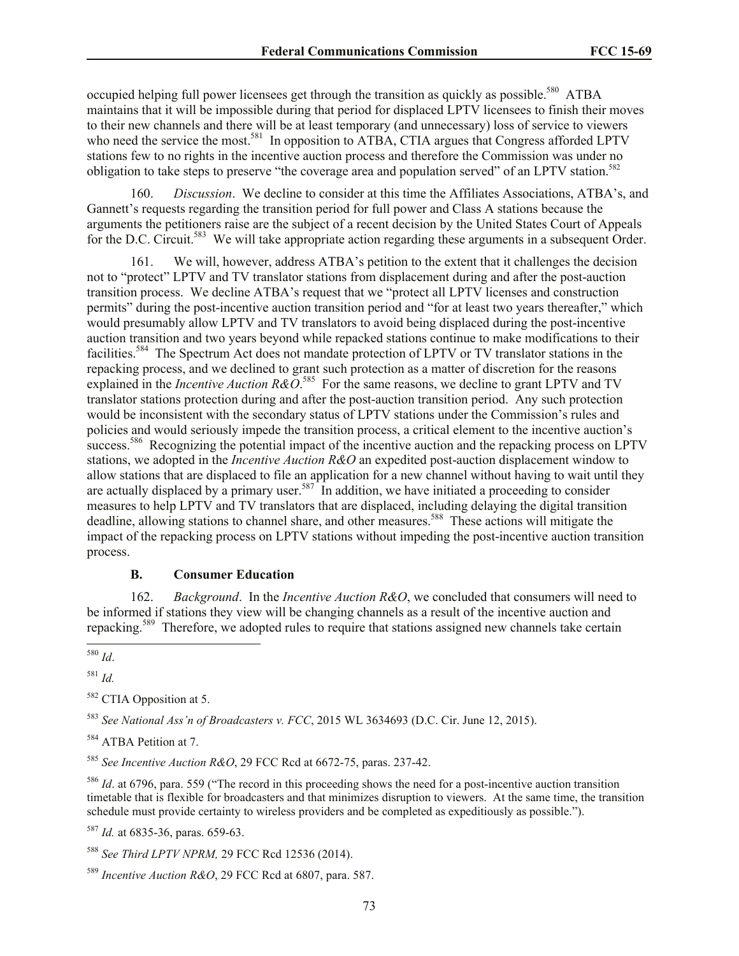occupied helping full power licensees get through the transition as quickly as possible.<sup>580</sup> ATBA maintains that it will be impossible during that period for displaced LPTV licensees to finish their moves to their new channels and there will be at least temporary (and unnecessary) loss of service to viewers who need the service the most.<sup>581</sup> In opposition to ATBA, CTIA argues that Congress afforded LPTV stations few to no rights in the incentive auction process and therefore the Commission was under no obligation to take steps to preserve "the coverage area and population served" of an LPTV station.<sup>582</sup>

160. *Discussion*. We decline to consider at this time the Affiliates Associations, ATBA's, and Gannett's requests regarding the transition period for full power and Class A stations because the arguments the petitioners raise are the subject of a recent decision by the United States Court of Appeals for the D.C. Circuit.<sup>583</sup> We will take appropriate action regarding these arguments in a subsequent Order.

161. We will, however, address ATBA's petition to the extent that it challenges the decision not to "protect" LPTV and TV translator stations from displacement during and after the post-auction transition process. We decline ATBA's request that we "protect all LPTV licenses and construction permits" during the post-incentive auction transition period and "for at least two years thereafter," which would presumably allow LPTV and TV translators to avoid being displaced during the post-incentive auction transition and two years beyond while repacked stations continue to make modifications to their facilities.<sup>584</sup> The Spectrum Act does not mandate protection of LPTV or TV translator stations in the repacking process, and we declined to grant such protection as a matter of discretion for the reasons explained in the *Incentive Auction R&O*.<sup>585</sup> For the same reasons, we decline to grant LPTV and TV translator stations protection during and after the post-auction transition period. Any such protection would be inconsistent with the secondary status of LPTV stations under the Commission's rules and policies and would seriously impede the transition process, a critical element to the incentive auction's success.<sup>586</sup> Recognizing the potential impact of the incentive auction and the repacking process on LPTV stations, we adopted in the *Incentive Auction R&O* an expedited post-auction displacement window to allow stations that are displaced to file an application for a new channel without having to wait until they are actually displaced by a primary user.<sup>587</sup> In addition, we have initiated a proceeding to consider measures to help LPTV and TV translators that are displaced, including delaying the digital transition deadline, allowing stations to channel share, and other measures.<sup>588</sup> These actions will mitigate the impact of the repacking process on LPTV stations without impeding the post-incentive auction transition process.

#### **B. Consumer Education**

162. *Background*. In the *Incentive Auction R&O*, we concluded that consumers will need to be informed if stations they view will be changing channels as a result of the incentive auction and repacking.<sup>589</sup> Therefore, we adopted rules to require that stations assigned new channels take certain

<sup>581</sup> *Id.*

<sup>582</sup> CTIA Opposition at 5.

<sup>583</sup> *See National Ass'n of Broadcasters v. FCC*, 2015 WL 3634693 (D.C. Cir. June 12, 2015).

<sup>584</sup> ATBA Petition at 7.

<sup>585</sup> *See Incentive Auction R&O*, 29 FCC Rcd at 6672-75, paras. 237-42.

<sup>586</sup> *Id*. at 6796, para. 559 ("The record in this proceeding shows the need for a post-incentive auction transition timetable that is flexible for broadcasters and that minimizes disruption to viewers. At the same time, the transition schedule must provide certainty to wireless providers and be completed as expeditiously as possible.").

<sup>587</sup> *Id.* at 6835-36, paras. 659-63.

<sup>588</sup> *See Third LPTV NPRM,* 29 FCC Rcd 12536 (2014).

<sup>589</sup> *Incentive Auction R&O*, 29 FCC Rcd at 6807, para. 587.

 $\overline{\phantom{a}}$ <sup>580</sup> *Id*.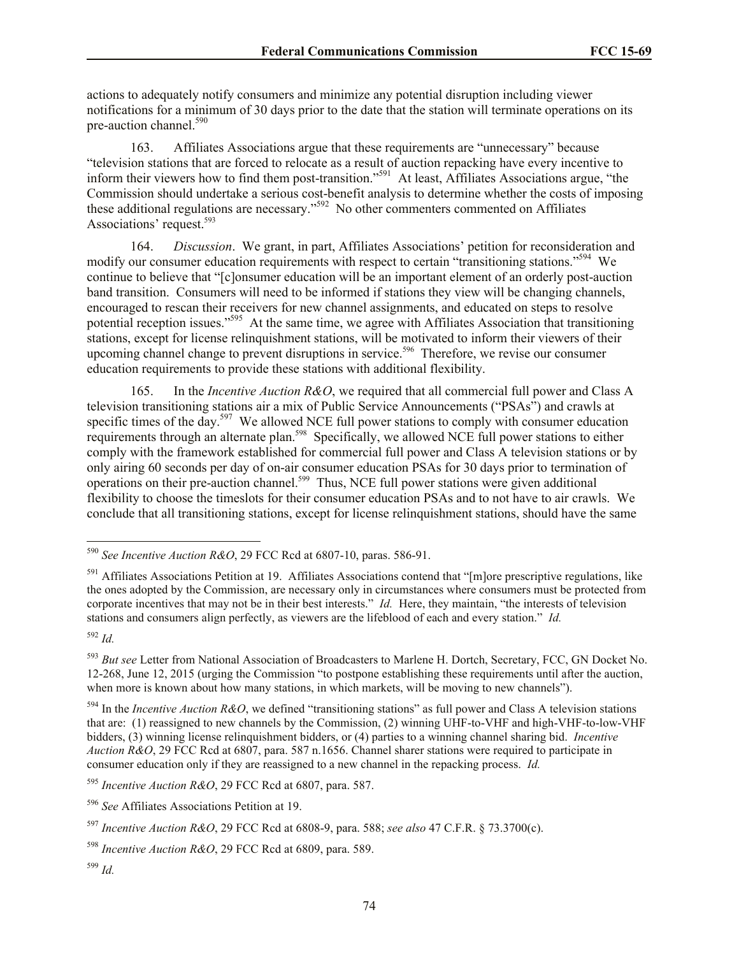actions to adequately notify consumers and minimize any potential disruption including viewer notifications for a minimum of 30 days prior to the date that the station will terminate operations on its pre-auction channel.<sup>590</sup>

163. Affiliates Associations argue that these requirements are "unnecessary" because "television stations that are forced to relocate as a result of auction repacking have every incentive to inform their viewers how to find them post-transition."<sup>591</sup> At least, Affiliates Associations argue, "the Commission should undertake a serious cost-benefit analysis to determine whether the costs of imposing these additional regulations are necessary."<sup>592</sup> No other commenters commented on Affiliates Associations' request.<sup>593</sup>

164. *Discussion*. We grant, in part, Affiliates Associations' petition for reconsideration and modify our consumer education requirements with respect to certain "transitioning stations."<sup>594</sup> We continue to believe that "[c]onsumer education will be an important element of an orderly post-auction band transition. Consumers will need to be informed if stations they view will be changing channels, encouraged to rescan their receivers for new channel assignments, and educated on steps to resolve potential reception issues."<sup>595</sup> At the same time, we agree with Affiliates Association that transitioning stations, except for license relinquishment stations, will be motivated to inform their viewers of their upcoming channel change to prevent disruptions in service.<sup>596</sup> Therefore, we revise our consumer education requirements to provide these stations with additional flexibility.

165. In the *Incentive Auction R&O*, we required that all commercial full power and Class A television transitioning stations air a mix of Public Service Announcements ("PSAs") and crawls at specific times of the day.<sup>597</sup> We allowed NCE full power stations to comply with consumer education requirements through an alternate plan.<sup>598</sup> Specifically, we allowed NCE full power stations to either comply with the framework established for commercial full power and Class A television stations or by only airing 60 seconds per day of on-air consumer education PSAs for 30 days prior to termination of operations on their pre-auction channel.<sup>599</sup> Thus, NCE full power stations were given additional flexibility to choose the timeslots for their consumer education PSAs and to not have to air crawls. We conclude that all transitioning stations, except for license relinquishment stations, should have the same

<sup>592</sup> *Id.*

 $\overline{\phantom{a}}$ 

<sup>590</sup> *See Incentive Auction R&O*, 29 FCC Rcd at 6807-10, paras. 586-91.

 $591$  Affiliates Associations Petition at 19. Affiliates Associations contend that "[m]ore prescriptive regulations, like the ones adopted by the Commission, are necessary only in circumstances where consumers must be protected from corporate incentives that may not be in their best interests." *Id.* Here, they maintain, "the interests of television stations and consumers align perfectly, as viewers are the lifeblood of each and every station." *Id.*

<sup>593</sup> *But see* Letter from National Association of Broadcasters to Marlene H. Dortch, Secretary, FCC, GN Docket No. 12-268, June 12, 2015 (urging the Commission "to postpone establishing these requirements until after the auction, when more is known about how many stations, in which markets, will be moving to new channels").

<sup>594</sup> In the *Incentive Auction R&O*, we defined "transitioning stations" as full power and Class A television stations that are: (1) reassigned to new channels by the Commission, (2) winning UHF-to-VHF and high-VHF-to-low-VHF bidders, (3) winning license relinquishment bidders, or (4) parties to a winning channel sharing bid. *Incentive Auction R&O*, 29 FCC Rcd at 6807, para. 587 n.1656. Channel sharer stations were required to participate in consumer education only if they are reassigned to a new channel in the repacking process. *Id.*

<sup>595</sup> *Incentive Auction R&O*, 29 FCC Rcd at 6807, para. 587.

<sup>596</sup> *See* Affiliates Associations Petition at 19.

<sup>597</sup> *Incentive Auction R&O*, 29 FCC Rcd at 6808-9, para. 588; *see also* 47 C.F.R. § 73.3700(c).

<sup>598</sup> *Incentive Auction R&O*, 29 FCC Rcd at 6809, para. 589.

<sup>599</sup> *Id.*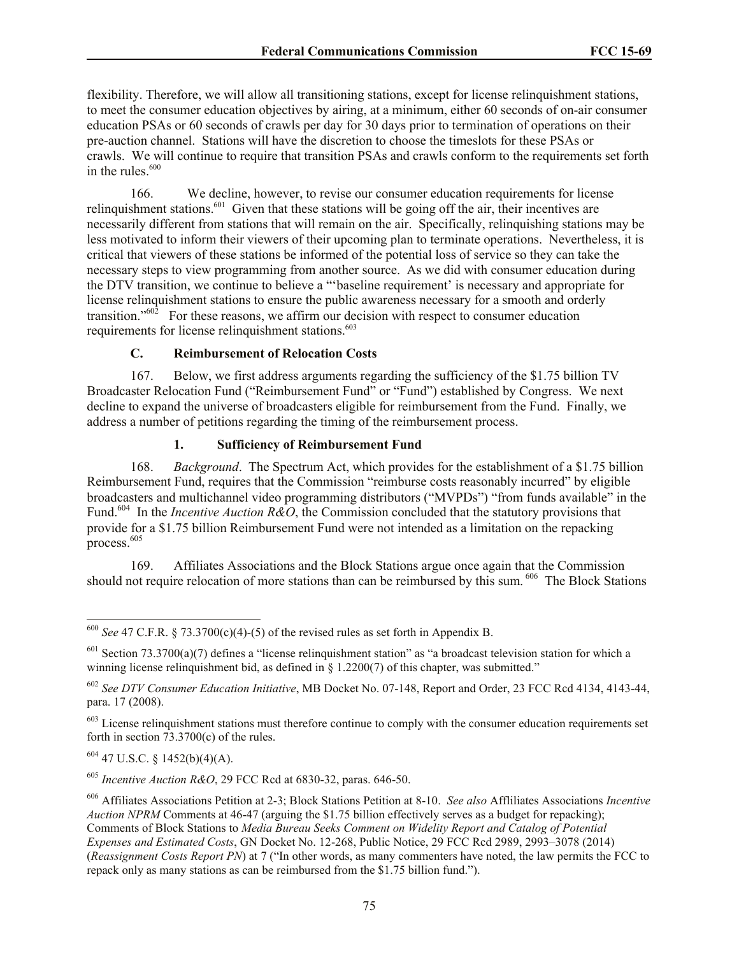flexibility. Therefore, we will allow all transitioning stations, except for license relinquishment stations, to meet the consumer education objectives by airing, at a minimum, either 60 seconds of on-air consumer education PSAs or 60 seconds of crawls per day for 30 days prior to termination of operations on their pre-auction channel. Stations will have the discretion to choose the timeslots for these PSAs or crawls. We will continue to require that transition PSAs and crawls conform to the requirements set forth in the rules. 600

166. We decline, however, to revise our consumer education requirements for license relinquishment stations.<sup>601</sup> Given that these stations will be going off the air, their incentives are necessarily different from stations that will remain on the air. Specifically, relinquishing stations may be less motivated to inform their viewers of their upcoming plan to terminate operations. Nevertheless, it is critical that viewers of these stations be informed of the potential loss of service so they can take the necessary steps to view programming from another source. As we did with consumer education during the DTV transition, we continue to believe a "'baseline requirement' is necessary and appropriate for license relinquishment stations to ensure the public awareness necessary for a smooth and orderly transition.<sup> $5602$ </sup> For these reasons, we affirm our decision with respect to consumer education requirements for license relinquishment stations.<sup>603</sup>

## **C. Reimbursement of Relocation Costs**

167. Below, we first address arguments regarding the sufficiency of the \$1.75 billion TV Broadcaster Relocation Fund ("Reimbursement Fund" or "Fund") established by Congress. We next decline to expand the universe of broadcasters eligible for reimbursement from the Fund. Finally, we address a number of petitions regarding the timing of the reimbursement process.

# **1. Sufficiency of Reimbursement Fund**

168. *Background*. The Spectrum Act, which provides for the establishment of a \$1.75 billion Reimbursement Fund, requires that the Commission "reimburse costs reasonably incurred" by eligible broadcasters and multichannel video programming distributors ("MVPDs") "from funds available" in the Fund.<sup>604</sup> In the *Incentive Auction R&O*, the Commission concluded that the statutory provisions that provide for a \$1.75 billion Reimbursement Fund were not intended as a limitation on the repacking process.  $605$ 

169. Affiliates Associations and the Block Stations argue once again that the Commission should not require relocation of more stations than can be reimbursed by this sum.<sup>606</sup> The Block Stations

<sup>604</sup> 47 U.S.C. § 1452(b)(4)(A).

 $\overline{\phantom{a}}$ 

<sup>605</sup> *Incentive Auction R&O*, 29 FCC Rcd at 6830-32, paras. 646-50.

 $600$  *See* 47 C.F.R. § 73.3700(c)(4)-(5) of the revised rules as set forth in Appendix B.

 $601$  Section 73.3700(a)(7) defines a "license relinguishment station" as "a broadcast television station for which a winning license relinquishment bid, as defined in § 1.2200(7) of this chapter, was submitted."

<sup>602</sup> *See DTV Consumer Education Initiative*, MB Docket No. 07-148, Report and Order, 23 FCC Rcd 4134, 4143-44, para. 17 (2008).

 $603$  License relinquishment stations must therefore continue to comply with the consumer education requirements set forth in section  $73.3700(c)$  of the rules.

<sup>606</sup> Affiliates Associations Petition at 2-3; Block Stations Petition at 8-10. *See also* Affliliates Associations *Incentive Auction NPRM* Comments at 46-47 (arguing the \$1.75 billion effectively serves as a budget for repacking); Comments of Block Stations to *Media Bureau Seeks Comment on Widelity Report and Catalog of Potential Expenses and Estimated Costs*, GN Docket No. 12-268, Public Notice, 29 FCC Rcd 2989, 2993–3078 (2014) (*Reassignment Costs Report PN*) at 7 ("In other words, as many commenters have noted, the law permits the FCC to repack only as many stations as can be reimbursed from the \$1.75 billion fund.").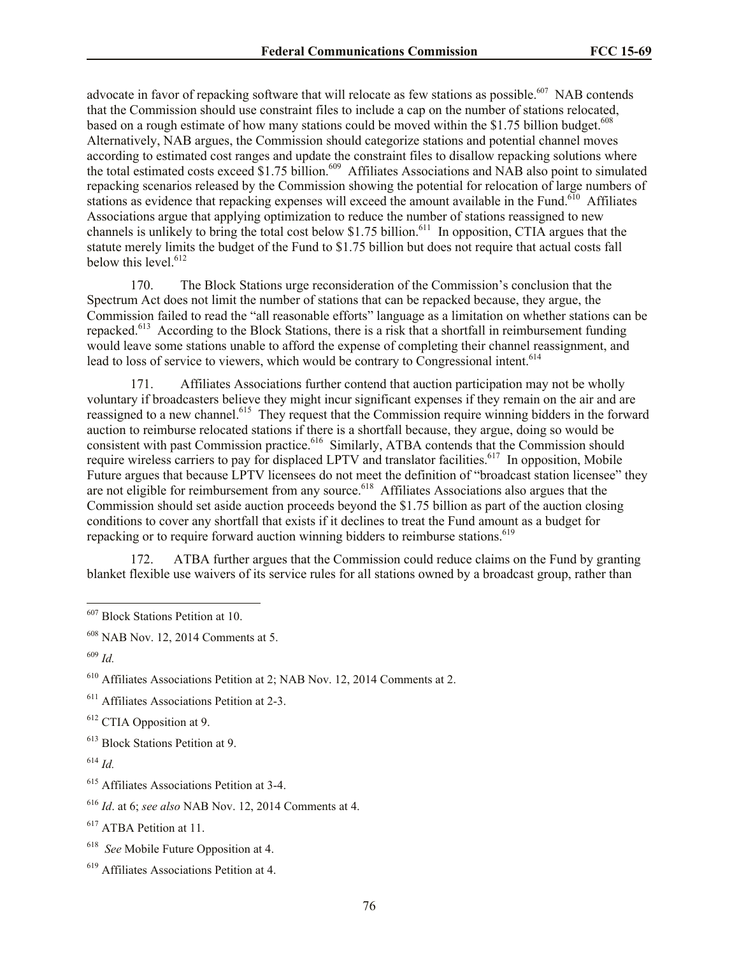advocate in favor of repacking software that will relocate as few stations as possible.<sup>607</sup> NAB contends that the Commission should use constraint files to include a cap on the number of stations relocated, based on a rough estimate of how many stations could be moved within the \$1.75 billion budget.<sup>608</sup> Alternatively, NAB argues, the Commission should categorize stations and potential channel moves according to estimated cost ranges and update the constraint files to disallow repacking solutions where the total estimated costs exceed \$1.75 billion.<sup>609</sup> Affiliates Associations and NAB also point to simulated repacking scenarios released by the Commission showing the potential for relocation of large numbers of stations as evidence that repacking expenses will exceed the amount available in the Fund.<sup>610</sup> Affiliates Associations argue that applying optimization to reduce the number of stations reassigned to new channels is unlikely to bring the total cost below  $$1.75$  billion.<sup>611</sup> In opposition, CTIA argues that the statute merely limits the budget of the Fund to \$1.75 billion but does not require that actual costs fall below this level.<sup>612</sup>

170. The Block Stations urge reconsideration of the Commission's conclusion that the Spectrum Act does not limit the number of stations that can be repacked because, they argue, the Commission failed to read the "all reasonable efforts" language as a limitation on whether stations can be repacked.<sup>613</sup> According to the Block Stations, there is a risk that a shortfall in reimbursement funding would leave some stations unable to afford the expense of completing their channel reassignment, and lead to loss of service to viewers, which would be contrary to Congressional intent.<sup>614</sup>

171. Affiliates Associations further contend that auction participation may not be wholly voluntary if broadcasters believe they might incur significant expenses if they remain on the air and are reassigned to a new channel.<sup>615</sup> They request that the Commission require winning bidders in the forward auction to reimburse relocated stations if there is a shortfall because, they argue, doing so would be consistent with past Commission practice.<sup>616</sup> Similarly, ATBA contends that the Commission should require wireless carriers to pay for displaced LPTV and translator facilities.<sup>617</sup> In opposition, Mobile Future argues that because LPTV licensees do not meet the definition of "broadcast station licensee" they are not eligible for reimbursement from any source.<sup>618</sup> Affiliates Associations also argues that the Commission should set aside auction proceeds beyond the \$1.75 billion as part of the auction closing conditions to cover any shortfall that exists if it declines to treat the Fund amount as a budget for repacking or to require forward auction winning bidders to reimburse stations.<sup>619</sup>

172. ATBA further argues that the Commission could reduce claims on the Fund by granting blanket flexible use waivers of its service rules for all stations owned by a broadcast group, rather than

 $\overline{\phantom{a}}$ 

<sup>613</sup> Block Stations Petition at 9.

<sup>&</sup>lt;sup>607</sup> Block Stations Petition at 10.

<sup>608</sup> NAB Nov. 12, 2014 Comments at 5.

<sup>609</sup> *Id.*

<sup>610</sup> Affiliates Associations Petition at 2; NAB Nov. 12, 2014 Comments at 2.

<sup>&</sup>lt;sup>611</sup> Affiliates Associations Petition at 2-3.

<sup>612</sup> CTIA Opposition at 9.

 $^{614}$  *Id.* 

<sup>615</sup> Affiliates Associations Petition at 3-4.

<sup>616</sup> *Id*. at 6; *see also* NAB Nov. 12, 2014 Comments at 4.

<sup>617</sup> ATBA Petition at 11.

<sup>618</sup> *See* Mobile Future Opposition at 4.

<sup>619</sup> Affiliates Associations Petition at 4.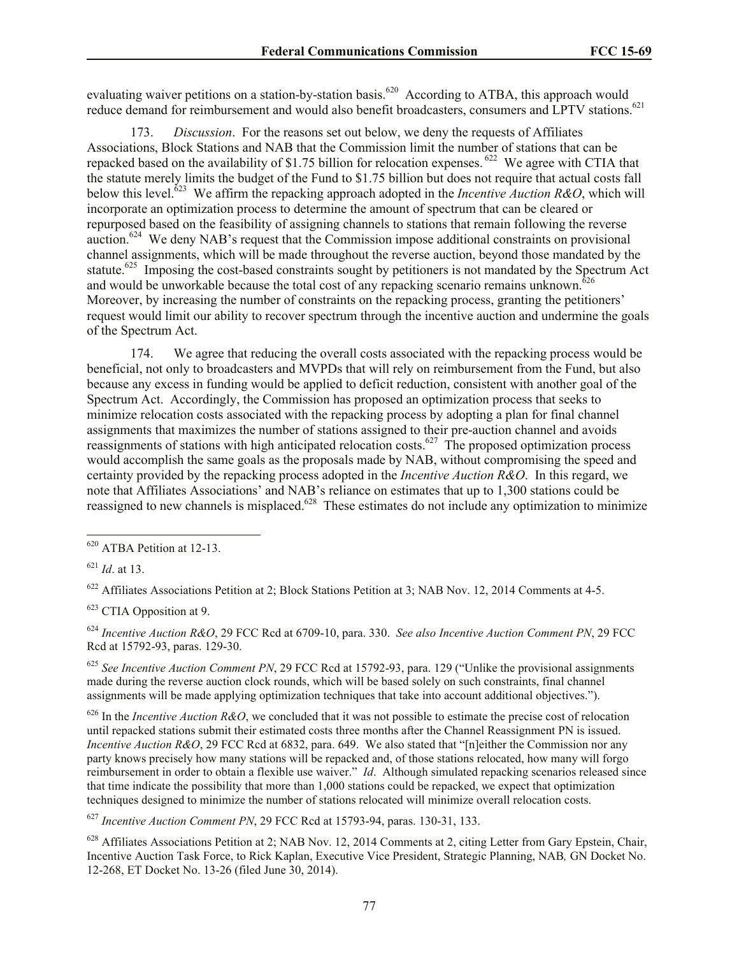evaluating waiver petitions on a station-by-station basis.<sup>620</sup> According to ATBA, this approach would reduce demand for reimbursement and would also benefit broadcasters, consumers and LPTV stations.<sup>621</sup>

173. *Discussion*. For the reasons set out below, we deny the requests of Affiliates Associations, Block Stations and NAB that the Commission limit the number of stations that can be repacked based on the availability of \$1.75 billion for relocation expenses.  $622$  We agree with CTIA that the statute merely limits the budget of the Fund to \$1.75 billion but does not require that actual costs fall below this level.<sup> $\delta$ 23</sup> We affirm the repacking approach adopted in the *Incentive Auction R&O*, which will incorporate an optimization process to determine the amount of spectrum that can be cleared or repurposed based on the feasibility of assigning channels to stations that remain following the reverse auction.<sup>624</sup> We deny NAB's request that the Commission impose additional constraints on provisional channel assignments, which will be made throughout the reverse auction, beyond those mandated by the statute.<sup>625</sup> Imposing the cost-based constraints sought by petitioners is not mandated by the Spectrum Act and would be unworkable because the total cost of any repacking scenario remains unknown. $626$ Moreover, by increasing the number of constraints on the repacking process, granting the petitioners' request would limit our ability to recover spectrum through the incentive auction and undermine the goals of the Spectrum Act.

174. We agree that reducing the overall costs associated with the repacking process would be beneficial, not only to broadcasters and MVPDs that will rely on reimbursement from the Fund, but also because any excess in funding would be applied to deficit reduction, consistent with another goal of the Spectrum Act. Accordingly, the Commission has proposed an optimization process that seeks to minimize relocation costs associated with the repacking process by adopting a plan for final channel assignments that maximizes the number of stations assigned to their pre-auction channel and avoids reassignments of stations with high anticipated relocation costs.<sup>627</sup> The proposed optimization process would accomplish the same goals as the proposals made by NAB, without compromising the speed and certainty provided by the repacking process adopted in the *Incentive Auction R&O*. In this regard, we note that Affiliates Associations' and NAB's reliance on estimates that up to 1,300 stations could be reassigned to new channels is misplaced.<sup>628</sup> These estimates do not include any optimization to minimize

l

<sup>622</sup> Affiliates Associations Petition at 2; Block Stations Petition at 3; NAB Nov. 12, 2014 Comments at 4-5.

<sup>623</sup> CTIA Opposition at 9.

<sup>624</sup> *Incentive Auction R&O*, 29 FCC Rcd at 6709-10, para. 330. *See also Incentive Auction Comment PN*, 29 FCC Rcd at 15792-93, paras. 129-30.

<sup>625</sup> *See Incentive Auction Comment PN*, 29 FCC Rcd at 15792-93, para. 129 ("Unlike the provisional assignments made during the reverse auction clock rounds, which will be based solely on such constraints, final channel assignments will be made applying optimization techniques that take into account additional objectives.").

 $626$  In the *Incentive Auction R&O*, we concluded that it was not possible to estimate the precise cost of relocation until repacked stations submit their estimated costs three months after the Channel Reassignment PN is issued. *Incentive Auction R&O*, 29 FCC Rcd at 6832, para. 649. We also stated that "[n]either the Commission nor any party knows precisely how many stations will be repacked and, of those stations relocated, how many will forgo reimbursement in order to obtain a flexible use waiver." *Id*. Although simulated repacking scenarios released since that time indicate the possibility that more than 1,000 stations could be repacked, we expect that optimization techniques designed to minimize the number of stations relocated will minimize overall relocation costs.

<sup>627</sup> *Incentive Auction Comment PN*, 29 FCC Rcd at 15793-94, paras. 130-31, 133.

 $628$  Affiliates Associations Petition at 2; NAB Nov. 12, 2014 Comments at 2, citing Letter from Gary Epstein, Chair, Incentive Auction Task Force, to Rick Kaplan, Executive Vice President, Strategic Planning, NAB*,* GN Docket No. 12-268, ET Docket No. 13-26 (filed June 30, 2014).

<sup>&</sup>lt;sup>620</sup> ATBA Petition at 12-13.

<sup>621</sup> *Id*. at 13.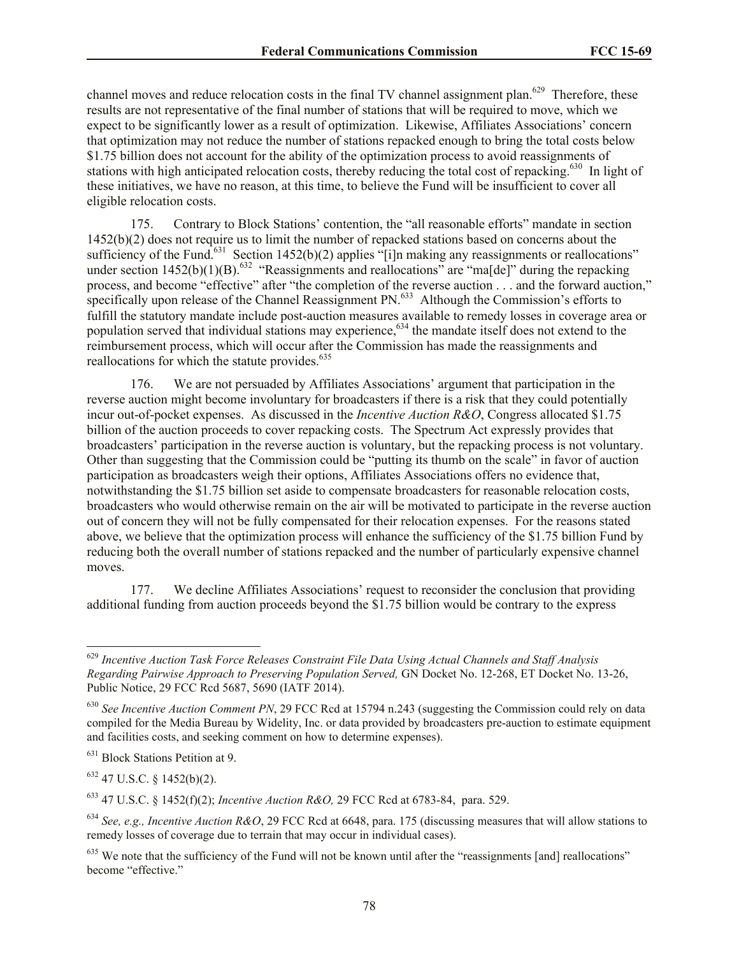channel moves and reduce relocation costs in the final TV channel assignment plan.<sup>629</sup> Therefore, these results are not representative of the final number of stations that will be required to move, which we expect to be significantly lower as a result of optimization. Likewise, Affiliates Associations' concern that optimization may not reduce the number of stations repacked enough to bring the total costs below \$1.75 billion does not account for the ability of the optimization process to avoid reassignments of stations with high anticipated relocation costs, thereby reducing the total cost of repacking.<sup>630</sup> In light of these initiatives, we have no reason, at this time, to believe the Fund will be insufficient to cover all eligible relocation costs.

175. Contrary to Block Stations' contention, the "all reasonable efforts" mandate in section 1452(b)(2) does not require us to limit the number of repacked stations based on concerns about the sufficiency of the Fund.<sup>631</sup> Section 1452(b)(2) applies "[i]n making any reassignments or reallocations" under section  $1452(b)(1)(B)$ .<sup>632</sup> "Reassignments and reallocations" are "ma[de]" during the repacking process, and become "effective" after "the completion of the reverse auction . . . and the forward auction," specifically upon release of the Channel Reassignment PN.<sup>633</sup> Although the Commission's efforts to fulfill the statutory mandate include post-auction measures available to remedy losses in coverage area or population served that individual stations may experience,<sup>634</sup> the mandate itself does not extend to the reimbursement process, which will occur after the Commission has made the reassignments and reallocations for which the statute provides.<sup>635</sup>

176. We are not persuaded by Affiliates Associations' argument that participation in the reverse auction might become involuntary for broadcasters if there is a risk that they could potentially incur out-of-pocket expenses. As discussed in the *Incentive Auction R&O*, Congress allocated \$1.75 billion of the auction proceeds to cover repacking costs. The Spectrum Act expressly provides that broadcasters' participation in the reverse auction is voluntary, but the repacking process is not voluntary. Other than suggesting that the Commission could be "putting its thumb on the scale" in favor of auction participation as broadcasters weigh their options, Affiliates Associations offers no evidence that, notwithstanding the \$1.75 billion set aside to compensate broadcasters for reasonable relocation costs, broadcasters who would otherwise remain on the air will be motivated to participate in the reverse auction out of concern they will not be fully compensated for their relocation expenses. For the reasons stated above, we believe that the optimization process will enhance the sufficiency of the \$1.75 billion Fund by reducing both the overall number of stations repacked and the number of particularly expensive channel moves.

177. We decline Affiliates Associations' request to reconsider the conclusion that providing additional funding from auction proceeds beyond the \$1.75 billion would be contrary to the express

<sup>631</sup> Block Stations Petition at 9.

 $632$  47 U.S.C. § 1452(b)(2).

 $\overline{\phantom{a}}$ 

<sup>633</sup> 47 U.S.C. § 1452(f)(2); *Incentive Auction R&O,* 29 FCC Rcd at 6783-84, para. 529.

<sup>629</sup> *Incentive Auction Task Force Releases Constraint File Data Using Actual Channels and Staff Analysis Regarding Pairwise Approach to Preserving Population Served,* GN Docket No. 12-268, ET Docket No. 13-26, Public Notice, 29 FCC Rcd 5687, 5690 (IATF 2014).

<sup>630</sup> *See Incentive Auction Comment PN*, 29 FCC Rcd at 15794 n.243 (suggesting the Commission could rely on data compiled for the Media Bureau by Widelity, Inc. or data provided by broadcasters pre-auction to estimate equipment and facilities costs, and seeking comment on how to determine expenses).

<sup>634</sup> *See, e.g., Incentive Auction R&O*, 29 FCC Rcd at 6648, para. 175 (discussing measures that will allow stations to remedy losses of coverage due to terrain that may occur in individual cases).

 $635$  We note that the sufficiency of the Fund will not be known until after the "reassignments [and] reallocations" become "effective."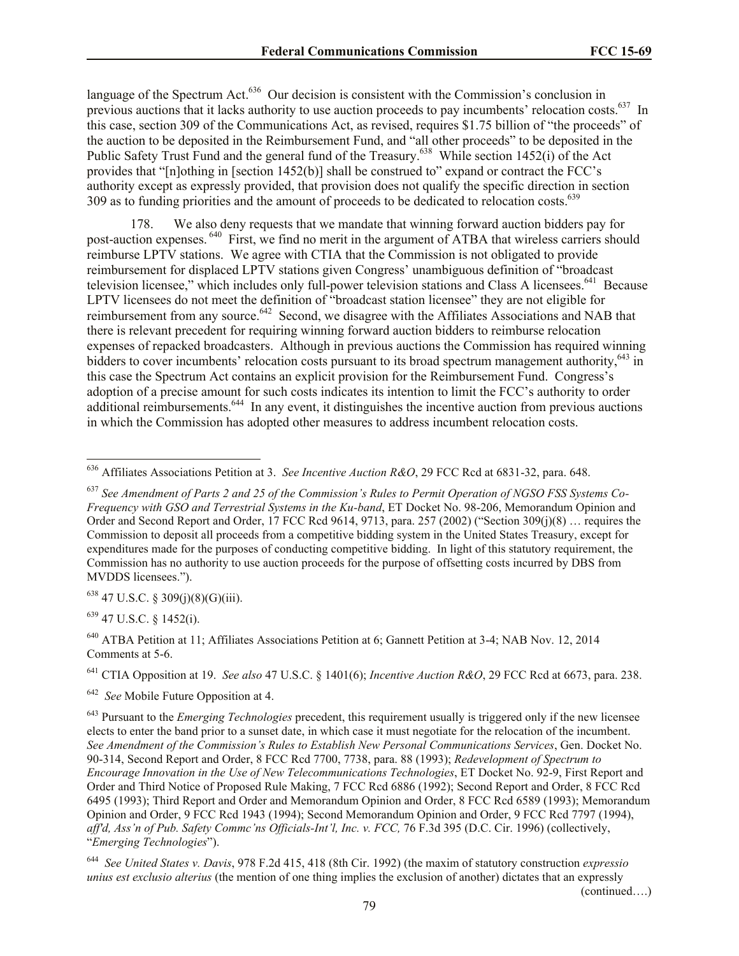language of the Spectrum Act. $636$  Our decision is consistent with the Commission's conclusion in previous auctions that it lacks authority to use auction proceeds to pay incumbents' relocation costs.<sup>637</sup> In this case, section 309 of the Communications Act, as revised, requires \$1.75 billion of "the proceeds" of the auction to be deposited in the Reimbursement Fund, and "all other proceeds" to be deposited in the Public Safety Trust Fund and the general fund of the Treasury.<sup>638</sup> While section 1452(i) of the Act provides that "[n]othing in [section 1452(b)] shall be construed to" expand or contract the FCC's authority except as expressly provided, that provision does not qualify the specific direction in section 309 as to funding priorities and the amount of proceeds to be dedicated to relocation costs.<sup>639</sup>

178. We also deny requests that we mandate that winning forward auction bidders pay for post-auction expenses. <sup>640</sup> First, we find no merit in the argument of ATBA that wireless carriers should reimburse LPTV stations. We agree with CTIA that the Commission is not obligated to provide reimbursement for displaced LPTV stations given Congress' unambiguous definition of "broadcast television licensee," which includes only full-power television stations and Class A licensees.<sup>641</sup> Because LPTV licensees do not meet the definition of "broadcast station licensee" they are not eligible for reimbursement from any source.<sup>642</sup> Second, we disagree with the Affiliates Associations and NAB that there is relevant precedent for requiring winning forward auction bidders to reimburse relocation expenses of repacked broadcasters. Although in previous auctions the Commission has required winning bidders to cover incumbents' relocation costs pursuant to its broad spectrum management authority,<sup>643</sup> in this case the Spectrum Act contains an explicit provision for the Reimbursement Fund. Congress's adoption of a precise amount for such costs indicates its intention to limit the FCC's authority to order additional reimbursements.<sup>644</sup> In any event, it distinguishes the incentive auction from previous auctions in which the Commission has adopted other measures to address incumbent relocation costs.

 $638$  47 U.S.C. § 309(j)(8)(G)(iii).

<sup>639</sup> 47 U.S.C. § 1452(i).

l

<sup>640</sup> ATBA Petition at 11; Affiliates Associations Petition at 6; Gannett Petition at 3-4; NAB Nov. 12, 2014 Comments at 5-6.

<sup>641</sup> CTIA Opposition at 19. *See also* 47 U.S.C. § 1401(6); *Incentive Auction R&O*, 29 FCC Rcd at 6673, para. 238.

642 *See* Mobile Future Opposition at 4.

(continued….)

<sup>636</sup> Affiliates Associations Petition at 3. *See Incentive Auction R&O*, 29 FCC Rcd at 6831-32, para. 648.

<sup>637</sup> *See Amendment of Parts 2 and 25 of the Commission's Rules to Permit Operation of NGSO FSS Systems Co-Frequency with GSO and Terrestrial Systems in the Ku-band*, ET Docket No. 98-206, Memorandum Opinion and Order and Second Report and Order, 17 FCC Rcd 9614, 9713, para. 257 (2002) ("Section 309(j)(8) … requires the Commission to deposit all proceeds from a competitive bidding system in the United States Treasury, except for expenditures made for the purposes of conducting competitive bidding. In light of this statutory requirement, the Commission has no authority to use auction proceeds for the purpose of offsetting costs incurred by DBS from MVDDS licensees.").

<sup>643</sup> Pursuant to the *Emerging Technologies* precedent, this requirement usually is triggered only if the new licensee elects to enter the band prior to a sunset date, in which case it must negotiate for the relocation of the incumbent. *See Amendment of the Commission's Rules to Establish New Personal Communications Services*, Gen. Docket No. 90-314, Second Report and Order, 8 FCC Rcd 7700, 7738, para. 88 (1993); *Redevelopment of Spectrum to Encourage Innovation in the Use of New Telecommunications Technologies*, ET Docket No. 92-9, First Report and Order and Third Notice of Proposed Rule Making, 7 FCC Rcd 6886 (1992); Second Report and Order, 8 FCC Rcd 6495 (1993); Third Report and Order and Memorandum Opinion and Order, 8 FCC Rcd 6589 (1993); Memorandum Opinion and Order, 9 FCC Rcd 1943 (1994); Second Memorandum Opinion and Order, 9 FCC Rcd 7797 (1994), *aff'd, Ass'n of Pub. Safety Commc'ns Officials-Int'l, Inc. v. FCC,* 76 F.3d 395 (D.C. Cir. 1996) (collectively, "*Emerging Technologies*").

<sup>644</sup> *See United States v. Davis*, 978 F.2d 415, 418 (8th Cir. 1992) (the maxim of statutory construction *expressio unius est exclusio alterius* (the mention of one thing implies the exclusion of another) dictates that an expressly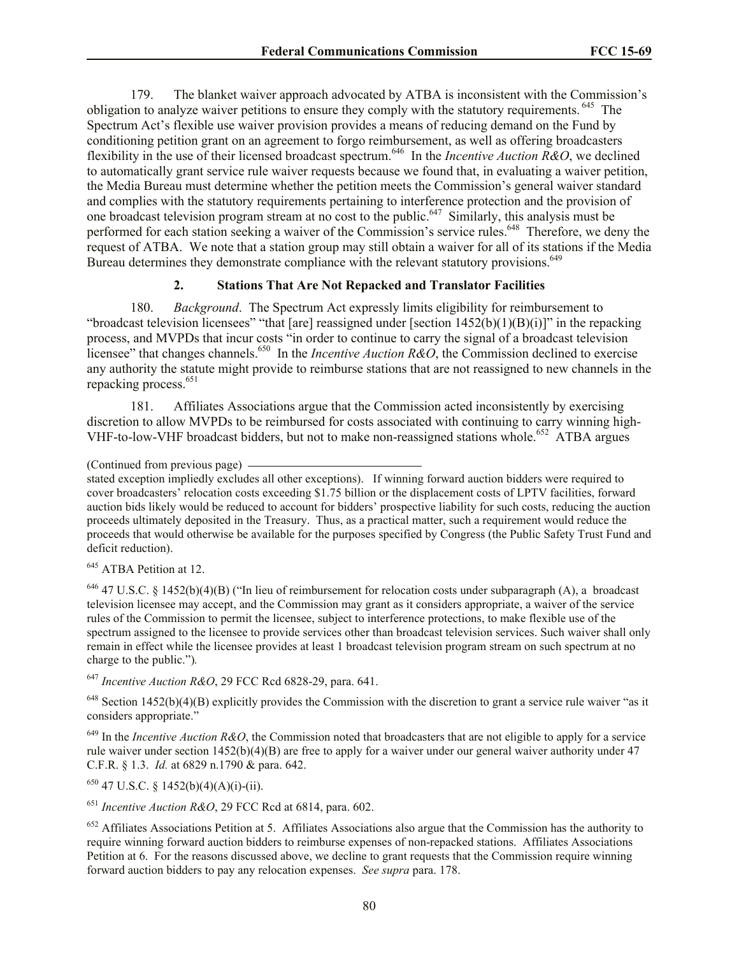179. The blanket waiver approach advocated by ATBA is inconsistent with the Commission's obligation to analyze waiver petitions to ensure they comply with the statutory requirements. <sup>645</sup> The Spectrum Act's flexible use waiver provision provides a means of reducing demand on the Fund by conditioning petition grant on an agreement to forgo reimbursement, as well as offering broadcasters flexibility in the use of their licensed broadcast spectrum.<sup>646</sup> In the *Incentive Auction R&O*, we declined to automatically grant service rule waiver requests because we found that, in evaluating a waiver petition, the Media Bureau must determine whether the petition meets the Commission's general waiver standard and complies with the statutory requirements pertaining to interference protection and the provision of one broadcast television program stream at no cost to the public.<sup>647</sup> Similarly, this analysis must be performed for each station seeking a waiver of the Commission's service rules.<sup>648</sup> Therefore, we deny the request of ATBA. We note that a station group may still obtain a waiver for all of its stations if the Media Bureau determines they demonstrate compliance with the relevant statutory provisions.<sup>649</sup>

## **2. Stations That Are Not Repacked and Translator Facilities**

180. *Background*. The Spectrum Act expressly limits eligibility for reimbursement to "broadcast television licensees" "that [are] reassigned under [section  $1452(b)(1)(B)(i)$ " in the repacking process, and MVPDs that incur costs "in order to continue to carry the signal of a broadcast television licensee" that changes channels.<sup>650</sup> In the *Incentive Auction R&O*, the Commission declined to exercise any authority the statute might provide to reimburse stations that are not reassigned to new channels in the repacking process.<sup>651</sup>

181. Affiliates Associations argue that the Commission acted inconsistently by exercising discretion to allow MVPDs to be reimbursed for costs associated with continuing to carry winning high-VHF-to-low-VHF broadcast bidders, but not to make non-reassigned stations whole.<sup>652</sup> ATBA argues

stated exception impliedly excludes all other exceptions). If winning forward auction bidders were required to cover broadcasters' relocation costs exceeding \$1.75 billion or the displacement costs of LPTV facilities, forward auction bids likely would be reduced to account for bidders' prospective liability for such costs, reducing the auction proceeds ultimately deposited in the Treasury. Thus, as a practical matter, such a requirement would reduce the proceeds that would otherwise be available for the purposes specified by Congress (the Public Safety Trust Fund and deficit reduction).

<sup>645</sup> ATBA Petition at 12.

<sup>646</sup> 47 U.S.C. § 1452(b)(4)(B) ("In lieu of reimbursement for relocation costs under subparagraph (A), a broadcast television licensee may accept, and the Commission may grant as it considers appropriate, a waiver of the service rules of the Commission to permit the licensee, subject to interference protections, to make flexible use of the spectrum assigned to the licensee to provide services other than broadcast television services. Such waiver shall only remain in effect while the licensee provides at least 1 broadcast television program stream on such spectrum at no charge to the public.")*.*

<sup>647</sup> *Incentive Auction R&O*, 29 FCC Rcd 6828-29, para. 641.

 $648$  Section 1452(b)(4)(B) explicitly provides the Commission with the discretion to grant a service rule waiver "as it considers appropriate."

<sup>649</sup> In the *Incentive Auction R&O*, the Commission noted that broadcasters that are not eligible to apply for a service rule waiver under section 1452(b)(4)(B) are free to apply for a waiver under our general waiver authority under 47 C.F.R. § 1.3. *Id.* at 6829 n.1790 & para. 642.

 $650$  47 U.S.C. § 1452(b)(4)(A)(i)-(ii).

<sup>651</sup> *Incentive Auction R&O*, 29 FCC Rcd at 6814, para. 602.

 $652$  Affiliates Associations Petition at 5. Affiliates Associations also argue that the Commission has the authority to require winning forward auction bidders to reimburse expenses of non-repacked stations. Affiliates Associations Petition at 6. For the reasons discussed above, we decline to grant requests that the Commission require winning forward auction bidders to pay any relocation expenses. *See supra* para. 178.

<sup>(</sup>Continued from previous page)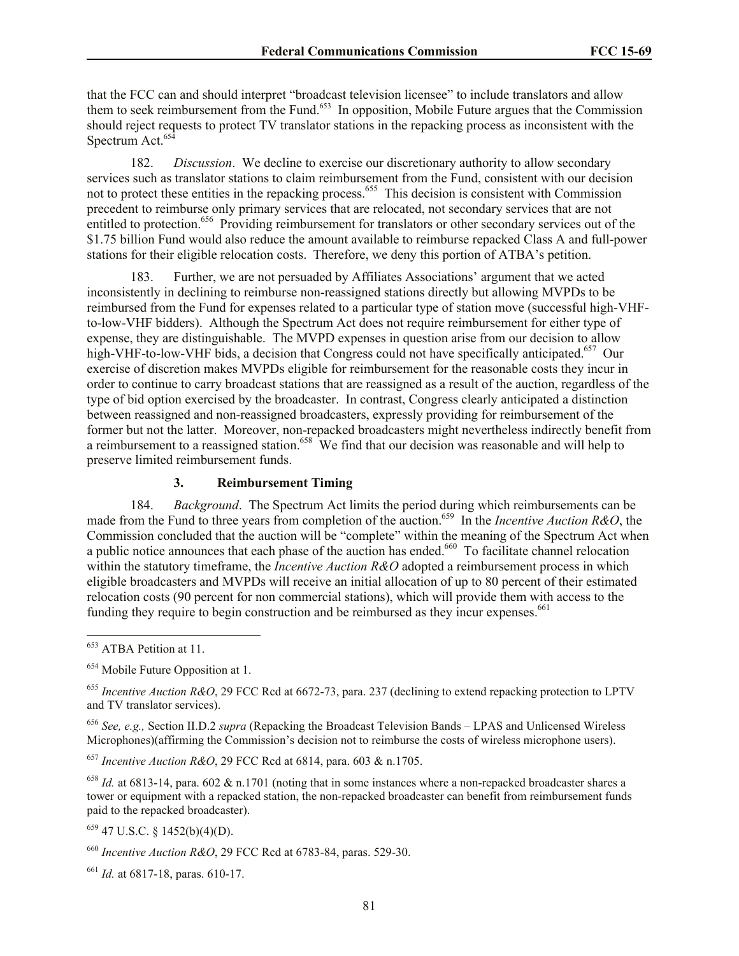that the FCC can and should interpret "broadcast television licensee" to include translators and allow them to seek reimbursement from the Fund.<sup>653</sup> In opposition, Mobile Future argues that the Commission should reject requests to protect TV translator stations in the repacking process as inconsistent with the Spectrum Act.<sup>654</sup>

182. *Discussion*. We decline to exercise our discretionary authority to allow secondary services such as translator stations to claim reimbursement from the Fund, consistent with our decision not to protect these entities in the repacking process.<sup>655</sup> This decision is consistent with Commission precedent to reimburse only primary services that are relocated, not secondary services that are not entitled to protection.<sup>656</sup> Providing reimbursement for translators or other secondary services out of the \$1.75 billion Fund would also reduce the amount available to reimburse repacked Class A and full-power stations for their eligible relocation costs. Therefore, we deny this portion of ATBA's petition.

183. Further, we are not persuaded by Affiliates Associations' argument that we acted inconsistently in declining to reimburse non-reassigned stations directly but allowing MVPDs to be reimbursed from the Fund for expenses related to a particular type of station move (successful high-VHFto-low-VHF bidders). Although the Spectrum Act does not require reimbursement for either type of expense, they are distinguishable. The MVPD expenses in question arise from our decision to allow high-VHF-to-low-VHF bids, a decision that Congress could not have specifically anticipated.<sup>657</sup> Our exercise of discretion makes MVPDs eligible for reimbursement for the reasonable costs they incur in order to continue to carry broadcast stations that are reassigned as a result of the auction, regardless of the type of bid option exercised by the broadcaster. In contrast, Congress clearly anticipated a distinction between reassigned and non-reassigned broadcasters, expressly providing for reimbursement of the former but not the latter. Moreover, non-repacked broadcasters might nevertheless indirectly benefit from a reimbursement to a reassigned station.<sup>658</sup> We find that our decision was reasonable and will help to preserve limited reimbursement funds.

## **3. Reimbursement Timing**

184. *Background*. The Spectrum Act limits the period during which reimbursements can be made from the Fund to three years from completion of the auction.<sup>659</sup> In the *Incentive Auction R&O*, the Commission concluded that the auction will be "complete" within the meaning of the Spectrum Act when a public notice announces that each phase of the auction has ended.<sup>660</sup> To facilitate channel relocation within the statutory timeframe, the *Incentive Auction R&O* adopted a reimbursement process in which eligible broadcasters and MVPDs will receive an initial allocation of up to 80 percent of their estimated relocation costs (90 percent for non commercial stations), which will provide them with access to the funding they require to begin construction and be reimbursed as they incur expenses.<sup>661</sup>

 $\overline{\phantom{a}}$ 

<sup>656</sup> *See, e.g.,* Section II.D.2 *supra* (Repacking the Broadcast Television Bands – LPAS and Unlicensed Wireless Microphones)(affirming the Commission's decision not to reimburse the costs of wireless microphone users).

<sup>657</sup> *Incentive Auction R&O*, 29 FCC Rcd at 6814, para. 603 & n.1705.

 $658$  *Id.* at 6813-14, para. 602 & n.1701 (noting that in some instances where a non-repacked broadcaster shares a tower or equipment with a repacked station, the non-repacked broadcaster can benefit from reimbursement funds paid to the repacked broadcaster).

 $659$  47 U.S.C. § 1452(b)(4)(D).

<sup>&</sup>lt;sup>653</sup> ATBA Petition at 11.

<sup>&</sup>lt;sup>654</sup> Mobile Future Opposition at 1.

<sup>655</sup> *Incentive Auction R&O*, 29 FCC Rcd at 6672-73, para. 237 (declining to extend repacking protection to LPTV and TV translator services).

<sup>660</sup> *Incentive Auction R&O*, 29 FCC Rcd at 6783-84, paras. 529-30.

<sup>661</sup> *Id.* at 6817-18, paras. 610-17.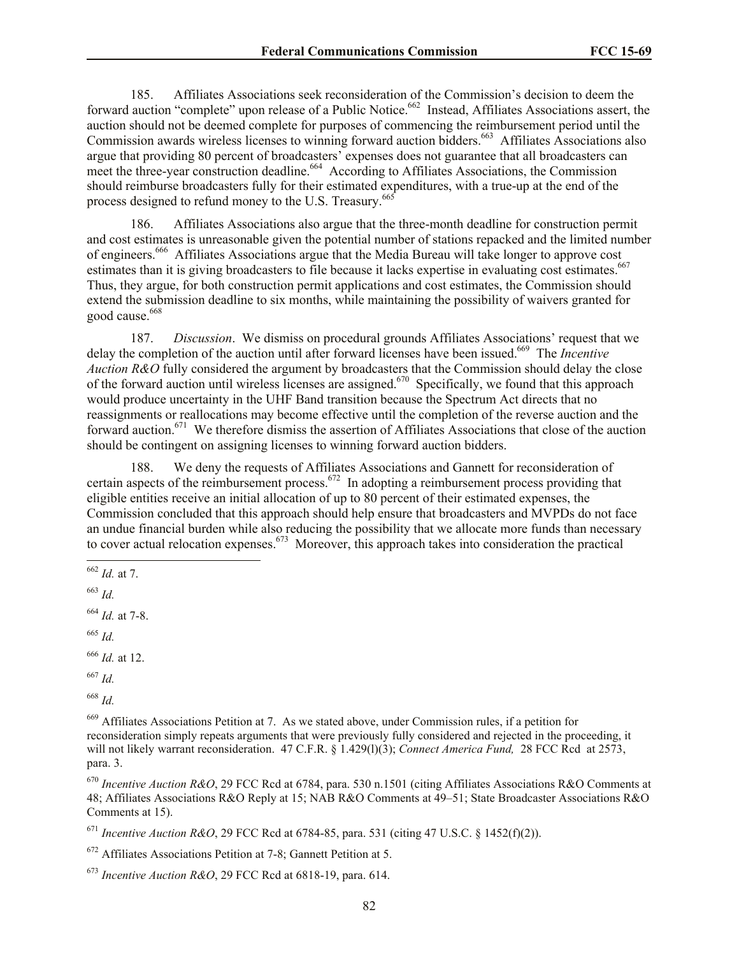185. Affiliates Associations seek reconsideration of the Commission's decision to deem the forward auction "complete" upon release of a Public Notice.<sup>662</sup> Instead, Affiliates Associations assert, the auction should not be deemed complete for purposes of commencing the reimbursement period until the Commission awards wireless licenses to winning forward auction bidders.<sup>663</sup> Affiliates Associations also argue that providing 80 percent of broadcasters' expenses does not guarantee that all broadcasters can meet the three-year construction deadline.<sup>664</sup> According to Affiliates Associations, the Commission should reimburse broadcasters fully for their estimated expenditures, with a true-up at the end of the process designed to refund money to the U.S. Treasury.<sup>665</sup>

186. Affiliates Associations also argue that the three-month deadline for construction permit and cost estimates is unreasonable given the potential number of stations repacked and the limited number of engineers.<sup>666</sup> Affiliates Associations argue that the Media Bureau will take longer to approve cost estimates than it is giving broadcasters to file because it lacks expertise in evaluating cost estimates.<sup>667</sup> Thus, they argue, for both construction permit applications and cost estimates, the Commission should extend the submission deadline to six months, while maintaining the possibility of waivers granted for good cause.<sup>668</sup>

187. *Discussion*. We dismiss on procedural grounds Affiliates Associations' request that we delay the completion of the auction until after forward licenses have been issued.<sup>669</sup> The *Incentive Auction R&O* fully considered the argument by broadcasters that the Commission should delay the close of the forward auction until wireless licenses are assigned.<sup>670</sup> Specifically, we found that this approach would produce uncertainty in the UHF Band transition because the Spectrum Act directs that no reassignments or reallocations may become effective until the completion of the reverse auction and the forward auction.<sup>671</sup> We therefore dismiss the assertion of Affiliates Associations that close of the auction should be contingent on assigning licenses to winning forward auction bidders.

188. We deny the requests of Affiliates Associations and Gannett for reconsideration of certain aspects of the reimbursement process.<sup>672</sup> In adopting a reimbursement process providing that eligible entities receive an initial allocation of up to 80 percent of their estimated expenses, the Commission concluded that this approach should help ensure that broadcasters and MVPDs do not face an undue financial burden while also reducing the possibility that we allocate more funds than necessary to cover actual relocation expenses.<sup>673</sup> Moreover, this approach takes into consideration the practical

<sup>664</sup> *Id.* at 7-8.

<sup>665</sup> *Id.*

<sup>669</sup> Affiliates Associations Petition at 7. As we stated above, under Commission rules, if a petition for reconsideration simply repeats arguments that were previously fully considered and rejected in the proceeding, it will not likely warrant reconsideration. 47 C.F.R. § 1.429(l)(3); *Connect America Fund,* 28 FCC Rcd at 2573, para. 3.

<sup>670</sup> *Incentive Auction R&O*, 29 FCC Rcd at 6784, para. 530 n.1501 (citing Affiliates Associations R&O Comments at 48; Affiliates Associations R&O Reply at 15; NAB R&O Comments at 49–51; State Broadcaster Associations R&O Comments at 15).

<sup>671</sup> *Incentive Auction R&O*, 29 FCC Rcd at 6784-85, para. 531 (citing 47 U.S.C. § 1452(f)(2)).

<sup>672</sup> Affiliates Associations Petition at 7-8; Gannett Petition at 5.

l <sup>662</sup> *Id.* at 7.

<sup>663</sup> *Id.*

<sup>666</sup> *Id.* at 12.

<sup>667</sup> *Id.*

<sup>668</sup> *Id.*

<sup>673</sup> *Incentive Auction R&O*, 29 FCC Rcd at 6818-19, para. 614.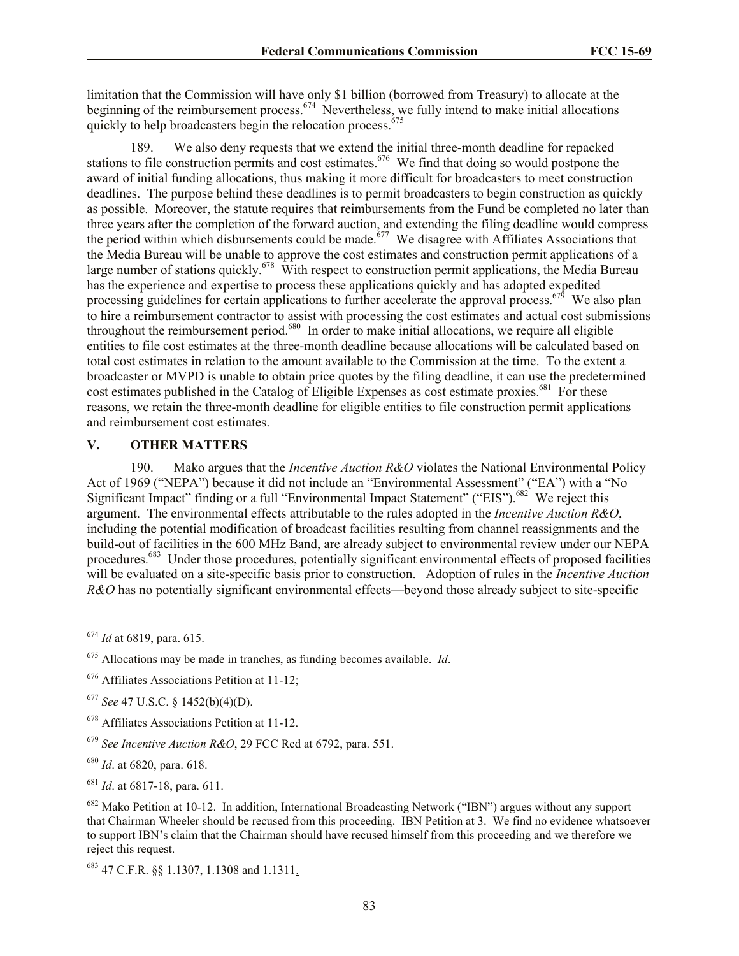limitation that the Commission will have only \$1 billion (borrowed from Treasury) to allocate at the beginning of the reimbursement process.<sup>674</sup> Nevertheless, we fully intend to make initial allocations quickly to help broadcasters begin the relocation process.<sup>675</sup>

189. We also deny requests that we extend the initial three-month deadline for repacked stations to file construction permits and cost estimates.<sup>676</sup> We find that doing so would postpone the award of initial funding allocations, thus making it more difficult for broadcasters to meet construction deadlines. The purpose behind these deadlines is to permit broadcasters to begin construction as quickly as possible. Moreover, the statute requires that reimbursements from the Fund be completed no later than three years after the completion of the forward auction, and extending the filing deadline would compress the period within which disbursements could be made.<sup>677</sup> We disagree with Affiliates Associations that the Media Bureau will be unable to approve the cost estimates and construction permit applications of a large number of stations quickly.<sup>678</sup> With respect to construction permit applications, the Media Bureau has the experience and expertise to process these applications quickly and has adopted expedited processing guidelines for certain applications to further accelerate the approval process.<sup>679</sup> We also plan to hire a reimbursement contractor to assist with processing the cost estimates and actual cost submissions throughout the reimbursement period.<sup>680</sup> In order to make initial allocations, we require all eligible entities to file cost estimates at the three-month deadline because allocations will be calculated based on total cost estimates in relation to the amount available to the Commission at the time. To the extent a broadcaster or MVPD is unable to obtain price quotes by the filing deadline, it can use the predetermined cost estimates published in the Catalog of Eligible Expenses as cost estimate proxies.<sup>681</sup> For these reasons, we retain the three-month deadline for eligible entities to file construction permit applications and reimbursement cost estimates.

### **V. OTHER MATTERS**

190. Mako argues that the *Incentive Auction R&O* violates the National Environmental Policy Act of 1969 ("NEPA") because it did not include an "Environmental Assessment" ("EA") with a "No Significant Impact" finding or a full "Environmental Impact Statement" ("EIS").<sup>682</sup> We reject this argument. The environmental effects attributable to the rules adopted in the *Incentive Auction R&O*, including the potential modification of broadcast facilities resulting from channel reassignments and the build-out of facilities in the 600 MHz Band, are already subject to environmental review under our NEPA procedures.<sup>683</sup> Under those procedures, potentially significant environmental effects of proposed facilities will be evaluated on a site-specific basis prior to construction. Adoption of rules in the *Incentive Auction R&O* has no potentially significant environmental effects—beyond those already subject to site-specific

 $\overline{\phantom{a}}$ 

<sup>677</sup> *See* 47 U.S.C. § 1452(b)(4)(D).

<sup>683</sup> 47 C.F.R. §§ 1.1307, 1.1308 and 1.1311.

<sup>674</sup> *Id* at 6819, para. 615.

<sup>675</sup> Allocations may be made in tranches, as funding becomes available. *Id*.

<sup>676</sup> Affiliates Associations Petition at 11-12;

<sup>678</sup> Affiliates Associations Petition at 11-12.

<sup>679</sup> *See Incentive Auction R&O*, 29 FCC Rcd at 6792, para. 551.

<sup>680</sup> *Id*. at 6820, para. 618.

<sup>681</sup> *Id*. at 6817-18, para. 611.

<sup>682</sup> Mako Petition at 10-12. In addition, International Broadcasting Network ("IBN") argues without any support that Chairman Wheeler should be recused from this proceeding. IBN Petition at 3. We find no evidence whatsoever to support IBN's claim that the Chairman should have recused himself from this proceeding and we therefore we reject this request.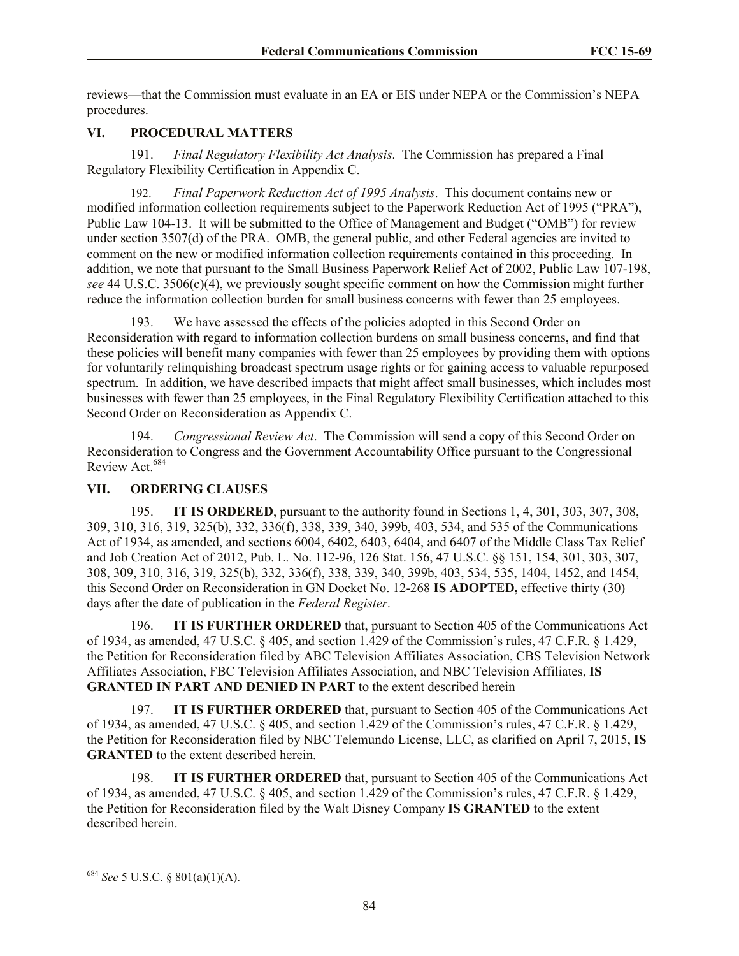reviews—that the Commission must evaluate in an EA or EIS under NEPA or the Commission's NEPA procedures.

# **VI. PROCEDURAL MATTERS**

191. *Final Regulatory Flexibility Act Analysis*.The Commission has prepared a Final Regulatory Flexibility Certification in Appendix C.

192. *Final Paperwork Reduction Act of 1995 Analysis*. This document contains new or modified information collection requirements subject to the Paperwork Reduction Act of 1995 ("PRA"), Public Law 104-13. It will be submitted to the Office of Management and Budget ("OMB") for review under section 3507(d) of the PRA. OMB, the general public, and other Federal agencies are invited to comment on the new or modified information collection requirements contained in this proceeding. In addition, we note that pursuant to the Small Business Paperwork Relief Act of 2002, Public Law 107-198, *see* 44 U.S.C. 3506(c)(4), we previously sought specific comment on how the Commission might further reduce the information collection burden for small business concerns with fewer than 25 employees.

193. We have assessed the effects of the policies adopted in this Second Order on Reconsideration with regard to information collection burdens on small business concerns, and find that these policies will benefit many companies with fewer than 25 employees by providing them with options for voluntarily relinquishing broadcast spectrum usage rights or for gaining access to valuable repurposed spectrum. In addition, we have described impacts that might affect small businesses, which includes most businesses with fewer than 25 employees, in the Final Regulatory Flexibility Certification attached to this Second Order on Reconsideration as Appendix C.

194. *Congressional Review Act*. The Commission will send a copy of this Second Order on Reconsideration to Congress and the Government Accountability Office pursuant to the Congressional Review Act.<sup>684</sup>

## **VII. ORDERING CLAUSES**

195. **IT IS ORDERED**, pursuant to the authority found in Sections 1, 4, 301, 303, 307, 308, 309, 310, 316, 319, 325(b), 332, 336(f), 338, 339, 340, 399b, 403, 534, and 535 of the Communications Act of 1934, as amended, and sections 6004, 6402, 6403, 6404, and 6407 of the Middle Class Tax Relief and Job Creation Act of 2012, Pub. L. No. 112-96, 126 Stat. 156, 47 U.S.C. §§ 151, 154, 301, 303, 307, 308, 309, 310, 316, 319, 325(b), 332, 336(f), 338, 339, 340, 399b, 403, 534, 535, 1404, 1452, and 1454, this Second Order on Reconsideration in GN Docket No. 12-268 **IS ADOPTED,** effective thirty (30) days after the date of publication in the *Federal Register*.

196. **IT IS FURTHER ORDERED** that, pursuant to Section 405 of the Communications Act of 1934, as amended, 47 U.S.C. § 405, and section 1.429 of the Commission's rules, 47 C.F.R. § 1.429, the Petition for Reconsideration filed by ABC Television Affiliates Association, CBS Television Network Affiliates Association, FBC Television Affiliates Association, and NBC Television Affiliates, **IS GRANTED IN PART AND DENIED IN PART** to the extent described herein

197. **IT IS FURTHER ORDERED** that, pursuant to Section 405 of the Communications Act of 1934, as amended, 47 U.S.C. § 405, and section 1.429 of the Commission's rules, 47 C.F.R. § 1.429, the Petition for Reconsideration filed by NBC Telemundo License, LLC, as clarified on April 7, 2015, **IS GRANTED** to the extent described herein.

198. **IT IS FURTHER ORDERED** that, pursuant to Section 405 of the Communications Act of 1934, as amended, 47 U.S.C. § 405, and section 1.429 of the Commission's rules, 47 C.F.R. § 1.429, the Petition for Reconsideration filed by the Walt Disney Company **IS GRANTED** to the extent described herein.

 $\overline{\phantom{a}}$ 

<sup>684</sup> *See* 5 U.S.C. § 801(a)(1)(A).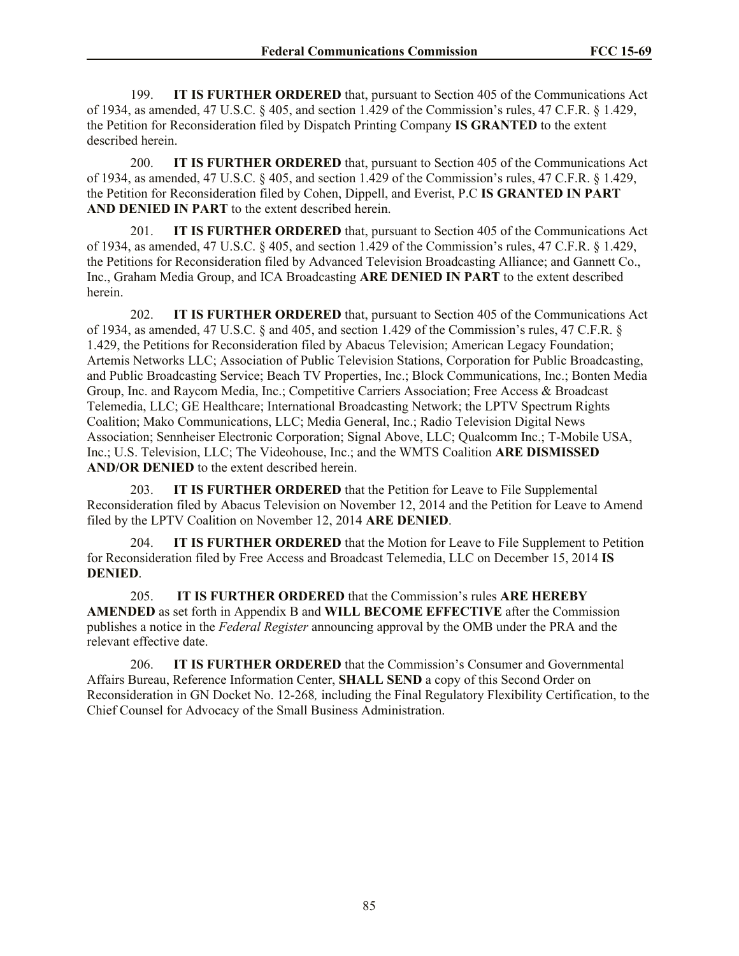199. **IT IS FURTHER ORDERED** that, pursuant to Section 405 of the Communications Act of 1934, as amended, 47 U.S.C. § 405, and section 1.429 of the Commission's rules, 47 C.F.R. § 1.429, the Petition for Reconsideration filed by Dispatch Printing Company **IS GRANTED** to the extent described herein.

200. **IT IS FURTHER ORDERED** that, pursuant to Section 405 of the Communications Act of 1934, as amended, 47 U.S.C. § 405, and section 1.429 of the Commission's rules, 47 C.F.R. § 1.429, the Petition for Reconsideration filed by Cohen, Dippell, and Everist, P.C **IS GRANTED IN PART AND DENIED IN PART** to the extent described herein.

201. **IT IS FURTHER ORDERED** that, pursuant to Section 405 of the Communications Act of 1934, as amended, 47 U.S.C. § 405, and section 1.429 of the Commission's rules, 47 C.F.R. § 1.429, the Petitions for Reconsideration filed by Advanced Television Broadcasting Alliance; and Gannett Co., Inc., Graham Media Group, and ICA Broadcasting **ARE DENIED IN PART** to the extent described herein.

202. **IT IS FURTHER ORDERED** that, pursuant to Section 405 of the Communications Act of 1934, as amended, 47 U.S.C. § and 405, and section 1.429 of the Commission's rules, 47 C.F.R. § 1.429, the Petitions for Reconsideration filed by Abacus Television; American Legacy Foundation; Artemis Networks LLC; Association of Public Television Stations, Corporation for Public Broadcasting, and Public Broadcasting Service; Beach TV Properties, Inc.; Block Communications, Inc.; Bonten Media Group, Inc. and Raycom Media, Inc.; Competitive Carriers Association; Free Access & Broadcast Telemedia, LLC; GE Healthcare; International Broadcasting Network; the LPTV Spectrum Rights Coalition; Mako Communications, LLC; Media General, Inc.; Radio Television Digital News Association; Sennheiser Electronic Corporation; Signal Above, LLC; Qualcomm Inc.; T-Mobile USA, Inc.; U.S. Television, LLC; The Videohouse, Inc.; and the WMTS Coalition **ARE DISMISSED AND/OR DENIED** to the extent described herein.

203. **IT IS FURTHER ORDERED** that the Petition for Leave to File Supplemental Reconsideration filed by Abacus Television on November 12, 2014 and the Petition for Leave to Amend filed by the LPTV Coalition on November 12, 2014 **ARE DENIED**.

204. **IT IS FURTHER ORDERED** that the Motion for Leave to File Supplement to Petition for Reconsideration filed by Free Access and Broadcast Telemedia, LLC on December 15, 2014 **IS DENIED**.

205. **IT IS FURTHER ORDERED** that the Commission's rules **ARE HEREBY AMENDED** as set forth in Appendix B and **WILL BECOME EFFECTIVE** after the Commission publishes a notice in the *Federal Register* announcing approval by the OMB under the PRA and the relevant effective date.

206. **IT IS FURTHER ORDERED** that the Commission's Consumer and Governmental Affairs Bureau, Reference Information Center, **SHALL SEND** a copy of this Second Order on Reconsideration in GN Docket No. 12-268*,* including the Final Regulatory Flexibility Certification, to the Chief Counsel for Advocacy of the Small Business Administration.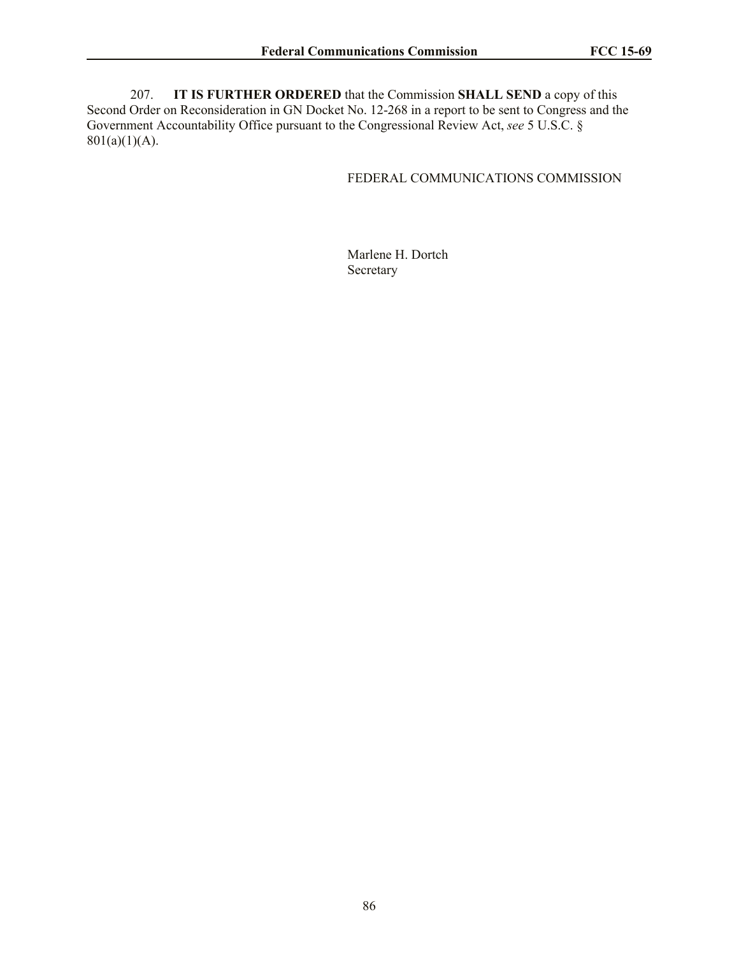207. **IT IS FURTHER ORDERED** that the Commission **SHALL SEND** a copy of this Second Order on Reconsideration in GN Docket No. 12-268 in a report to be sent to Congress and the Government Accountability Office pursuant to the Congressional Review Act, *see* 5 U.S.C. §  $801(a)(1)(A)$ .

# FEDERAL COMMUNICATIONS COMMISSION

Marlene H. Dortch Secretary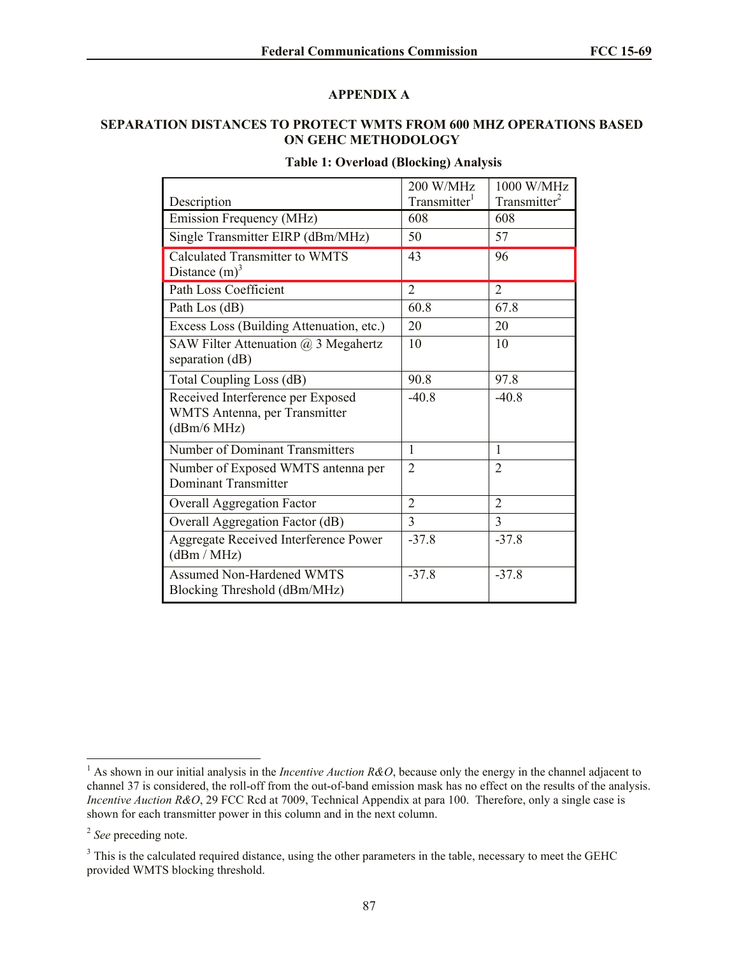## **APPENDIX A**

## **SEPARATION DISTANCES TO PROTECT WMTS FROM 600 MHZ OPERATIONS BASED ON GEHC METHODOLOGY**

## **Table 1: Overload (Blocking) Analysis**

|                                                                                   | 200 W/MHz                | 1000 W/MHz               |
|-----------------------------------------------------------------------------------|--------------------------|--------------------------|
| Description                                                                       | Transmitter <sup>1</sup> | Transmitter <sup>2</sup> |
| Emission Frequency (MHz)                                                          | 608                      | 608                      |
| Single Transmitter EIRP (dBm/MHz)                                                 | 50                       | 57                       |
| Calculated Transmitter to WMTS                                                    | 43                       | 96                       |
| Distance $(m)^3$                                                                  |                          |                          |
| Path Loss Coefficient                                                             | $\overline{2}$           | $\overline{2}$           |
| Path Los (dB)                                                                     | 60.8                     | 67.8                     |
| Excess Loss (Building Attenuation, etc.)                                          | 20                       | 20                       |
| SAW Filter Attenuation @ 3 Megahertz<br>separation (dB)                           | 10                       | 10                       |
| Total Coupling Loss (dB)                                                          | 90.8                     | 97.8                     |
| Received Interference per Exposed<br>WMTS Antenna, per Transmitter<br>(dBm/6 MHz) | $-40.8$                  | $-40.8$                  |
| Number of Dominant Transmitters                                                   | 1                        | 1                        |
| Number of Exposed WMTS antenna per<br><b>Dominant Transmitter</b>                 | $\overline{2}$           | $\overline{2}$           |
| <b>Overall Aggregation Factor</b>                                                 | $\overline{2}$           | $\overline{2}$           |
| Overall Aggregation Factor (dB)                                                   | 3                        | 3                        |
| Aggregate Received Interference Power<br>(dBm / MHz)                              | $-37.8$                  | $-37.8$                  |
| <b>Assumed Non-Hardened WMTS</b><br>Blocking Threshold (dBm/MHz)                  | $-37.8$                  | $-37.8$                  |

 $\overline{\phantom{a}}$ 

<sup>&</sup>lt;sup>1</sup> As shown in our initial analysis in the *Incentive Auction R&O*, because only the energy in the channel adjacent to channel 37 is considered, the roll-off from the out-of-band emission mask has no effect on the results of the analysis. *Incentive Auction R&O*, 29 FCC Rcd at 7009, Technical Appendix at para 100. Therefore, only a single case is shown for each transmitter power in this column and in the next column.

<sup>2</sup> *See* preceding note.

<sup>&</sup>lt;sup>3</sup> This is the calculated required distance, using the other parameters in the table, necessary to meet the GEHC provided WMTS blocking threshold.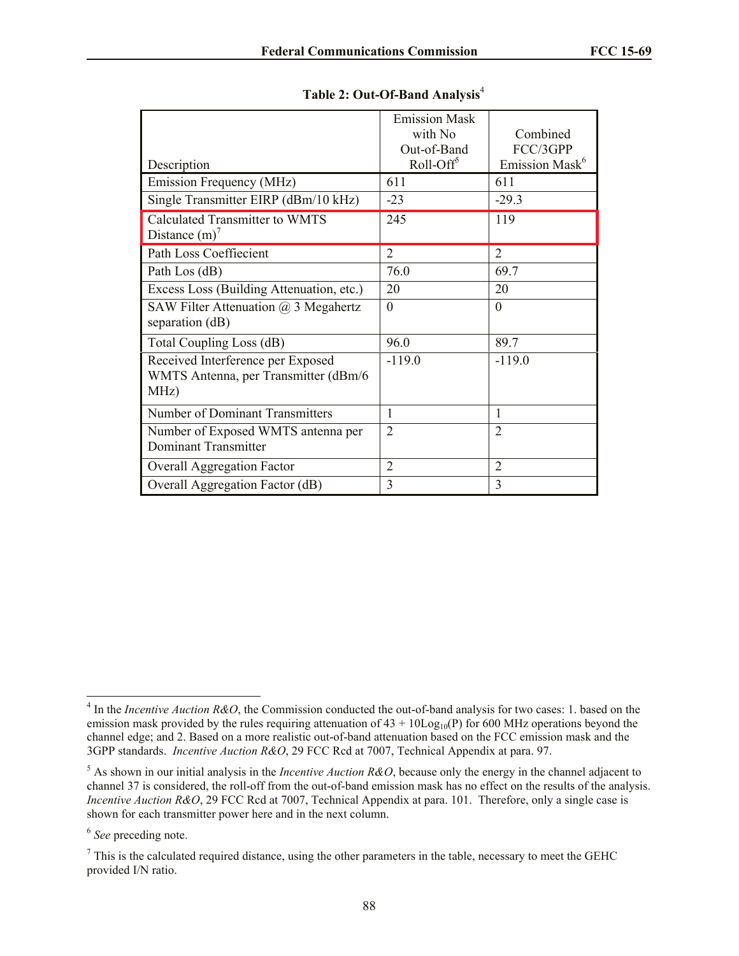|                                                                | <b>Emission Mask</b>  |                            |
|----------------------------------------------------------------|-----------------------|----------------------------|
|                                                                | with No               | Combined                   |
|                                                                | Out-of-Band           | FCC/3GPP                   |
| Description                                                    | Roll-Off <sup>5</sup> | Emission Mask <sup>6</sup> |
| Emission Frequency (MHz)                                       | 611                   | 611                        |
| Single Transmitter EIRP (dBm/10 kHz)                           | $-23$                 | $-29.3$                    |
| <b>Calculated Transmitter to WMTS</b>                          | 245                   | 119                        |
| Distance $(m)^7$                                               |                       |                            |
| Path Loss Coeffiecient                                         | $\overline{2}$        | 2                          |
| Path Los (dB)                                                  | 76.0                  | 69.7                       |
| Excess Loss (Building Attenuation, etc.)                       | 20                    | 20                         |
| SAW Filter Attenuation $\omega$ 3 Megahertz<br>separation (dB) | $\theta$              | $\Omega$                   |
| Total Coupling Loss (dB)                                       | 96.0                  | 89.7                       |
| Received Interference per Exposed                              | $-119.0$              | $-119.0$                   |
| WMTS Antenna, per Transmitter (dBm/6                           |                       |                            |
| MHz)                                                           |                       |                            |
| Number of Dominant Transmitters                                | 1                     | 1                          |
| Number of Exposed WMTS antenna per                             | $\overline{2}$        | $\overline{2}$             |
| <b>Dominant Transmitter</b>                                    |                       |                            |
| Overall Aggregation Factor                                     | $\overline{2}$        | $\overline{2}$             |
| Overall Aggregation Factor (dB)                                | 3                     | $\overline{3}$             |

|  |  | Table 2: Out-Of-Band Analysis <sup>4</sup> |  |
|--|--|--------------------------------------------|--|
|--|--|--------------------------------------------|--|

l

<sup>&</sup>lt;sup>4</sup> In the *Incentive Auction R&O*, the Commission conducted the out-of-band analysis for two cases: 1. based on the emission mask provided by the rules requiring attenuation of  $43 + 10\text{Log}_{10}(P)$  for 600 MHz operations beyond the channel edge; and 2. Based on a more realistic out-of-band attenuation based on the FCC emission mask and the 3GPP standards. *Incentive Auction R&O*, 29 FCC Rcd at 7007, Technical Appendix at para. 97.

<sup>5</sup> As shown in our initial analysis in the *Incentive Auction R&O*, because only the energy in the channel adjacent to channel 37 is considered, the roll-off from the out-of-band emission mask has no effect on the results of the analysis. *Incentive Auction R&O*, 29 FCC Rcd at 7007, Technical Appendix at para. 101. Therefore, only a single case is shown for each transmitter power here and in the next column.

<sup>6</sup> *See* preceding note.

 $<sup>7</sup>$  This is the calculated required distance, using the other parameters in the table, necessary to meet the GEHC</sup> provided I/N ratio.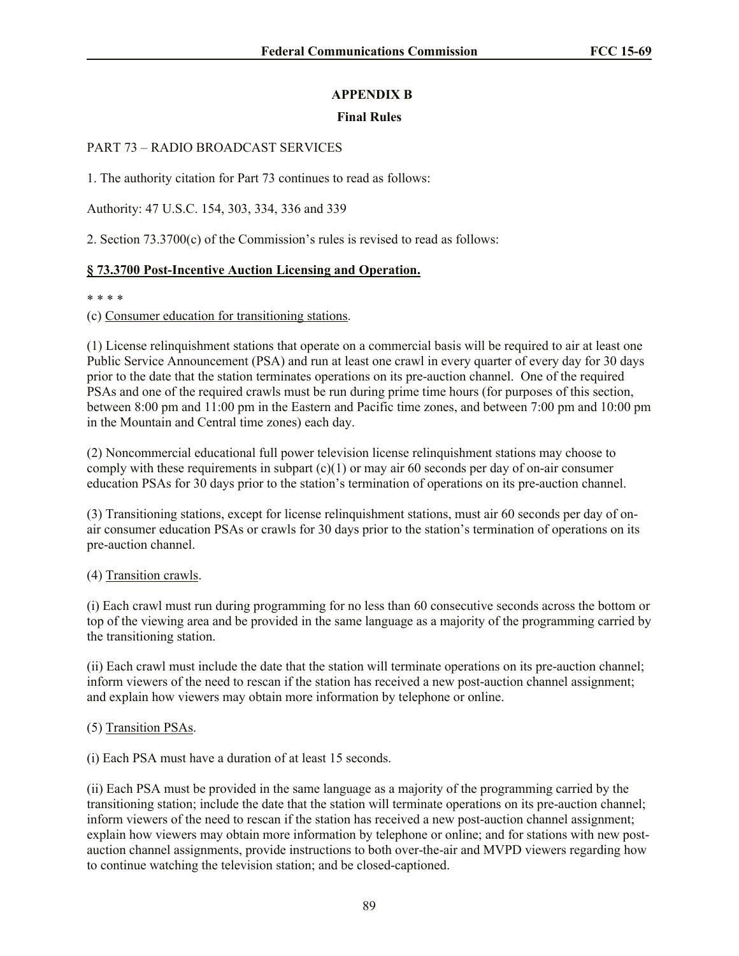# **APPENDIX B**

# **Final Rules**

# PART 73 – RADIO BROADCAST SERVICES

1. The authority citation for Part 73 continues to read as follows:

Authority: 47 U.S.C. 154, 303, 334, 336 and 339

2. Section 73.3700(c) of the Commission's rules is revised to read as follows:

# **§ 73.3700 Post-Incentive Auction Licensing and Operation.**

### \* \* \* \*

(c) Consumer education for transitioning stations.

(1) License relinquishment stations that operate on a commercial basis will be required to air at least one Public Service Announcement (PSA) and run at least one crawl in every quarter of every day for 30 days prior to the date that the station terminates operations on its pre-auction channel. One of the required PSAs and one of the required crawls must be run during prime time hours (for purposes of this section, between 8:00 pm and 11:00 pm in the Eastern and Pacific time zones, and between 7:00 pm and 10:00 pm in the Mountain and Central time zones) each day.

(2) Noncommercial educational full power television license relinquishment stations may choose to comply with these requirements in subpart  $(c)(1)$  or may air 60 seconds per day of on-air consumer education PSAs for 30 days prior to the station's termination of operations on its pre-auction channel.

(3) Transitioning stations, except for license relinquishment stations, must air 60 seconds per day of onair consumer education PSAs or crawls for 30 days prior to the station's termination of operations on its pre-auction channel.

## (4) Transition crawls.

(i) Each crawl must run during programming for no less than 60 consecutive seconds across the bottom or top of the viewing area and be provided in the same language as a majority of the programming carried by the transitioning station.

(ii) Each crawl must include the date that the station will terminate operations on its pre-auction channel; inform viewers of the need to rescan if the station has received a new post-auction channel assignment; and explain how viewers may obtain more information by telephone or online.

## (5) Transition PSAs.

(i) Each PSA must have a duration of at least 15 seconds.

(ii) Each PSA must be provided in the same language as a majority of the programming carried by the transitioning station; include the date that the station will terminate operations on its pre-auction channel; inform viewers of the need to rescan if the station has received a new post-auction channel assignment; explain how viewers may obtain more information by telephone or online; and for stations with new postauction channel assignments, provide instructions to both over-the-air and MVPD viewers regarding how to continue watching the television station; and be closed-captioned.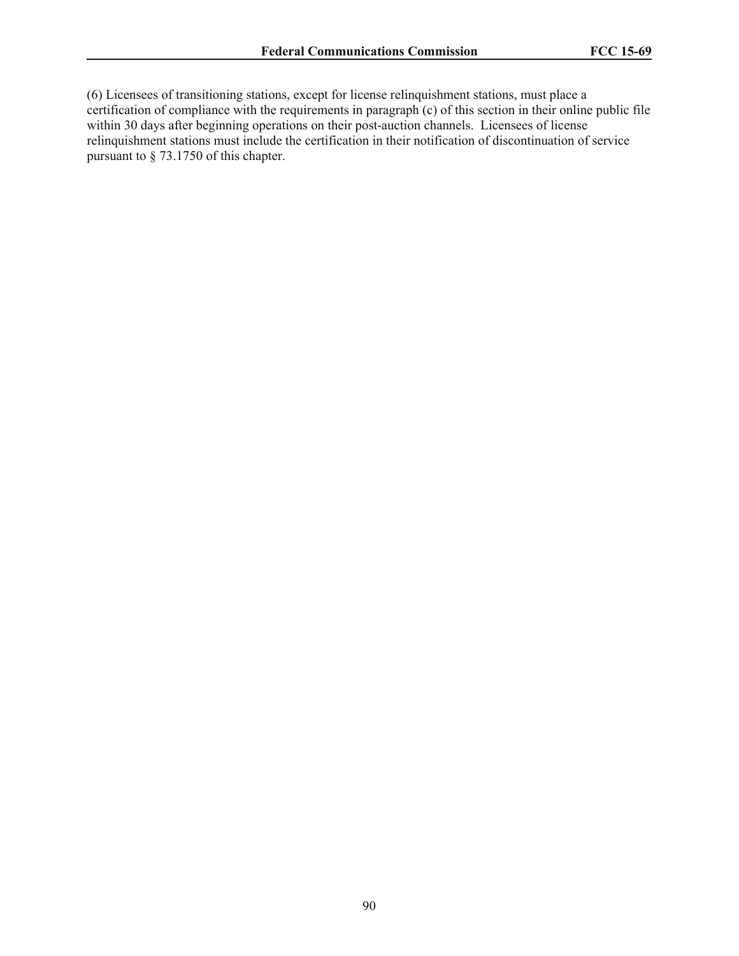(6) Licensees of transitioning stations, except for license relinquishment stations, must place a certification of compliance with the requirements in paragraph (c) of this section in their online public file within 30 days after beginning operations on their post-auction channels. Licensees of license relinquishment stations must include the certification in their notification of discontinuation of service pursuant to § 73.1750 of this chapter.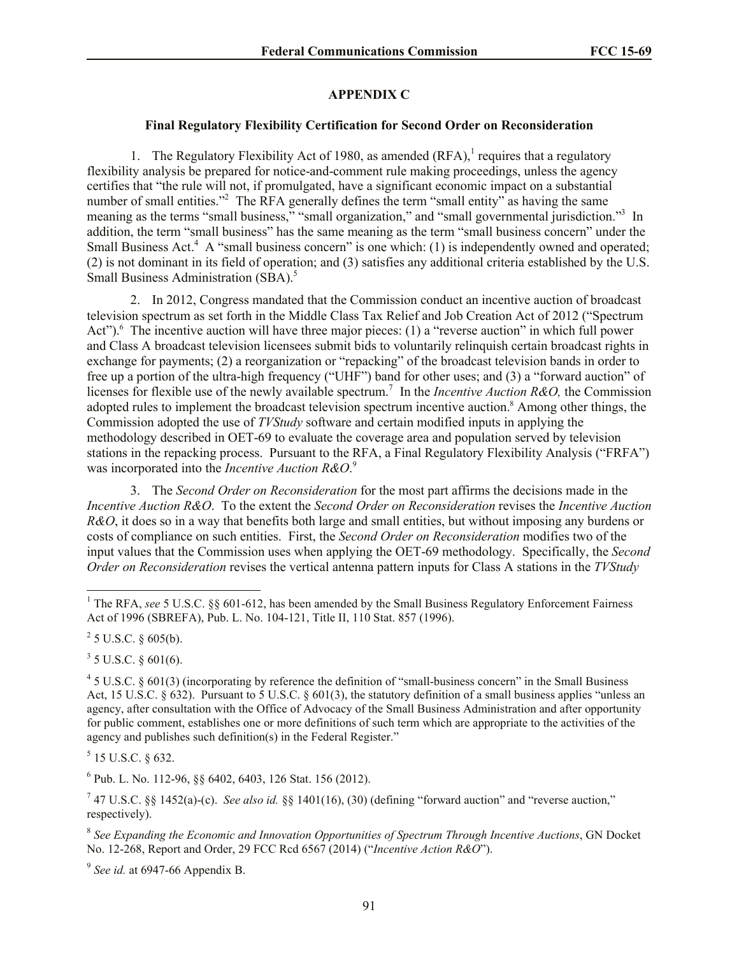## **APPENDIX C**

### **Final Regulatory Flexibility Certification for Second Order on Reconsideration**

1. The Regulatory Flexibility Act of 1980, as amended  $(RFA)$ , requires that a regulatory flexibility analysis be prepared for notice-and-comment rule making proceedings, unless the agency certifies that "the rule will not, if promulgated, have a significant economic impact on a substantial number of small entities."<sup>2</sup> The RFA generally defines the term "small entity" as having the same meaning as the terms "small business," "small organization," and "small governmental jurisdiction."<sup>3</sup> In addition, the term "small business" has the same meaning as the term "small business concern" under the Small Business Act.<sup>4</sup> A "small business concern" is one which: (1) is independently owned and operated; (2) is not dominant in its field of operation; and (3) satisfies any additional criteria established by the U.S. Small Business Administration (SBA).<sup>5</sup>

2. In 2012, Congress mandated that the Commission conduct an incentive auction of broadcast television spectrum as set forth in the Middle Class Tax Relief and Job Creation Act of 2012 ("Spectrum Act").<sup>6</sup> The incentive auction will have three major pieces: (1) a "reverse auction" in which full power and Class A broadcast television licensees submit bids to voluntarily relinquish certain broadcast rights in exchange for payments; (2) a reorganization or "repacking" of the broadcast television bands in order to free up a portion of the ultra-high frequency ("UHF") band for other uses; and (3) a "forward auction" of licenses for flexible use of the newly available spectrum. 7 In the *Incentive Auction R&O,* the Commission adopted rules to implement the broadcast television spectrum incentive auction.<sup>8</sup> Among other things, the Commission adopted the use of *TVStudy* software and certain modified inputs in applying the methodology described in OET-69 to evaluate the coverage area and population served by television stations in the repacking process. Pursuant to the RFA, a Final Regulatory Flexibility Analysis ("FRFA") was incorporated into the *Incentive Auction R&O*. 9

3. The *Second Order on Reconsideration* for the most part affirms the decisions made in the *Incentive Auction R&O*. To the extent the *Second Order on Reconsideration* revises the *Incentive Auction R&O*, it does so in a way that benefits both large and small entities, but without imposing any burdens or costs of compliance on such entities. First, the *Second Order on Reconsideration* modifies two of the input values that the Commission uses when applying the OET-69 methodology. Specifically, the *Second Order on Reconsideration* revises the vertical antenna pattern inputs for Class A stations in the *TVStudy*

 $2^2$  5 U.S.C. § 605(b).

l

 $3$  5 U.S.C. § 601(6).

 $5$  15 U.S.C. § 632.

6 Pub. L. No. 112-96, §§ 6402, 6403, 126 Stat. 156 (2012).

<sup>7</sup> 47 U.S.C. §§ 1452(a)-(c). *See also id.* §§ 1401(16), (30) (defining "forward auction" and "reverse auction," respectively).

8 *See Expanding the Economic and Innovation Opportunities of Spectrum Through Incentive Auctions*, GN Docket No. 12-268, Report and Order, 29 FCC Rcd 6567 (2014) ("*Incentive Action R&O*").

9 *See id.* at 6947-66 Appendix B.

<sup>&</sup>lt;sup>1</sup> The RFA, *see* 5 U.S.C. §§ 601-612, has been amended by the Small Business Regulatory Enforcement Fairness Act of 1996 (SBREFA), Pub. L. No. 104-121, Title II, 110 Stat. 857 (1996).

 $45$  U.S.C. § 601(3) (incorporating by reference the definition of "small-business concern" in the Small Business Act, 15 U.S.C. § 632). Pursuant to 5 U.S.C. § 601(3), the statutory definition of a small business applies "unless an agency, after consultation with the Office of Advocacy of the Small Business Administration and after opportunity for public comment, establishes one or more definitions of such term which are appropriate to the activities of the agency and publishes such definition(s) in the Federal Register."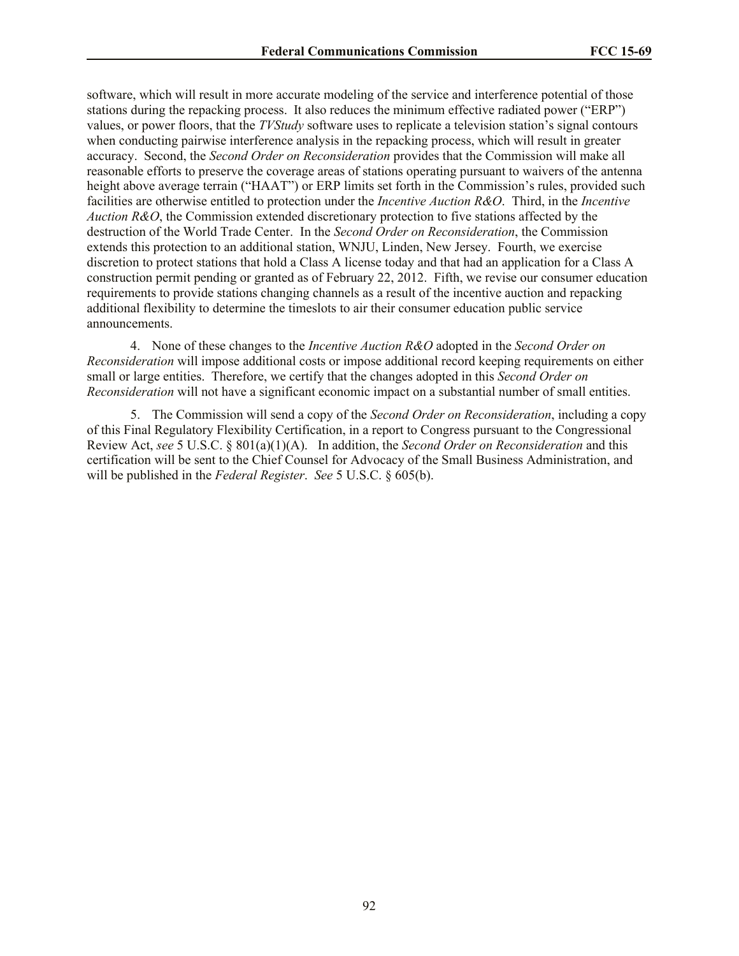software, which will result in more accurate modeling of the service and interference potential of those stations during the repacking process. It also reduces the minimum effective radiated power ("ERP") values, or power floors, that the *TVStudy* software uses to replicate a television station's signal contours when conducting pairwise interference analysis in the repacking process, which will result in greater accuracy. Second, the *Second Order on Reconsideration* provides that the Commission will make all reasonable efforts to preserve the coverage areas of stations operating pursuant to waivers of the antenna height above average terrain ("HAAT") or ERP limits set forth in the Commission's rules, provided such facilities are otherwise entitled to protection under the *Incentive Auction R&O*. Third, in the *Incentive Auction R&O*, the Commission extended discretionary protection to five stations affected by the destruction of the World Trade Center. In the *Second Order on Reconsideration*, the Commission extends this protection to an additional station, WNJU, Linden, New Jersey. Fourth, we exercise discretion to protect stations that hold a Class A license today and that had an application for a Class A construction permit pending or granted as of February 22, 2012. Fifth, we revise our consumer education requirements to provide stations changing channels as a result of the incentive auction and repacking additional flexibility to determine the timeslots to air their consumer education public service announcements.

4. None of these changes to the *Incentive Auction R&O* adopted in the *Second Order on Reconsideration* will impose additional costs or impose additional record keeping requirements on either small or large entities. Therefore, we certify that the changes adopted in this *Second Order on Reconsideration* will not have a significant economic impact on a substantial number of small entities.

5. The Commission will send a copy of the *Second Order on Reconsideration*, including a copy of this Final Regulatory Flexibility Certification, in a report to Congress pursuant to the Congressional Review Act, *see* 5 U.S.C. § 801(a)(1)(A). In addition, the *Second Order on Reconsideration* and this certification will be sent to the Chief Counsel for Advocacy of the Small Business Administration, and will be published in the *Federal Register*. *See* 5 U.S.C. § 605(b).